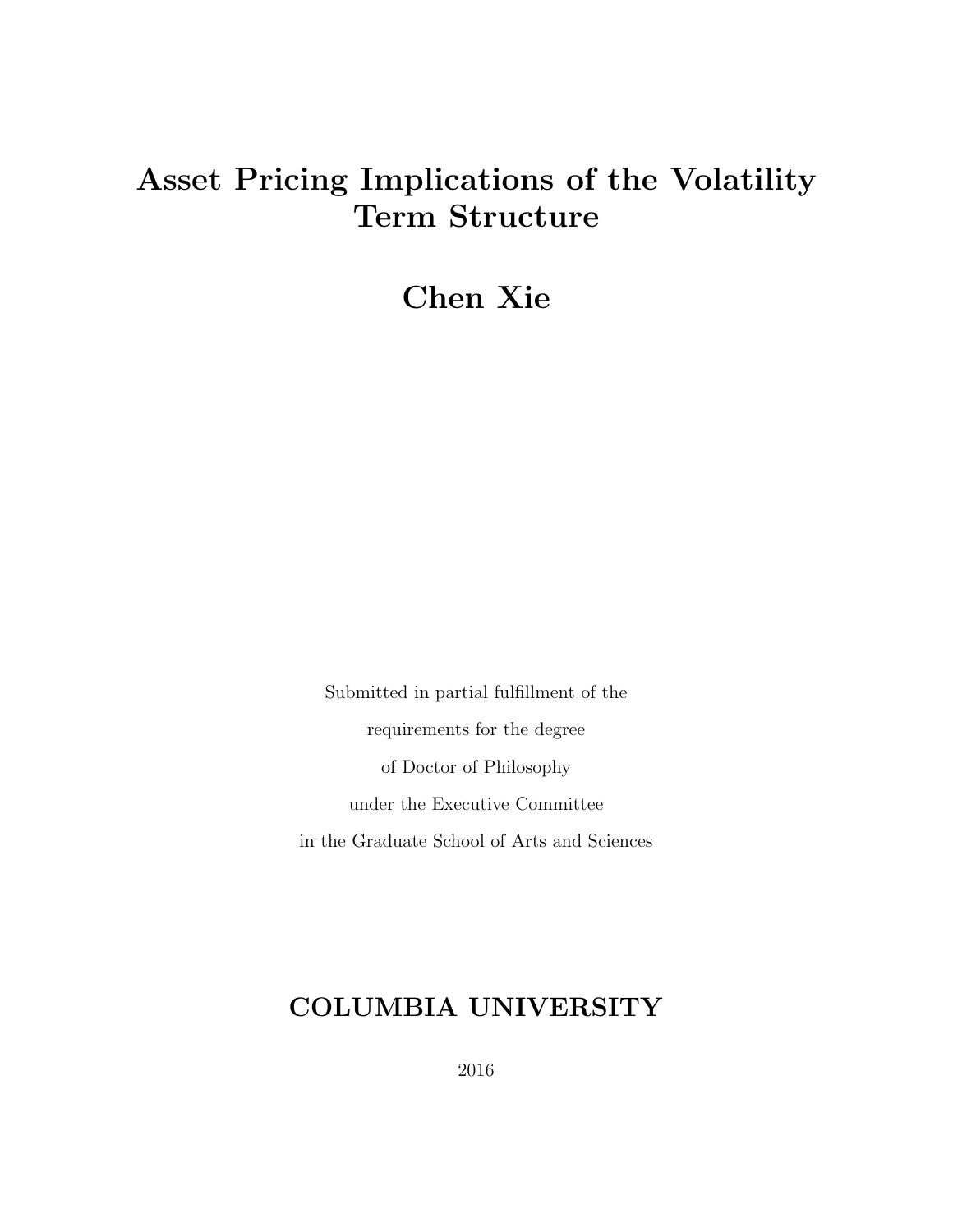# Asset Pricing Implications of the Volatility Term Structure

# Chen Xie

Submitted in partial fulfillment of the requirements for the degree of Doctor of Philosophy under the Executive Committee in the Graduate School of Arts and Sciences

# COLUMBIA UNIVERSITY

2016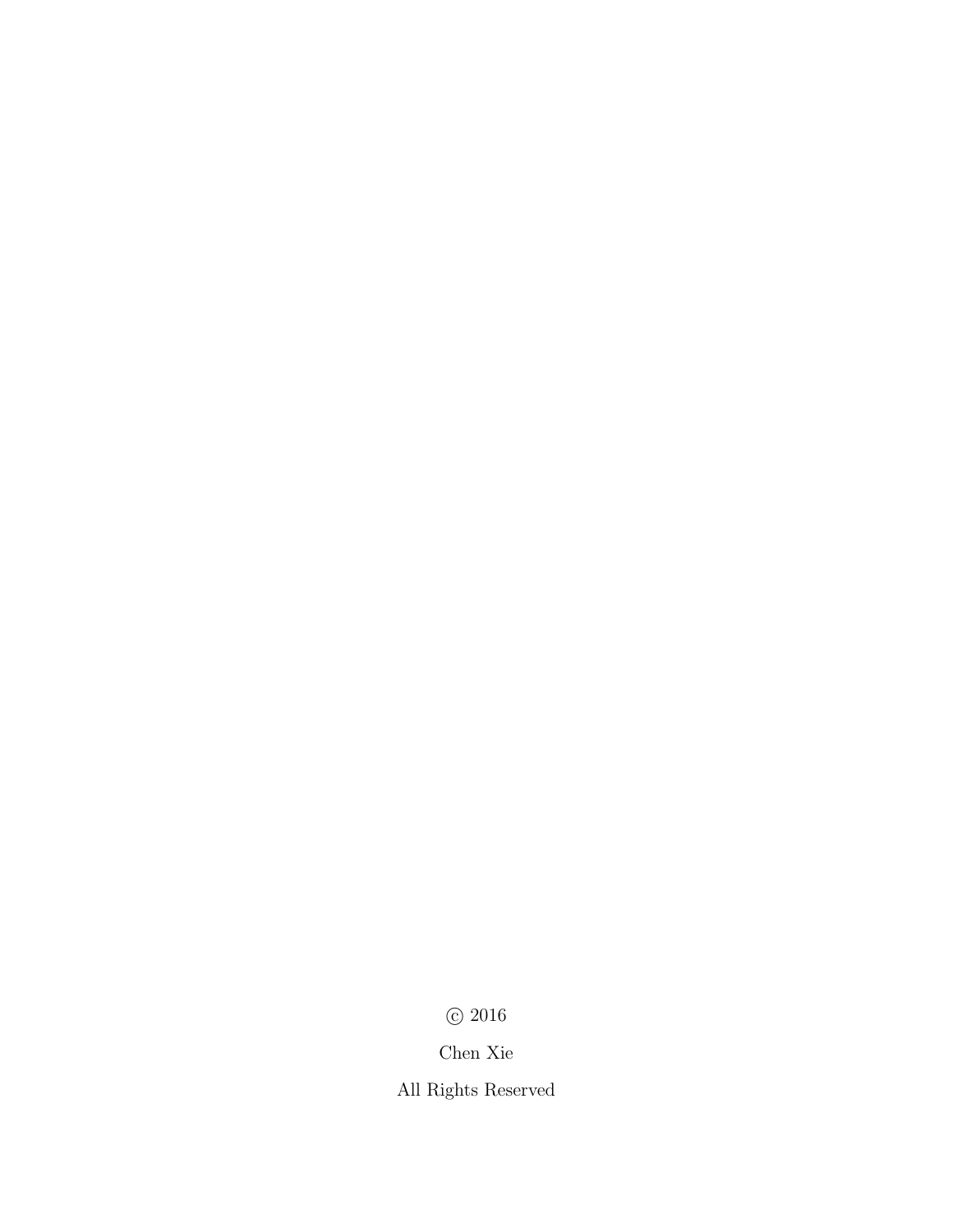$\odot$  2016

Chen Xie

All Rights Reserved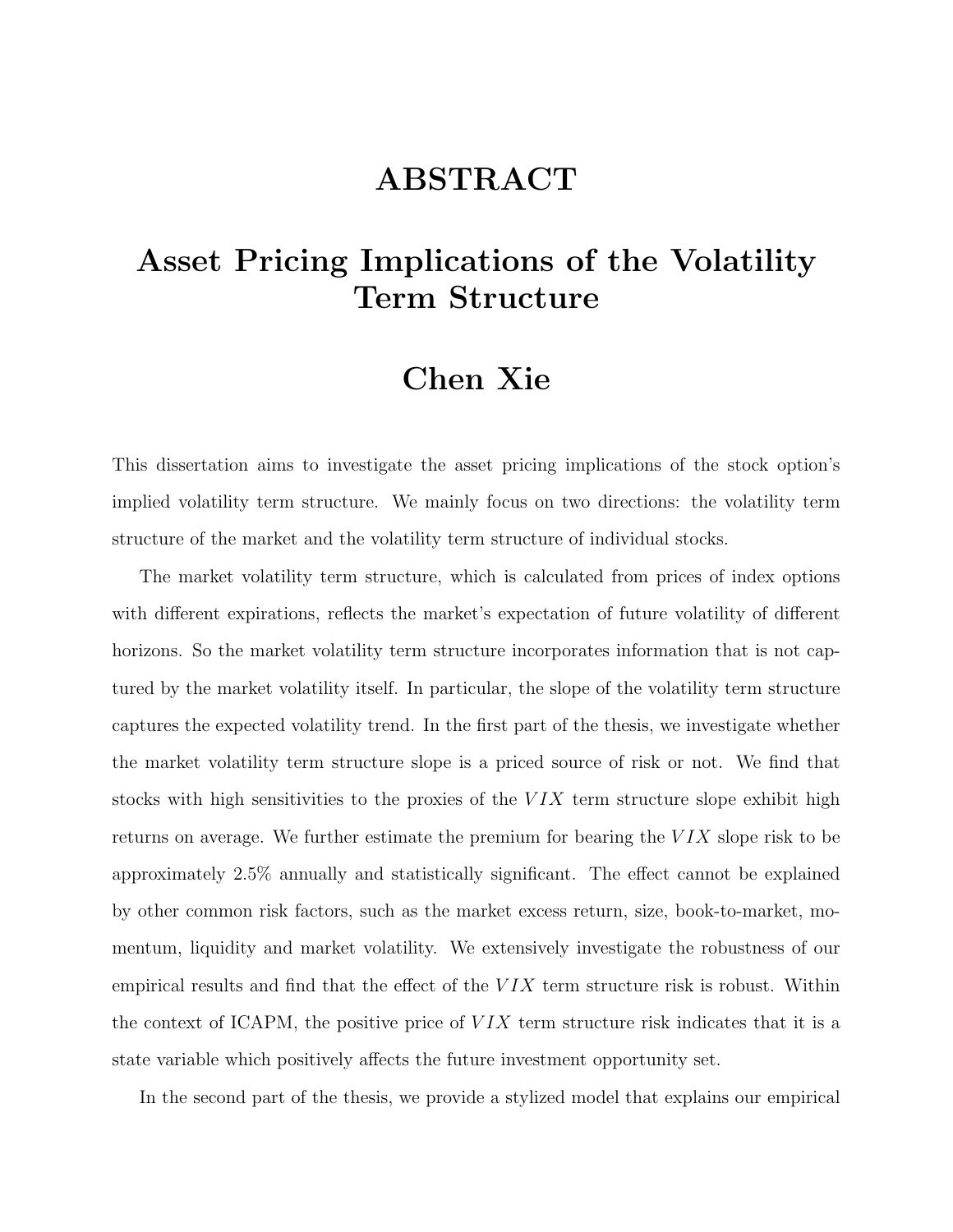# ABSTRACT

# Asset Pricing Implications of the Volatility Term Structure

### Chen Xie

This dissertation aims to investigate the asset pricing implications of the stock option's implied volatility term structure. We mainly focus on two directions: the volatility term structure of the market and the volatility term structure of individual stocks.

The market volatility term structure, which is calculated from prices of index options with different expirations, reflects the market's expectation of future volatility of different horizons. So the market volatility term structure incorporates information that is not captured by the market volatility itself. In particular, the slope of the volatility term structure captures the expected volatility trend. In the first part of the thesis, we investigate whether the market volatility term structure slope is a priced source of risk or not. We find that stocks with high sensitivities to the proxies of the  $VIX$  term structure slope exhibit high returns on average. We further estimate the premium for bearing the  $VIX$  slope risk to be approximately 2.5% annually and statistically significant. The effect cannot be explained by other common risk factors, such as the market excess return, size, book-to-market, momentum, liquidity and market volatility. We extensively investigate the robustness of our empirical results and find that the effect of the  $VIX$  term structure risk is robust. Within the context of ICAPM, the positive price of  $VIX$  term structure risk indicates that it is a state variable which positively affects the future investment opportunity set.

In the second part of the thesis, we provide a stylized model that explains our empirical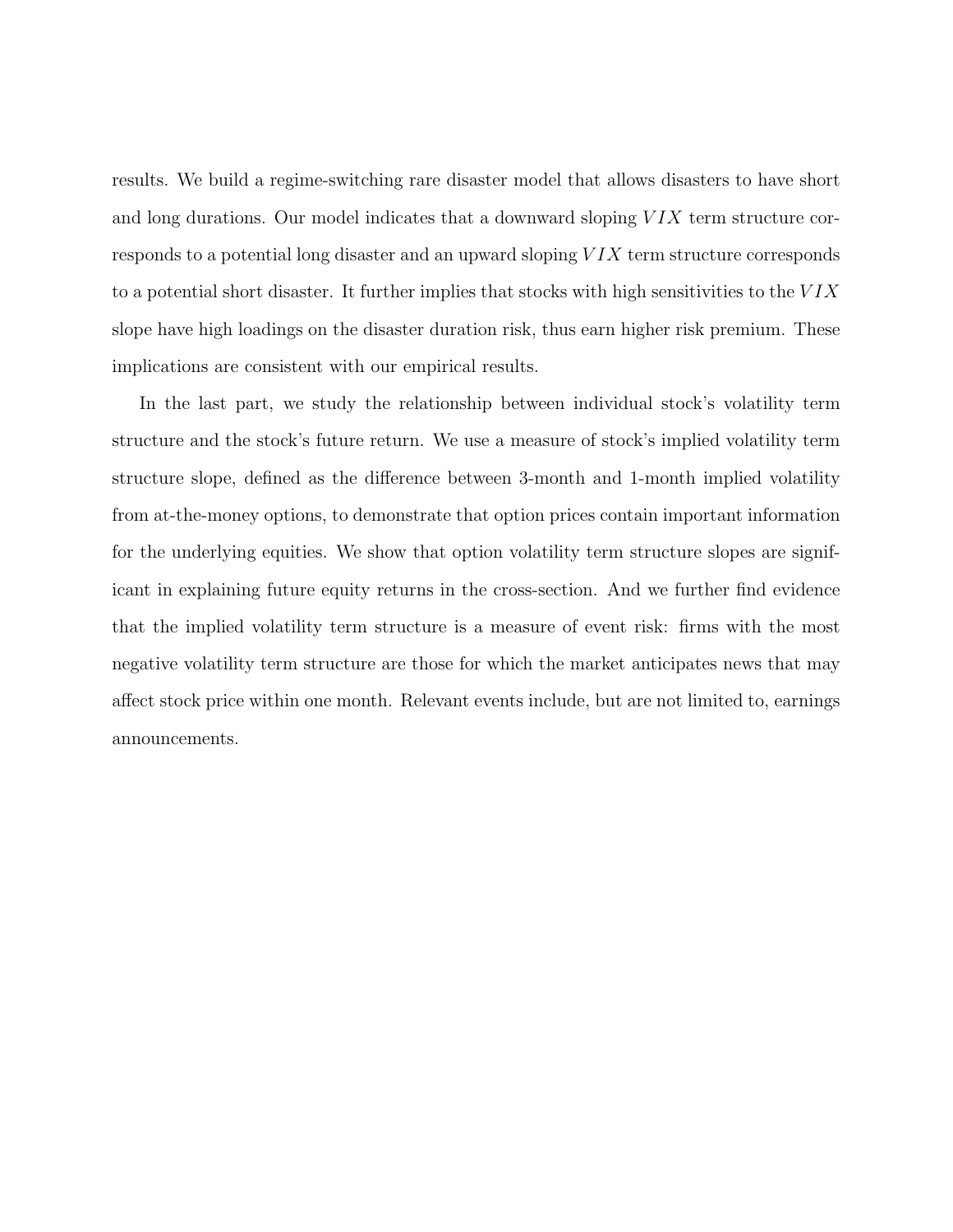results. We build a regime-switching rare disaster model that allows disasters to have short and long durations. Our model indicates that a downward sloping  $VIX$  term structure corresponds to a potential long disaster and an upward sloping VIX term structure corresponds to a potential short disaster. It further implies that stocks with high sensitivities to the  $VIX$ slope have high loadings on the disaster duration risk, thus earn higher risk premium. These implications are consistent with our empirical results.

In the last part, we study the relationship between individual stock's volatility term structure and the stock's future return. We use a measure of stock's implied volatility term structure slope, defined as the difference between 3-month and 1-month implied volatility from at-the-money options, to demonstrate that option prices contain important information for the underlying equities. We show that option volatility term structure slopes are significant in explaining future equity returns in the cross-section. And we further find evidence that the implied volatility term structure is a measure of event risk: firms with the most negative volatility term structure are those for which the market anticipates news that may affect stock price within one month. Relevant events include, but are not limited to, earnings announcements.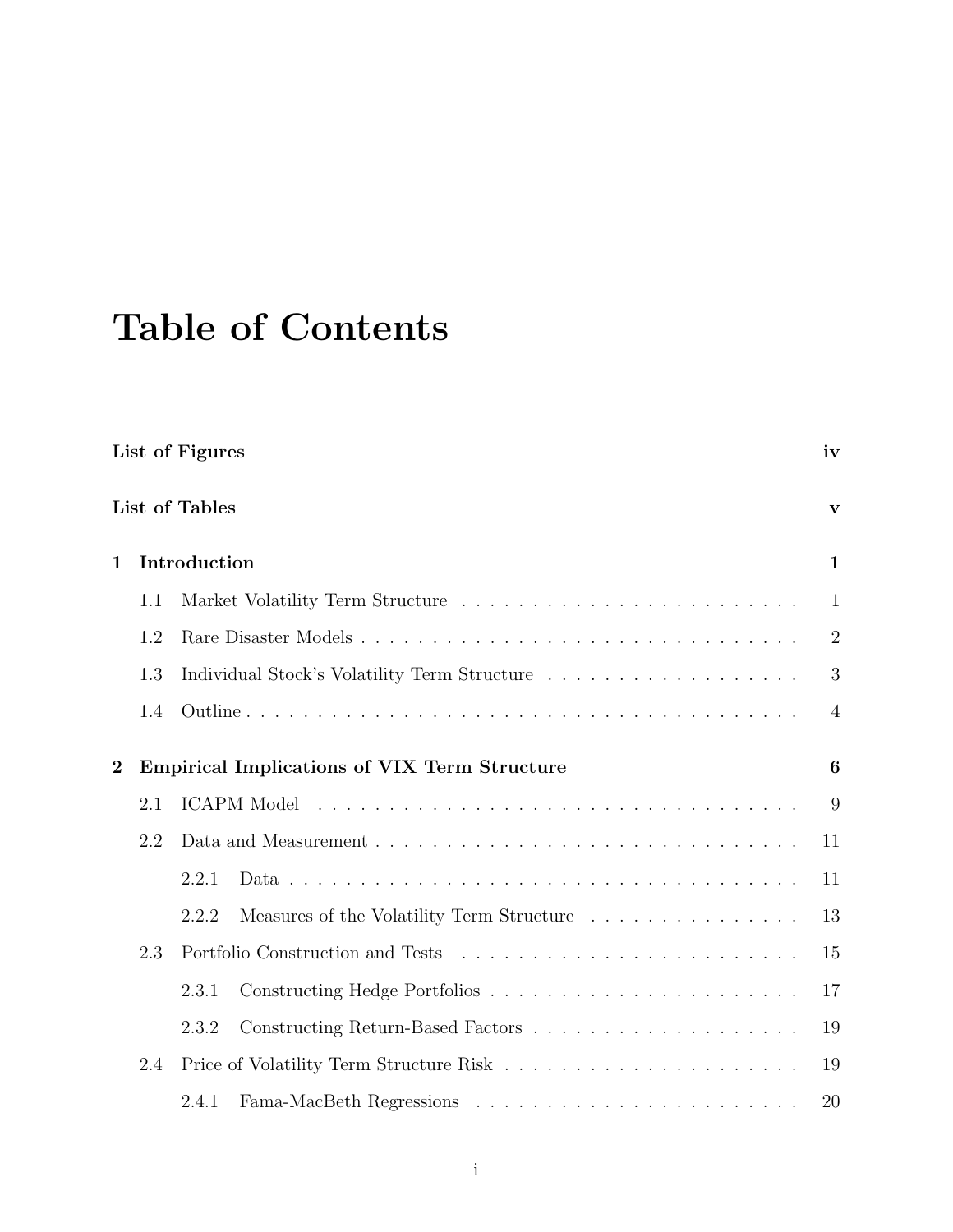# Table of Contents

|                  |     | List of Figures                                     | iv             |
|------------------|-----|-----------------------------------------------------|----------------|
|                  |     | List of Tables                                      | V              |
| $\mathbf{1}$     |     | Introduction                                        | $\mathbf{1}$   |
|                  | 1.1 |                                                     | $\mathbf{1}$   |
|                  | 1.2 |                                                     | $\overline{2}$ |
|                  | 1.3 |                                                     | 3              |
|                  | 1.4 |                                                     | $\overline{4}$ |
| $\boldsymbol{2}$ |     | <b>Empirical Implications of VIX Term Structure</b> | 6              |
|                  | 2.1 |                                                     | 9              |
|                  | 2.2 |                                                     | 11             |
|                  |     | 2.2.1                                               | 11             |
|                  |     | Measures of the Volatility Term Structure<br>2.2.2  | 13             |
|                  | 2.3 |                                                     | 15             |
|                  |     | 2.3.1                                               | 17             |
|                  |     | 2.3.2                                               | 19             |
|                  | 2.4 |                                                     | 19             |
|                  |     | 2.4.1                                               | 20             |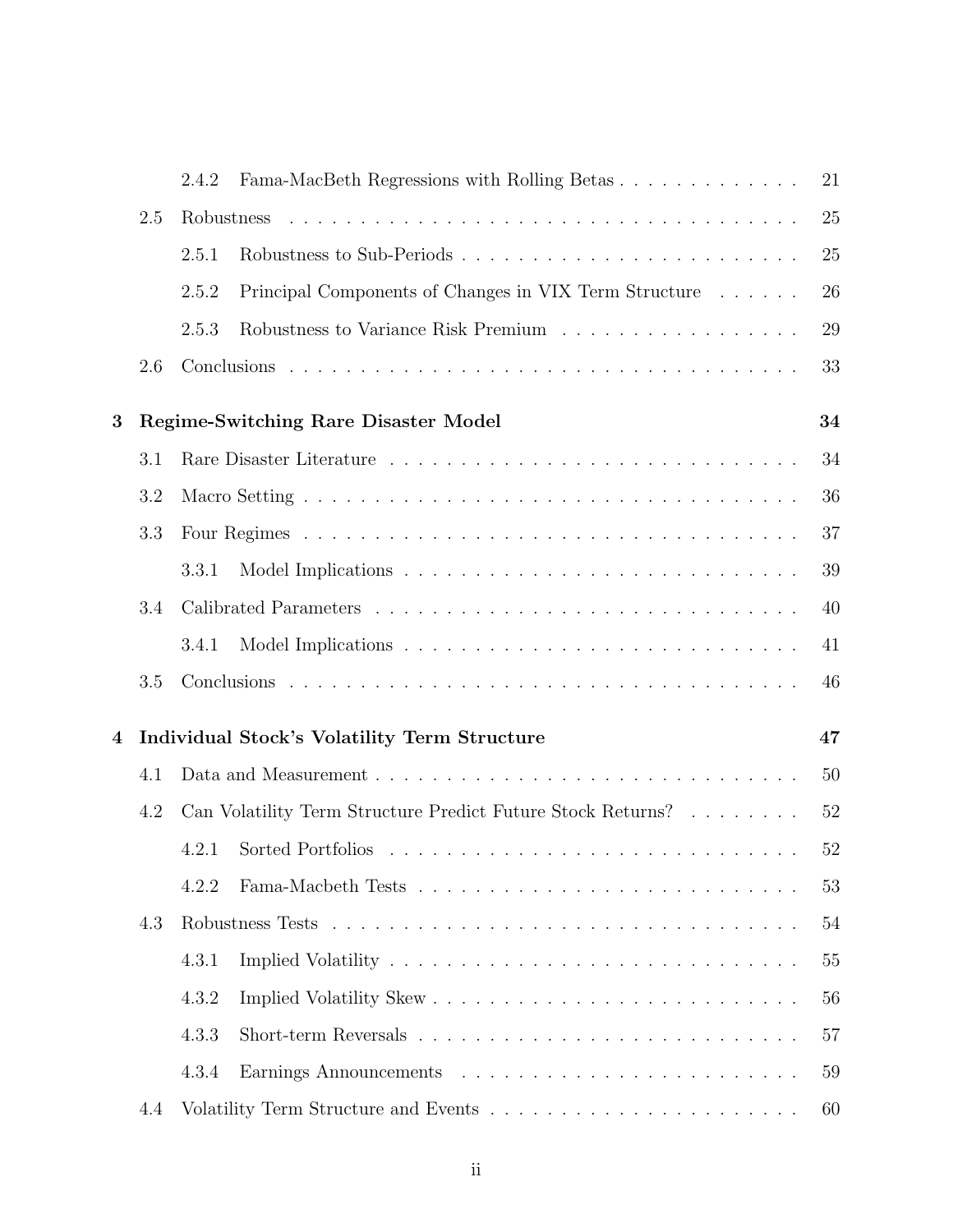|   |     | 2.4.2      | Fama-MacBeth Regressions with Rolling Betas                                        | 21 |
|---|-----|------------|------------------------------------------------------------------------------------|----|
|   | 2.5 | Robustness |                                                                                    | 25 |
|   |     | 2.5.1      | Robustness to Sub-Periods                                                          | 25 |
|   |     | 2.5.2      | Principal Components of Changes in VIX Term Structure                              | 26 |
|   |     | 2.5.3      | Robustness to Variance Risk Premium                                                | 29 |
|   | 2.6 |            |                                                                                    | 33 |
| 3 |     |            | Regime-Switching Rare Disaster Model                                               | 34 |
|   | 3.1 |            |                                                                                    | 34 |
|   | 3.2 |            |                                                                                    | 36 |
|   | 3.3 |            |                                                                                    | 37 |
|   |     | 3.3.1      |                                                                                    | 39 |
|   | 3.4 |            |                                                                                    | 40 |
|   |     | 3.4.1      |                                                                                    | 41 |
|   | 3.5 |            |                                                                                    | 46 |
| 4 |     |            | <b>Individual Stock's Volatility Term Structure</b>                                | 47 |
|   | 4.1 |            |                                                                                    | 50 |
|   | 4.2 |            | Can Volatility Term Structure Predict Future Stock Returns? $\ldots \ldots \ldots$ | 52 |
|   |     | 4.2.1      |                                                                                    | 52 |
|   |     | 4.2.2      |                                                                                    | 53 |
|   | 4.3 |            |                                                                                    | 54 |
|   |     | 4.3.1      |                                                                                    | 55 |
|   |     | 4.3.2      |                                                                                    | 56 |
|   |     | 4.3.3      |                                                                                    | 57 |
|   |     | 4.3.4      |                                                                                    | 59 |
|   | 4.4 |            |                                                                                    | 60 |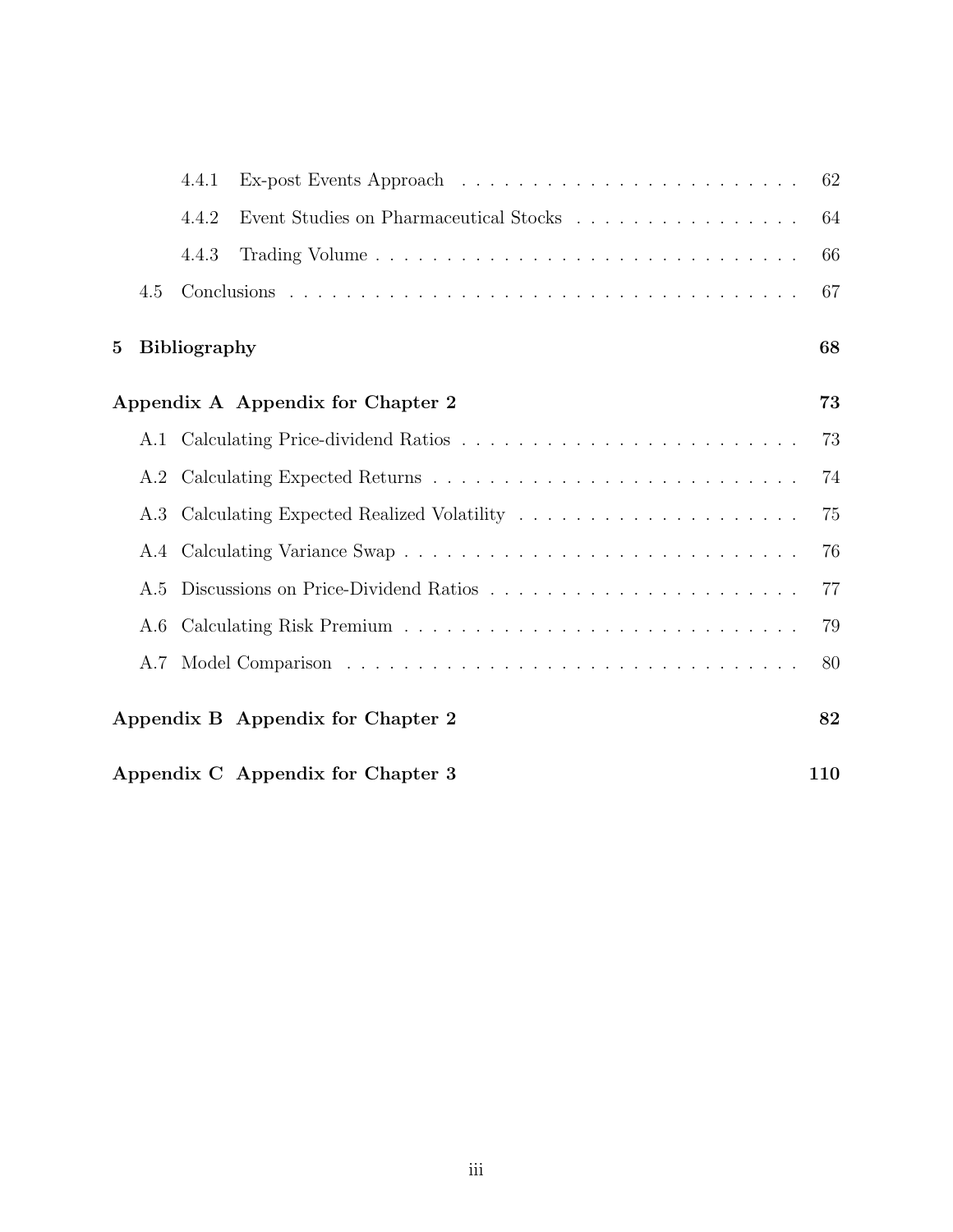|                 |                                          | 4.4.1               |                                        | 62 |  |
|-----------------|------------------------------------------|---------------------|----------------------------------------|----|--|
|                 |                                          | 4.4.2               | Event Studies on Pharmaceutical Stocks | 64 |  |
|                 |                                          | 4.4.3               |                                        | 66 |  |
|                 | 4.5                                      |                     |                                        | 67 |  |
| $5\overline{)}$ |                                          | <b>Bibliography</b> |                                        | 68 |  |
|                 |                                          |                     | Appendix A Appendix for Chapter 2      | 73 |  |
|                 |                                          |                     |                                        | 73 |  |
|                 |                                          |                     |                                        | 74 |  |
|                 |                                          |                     |                                        | 75 |  |
|                 |                                          |                     |                                        | 76 |  |
|                 | A.5                                      |                     |                                        | 77 |  |
|                 | A.6                                      |                     |                                        | 79 |  |
|                 | A.7                                      |                     |                                        | 80 |  |
|                 | Appendix B Appendix for Chapter 2<br>82  |                     |                                        |    |  |
|                 | Appendix C Appendix for Chapter 3<br>110 |                     |                                        |    |  |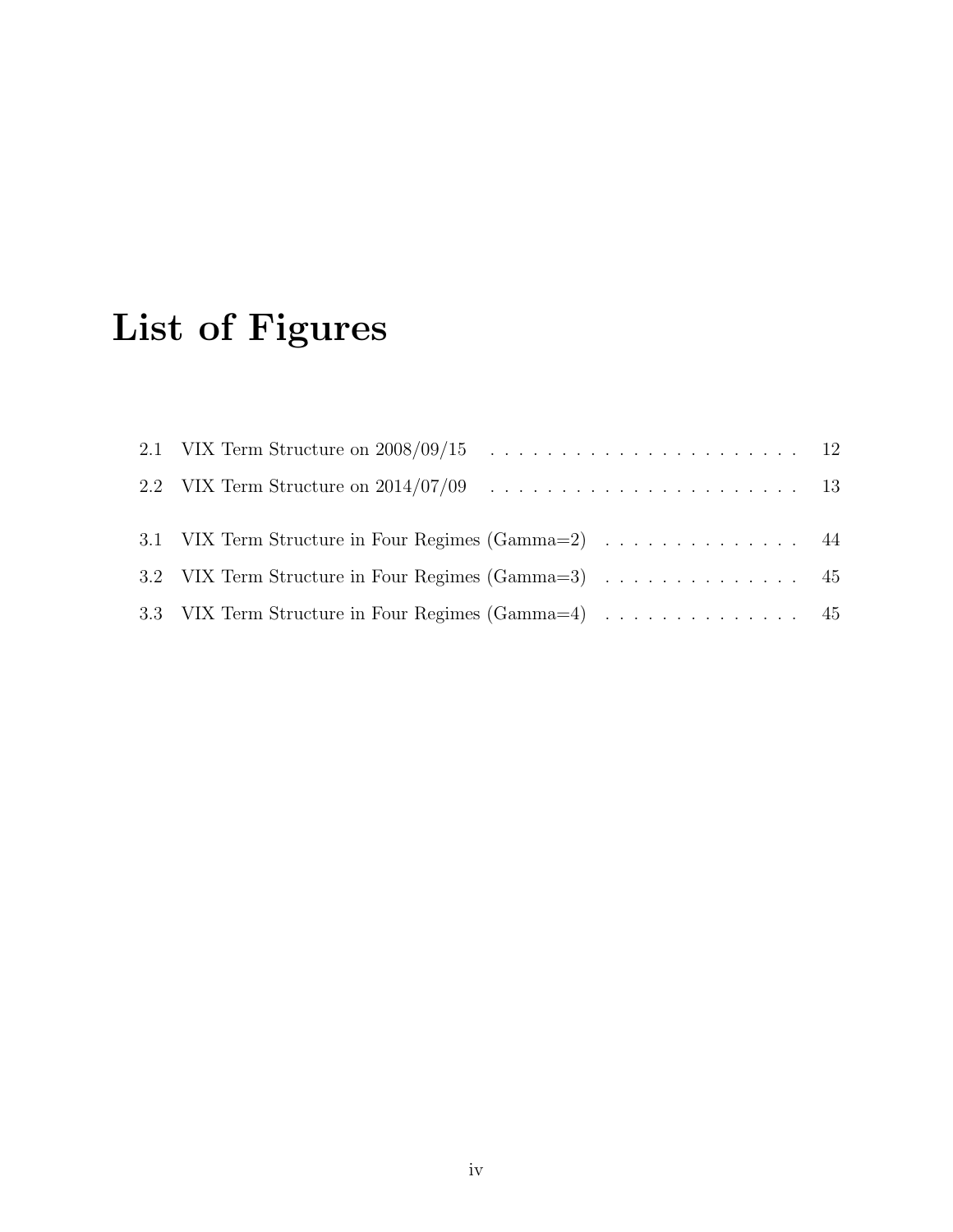# List of Figures

| 3.1 VIX Term Structure in Four Regimes (Gamma=2) 44 |  |
|-----------------------------------------------------|--|
| 3.2 VIX Term Structure in Four Regimes (Gamma=3) 45 |  |
| 3.3 VIX Term Structure in Four Regimes (Gamma=4) 45 |  |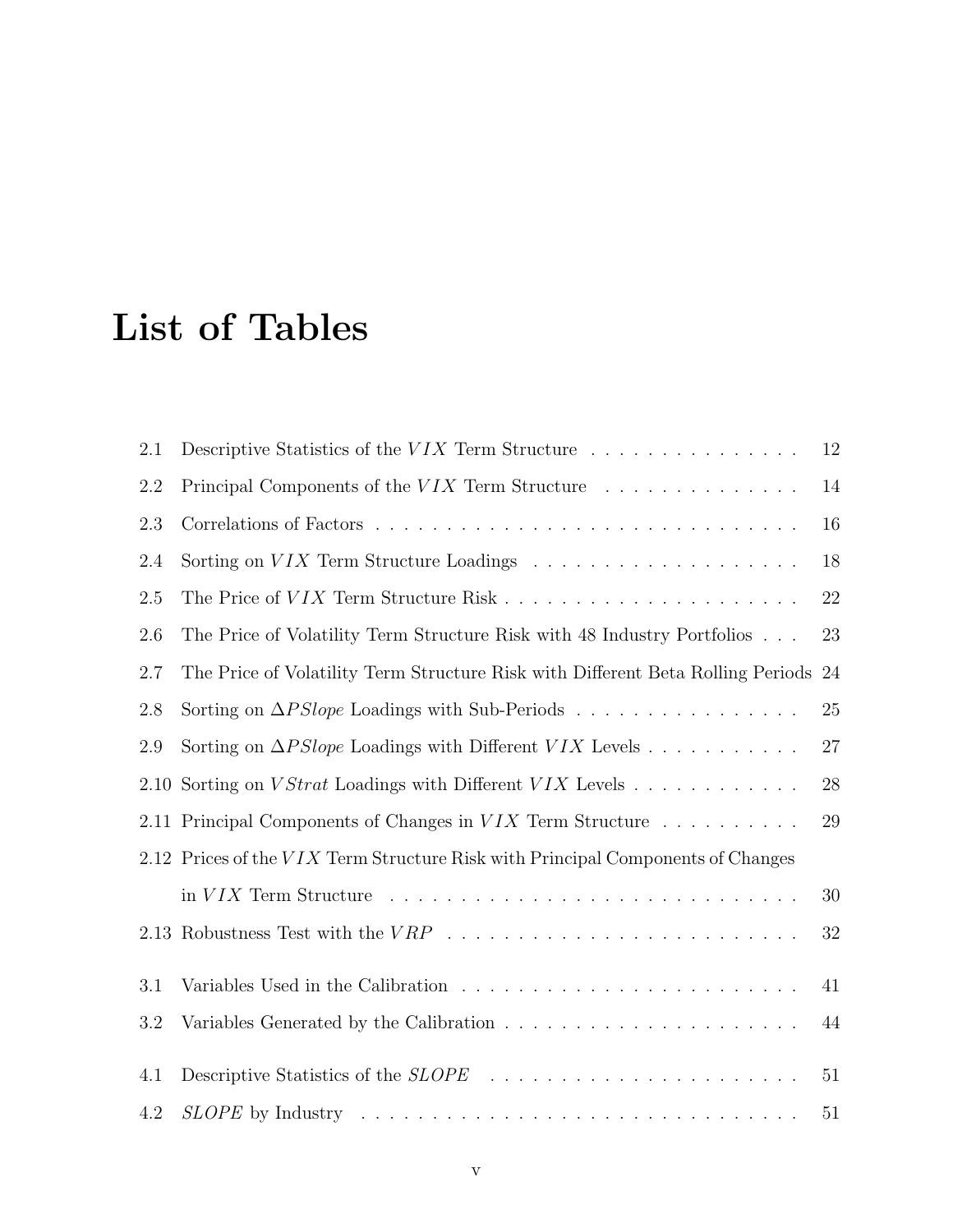# List of Tables

| 2.1     | Descriptive Statistics of the $VIX$ Term Structure                                               | 12 |
|---------|--------------------------------------------------------------------------------------------------|----|
| 2.2     | Principal Components of the $VIX$ Term Structure $\ldots \ldots \ldots \ldots$                   | 14 |
| 2.3     |                                                                                                  | 16 |
| 2.4     |                                                                                                  | 18 |
| $2.5\,$ |                                                                                                  | 22 |
| 2.6     | The Price of Volatility Term Structure Risk with 48 Industry Portfolios                          | 23 |
| 2.7     | The Price of Volatility Term Structure Risk with Different Beta Rolling Periods                  | 24 |
| 2.8     | Sorting on $\Delta PSlope$ Loadings with Sub-Periods                                             | 25 |
| 2.9     | Sorting on $\Delta PSlope$ Loadings with Different VIX Levels                                    | 27 |
| 2.10    | Sorting on <i>VStrat</i> Loadings with Different <i>VIX</i> Levels $\ldots \ldots \ldots \ldots$ | 28 |
|         | 2.11 Principal Components of Changes in VIX Term Structure                                       | 29 |
|         | 2.12 Prices of the VIX Term Structure Risk with Principal Components of Changes                  |    |
|         |                                                                                                  | 30 |
|         |                                                                                                  | 32 |
| 3.1     |                                                                                                  | 41 |
| 3.2     |                                                                                                  | 44 |
| 4.1     |                                                                                                  | 51 |
| 4.2     |                                                                                                  | 51 |
|         |                                                                                                  |    |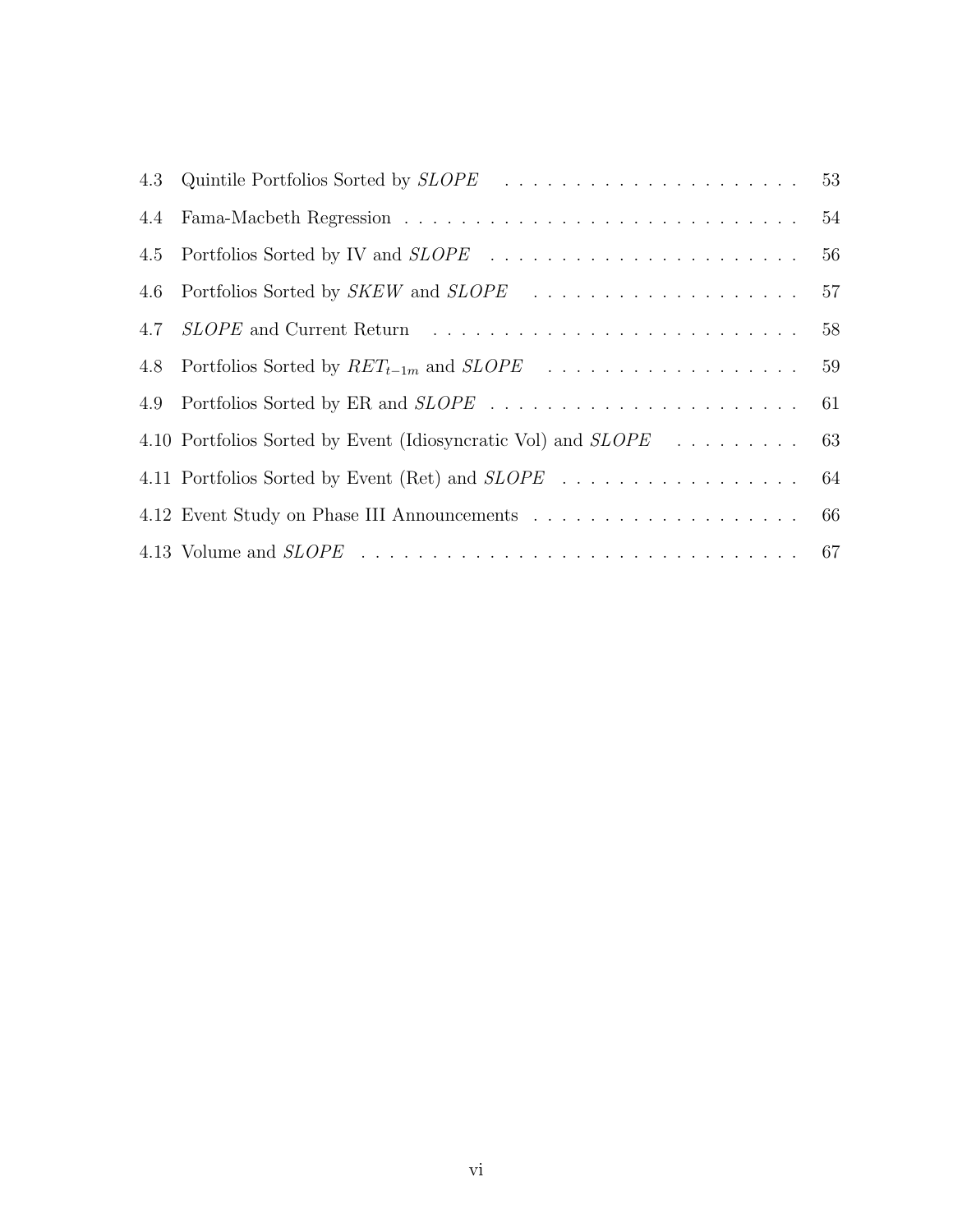| 4.5 |                                                                         | 56 |
|-----|-------------------------------------------------------------------------|----|
| 4.6 |                                                                         | 57 |
|     |                                                                         | 58 |
| 4.8 |                                                                         |    |
|     |                                                                         |    |
|     | 4.10 Portfolios Sorted by Event (Idiosyncratic Vol) and <i>SLOPE</i> 63 |    |
|     |                                                                         |    |
|     |                                                                         |    |
|     |                                                                         |    |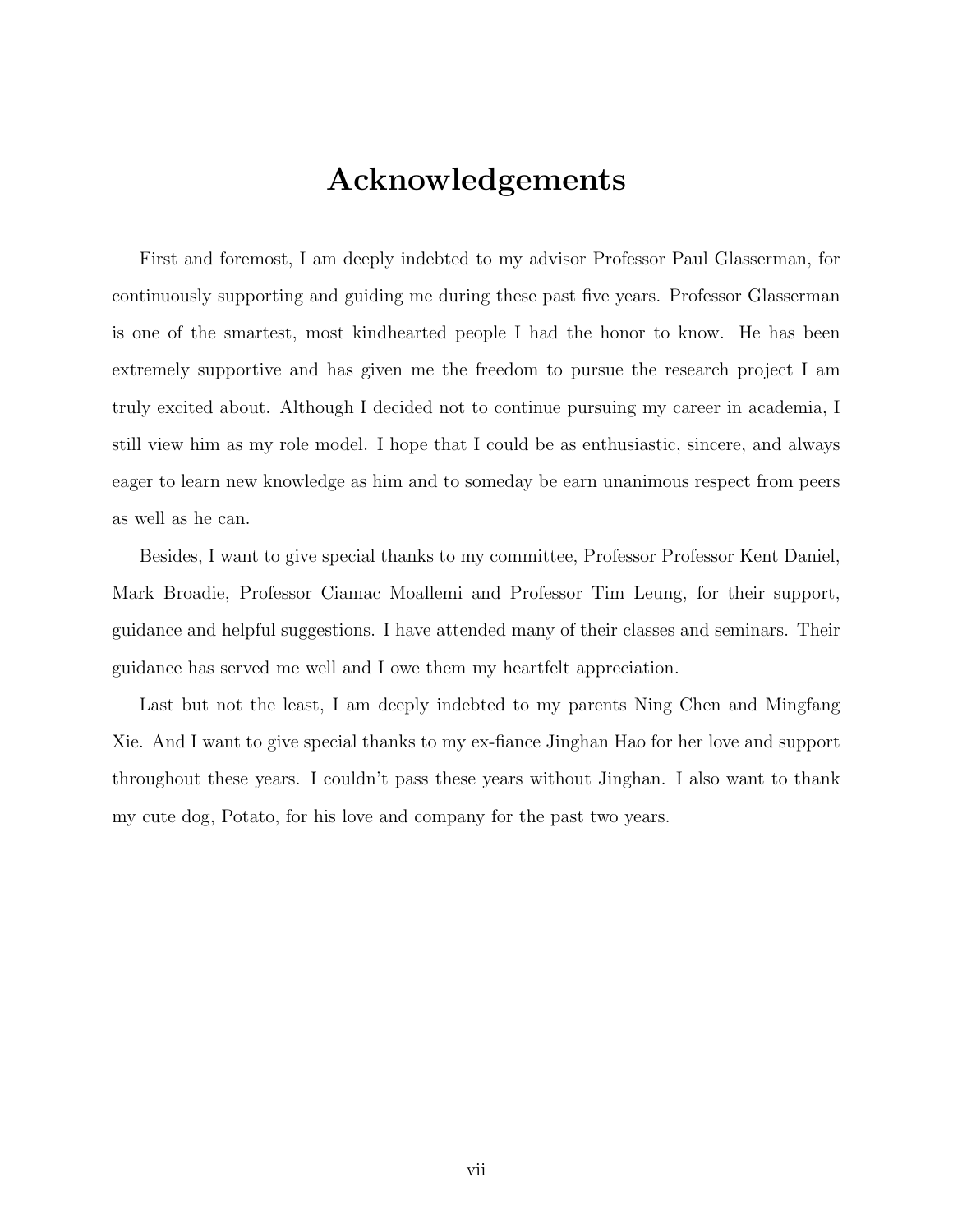## Acknowledgements

First and foremost, I am deeply indebted to my advisor Professor Paul Glasserman, for continuously supporting and guiding me during these past five years. Professor Glasserman is one of the smartest, most kindhearted people I had the honor to know. He has been extremely supportive and has given me the freedom to pursue the research project I am truly excited about. Although I decided not to continue pursuing my career in academia, I still view him as my role model. I hope that I could be as enthusiastic, sincere, and always eager to learn new knowledge as him and to someday be earn unanimous respect from peers as well as he can.

Besides, I want to give special thanks to my committee, Professor Professor Kent Daniel, Mark Broadie, Professor Ciamac Moallemi and Professor Tim Leung, for their support, guidance and helpful suggestions. I have attended many of their classes and seminars. Their guidance has served me well and I owe them my heartfelt appreciation.

Last but not the least, I am deeply indebted to my parents Ning Chen and Mingfang Xie. And I want to give special thanks to my ex-fiance Jinghan Hao for her love and support throughout these years. I couldn't pass these years without Jinghan. I also want to thank my cute dog, Potato, for his love and company for the past two years.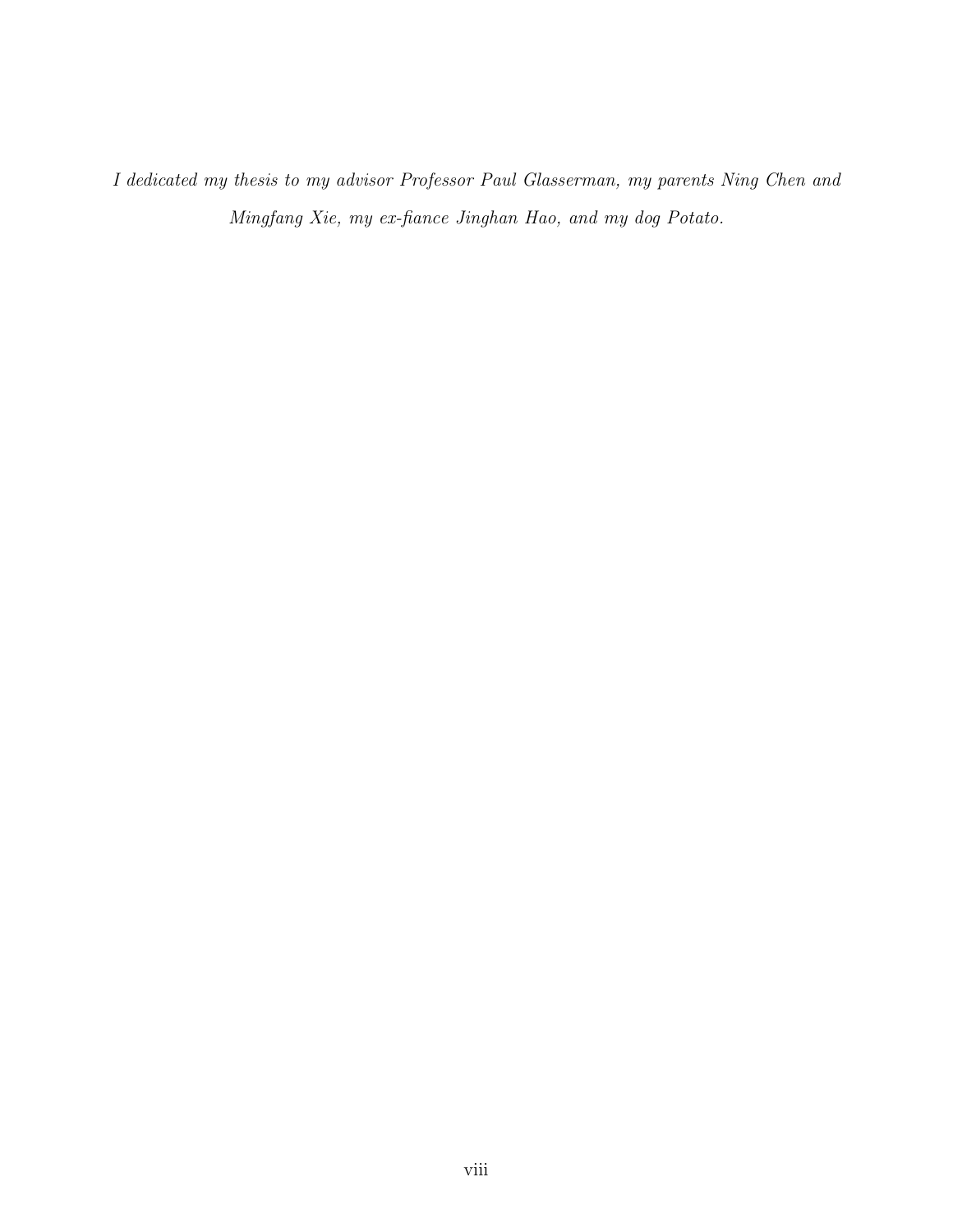I dedicated my thesis to my advisor Professor Paul Glasserman, my parents Ning Chen and Mingfang Xie, my ex-fiance Jinghan Hao, and my dog Potato.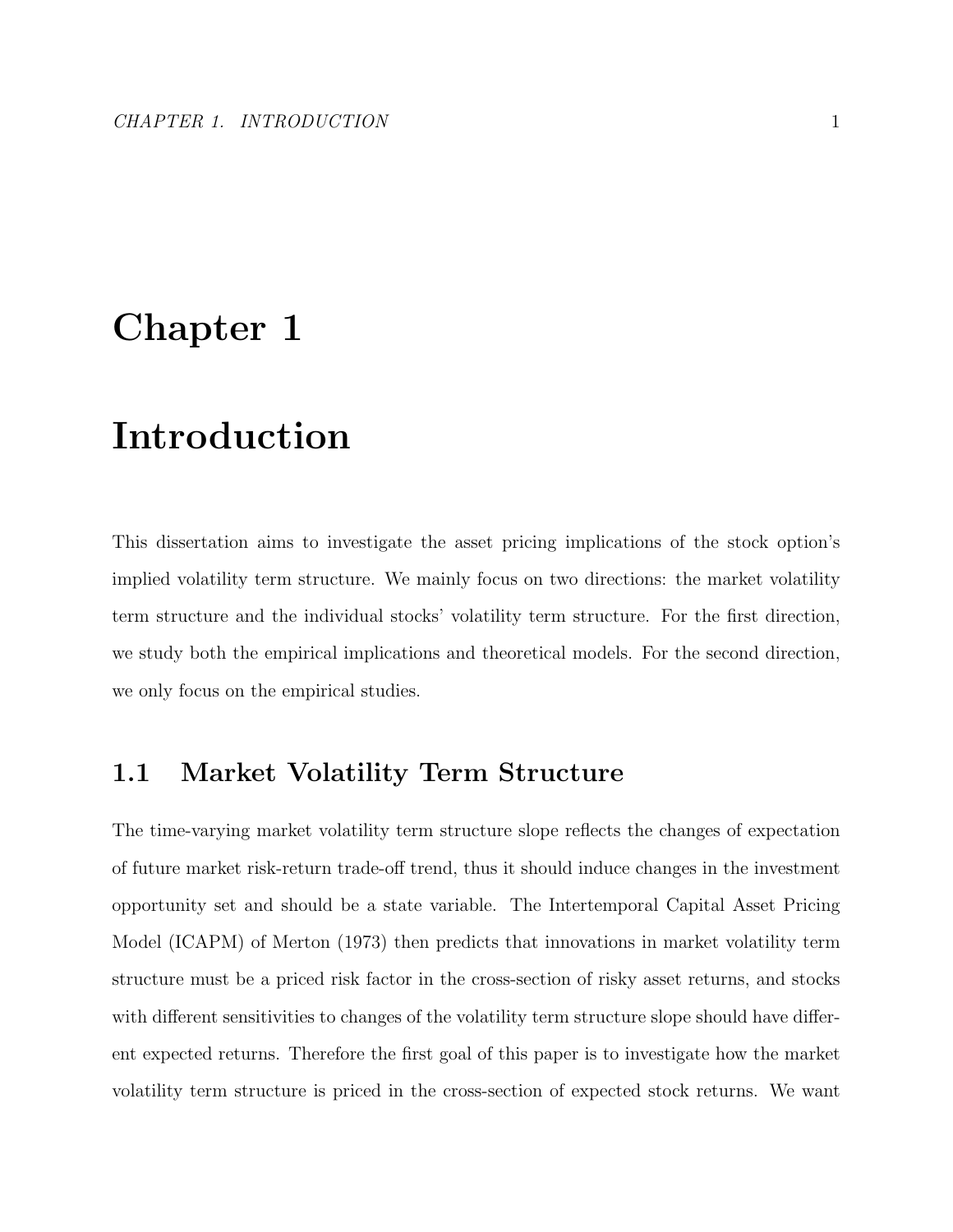# Chapter 1

# Introduction

This dissertation aims to investigate the asset pricing implications of the stock option's implied volatility term structure. We mainly focus on two directions: the market volatility term structure and the individual stocks' volatility term structure. For the first direction, we study both the empirical implications and theoretical models. For the second direction, we only focus on the empirical studies.

### 1.1 Market Volatility Term Structure

The time-varying market volatility term structure slope reflects the changes of expectation of future market risk-return trade-off trend, thus it should induce changes in the investment opportunity set and should be a state variable. The Intertemporal Capital Asset Pricing Model (ICAPM) of Merton (1973) then predicts that innovations in market volatility term structure must be a priced risk factor in the cross-section of risky asset returns, and stocks with different sensitivities to changes of the volatility term structure slope should have different expected returns. Therefore the first goal of this paper is to investigate how the market volatility term structure is priced in the cross-section of expected stock returns. We want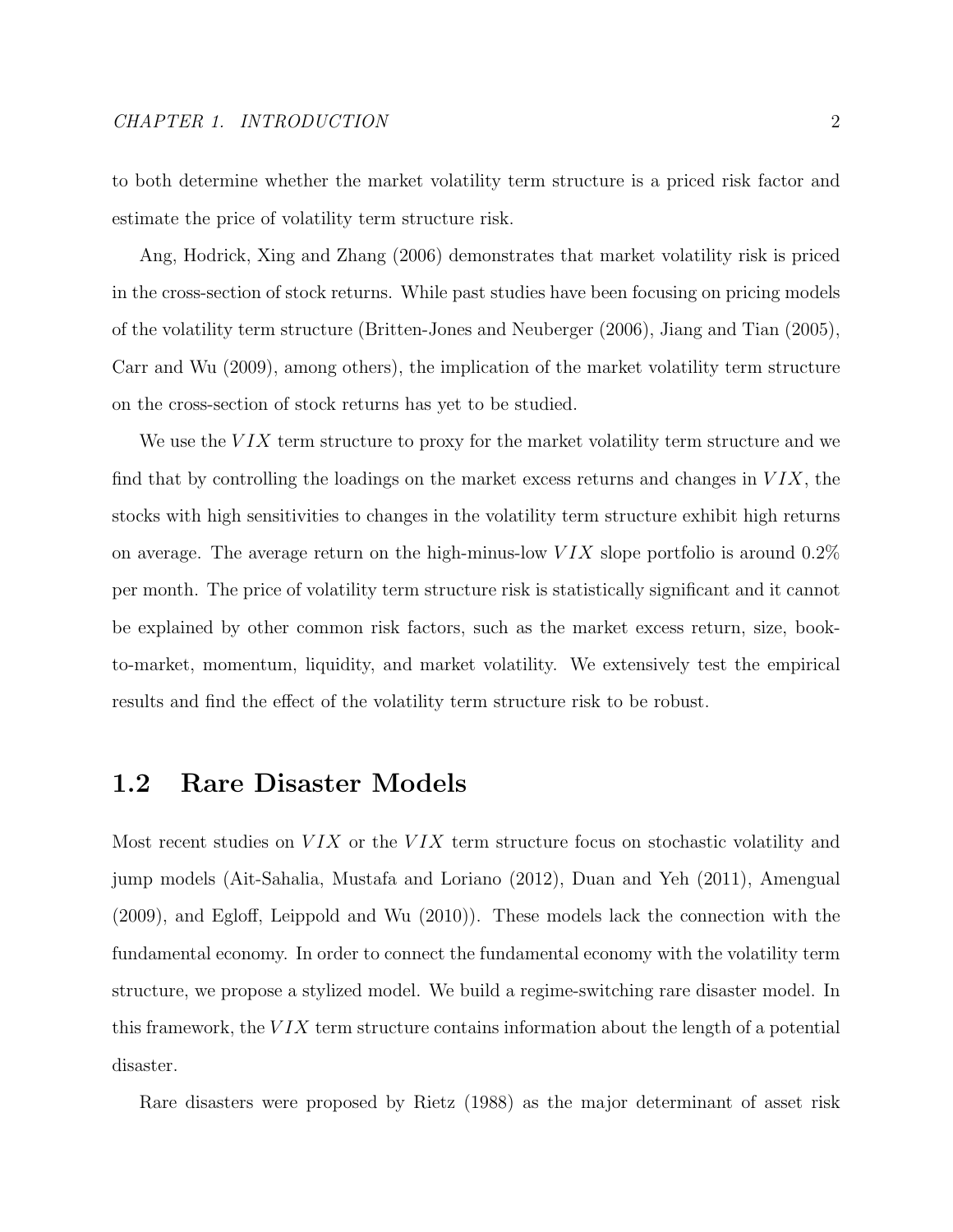to both determine whether the market volatility term structure is a priced risk factor and estimate the price of volatility term structure risk.

Ang, Hodrick, Xing and Zhang (2006) demonstrates that market volatility risk is priced in the cross-section of stock returns. While past studies have been focusing on pricing models of the volatility term structure (Britten-Jones and Neuberger (2006), Jiang and Tian (2005), Carr and Wu (2009), among others), the implication of the market volatility term structure on the cross-section of stock returns has yet to be studied.

We use the  $VIX$  term structure to proxy for the market volatility term structure and we find that by controlling the loadings on the market excess returns and changes in  $VIX$ , the stocks with high sensitivities to changes in the volatility term structure exhibit high returns on average. The average return on the high-minus-low  $VIX$  slope portfolio is around 0.2% per month. The price of volatility term structure risk is statistically significant and it cannot be explained by other common risk factors, such as the market excess return, size, bookto-market, momentum, liquidity, and market volatility. We extensively test the empirical results and find the effect of the volatility term structure risk to be robust.

### 1.2 Rare Disaster Models

Most recent studies on  $VIX$  or the  $VIX$  term structure focus on stochastic volatility and jump models (Ait-Sahalia, Mustafa and Loriano (2012), Duan and Yeh (2011), Amengual (2009), and Egloff, Leippold and Wu (2010)). These models lack the connection with the fundamental economy. In order to connect the fundamental economy with the volatility term structure, we propose a stylized model. We build a regime-switching rare disaster model. In this framework, the  $VIX$  term structure contains information about the length of a potential disaster.

Rare disasters were proposed by Rietz (1988) as the major determinant of asset risk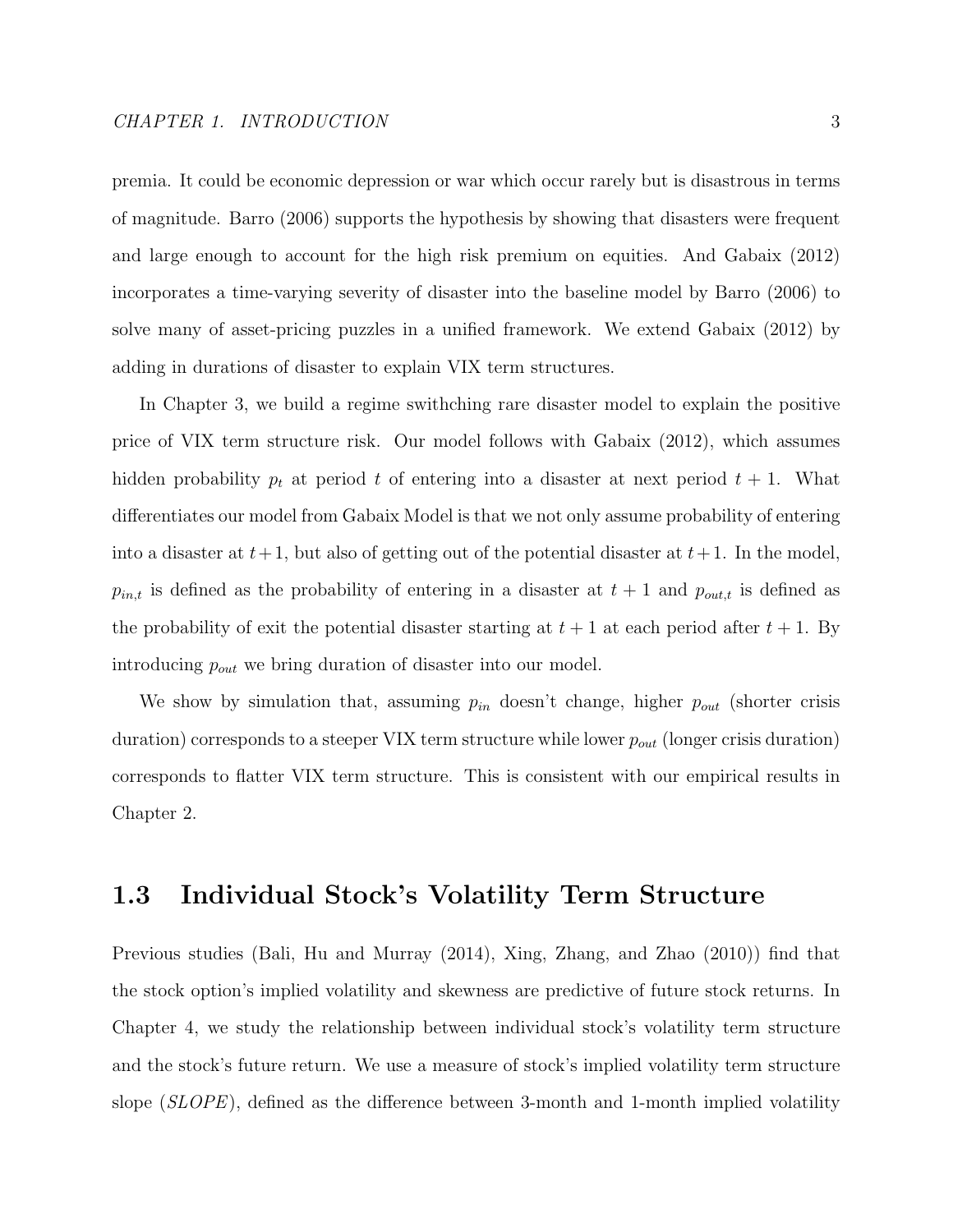premia. It could be economic depression or war which occur rarely but is disastrous in terms of magnitude. Barro (2006) supports the hypothesis by showing that disasters were frequent and large enough to account for the high risk premium on equities. And Gabaix (2012) incorporates a time-varying severity of disaster into the baseline model by Barro (2006) to solve many of asset-pricing puzzles in a unified framework. We extend Gabaix (2012) by adding in durations of disaster to explain VIX term structures.

In Chapter 3, we build a regime swithching rare disaster model to explain the positive price of VIX term structure risk. Our model follows with Gabaix (2012), which assumes hidden probability  $p_t$  at period t of entering into a disaster at next period  $t + 1$ . What differentiates our model from Gabaix Model is that we not only assume probability of entering into a disaster at  $t+1$ , but also of getting out of the potential disaster at  $t+1$ . In the model,  $p_{in,t}$  is defined as the probability of entering in a disaster at  $t + 1$  and  $p_{out,t}$  is defined as the probability of exit the potential disaster starting at  $t + 1$  at each period after  $t + 1$ . By introducing  $p_{out}$  we bring duration of disaster into our model.

We show by simulation that, assuming  $p_{in}$  doesn't change, higher  $p_{out}$  (shorter crisis duration) corresponds to a steeper VIX term structure while lower  $p_{out}$  (longer crisis duration) corresponds to flatter VIX term structure. This is consistent with our empirical results in Chapter 2.

### 1.3 Individual Stock's Volatility Term Structure

Previous studies (Bali, Hu and Murray (2014), Xing, Zhang, and Zhao (2010)) find that the stock option's implied volatility and skewness are predictive of future stock returns. In Chapter 4, we study the relationship between individual stock's volatility term structure and the stock's future return. We use a measure of stock's implied volatility term structure slope (SLOPE), defined as the difference between 3-month and 1-month implied volatility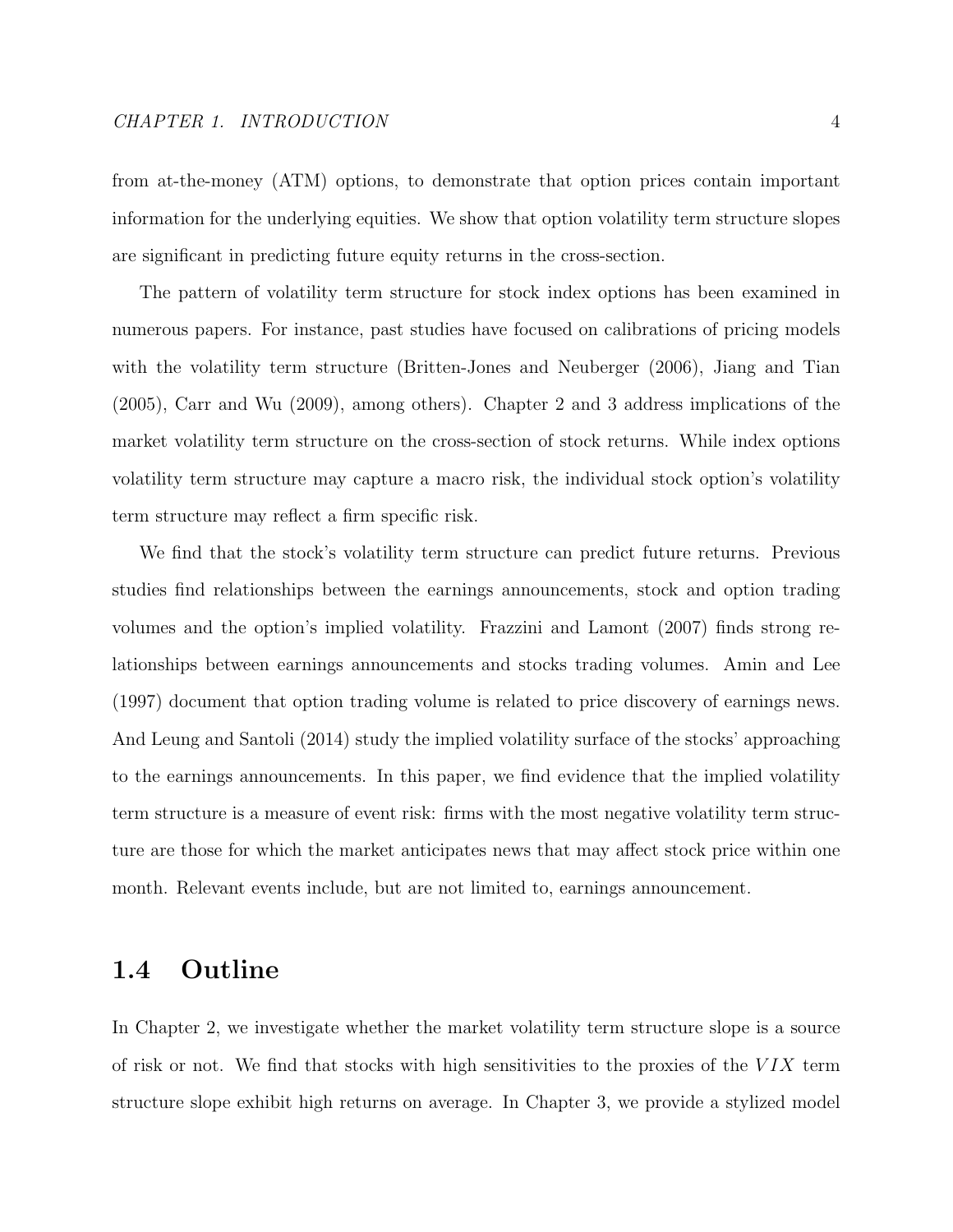from at-the-money (ATM) options, to demonstrate that option prices contain important information for the underlying equities. We show that option volatility term structure slopes are significant in predicting future equity returns in the cross-section.

The pattern of volatility term structure for stock index options has been examined in numerous papers. For instance, past studies have focused on calibrations of pricing models with the volatility term structure (Britten-Jones and Neuberger (2006), Jiang and Tian (2005), Carr and Wu (2009), among others). Chapter 2 and 3 address implications of the market volatility term structure on the cross-section of stock returns. While index options volatility term structure may capture a macro risk, the individual stock option's volatility term structure may reflect a firm specific risk.

We find that the stock's volatility term structure can predict future returns. Previous studies find relationships between the earnings announcements, stock and option trading volumes and the option's implied volatility. Frazzini and Lamont (2007) finds strong relationships between earnings announcements and stocks trading volumes. Amin and Lee (1997) document that option trading volume is related to price discovery of earnings news. And Leung and Santoli (2014) study the implied volatility surface of the stocks' approaching to the earnings announcements. In this paper, we find evidence that the implied volatility term structure is a measure of event risk: firms with the most negative volatility term structure are those for which the market anticipates news that may affect stock price within one month. Relevant events include, but are not limited to, earnings announcement.

### 1.4 Outline

In Chapter 2, we investigate whether the market volatility term structure slope is a source of risk or not. We find that stocks with high sensitivities to the proxies of the  $VIX$  term structure slope exhibit high returns on average. In Chapter 3, we provide a stylized model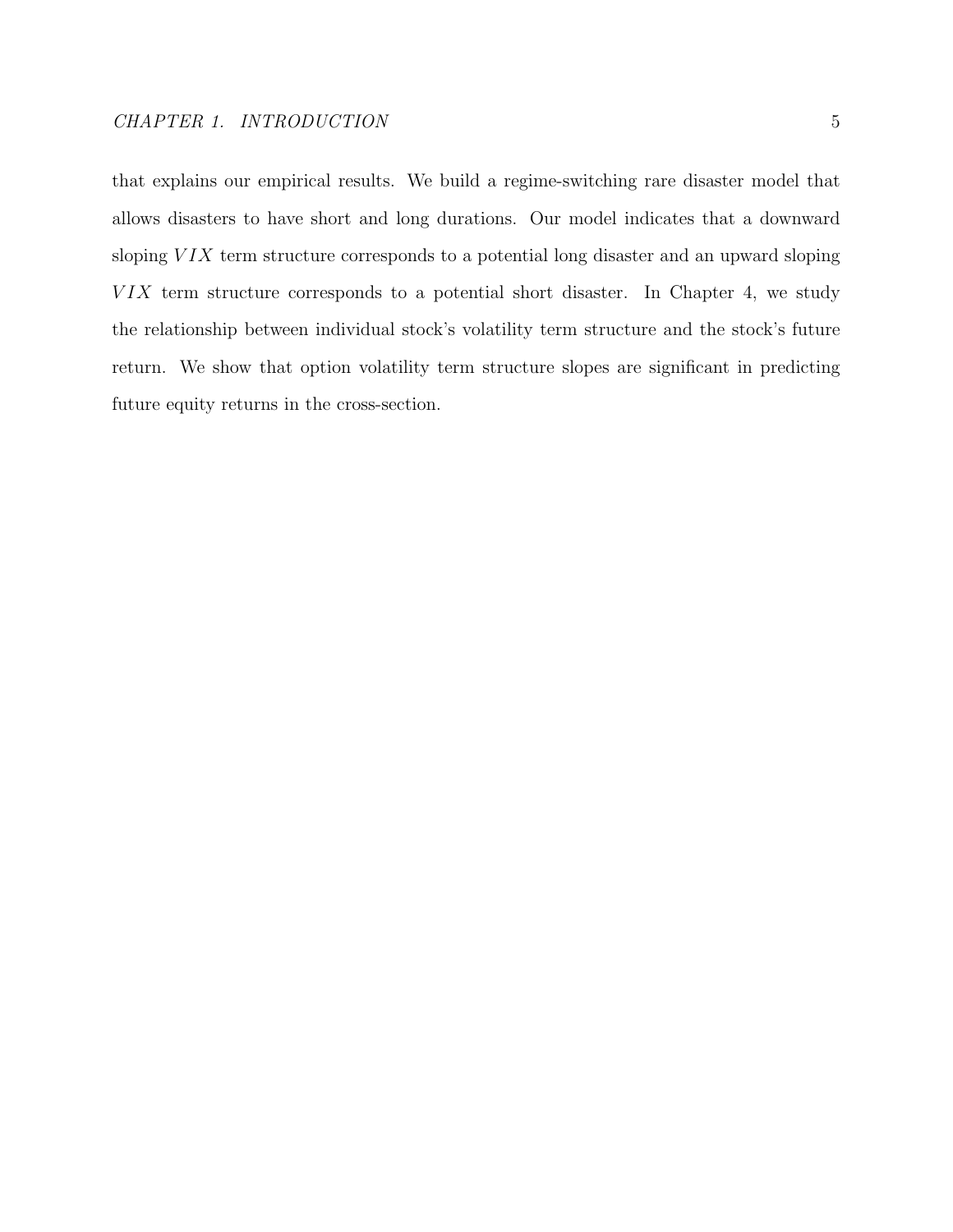that explains our empirical results. We build a regime-switching rare disaster model that allows disasters to have short and long durations. Our model indicates that a downward sloping  $V I X$  term structure corresponds to a potential long disaster and an upward sloping  $VIX$  term structure corresponds to a potential short disaster. In Chapter 4, we study the relationship between individual stock's volatility term structure and the stock's future return. We show that option volatility term structure slopes are significant in predicting

future equity returns in the cross-section.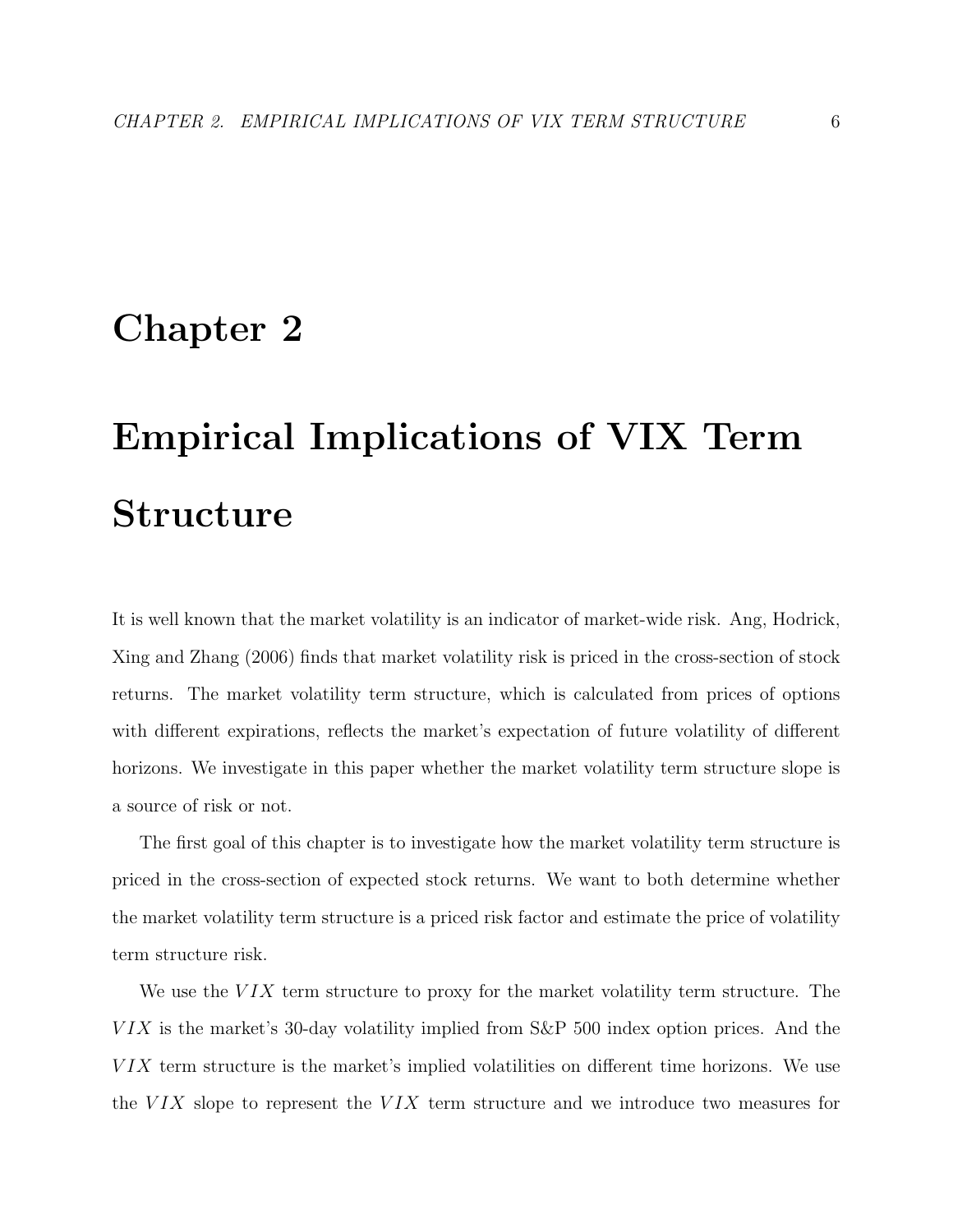# Chapter 2

# Empirical Implications of VIX Term Structure

It is well known that the market volatility is an indicator of market-wide risk. Ang, Hodrick, Xing and Zhang (2006) finds that market volatility risk is priced in the cross-section of stock returns. The market volatility term structure, which is calculated from prices of options with different expirations, reflects the market's expectation of future volatility of different horizons. We investigate in this paper whether the market volatility term structure slope is a source of risk or not.

The first goal of this chapter is to investigate how the market volatility term structure is priced in the cross-section of expected stock returns. We want to both determine whether the market volatility term structure is a priced risk factor and estimate the price of volatility term structure risk.

We use the  $VIX$  term structure to proxy for the market volatility term structure. The  $VIX$  is the market's 30-day volatility implied from  $S\&P$  500 index option prices. And the VIX term structure is the market's implied volatilities on different time horizons. We use the  $VIX$  slope to represent the  $VIX$  term structure and we introduce two measures for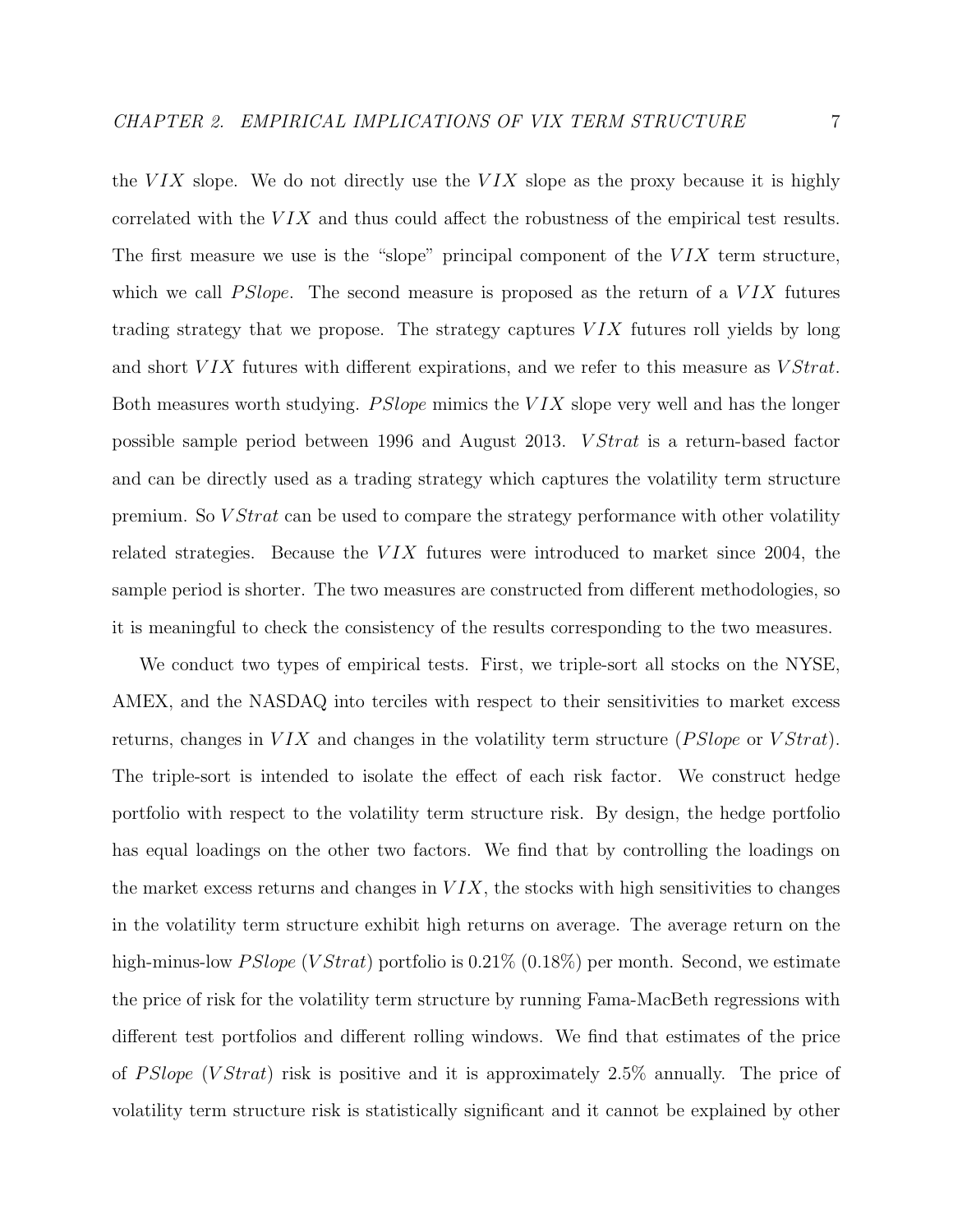the  $VIX$  slope. We do not directly use the  $VIX$  slope as the proxy because it is highly correlated with the  $VIX$  and thus could affect the robustness of the empirical test results. The first measure we use is the "slope" principal component of the  $VIX$  term structure, which we call  $PSlope$ . The second measure is proposed as the return of a  $VIX$  futures trading strategy that we propose. The strategy captures  $VIX$  futures roll yields by long and short VIX futures with different expirations, and we refer to this measure as VStrat. Both measures worth studying.  $PSlope$  mimics the  $VIX$  slope very well and has the longer possible sample period between 1996 and August 2013. V Strat is a return-based factor and can be directly used as a trading strategy which captures the volatility term structure premium. So *V Strat* can be used to compare the strategy performance with other volatility related strategies. Because the  $VIX$  futures were introduced to market since 2004, the sample period is shorter. The two measures are constructed from different methodologies, so it is meaningful to check the consistency of the results corresponding to the two measures.

We conduct two types of empirical tests. First, we triple-sort all stocks on the NYSE, AMEX, and the NASDAQ into terciles with respect to their sensitivities to market excess returns, changes in  $VIX$  and changes in the volatility term structure (*PSlope* or  $VStrat$ ). The triple-sort is intended to isolate the effect of each risk factor. We construct hedge portfolio with respect to the volatility term structure risk. By design, the hedge portfolio has equal loadings on the other two factors. We find that by controlling the loadings on the market excess returns and changes in  $VIX$ , the stocks with high sensitivities to changes in the volatility term structure exhibit high returns on average. The average return on the high-minus-low *P Slope* (*V Strat*) portfolio is  $0.21\%$  ( $0.18\%$ ) per month. Second, we estimate the price of risk for the volatility term structure by running Fama-MacBeth regressions with different test portfolios and different rolling windows. We find that estimates of the price of PSlope (VStrat) risk is positive and it is approximately  $2.5\%$  annually. The price of volatility term structure risk is statistically significant and it cannot be explained by other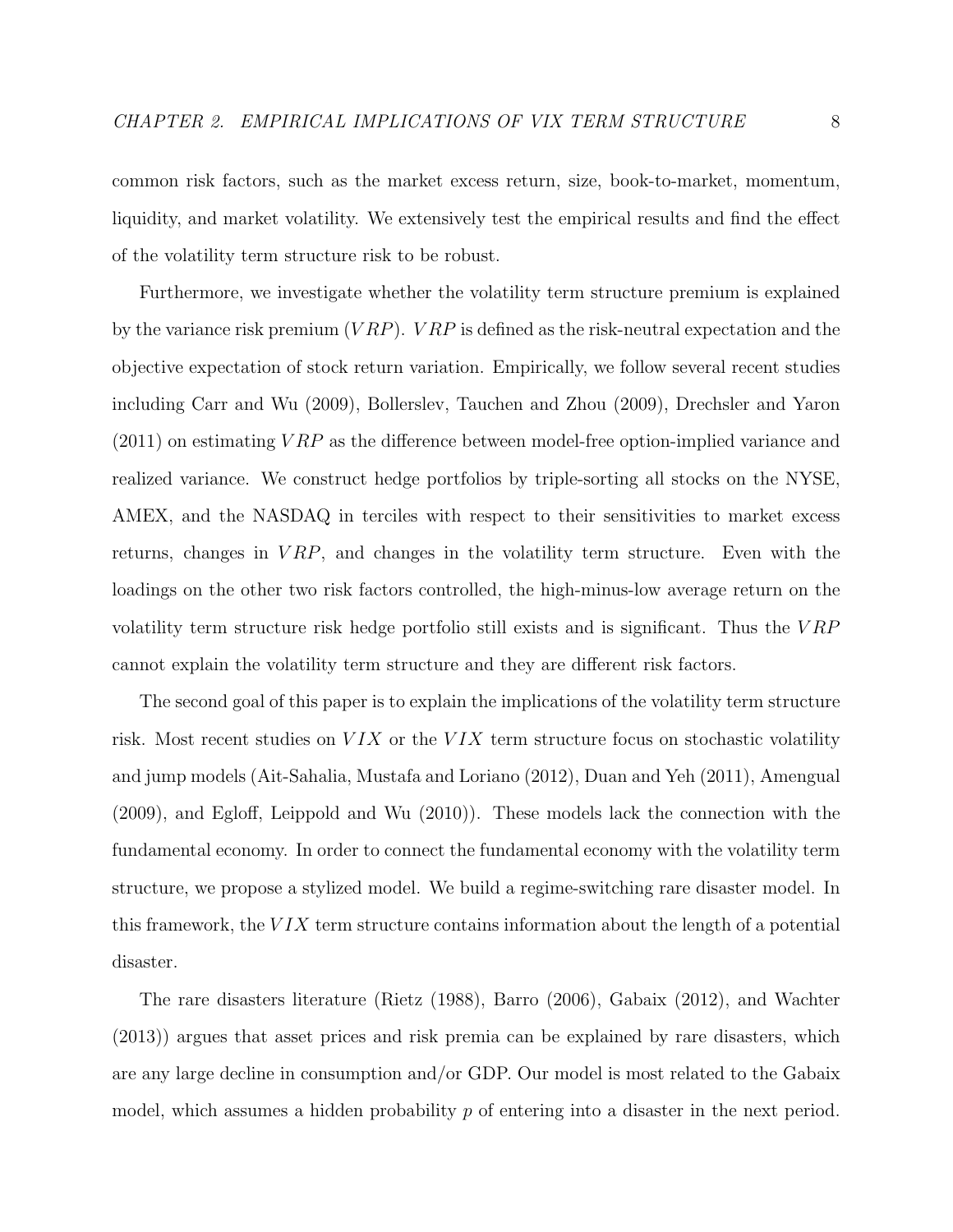common risk factors, such as the market excess return, size, book-to-market, momentum, liquidity, and market volatility. We extensively test the empirical results and find the effect of the volatility term structure risk to be robust.

Furthermore, we investigate whether the volatility term structure premium is explained by the variance risk premium  $(VRP)$ .  $VRP$  is defined as the risk-neutral expectation and the objective expectation of stock return variation. Empirically, we follow several recent studies including Carr and Wu (2009), Bollerslev, Tauchen and Zhou (2009), Drechsler and Yaron  $(2011)$  on estimating  $VRP$  as the difference between model-free option-implied variance and realized variance. We construct hedge portfolios by triple-sorting all stocks on the NYSE, AMEX, and the NASDAQ in terciles with respect to their sensitivities to market excess returns, changes in  $VRP$ , and changes in the volatility term structure. Even with the loadings on the other two risk factors controlled, the high-minus-low average return on the volatility term structure risk hedge portfolio still exists and is significant. Thus the  $VRP$ cannot explain the volatility term structure and they are different risk factors.

The second goal of this paper is to explain the implications of the volatility term structure risk. Most recent studies on  $VIX$  or the  $VIX$  term structure focus on stochastic volatility and jump models (Ait-Sahalia, Mustafa and Loriano (2012), Duan and Yeh (2011), Amengual (2009), and Egloff, Leippold and Wu (2010)). These models lack the connection with the fundamental economy. In order to connect the fundamental economy with the volatility term structure, we propose a stylized model. We build a regime-switching rare disaster model. In this framework, the  $VIX$  term structure contains information about the length of a potential disaster.

The rare disasters literature (Rietz (1988), Barro (2006), Gabaix (2012), and Wachter (2013)) argues that asset prices and risk premia can be explained by rare disasters, which are any large decline in consumption and/or GDP. Our model is most related to the Gabaix model, which assumes a hidden probability  $p$  of entering into a disaster in the next period.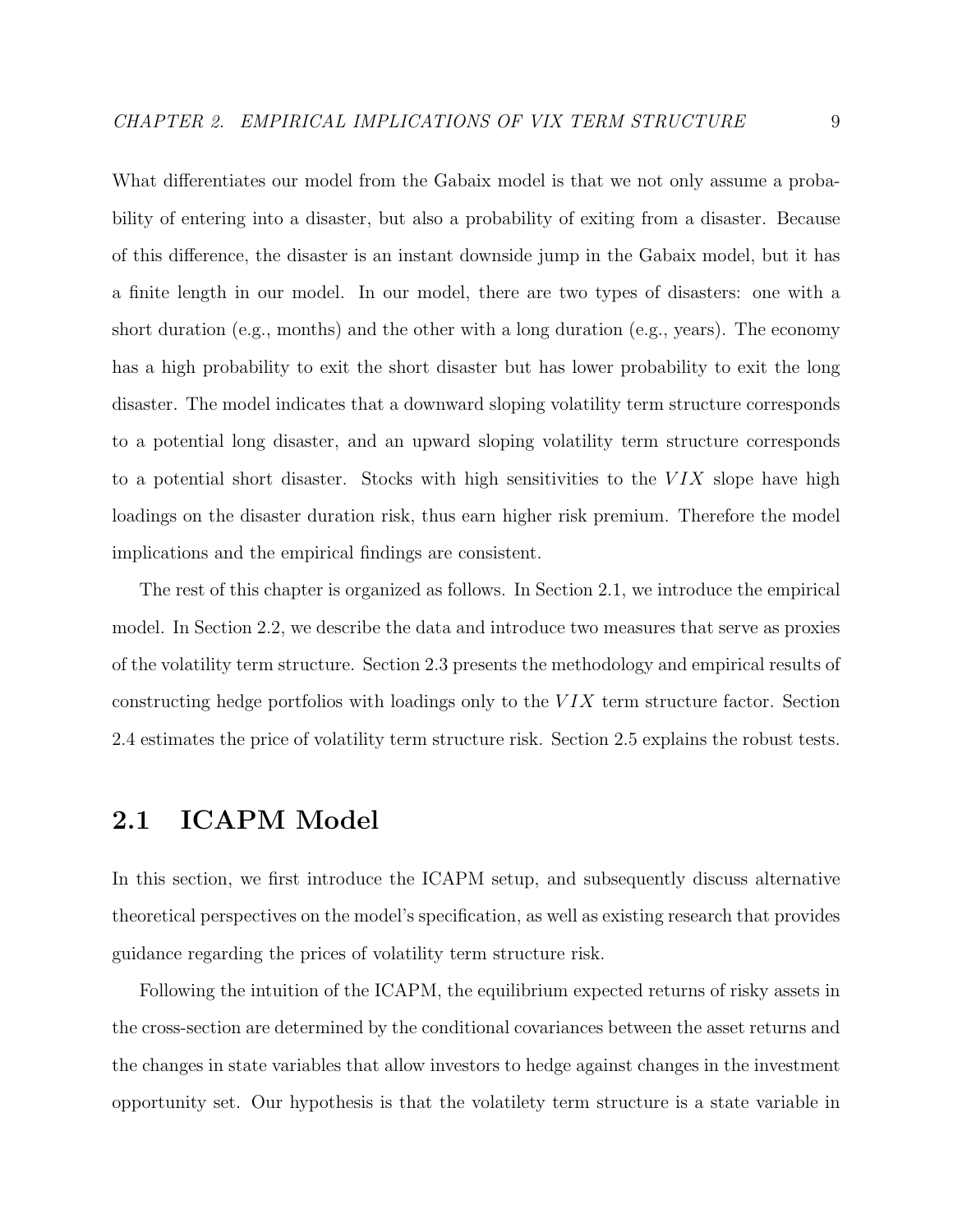What differentiates our model from the Gabaix model is that we not only assume a probability of entering into a disaster, but also a probability of exiting from a disaster. Because of this difference, the disaster is an instant downside jump in the Gabaix model, but it has a finite length in our model. In our model, there are two types of disasters: one with a short duration (e.g., months) and the other with a long duration (e.g., years). The economy has a high probability to exit the short disaster but has lower probability to exit the long disaster. The model indicates that a downward sloping volatility term structure corresponds to a potential long disaster, and an upward sloping volatility term structure corresponds to a potential short disaster. Stocks with high sensitivities to the  $VIX$  slope have high loadings on the disaster duration risk, thus earn higher risk premium. Therefore the model implications and the empirical findings are consistent.

The rest of this chapter is organized as follows. In Section 2.1, we introduce the empirical model. In Section 2.2, we describe the data and introduce two measures that serve as proxies of the volatility term structure. Section 2.3 presents the methodology and empirical results of constructing hedge portfolios with loadings only to the  $VIX$  term structure factor. Section 2.4 estimates the price of volatility term structure risk. Section 2.5 explains the robust tests.

### 2.1 ICAPM Model

In this section, we first introduce the ICAPM setup, and subsequently discuss alternative theoretical perspectives on the model's specification, as well as existing research that provides guidance regarding the prices of volatility term structure risk.

Following the intuition of the ICAPM, the equilibrium expected returns of risky assets in the cross-section are determined by the conditional covariances between the asset returns and the changes in state variables that allow investors to hedge against changes in the investment opportunity set. Our hypothesis is that the volatilety term structure is a state variable in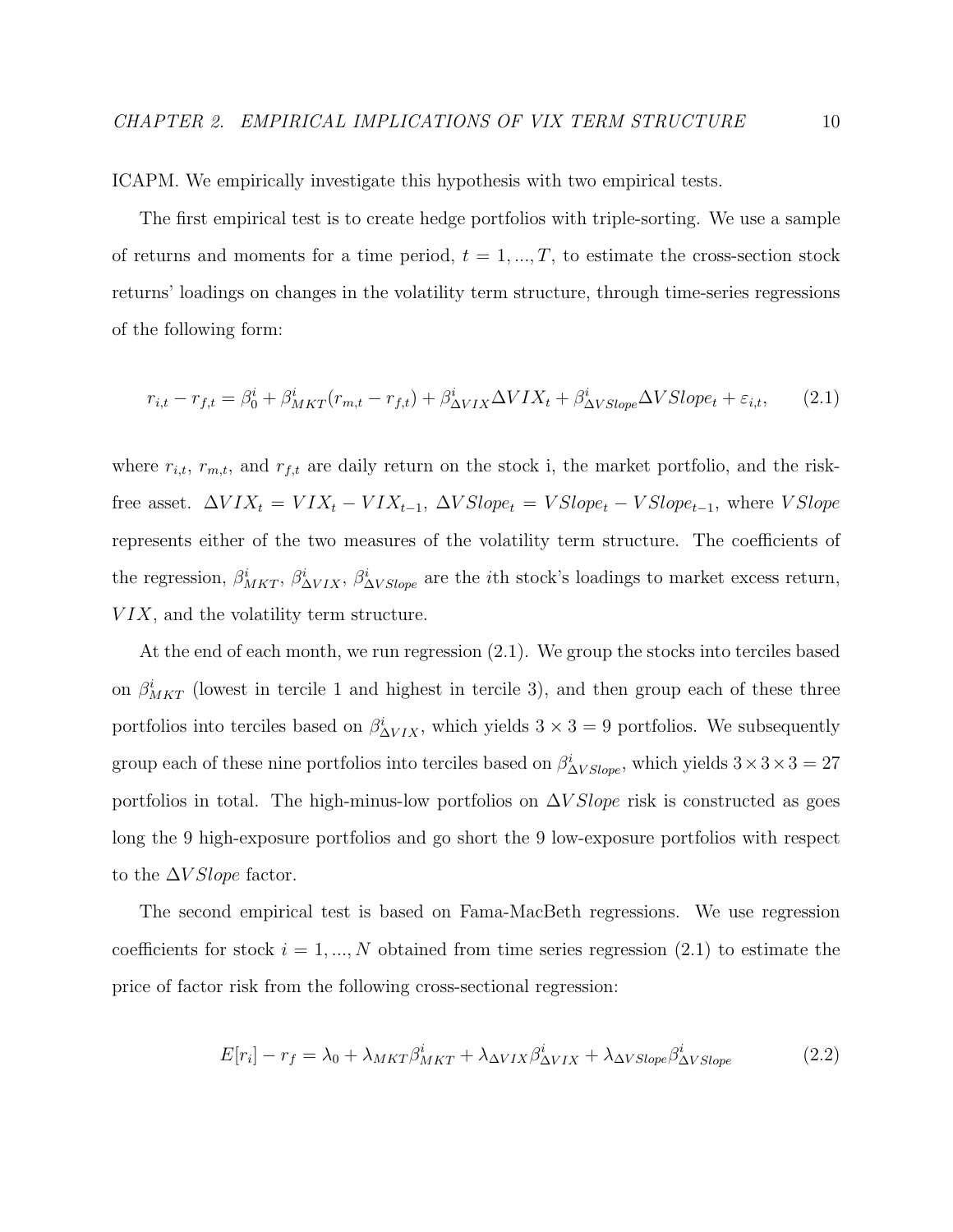ICAPM. We empirically investigate this hypothesis with two empirical tests.

The first empirical test is to create hedge portfolios with triple-sorting. We use a sample of returns and moments for a time period,  $t = 1, ..., T$ , to estimate the cross-section stock returns' loadings on changes in the volatility term structure, through time-series regressions of the following form:

$$
r_{i,t} - r_{f,t} = \beta_0^i + \beta_{MKT}^i(r_{m,t} - r_{f,t}) + \beta_{\Delta VIX}^i \Delta VIX_t + \beta_{\Delta VSlope}^i \Delta VSlope_t + \varepsilon_{i,t}, \qquad (2.1)
$$

where  $r_{i,t}$ ,  $r_{m,t}$ , and  $r_{f,t}$  are daily return on the stock i, the market portfolio, and the riskfree asset.  $\Delta VIX_t = VIX_t - VIX_{t-1}, \Delta VSlope_t = VSlope_t - VSlope_{t-1},$  where  $VSlope$ represents either of the two measures of the volatility term structure. The coefficients of the regression,  $\beta_{MKT}^i$ ,  $\beta_{\Delta VIX}^i$ ,  $\beta_{\Delta VSlope}^i$  are the *i*th stock's loadings to market excess return,  $VIX$ , and the volatility term structure.

At the end of each month, we run regression (2.1). We group the stocks into terciles based on  $\beta_{MKT}^i$  (lowest in tercile 1 and highest in tercile 3), and then group each of these three portfolios into terciles based on  $\beta_{\Delta VIX}^i$ , which yields  $3 \times 3 = 9$  portfolios. We subsequently group each of these nine portfolios into terciles based on  $\beta_{\Delta VSlope}^i$ , which yields  $3 \times 3 \times 3 = 27$ portfolios in total. The high-minus-low portfolios on  $\Delta V \text{Slope}$  risk is constructed as goes long the 9 high-exposure portfolios and go short the 9 low-exposure portfolios with respect to the  $\Delta V Slope$  factor.

The second empirical test is based on Fama-MacBeth regressions. We use regression coefficients for stock  $i = 1, ..., N$  obtained from time series regression (2.1) to estimate the price of factor risk from the following cross-sectional regression:

$$
E[r_i] - r_f = \lambda_0 + \lambda_{MKT} \beta^i_{MKT} + \lambda_{\Delta VIX} \beta^i_{\Delta VIX} + \lambda_{\Delta VSlope} \beta^i_{\Delta VSlope}
$$
 (2.2)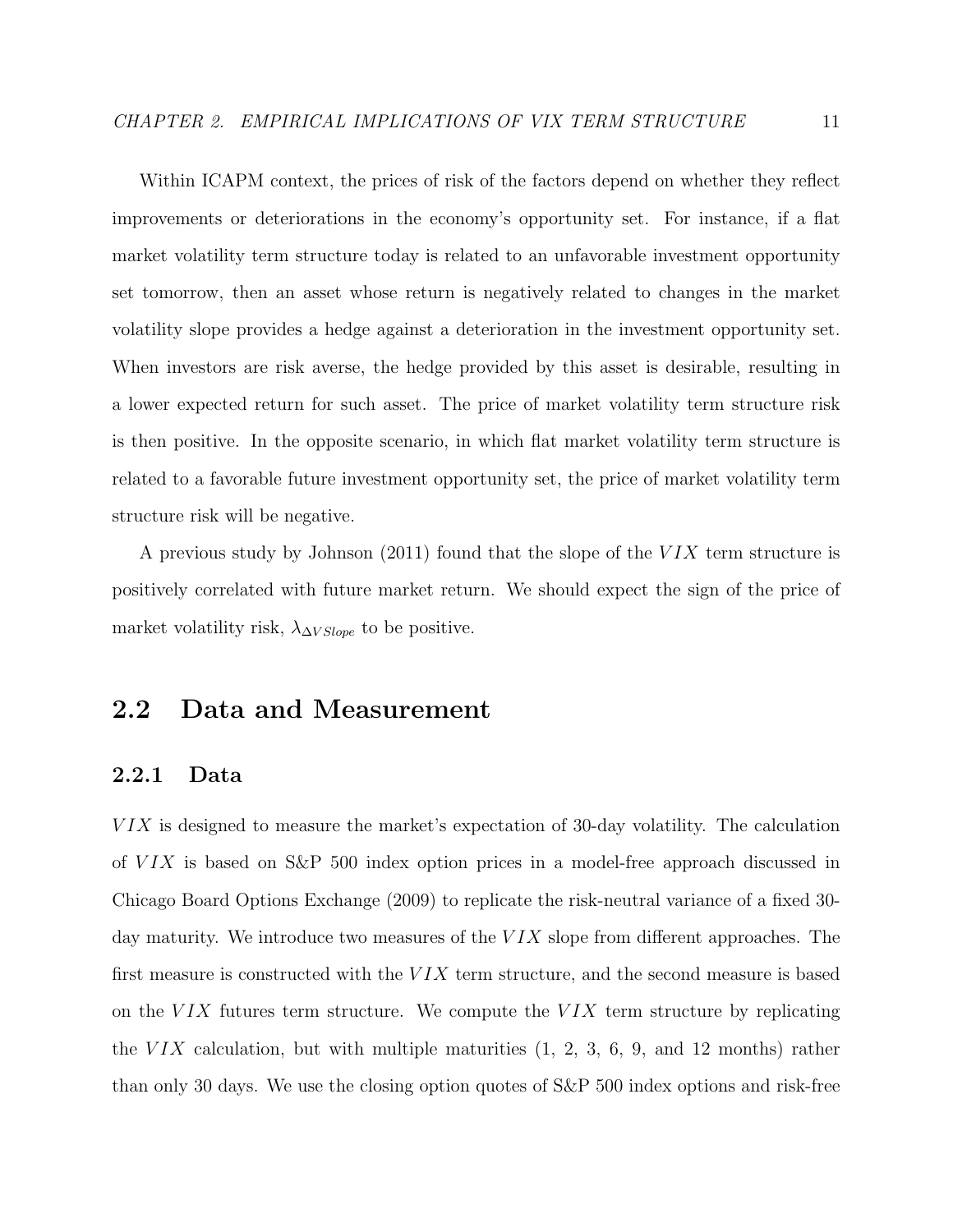Within ICAPM context, the prices of risk of the factors depend on whether they reflect improvements or deteriorations in the economy's opportunity set. For instance, if a flat market volatility term structure today is related to an unfavorable investment opportunity set tomorrow, then an asset whose return is negatively related to changes in the market volatility slope provides a hedge against a deterioration in the investment opportunity set. When investors are risk averse, the hedge provided by this asset is desirable, resulting in a lower expected return for such asset. The price of market volatility term structure risk is then positive. In the opposite scenario, in which flat market volatility term structure is related to a favorable future investment opportunity set, the price of market volatility term structure risk will be negative.

A previous study by Johnson (2011) found that the slope of the  $VIX$  term structure is positively correlated with future market return. We should expect the sign of the price of market volatility risk,  $\lambda_{\Delta V Slope}$  to be positive.

### 2.2 Data and Measurement

#### 2.2.1 Data

 $VIX$  is designed to measure the market's expectation of 30-day volatility. The calculation of  $VIX$  is based on S&P 500 index option prices in a model-free approach discussed in Chicago Board Options Exchange (2009) to replicate the risk-neutral variance of a fixed 30 day maturity. We introduce two measures of the  $VIX$  slope from different approaches. The first measure is constructed with the  $VIX$  term structure, and the second measure is based on the  $VIX$  futures term structure. We compute the  $VIX$  term structure by replicating the  $VIX$  calculation, but with multiple maturities  $(1, 2, 3, 6, 9, \text{ and } 12 \text{ months})$  rather than only 30 days. We use the closing option quotes of S&P 500 index options and risk-free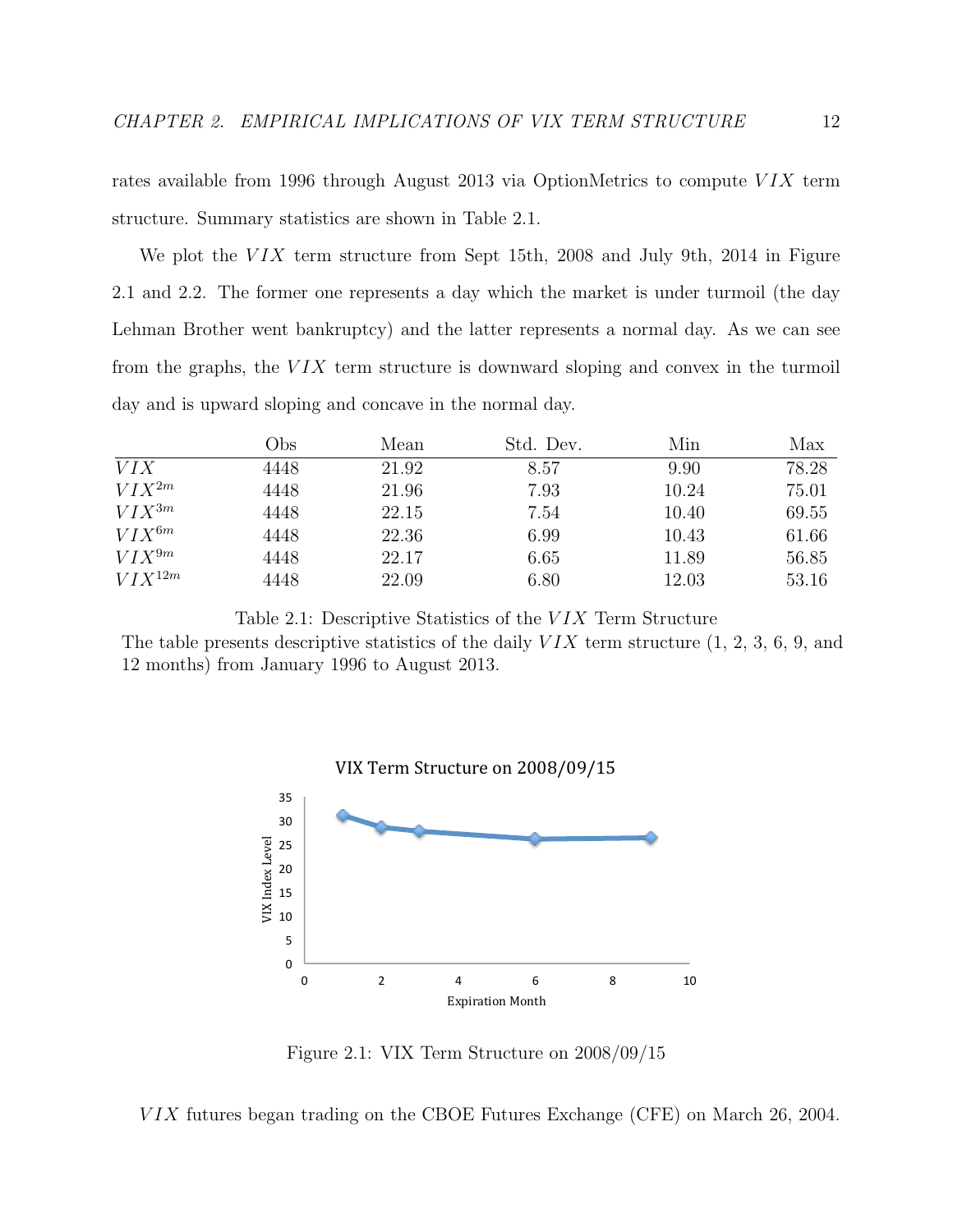rates available from 1996 through August 2013 via OptionMetrics to compute  $VIX$  term structure. Summary statistics are shown in Table 2.1.

We plot the  $VIX$  term structure from Sept 15th, 2008 and July 9th, 2014 in Figure 2.1 and 2.2. The former one represents a day which the market is under turmoil (the day Lehman Brother went bankruptcy) and the latter represents a normal day. As we can see from the graphs, the  $VIX$  term structure is downward sloping and convex in the turmoil day and is upward sloping and concave in the normal day.

|             | Obs  | Mean  | Std. Dev. | Min   | Max   |
|-------------|------|-------|-----------|-------|-------|
| <i>VIX</i>  | 4448 | 21.92 | 8.57      | 9.90  | 78.28 |
| $VIX^{2m}$  | 4448 | 21.96 | 7.93      | 10.24 | 75.01 |
| $VIX^{3m}$  | 4448 | 22.15 | 7.54      | 10.40 | 69.55 |
| $VIX^{6m}$  | 4448 | 22.36 | 6.99      | 10.43 | 61.66 |
| $VIX^{9m}$  | 4448 | 22.17 | 6.65      | 11.89 | 56.85 |
| $VIX^{12m}$ | 4448 | 22.09 | 6.80      | 12.03 | 53.16 |

Table 2.1: Descriptive Statistics of the V IX Term Structure

The table presents descriptive statistics of the daily  $VIX$  term structure  $(1, 2, 3, 6, 9, \text{ and})$ 12 months) from January 1996 to August 2013.



Figure 2.1: VIX Term Structure on 2008/09/15

 $VIX$  futures began trading on the CBOE Futures Exchange (CFE) on March 26, 2004.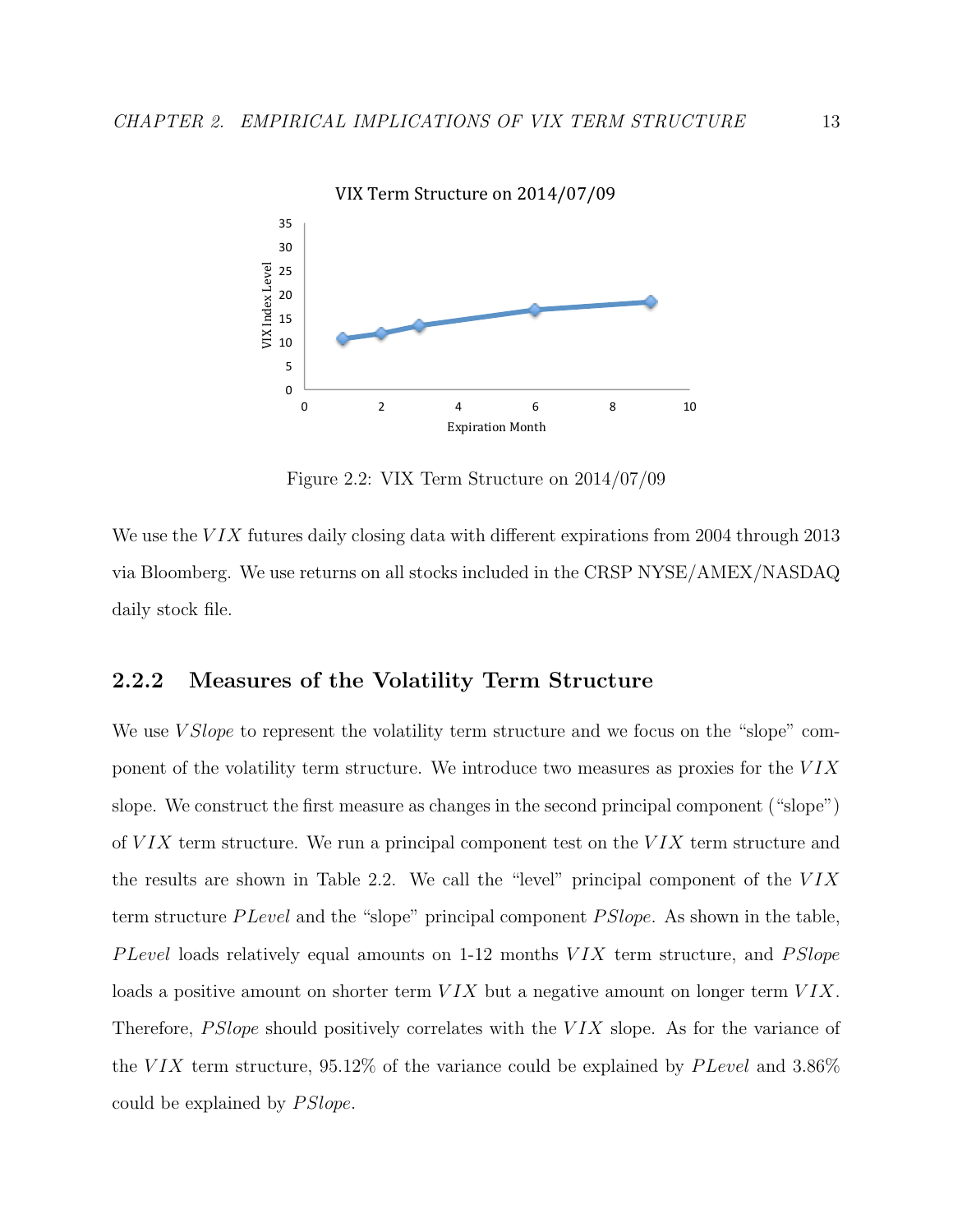

VIX Term Structure on 2014/07/09

Figure 2.2: VIX Term Structure on 2014/07/09

We use the  $VIX$  futures daily closing data with different expirations from 2004 through 2013 via Bloomberg. We use returns on all stocks included in the CRSP NYSE/AMEX/NASDAQ daily stock file.

#### 2.2.2 Measures of the Volatility Term Structure

We use *V Slope* to represent the volatility term structure and we focus on the "slope" component of the volatility term structure. We introduce two measures as proxies for the  $VIX$ slope. We construct the first measure as changes in the second principal component ("slope") of  $VIX$  term structure. We run a principal component test on the  $VIX$  term structure and the results are shown in Table 2.2. We call the "level" principal component of the  $VIX$ term structure P Level and the "slope" principal component P Slope. As shown in the table, P Level loads relatively equal amounts on  $1-12$  months  $VIX$  term structure, and  $PSlope$ loads a positive amount on shorter term  $VIX$  but a negative amount on longer term  $VIX$ . Therefore, *PSlope* should positively correlates with the  $VIX$  slope. As for the variance of the VIX term structure,  $95.12\%$  of the variance could be explained by PLevel and 3.86% could be explained by  $PSlope$ .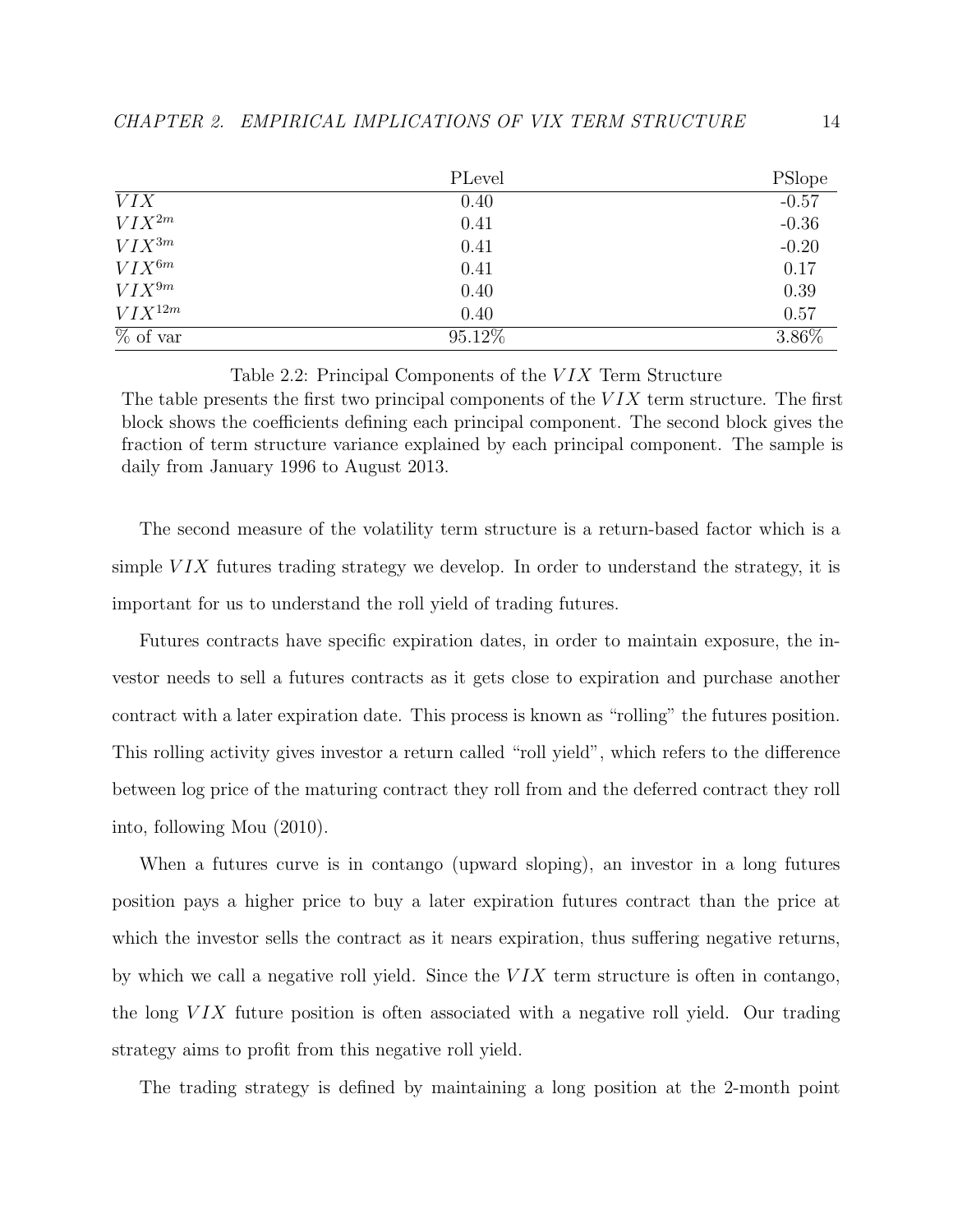|                                        | PLevel | <b>PSlope</b> |
|----------------------------------------|--------|---------------|
| <i>VIX</i>                             | 0.40   | $-0.57$       |
| $VIX^{2m}$                             | 0.41   | $-0.36$       |
| $VIX^{3m}$                             | 0.41   | $-0.20$       |
| $VIX^{6m}$                             | 0.41   | 0.17          |
| $VIX^{9m}$                             | 0.40   | 0.39          |
| $VIX^{12m}$                            | 0.40   | 0.57          |
| $\overline{\% \text{ of } \text{var}}$ | 95.12% | 3.86%         |

#### Table 2.2: Principal Components of the VIX Term Structure

The table presents the first two principal components of the  $VIX$  term structure. The first block shows the coefficients defining each principal component. The second block gives the fraction of term structure variance explained by each principal component. The sample is daily from January 1996 to August 2013.

The second measure of the volatility term structure is a return-based factor which is a simple  $VIX$  futures trading strategy we develop. In order to understand the strategy, it is important for us to understand the roll yield of trading futures.

Futures contracts have specific expiration dates, in order to maintain exposure, the investor needs to sell a futures contracts as it gets close to expiration and purchase another contract with a later expiration date. This process is known as "rolling" the futures position. This rolling activity gives investor a return called "roll yield", which refers to the difference between log price of the maturing contract they roll from and the deferred contract they roll into, following Mou (2010).

When a futures curve is in contango (upward sloping), an investor in a long futures position pays a higher price to buy a later expiration futures contract than the price at which the investor sells the contract as it nears expiration, thus suffering negative returns, by which we call a negative roll yield. Since the  $VIX$  term structure is often in contango, the long  $VIX$  future position is often associated with a negative roll yield. Our trading strategy aims to profit from this negative roll yield.

The trading strategy is defined by maintaining a long position at the 2-month point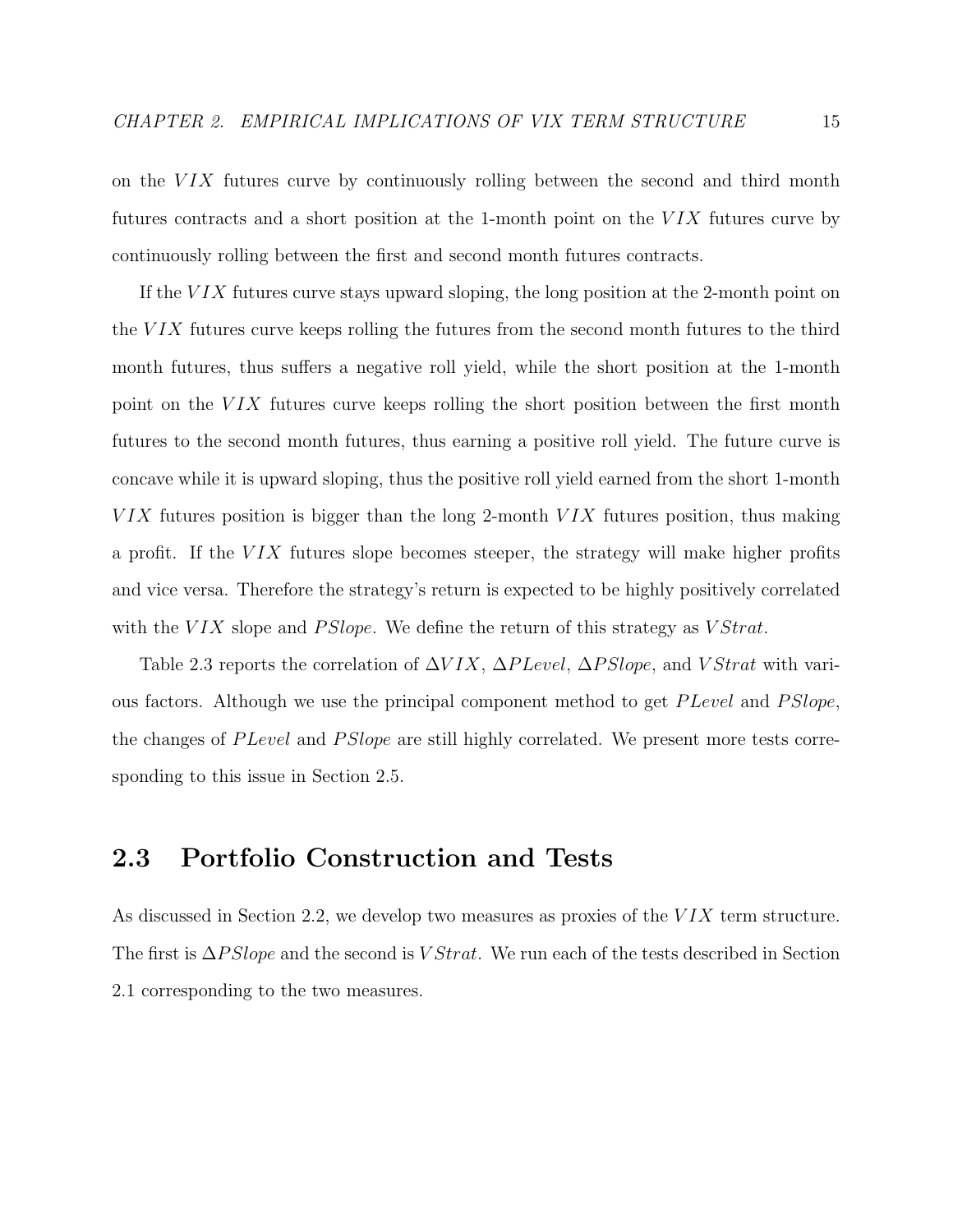on the  $VIX$  futures curve by continuously rolling between the second and third month futures contracts and a short position at the 1-month point on the  $VIX$  futures curve by continuously rolling between the first and second month futures contracts.

If the  $VIX$  futures curve stays upward sloping, the long position at the 2-month point on the  $VIX$  futures curve keeps rolling the futures from the second month futures to the third month futures, thus suffers a negative roll yield, while the short position at the 1-month point on the  $VIX$  futures curve keeps rolling the short position between the first month futures to the second month futures, thus earning a positive roll yield. The future curve is concave while it is upward sloping, thus the positive roll yield earned from the short 1-month  $VIX$  futures position is bigger than the long 2-month  $VIX$  futures position, thus making a profit. If the  $VIX$  futures slope becomes steeper, the strategy will make higher profits and vice versa. Therefore the strategy's return is expected to be highly positively correlated with the VIX slope and PSlope. We define the return of this strategy as  $VStrat$ .

Table 2.3 reports the correlation of  $\Delta VIX$ ,  $\Delta PLevel$ ,  $\Delta PSlope$ , and  $VStrat$  with various factors. Although we use the principal component method to get  $PLevel$  and  $PSlope$ , the changes of P Level and P Slope are still highly correlated. We present more tests corresponding to this issue in Section 2.5.

### 2.3 Portfolio Construction and Tests

As discussed in Section 2.2, we develop two measures as proxies of the VIX term structure. The first is  $\Delta PSlope$  and the second is VStrat. We run each of the tests described in Section 2.1 corresponding to the two measures.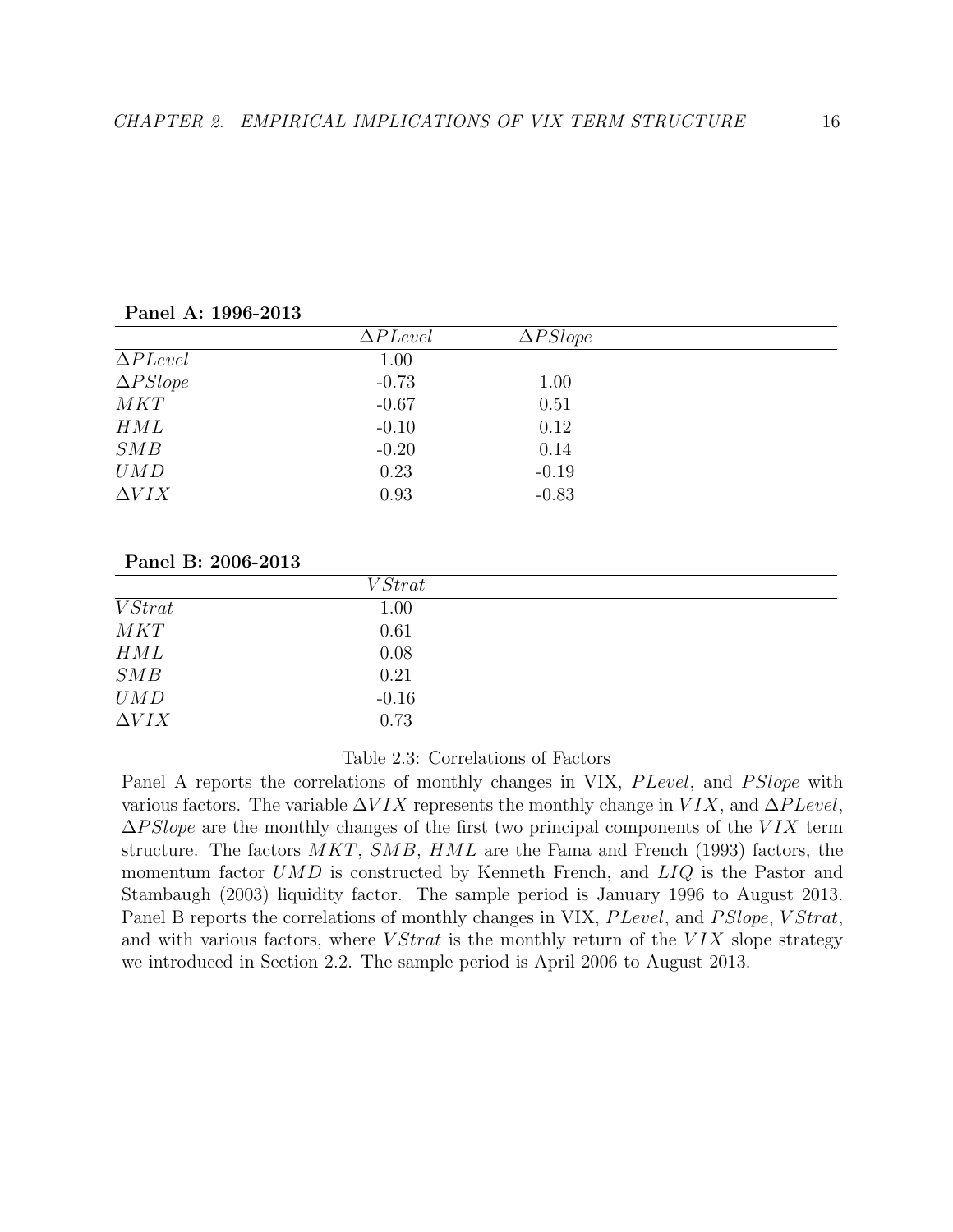|                 | $\Delta PLevel$ | $\Delta PSlope$ |  |
|-----------------|-----------------|-----------------|--|
| $\Delta PLevel$ | 1.00            |                 |  |
| $\Delta PSlope$ | $-0.73$         | 1.00            |  |
| MKT             | $-0.67$         | 0.51            |  |
| HML             | $-0.10$         | 0.12            |  |
| SMB             | $-0.20$         | 0.14            |  |
| UMD             | 0.23            | $-0.19$         |  |
| $\Delta VIX$    | 0.93            | $-0.83$         |  |
|                 |                 |                 |  |

Panel A: 1996-2013

#### Panel B: 2006-2013

|                | VStrat   |  |
|----------------|----------|--|
| <i>V Strat</i> | 1.00     |  |
| MKT            | 0.61     |  |
| HML            | $0.08\,$ |  |
| SMB            | 0.21     |  |
| UMD            | $-0.16$  |  |
| $\Delta VIX$   | 0.73     |  |
|                |          |  |

#### Table 2.3: Correlations of Factors

Panel A reports the correlations of monthly changes in VIX, *P Level*, and *PS lope* with various factors. The variable  $\Delta VIX$  represents the monthly change in  $VIX$ , and  $\Delta PLevel$ ,  $\Delta PSlope$  are the monthly changes of the first two principal components of the VIX term structure. The factors  $MKT$ ,  $SMB$ ,  $HML$  are the Fama and French (1993) factors, the momentum factor UMD is constructed by Kenneth French, and  $LIQ$  is the Pastor and Stambaugh (2003) liquidity factor. The sample period is January 1996 to August 2013. Panel B reports the correlations of monthly changes in VIX, P Level, and P Slope, V Strat, and with various factors, where  $VStrat$  is the monthly return of the  $VIX$  slope strategy we introduced in Section 2.2. The sample period is April 2006 to August 2013.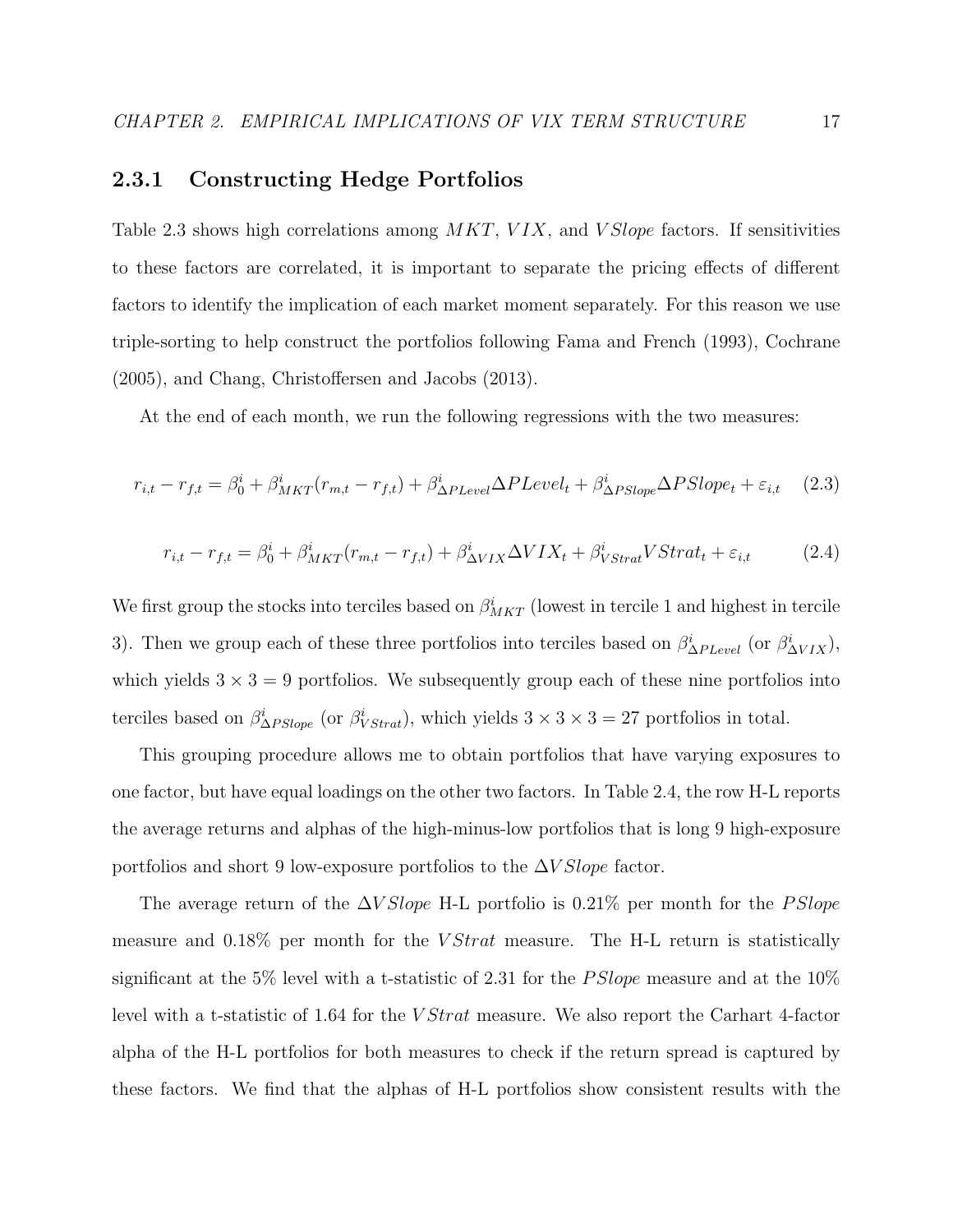### 2.3.1 Constructing Hedge Portfolios

Table 2.3 shows high correlations among  $MKT$ ,  $VIX$ , and  $VSlope$  factors. If sensitivities to these factors are correlated, it is important to separate the pricing effects of different factors to identify the implication of each market moment separately. For this reason we use triple-sorting to help construct the portfolios following Fama and French (1993), Cochrane (2005), and Chang, Christoffersen and Jacobs (2013).

At the end of each month, we run the following regressions with the two measures:

$$
r_{i,t} - r_{f,t} = \beta_0^i + \beta_{MKT}^i(r_{m,t} - r_{f,t}) + \beta_{\Delta PLevel}^i \Delta PLevel_t + \beta_{\Delta P Slope}^i \Delta P Slope_t + \varepsilon_{i,t} \tag{2.3}
$$

$$
r_{i,t} - r_{f,t} = \beta_0^i + \beta_{MKT}^i(r_{m,t} - r_{f,t}) + \beta_{\Delta VIX}^i \Delta VIX_t + \beta_{VStrat}^i VStrat_t + \varepsilon_{i,t}
$$
 (2.4)

We first group the stocks into terciles based on  $\beta_{MKT}^i$  (lowest in tercile 1 and highest in tercile 3). Then we group each of these three portfolios into terciles based on  $\beta_{\Delta PL evel}^i$  (or  $\beta_{\Delta VIX}^i$ ), which yields  $3 \times 3 = 9$  portfolios. We subsequently group each of these nine portfolios into terciles based on  $\beta_{\Delta PSlope}^i$  (or  $\beta_{VStrat}^i$ ), which yields  $3 \times 3 \times 3 = 27$  portfolios in total.

This grouping procedure allows me to obtain portfolios that have varying exposures to one factor, but have equal loadings on the other two factors. In Table 2.4, the row H-L reports the average returns and alphas of the high-minus-low portfolios that is long 9 high-exposure portfolios and short 9 low-exposure portfolios to the  $\Delta V Slope$  factor.

The average return of the  $\Delta VSlope$  H-L portfolio is 0.21% per month for the PSlope measure and 0.18% per month for the *VStrat* measure. The H-L return is statistically significant at the 5% level with a t-statistic of 2.31 for the *PSlope* measure and at the  $10\%$ level with a t-statistic of 1.64 for the *V Strat* measure. We also report the Carhart 4-factor alpha of the H-L portfolios for both measures to check if the return spread is captured by these factors. We find that the alphas of H-L portfolios show consistent results with the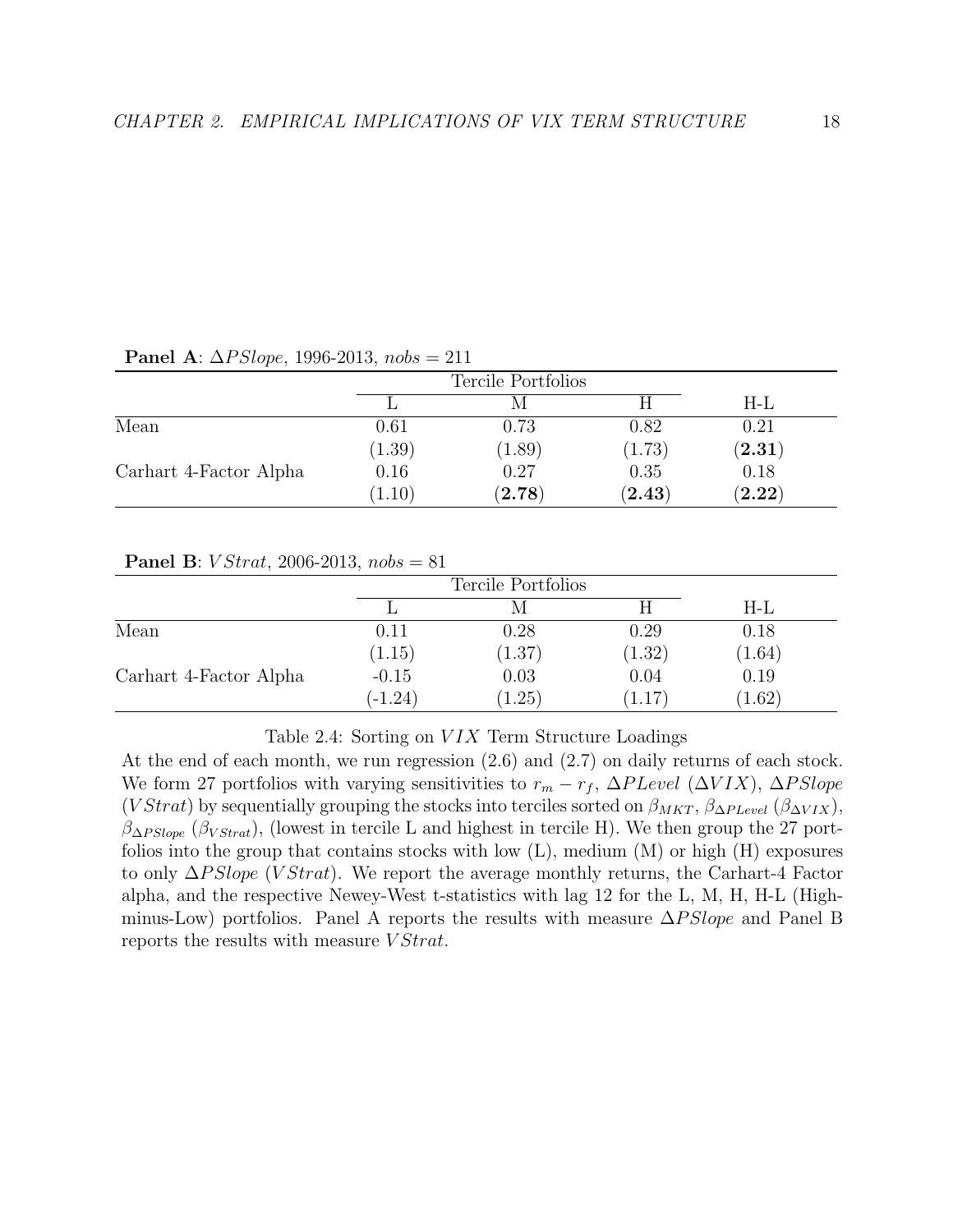| <b>1 and 11.</b> $\Delta I$ $\omega \omega \rho \nu$ , 1990 2010, 1898 $\omega = 211$ |        |                    |             |                      |  |  |
|---------------------------------------------------------------------------------------|--------|--------------------|-------------|----------------------|--|--|
|                                                                                       |        | Tercile Portfolios |             |                      |  |  |
|                                                                                       |        |                    |             | H-L                  |  |  |
| Mean                                                                                  | 0.61   | 0.73               | 0.82        | 0.21                 |  |  |
|                                                                                       | (1.39) | (1.89)             | (1.73)      | $({\bf 2}.{\bf 31})$ |  |  |
| Carhart 4-Factor Alpha                                                                | 0.16   | 0.27               | 0.35        | 0.18                 |  |  |
|                                                                                       | (1.10) | $({\bf 2.78})$     | $\bf(2.43)$ | $({\bf 2.22})$       |  |  |

Panel A:  $\Delta PSlope$ , 1996-2013, nobs = 211

#### **Panel B:** *V Strat*, 2006-2013,  $nobs = 81$

|                        |           | Tercile Portfolios |        |        |  |
|------------------------|-----------|--------------------|--------|--------|--|
|                        |           |                    |        | $H-L$  |  |
| Mean                   | 0.11      | 0.28               | 0.29   | 0.18   |  |
|                        | (1.15)    | (1.37)             | (1.32) | (1.64) |  |
| Carhart 4-Factor Alpha | $-0.15$   | 0.03               | 0.04   | 0.19   |  |
|                        | $(-1.24)$ | 1.25)              | 1.17   | (1.62) |  |

Table 2.4: Sorting on  $VIX$  Term Structure Loadings

At the end of each month, we run regression (2.6) and (2.7) on daily returns of each stock. We form 27 portfolios with varying sensitivities to  $r_m - r_f$ ,  $\Delta P \text{Level } (\Delta V I X)$ ,  $\Delta P \text{Slope}$ (V Strat) by sequentially grouping the stocks into terciles sorted on  $\beta_{MKT}$ ,  $\beta_{\Delta PL evel}$  ( $\beta_{\Delta VIX}$ ),  $\beta_{\Delta PSlope}$  ( $\beta_{VStrat}$ ), (lowest in tercile L and highest in tercile H). We then group the 27 portfolios into the group that contains stocks with low  $(L)$ , medium  $(M)$  or high  $(H)$  exposures to only  $\Delta PSlope$  (*V Strat*). We report the average monthly returns, the Carhart-4 Factor alpha, and the respective Newey-West t-statistics with lag 12 for the L, M, H, H-L (Highminus-Low) portfolios. Panel A reports the results with measure  $\Delta PSlope$  and Panel B reports the results with measure *V Strat*.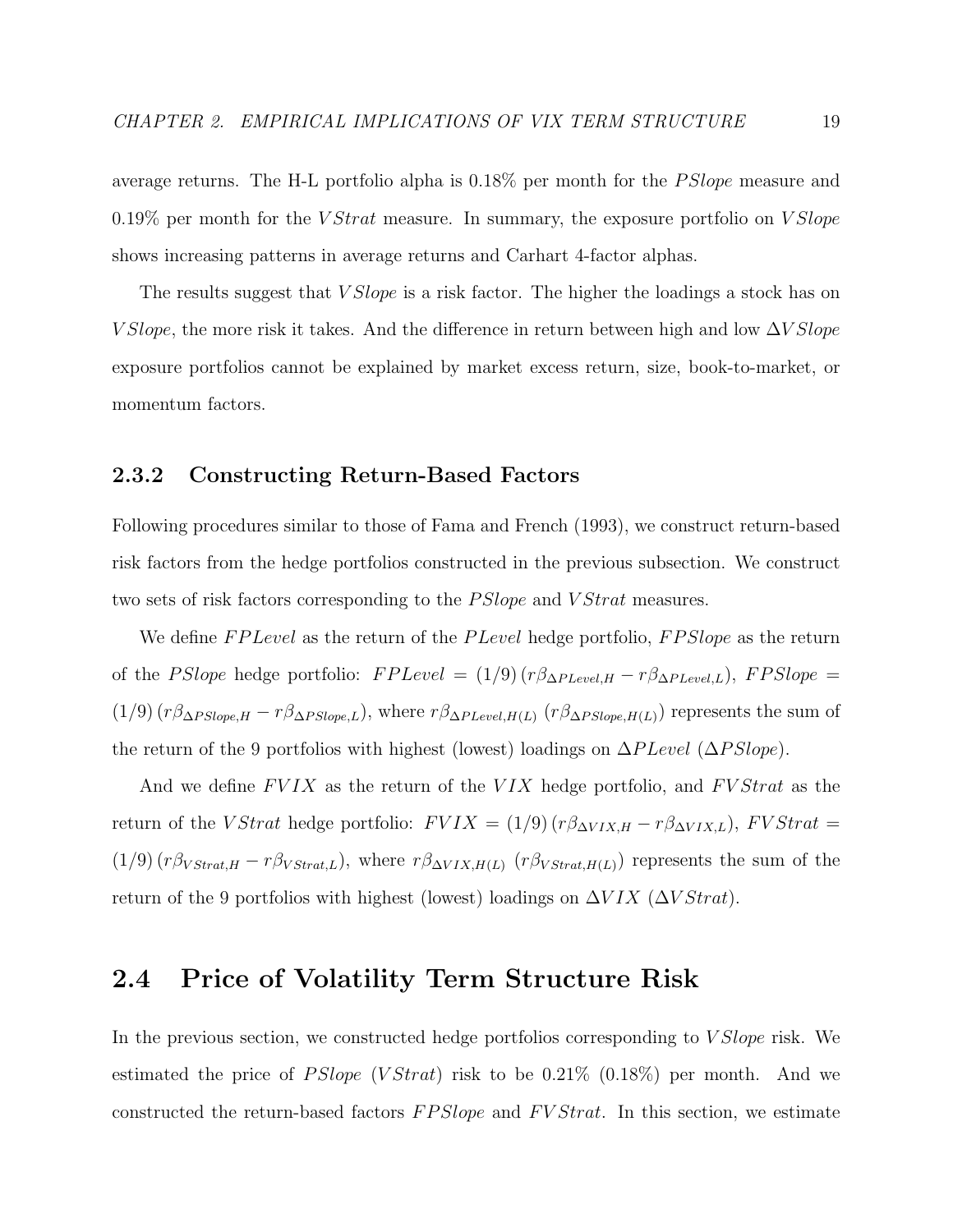average returns. The H-L portfolio alpha is  $0.18\%$  per month for the *PSlope* measure and 0.19% per month for the  $VStrat$  measure. In summary, the exposure portfolio on  $VSlope$ shows increasing patterns in average returns and Carhart 4-factor alphas.

The results suggest that *V Slope* is a risk factor. The higher the loadings a stock has on V Slope, the more risk it takes. And the difference in return between high and low  $\Delta V Slope$ exposure portfolios cannot be explained by market excess return, size, book-to-market, or momentum factors.

#### 2.3.2 Constructing Return-Based Factors

Following procedures similar to those of Fama and French (1993), we construct return-based risk factors from the hedge portfolios constructed in the previous subsection. We construct two sets of risk factors corresponding to the *PSlope* and *VStrat* measures.

We define FP Level as the return of the P Level hedge portfolio, FP Slope as the return of the PSlope hedge portfolio:  $FPLevel = (1/9) (r\beta_{\Delta PL evel,H} - r\beta_{\Delta PL evel,L})$ ,  $FPSlope =$ (1/9)  $(r\beta_{\Delta PSlope,H} - r\beta_{\Delta PSlope,L})$ , where  $r\beta_{\Delta P Level,H(L)}$   $(r\beta_{\Delta PSlope,H(L)})$  represents the sum of the return of the 9 portfolios with highest (lowest) loadings on  $\Delta P \text{Level } (\Delta PSlope)$ .

And we define  $FVIX$  as the return of the  $VIX$  hedge portfolio, and  $FVStrat$  as the return of the VStrat hedge portfolio:  $FVIX = (1/9) (r\beta_{\Delta VIX,H} - r\beta_{\Delta VIX,L})$ ,  $FVStrat =$ (1/9)  $(r\beta_{VStrat,H} - r\beta_{VStrat,L})$ , where  $r\beta_{\Delta VIX,H(L)}$   $(r\beta_{VStrat,H(L)})$  represents the sum of the return of the 9 portfolios with highest (lowest) loadings on  $\Delta VIX$  ( $\Delta VStrat$ ).

### 2.4 Price of Volatility Term Structure Risk

In the previous section, we constructed hedge portfolios corresponding to V Slope risk. We estimated the price of  $PSlope$  (V Strat) risk to be 0.21% (0.18%) per month. And we constructed the return-based factors  $FPSlope$  and  $FVStrat$ . In this section, we estimate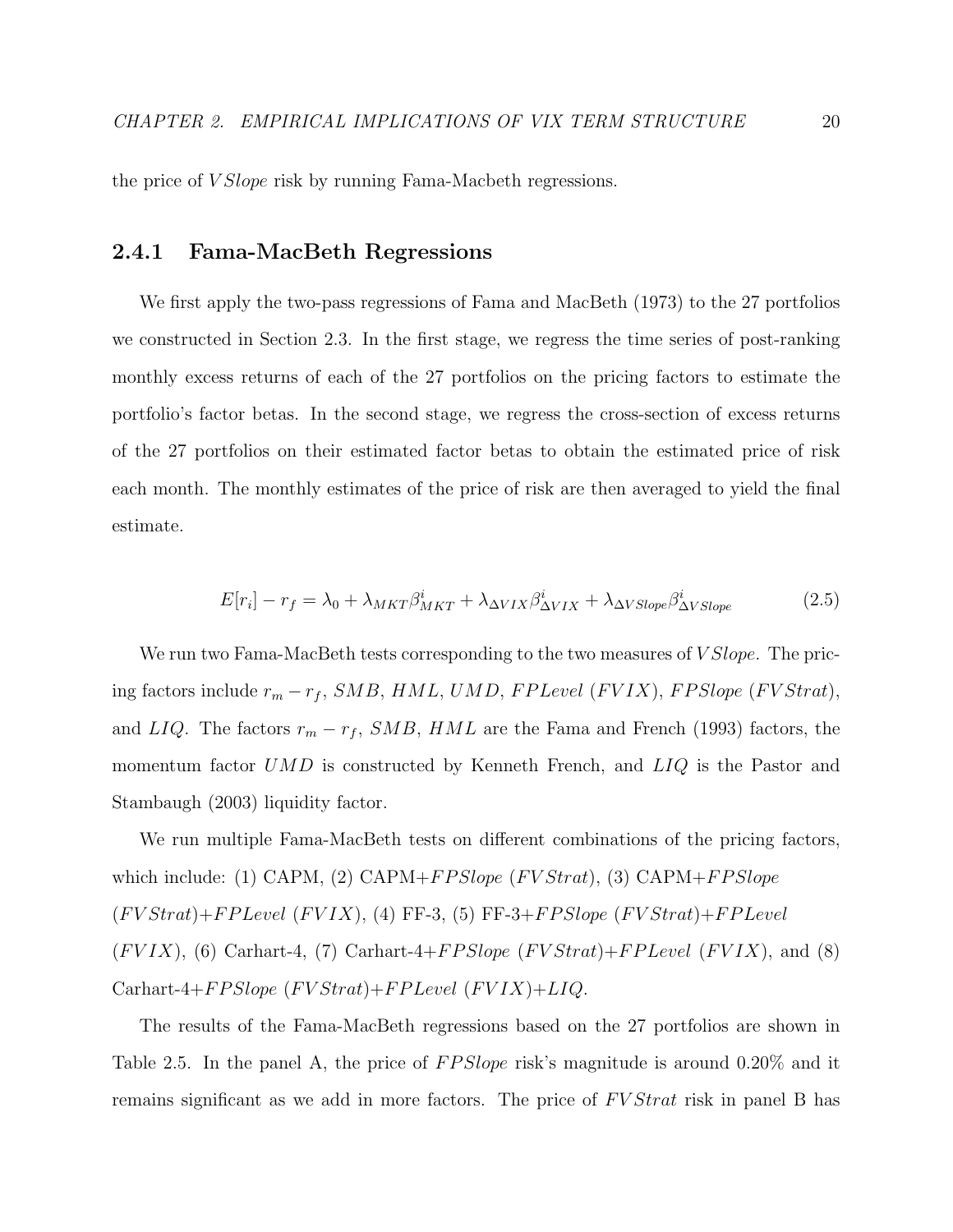the price of *V Slope* risk by running Fama-Macbeth regressions.

#### 2.4.1 Fama-MacBeth Regressions

We first apply the two-pass regressions of Fama and MacBeth (1973) to the 27 portfolios we constructed in Section 2.3. In the first stage, we regress the time series of post-ranking monthly excess returns of each of the 27 portfolios on the pricing factors to estimate the portfolio's factor betas. In the second stage, we regress the cross-section of excess returns of the 27 portfolios on their estimated factor betas to obtain the estimated price of risk each month. The monthly estimates of the price of risk are then averaged to yield the final estimate.

$$
E[r_i] - r_f = \lambda_0 + \lambda_{MKT} \beta_{MKT}^i + \lambda_{\Delta VIX} \beta_{\Delta VIX}^i + \lambda_{\Delta VSlope} \beta_{\Delta VSlope}^i \tag{2.5}
$$

We run two Fama-MacBeth tests corresponding to the two measures of *V Slope*. The pricing factors include  $r_m - r_f$ , SMB, HML, UMD, FPLevel (FVIX), FPSlope (FVStrat), and LIQ. The factors  $r_m - r_f$ , SMB, HML are the Fama and French (1993) factors, the momentum factor  $UMD$  is constructed by Kenneth French, and  $LIQ$  is the Pastor and Stambaugh (2003) liquidity factor.

We run multiple Fama-MacBeth tests on different combinations of the pricing factors, which include: (1) CAPM, (2) CAPM+F P Slope (FV Strat), (3) CAPM+F P Slope  $(FVStrat)+FPLevel (FVIX)$ , (4) FF-3, (5) FF-3+ $FPSlope (FVStrat)+FPLevel$  $(FVIX)$ , (6) Carhart-4, (7) Carhart-4+ $FPSlope$  ( $FVStrat$ )+ $FPLevel$  ( $FVIX$ ), and (8)  $Carhart-4+FP Slope (FVStrat)+FPLevel (FVIX)+LIQ.$ 

The results of the Fama-MacBeth regressions based on the 27 portfolios are shown in Table 2.5. In the panel A, the price of  $FPSlope$  risk's magnitude is around 0.20% and it remains significant as we add in more factors. The price of  $FVStrat$  risk in panel B has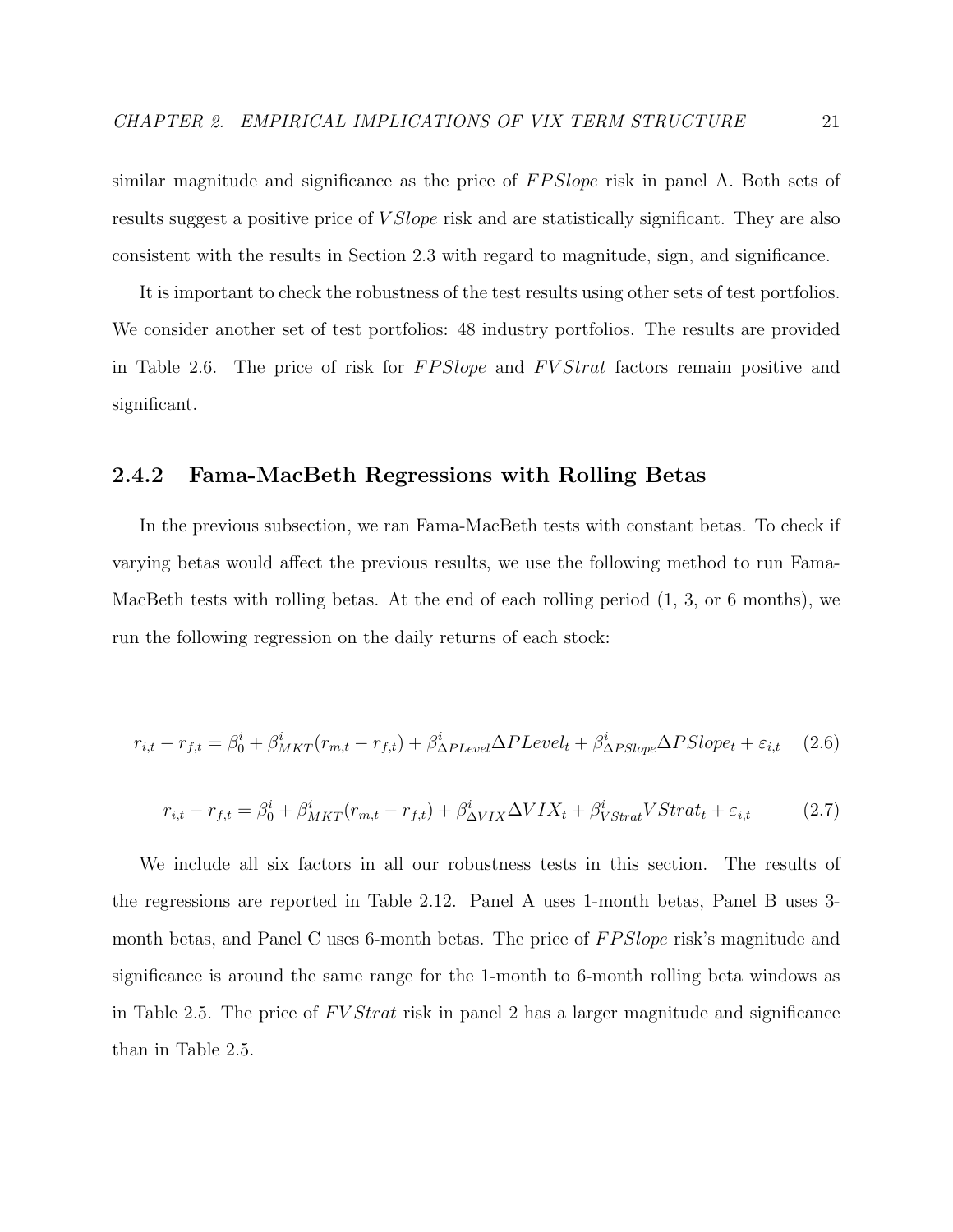similar magnitude and significance as the price of FPSlope risk in panel A. Both sets of results suggest a positive price of *V Slope* risk and are statistically significant. They are also consistent with the results in Section 2.3 with regard to magnitude, sign, and significance.

It is important to check the robustness of the test results using other sets of test portfolios. We consider another set of test portfolios: 48 industry portfolios. The results are provided in Table 2.6. The price of risk for FPSlope and FVStrat factors remain positive and significant.

#### 2.4.2 Fama-MacBeth Regressions with Rolling Betas

In the previous subsection, we ran Fama-MacBeth tests with constant betas. To check if varying betas would affect the previous results, we use the following method to run Fama-MacBeth tests with rolling betas. At the end of each rolling period  $(1, 3, \text{or } 6 \text{ months})$ , we run the following regression on the daily returns of each stock:

$$
r_{i,t} - r_{f,t} = \beta_0^i + \beta_{MKT}^i(r_{m,t} - r_{f,t}) + \beta_{\Delta PLevel}^i \Delta PLevel_t + \beta_{\Delta PSlope}^i \Delta P Slope_t + \varepsilon_{i,t} \tag{2.6}
$$

$$
r_{i,t} - r_{f,t} = \beta_0^i + \beta_{MKT}^i(r_{m,t} - r_{f,t}) + \beta_{\Delta VIX}^i \Delta VIX_t + \beta_{VStrat}^i VStrat_t + \varepsilon_{i,t}
$$
 (2.7)

We include all six factors in all our robustness tests in this section. The results of the regressions are reported in Table 2.12. Panel A uses 1-month betas, Panel B uses 3 month betas, and Panel C uses 6-month betas. The price of FPSlope risk's magnitude and significance is around the same range for the 1-month to 6-month rolling beta windows as in Table 2.5. The price of  $FVStrat$  risk in panel 2 has a larger magnitude and significance than in Table 2.5.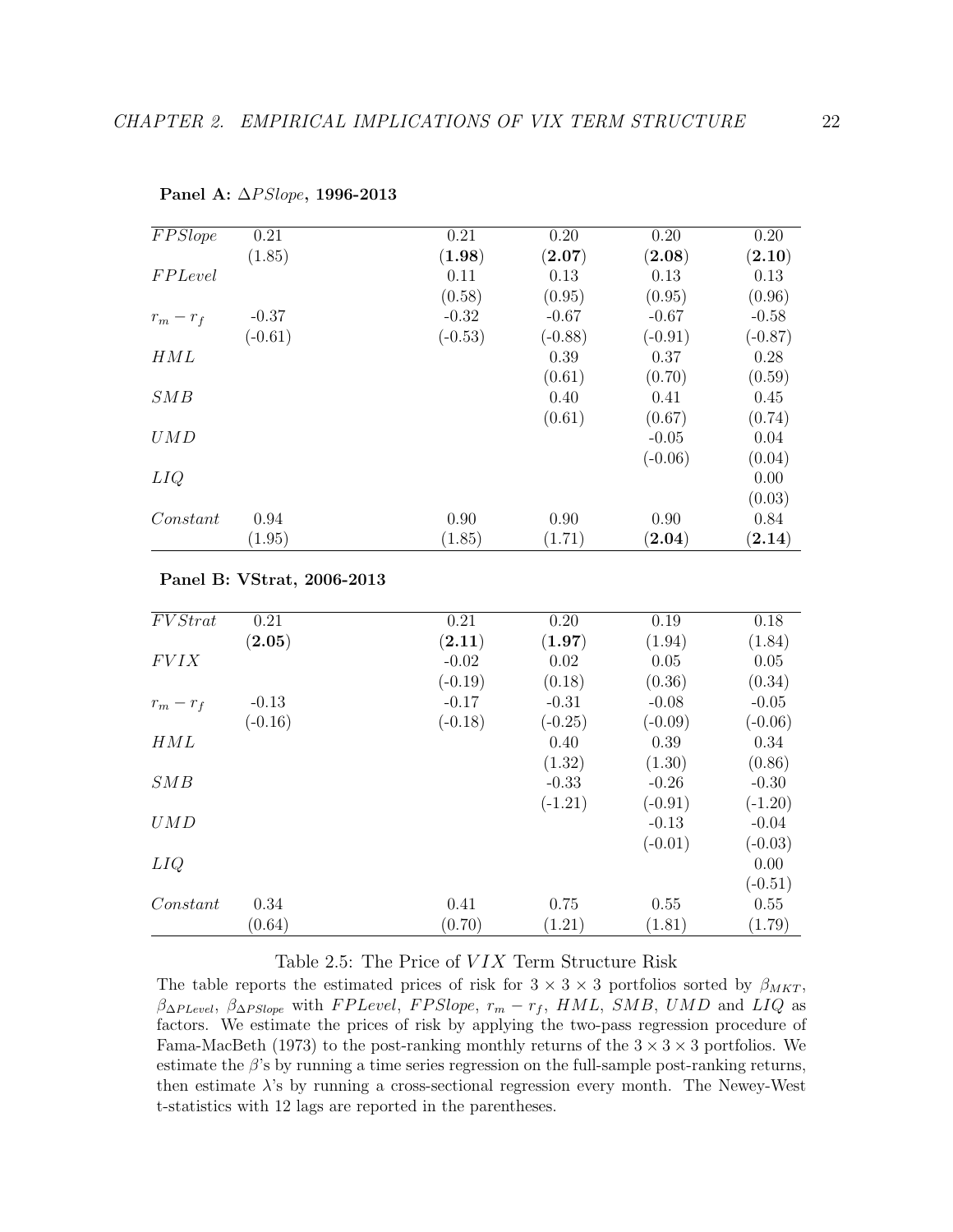| FPSlope     | 0.21      | 0.21      | 0.20                 | 0.20                 | 0.20         |
|-------------|-----------|-----------|----------------------|----------------------|--------------|
|             | (1.85)    | (1.98)    | $\left( 2.07\right)$ | $\left( 2.08\right)$ | (2.10)       |
| FPLevel     |           | 0.11      | 0.13                 | 0.13                 | 0.13         |
|             |           | (0.58)    | (0.95)               | (0.95)               | (0.96)       |
| $r_m - r_f$ | $-0.37$   | $-0.32$   | $-0.67$              | $-0.67$              | $-0.58$      |
|             | $(-0.61)$ | $(-0.53)$ | $(-0.88)$            | $(-0.91)$            | $(-0.87)$    |
| HML         |           |           | 0.39                 | 0.37                 | 0.28         |
|             |           |           | (0.61)               | (0.70)               | (0.59)       |
| SMB         |           |           | 0.40                 | 0.41                 | 0.45         |
|             |           |           | (0.61)               | (0.67)               | (0.74)       |
| UMD         |           |           |                      | $-0.05$              | 0.04         |
|             |           |           |                      | $(-0.06)$            | (0.04)       |
| LIQ         |           |           |                      |                      | 0.00         |
|             |           |           |                      |                      | (0.03)       |
| Constant    | 0.94      | 0.90      | 0.90                 | 0.90                 | 0.84         |
|             | (1.95)    | (1.85)    | (1.71)               | $\left( 2.04\right)$ | $\bf (2.14)$ |
|             |           |           |                      |                      |              |

Panel A:  $\Delta PSlope$ , 1996-2013

#### Panel B: VStrat, 2006-2013

| FVStrat     | 0.21                 | 0.21      | 0.20      | 0.19      | 0.18      |
|-------------|----------------------|-----------|-----------|-----------|-----------|
|             | $\left( 2.05\right)$ | (2.11)    | (1.97)    | (1.94)    | (1.84)    |
| <b>FVIX</b> |                      | $-0.02$   | 0.02      | 0.05      | 0.05      |
|             |                      | $(-0.19)$ | (0.18)    | (0.36)    | (0.34)    |
| $r_m - r_f$ | $-0.13$              | $-0.17$   | $-0.31$   | $-0.08$   | $-0.05$   |
|             | $(-0.16)$            | $(-0.18)$ | $(-0.25)$ | $(-0.09)$ | $(-0.06)$ |
| HML         |                      |           | 0.40      | 0.39      | 0.34      |
|             |                      |           | (1.32)    | (1.30)    | (0.86)    |
| SMB         |                      |           | $-0.33$   | $-0.26$   | $-0.30$   |
|             |                      |           | $(-1.21)$ | $(-0.91)$ | $(-1.20)$ |
| UMD         |                      |           |           | $-0.13$   | $-0.04$   |
|             |                      |           |           | $(-0.01)$ | $(-0.03)$ |
| LIQ         |                      |           |           |           | 0.00      |
|             |                      |           |           |           | $(-0.51)$ |
| Constant    | 0.34                 | 0.41      | 0.75      | 0.55      | 0.55      |
|             | (0.64)               | (0.70)    | (1.21)    | (1.81)    | (1.79)    |

### Table 2.5: The Price of  $VIX$  Term Structure Risk

The table reports the estimated prices of risk for  $3 \times 3 \times 3$  portfolios sorted by  $\beta_{MKT}$ ,  $\beta_{\Delta P Level}$ ,  $\beta_{\Delta P Slope}$  with FPLevel, FPSlope,  $r_m - r_f$ , HML, SMB, UMD and LIQ as factors. We estimate the prices of risk by applying the two-pass regression procedure of Fama-MacBeth (1973) to the post-ranking monthly returns of the  $3 \times 3 \times 3$  portfolios. We estimate the  $\beta$ 's by running a time series regression on the full-sample post-ranking returns, then estimate  $\lambda$ 's by running a cross-sectional regression every month. The Newey-West t-statistics with 12 lags are reported in the parentheses.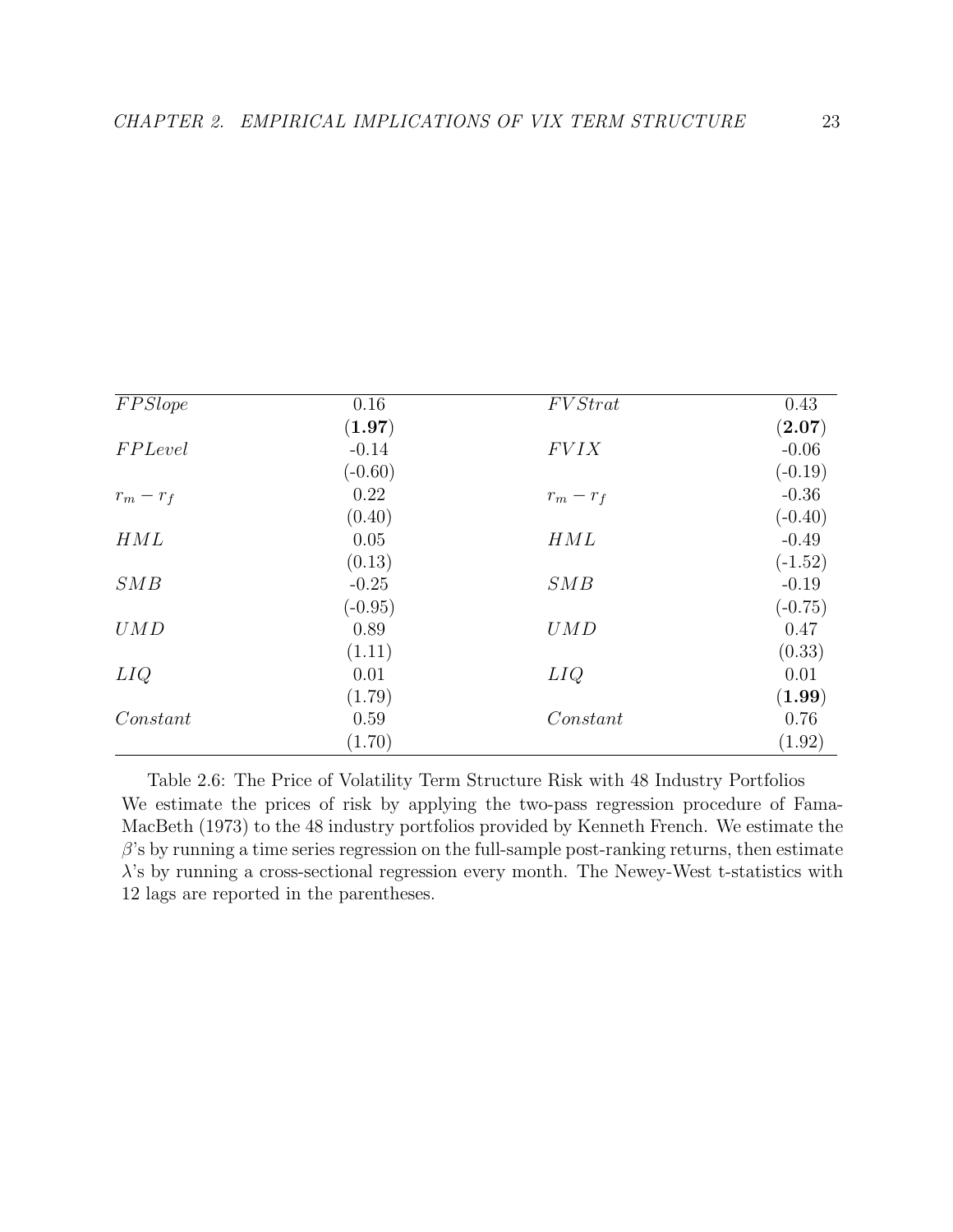| FPSlope     | 0.16      | FVStrat     | 0.43      |
|-------------|-----------|-------------|-----------|
|             | (1.97)    |             | (2.07)    |
| FPLevel     | $-0.14$   | FVIX        | $-0.06$   |
|             | $(-0.60)$ |             | $(-0.19)$ |
| $r_m - r_f$ | 0.22      | $r_m - r_f$ | $-0.36$   |
|             | (0.40)    |             | $(-0.40)$ |
| HML         | 0.05      | HML         | $-0.49$   |
|             | (0.13)    |             | $(-1.52)$ |
| SMB         | $-0.25$   | SMB         | $-0.19$   |
|             | $(-0.95)$ |             | $(-0.75)$ |
| UMD         | 0.89      | UMD         | 0.47      |
|             | (1.11)    |             | (0.33)    |
| LIQ         | 0.01      | LIQ         | 0.01      |
|             | (1.79)    |             | (1.99)    |
| Constant    | 0.59      | Constant    | 0.76      |
|             | (1.70)    |             | (1.92)    |

Table 2.6: The Price of Volatility Term Structure Risk with 48 Industry Portfolios We estimate the prices of risk by applying the two-pass regression procedure of Fama-MacBeth (1973) to the 48 industry portfolios provided by Kenneth French. We estimate the  $\beta$ 's by running a time series regression on the full-sample post-ranking returns, then estimate  $\lambda$ 's by running a cross-sectional regression every month. The Newey-West t-statistics with 12 lags are reported in the parentheses.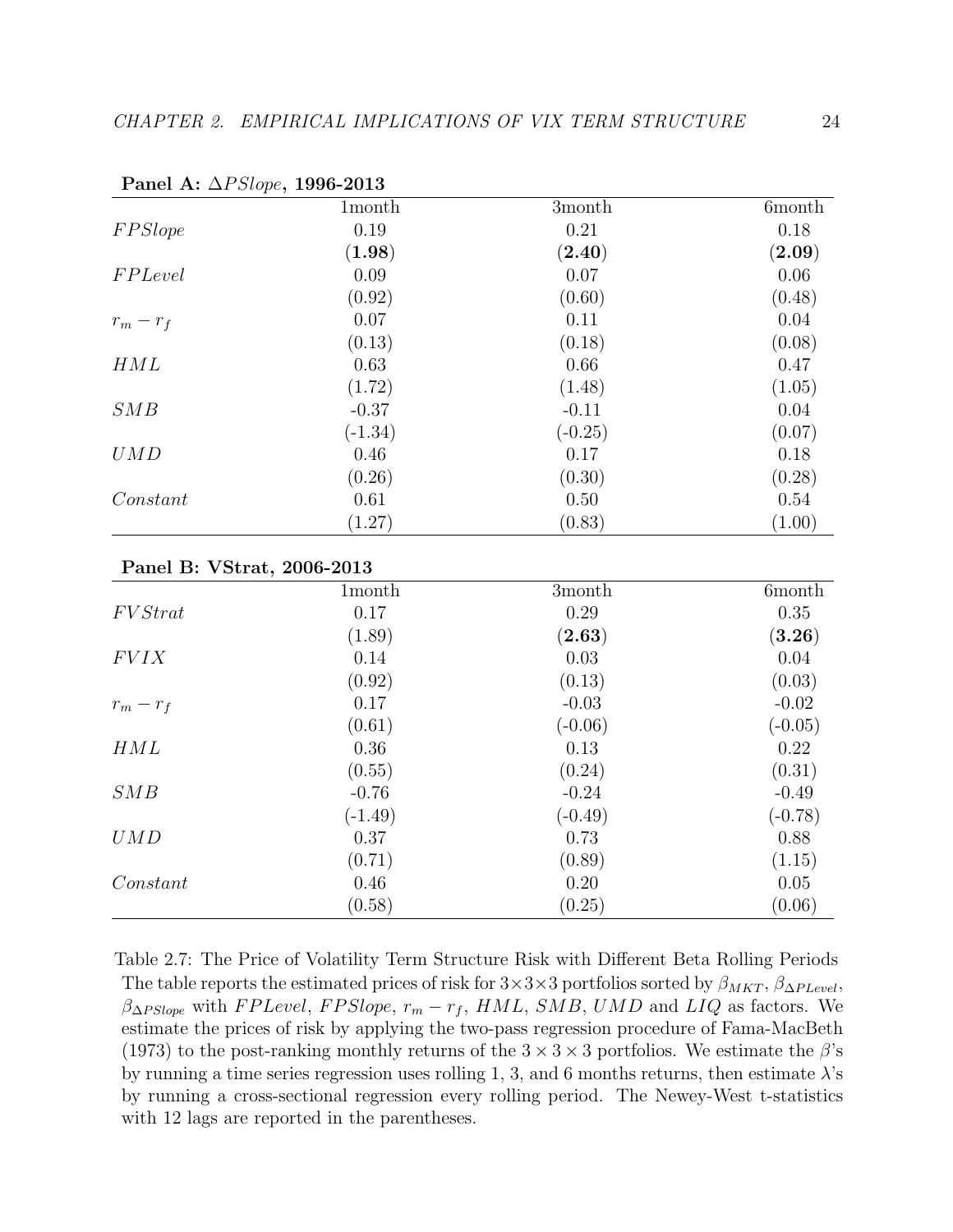|                            | 1month    | 3month    | 6month        |
|----------------------------|-----------|-----------|---------------|
| FPSlope                    | 0.19      | 0.21      | 0.18          |
|                            | (1.98)    | (2.40)    | (2.09)        |
| <b>FPLevel</b>             | 0.09      | 0.07      | 0.06          |
|                            | (0.92)    | (0.60)    | (0.48)        |
| $r_m - r_f$                | 0.07      | 0.11      | 0.04          |
|                            | (0.13)    | (0.18)    | (0.08)        |
| HML                        | 0.63      | 0.66      | 0.47          |
|                            | (1.72)    | (1.48)    | (1.05)        |
| SMB                        | $-0.37$   | $-0.11$   | 0.04          |
|                            | $(-1.34)$ | $(-0.25)$ | (0.07)        |
| UMD                        | 0.46      | 0.17      | 0.18          |
|                            | (0.26)    | (0.30)    | (0.28)        |
| Constant                   | 0.61      | 0.50      | 0.54          |
|                            | (1.27)    | (0.83)    | (1.00)        |
| Panel B: VStrat, 2006-2013 |           |           |               |
|                            | 1month    | 3month    | <b>6month</b> |
| FVStrat                    | 0.17      | 0.29      | 0.35          |
|                            | (1.89)    | (2.63)    | (3.26)        |
| <b>FVIX</b>                | 0.14      | 0.03      | 0.04          |
|                            | (0.92)    | (0.13)    | (0.03)        |
| $r_m - r_f$                | 0.17      | $-0.03$   | $-0.02$       |
|                            | (0.61)    | $(-0.06)$ | $(-0.05)$     |
| HML                        | 0.36      | 0.13      | 0.22          |
|                            | (0.55)    | (0.24)    | (0.31)        |
| SMB                        | $-0.76$   | $-0.24$   | $-0.49$       |
|                            | $(-1.49)$ | $(-0.49)$ | $(-0.78)$     |
| UMD                        | 0.37      | 0.73      | 0.88          |
|                            | (0.71)    | (0.89)    | (1.15)        |
| Constant                   | 0.46      | 0.20      | 0.05          |
|                            | (0.58)    | (0.25)    | (0.06)        |

Panel A: ∆PSlope, 1996-2013

Table 2.7: The Price of Volatility Term Structure Risk with Different Beta Rolling Periods The table reports the estimated prices of risk for  $3\times3\times3$  portfolios sorted by  $\beta_{MKT}$ ,  $\beta_{\Delta PLevel}$ ,  $\beta_{\Delta PSlope}$  with FPLevel, FPSlope,  $r_m - r_f$ , HML, SMB, UMD and LIQ as factors. We estimate the prices of risk by applying the two-pass regression procedure of Fama-MacBeth (1973) to the post-ranking monthly returns of the  $3 \times 3 \times 3$  portfolios. We estimate the  $\beta$ 's by running a time series regression uses rolling 1, 3, and 6 months returns, then estimate  $\lambda$ 's by running a cross-sectional regression every rolling period. The Newey-West t-statistics with 12 lags are reported in the parentheses.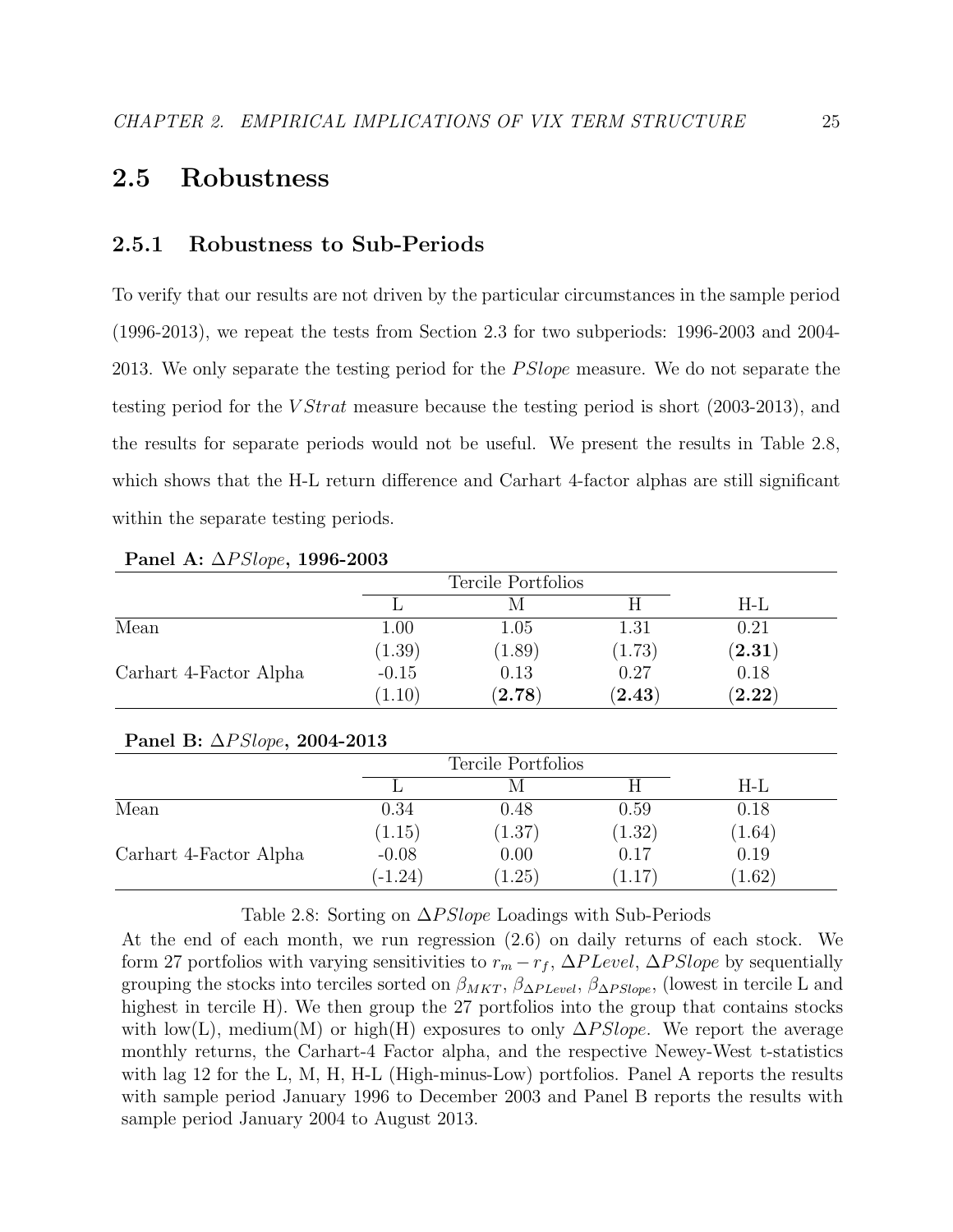# 2.5 Robustness

#### 2.5.1 Robustness to Sub-Periods

To verify that our results are not driven by the particular circumstances in the sample period (1996-2013), we repeat the tests from Section 2.3 for two subperiods: 1996-2003 and 2004- 2013. We only separate the testing period for the *PSlope* measure. We do not separate the testing period for the  $VStrat$  measure because the testing period is short (2003-2013), and the results for separate periods would not be useful. We present the results in Table 2.8, which shows that the H-L return difference and Carhart 4-factor alphas are still significant within the separate testing periods.

|                        |         | Tercile Portfolios |             |                   |
|------------------------|---------|--------------------|-------------|-------------------|
|                        |         |                    |             | H-L               |
| Mean                   | 1.00    | $1.05\,$           | 1.31        | 0.21              |
|                        | (1.39)  | (1.89)             | (1.73)      | $(\mathbf{2.31})$ |
| Carhart 4-Factor Alpha | $-0.15$ | 0.13               | 0.27        | 0.18              |
|                        | (1.10)  | $({\bf 2.78})$     | $\bf(2.43)$ | (2.22)            |

Panel A: ∆PSlope, 1996-2003

#### Panel B: ∆PSlope, 2004-2013

|                        |           | Tercile Portfolios |        |        |  |
|------------------------|-----------|--------------------|--------|--------|--|
|                        |           |                    |        | H-L    |  |
| Mean                   | 0.34      | 0.48               | 0.59   | 0.18   |  |
|                        | (1.15)    | (1.37)             | (1.32) | (1.64) |  |
| Carhart 4-Factor Alpha | $-0.08$   | 0.00               | 0.17   | 0.19   |  |
|                        | $(-1.24)$ | 1.25)              |        | (1.62) |  |

#### Table 2.8: Sorting on  $\Delta PSlope$  Loadings with Sub-Periods

At the end of each month, we run regression (2.6) on daily returns of each stock. We form 27 portfolios with varying sensitivities to  $r_m - r_f$ ,  $\Delta PLevel$ ,  $\Delta PSlope$  by sequentially grouping the stocks into terciles sorted on  $\beta_{MKT}$ ,  $\beta_{\Delta PLevel}$ ,  $\beta_{\Delta P Slope}$ , (lowest in tercile L and highest in tercile H). We then group the 27 portfolios into the group that contains stocks with low(L), medium(M) or high(H) exposures to only  $\Delta PSlope$ . We report the average monthly returns, the Carhart-4 Factor alpha, and the respective Newey-West t-statistics with lag 12 for the L, M, H, H-L (High-minus-Low) portfolios. Panel A reports the results with sample period January 1996 to December 2003 and Panel B reports the results with sample period January 2004 to August 2013.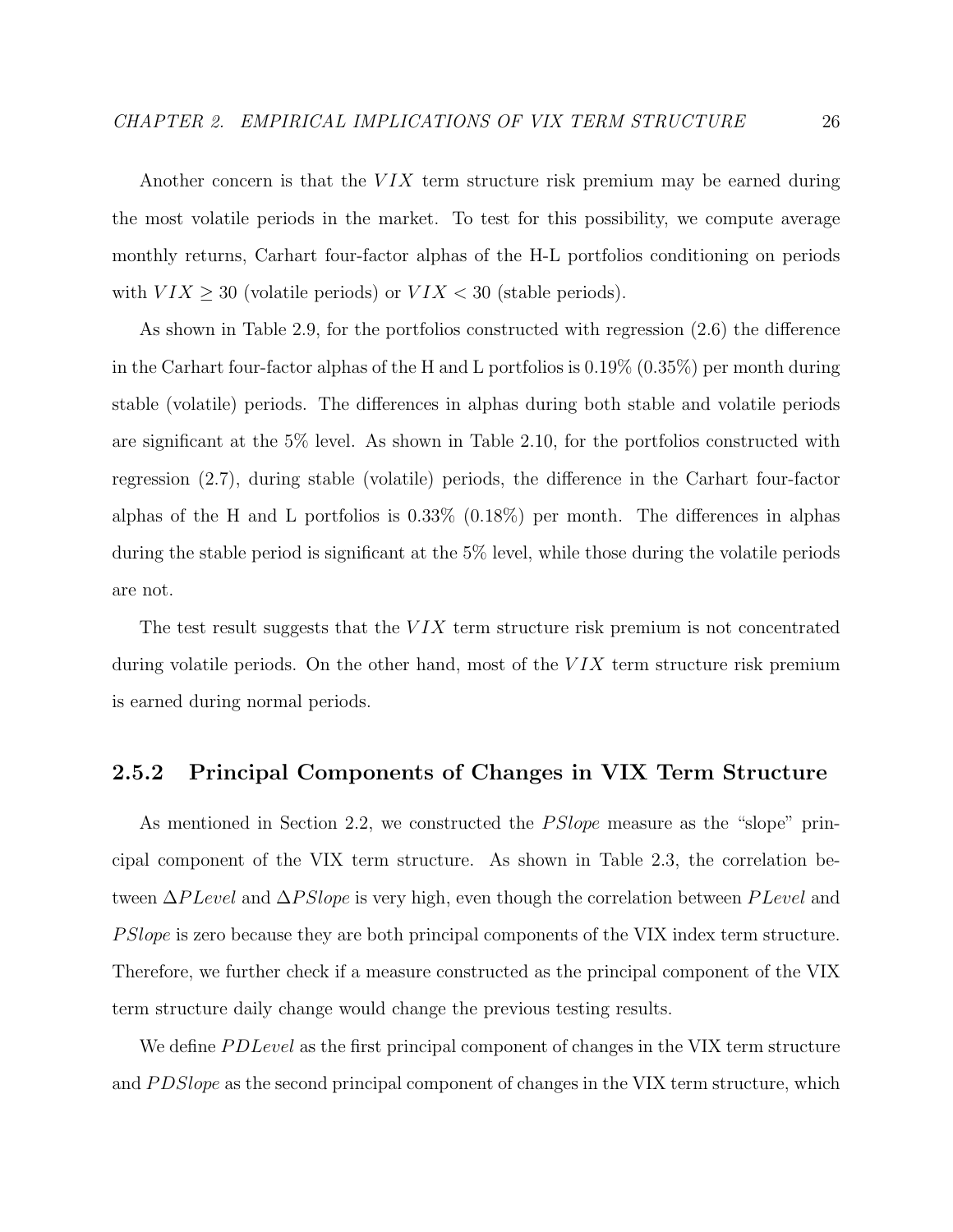Another concern is that the  $VIX$  term structure risk premium may be earned during the most volatile periods in the market. To test for this possibility, we compute average monthly returns, Carhart four-factor alphas of the H-L portfolios conditioning on periods with  $VIX \geq 30$  (volatile periods) or  $VIX < 30$  (stable periods).

As shown in Table 2.9, for the portfolios constructed with regression (2.6) the difference in the Carhart four-factor alphas of the H and L portfolios is 0.19% (0.35%) per month during stable (volatile) periods. The differences in alphas during both stable and volatile periods are significant at the 5% level. As shown in Table 2.10, for the portfolios constructed with regression (2.7), during stable (volatile) periods, the difference in the Carhart four-factor alphas of the H and L portfolios is  $0.33\%$  (0.18%) per month. The differences in alphas during the stable period is significant at the 5% level, while those during the volatile periods are not.

The test result suggests that the  $VIX$  term structure risk premium is not concentrated during volatile periods. On the other hand, most of the  $VIX$  term structure risk premium is earned during normal periods.

#### 2.5.2 Principal Components of Changes in VIX Term Structure

As mentioned in Section 2.2, we constructed the *PSlope* measure as the "slope" principal component of the VIX term structure. As shown in Table 2.3, the correlation between  $\Delta P \text{Level}$  and  $\Delta P \text{Slope}$  is very high, even though the correlation between  $P \text{Level}$  and P Slope is zero because they are both principal components of the VIX index term structure. Therefore, we further check if a measure constructed as the principal component of the VIX term structure daily change would change the previous testing results.

We define *PD Level* as the first principal component of changes in the VIX term structure and PDSlope as the second principal component of changes in the VIX term structure, which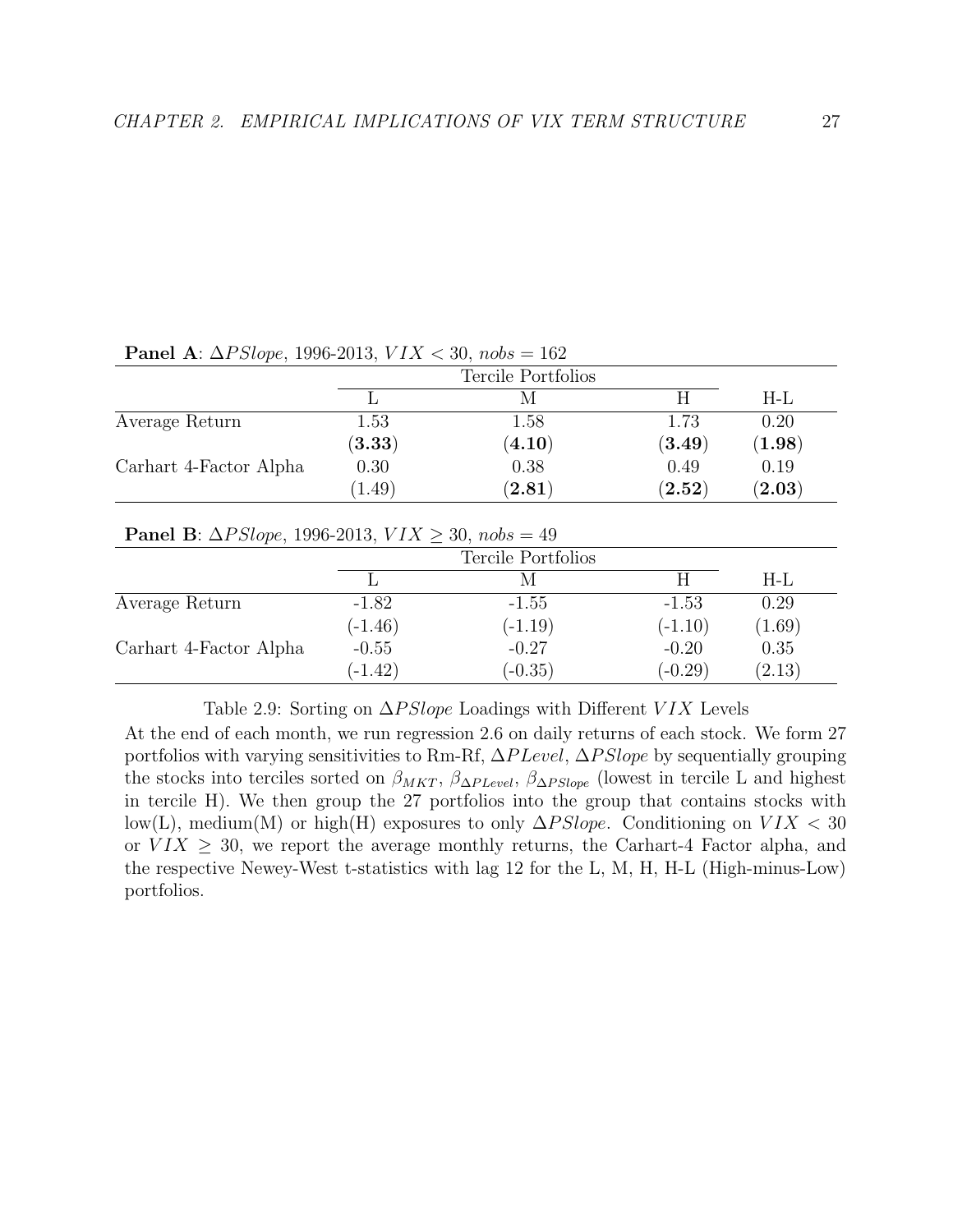|                        |                | Tercile Portfolios   |                      |                      |  |
|------------------------|----------------|----------------------|----------------------|----------------------|--|
|                        |                |                      |                      | H-L                  |  |
| Average Return         | $1.53\,$       | 1.58                 | 1.73                 | 0.20                 |  |
|                        | $({\bf 3.33})$ | $\left( 4.10\right)$ | $\left( 3.49\right)$ | $\left(1.98\right)$  |  |
| Carhart 4-Factor Alpha | 0.30           | 0.38                 | 0.49                 | 0.19                 |  |
|                        | 1.49           | $\left( 2.81\right)$ | $\bf (2.52)$         | $\left( 2.03\right)$ |  |

Panel A:  $\Delta PSlone$ , 1996-2013,  $VIX < 30$ ,  $nobs = 162$ 

Panel B:  $\Delta PSlope$ , 1996-2013,  $VIX \geq 30$ ,  $nobs = 49$ 

|                        |           | Tercile Portfolios |           |        |  |  |
|------------------------|-----------|--------------------|-----------|--------|--|--|
|                        |           |                    |           | H-L    |  |  |
| Average Return         | $-1.82$   | $-1.55$            | $-1.53$   | 0.29   |  |  |
|                        | $(-1.46)$ | $(-1.19)$          | $(-1.10)$ | (1.69) |  |  |
| Carhart 4-Factor Alpha | $-0.55$   | $-0.27$            | $-0.20$   | 0.35   |  |  |
|                        | $(-1.42)$ | $(-0.35)$          | $(-0.29)$ | (2.13) |  |  |

Table 2.9: Sorting on  $\Delta PSlope$  Loadings with Different VIX Levels

At the end of each month, we run regression 2.6 on daily returns of each stock. We form 27 portfolios with varying sensitivities to Rm-Rf, ∆P Level, ∆P Slope by sequentially grouping the stocks into terciles sorted on  $\beta_{MKT}$ ,  $\beta_{\Delta PLevel}$ ,  $\beta_{\Delta P Slope}$  (lowest in tercile L and highest in tercile H). We then group the 27 portfolios into the group that contains stocks with low(L), medium(M) or high(H) exposures to only  $\Delta PSlope$ . Conditioning on  $VIX < 30$ or  $V I X \geq 30$ , we report the average monthly returns, the Carhart-4 Factor alpha, and the respective Newey-West t-statistics with lag 12 for the L, M, H, H-L (High-minus-Low) portfolios.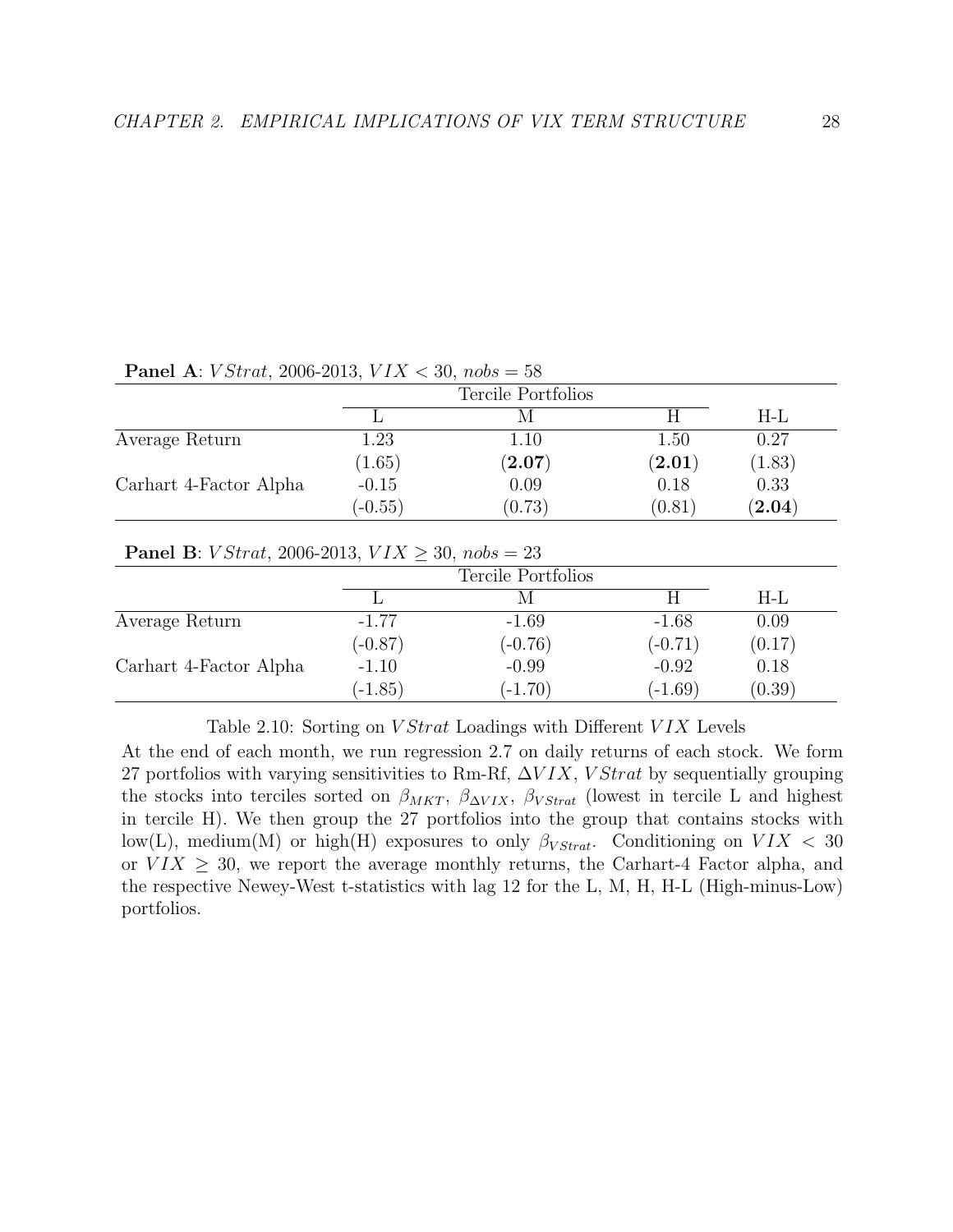|                        |           | Tercile Portfolios |                      |                      |
|------------------------|-----------|--------------------|----------------------|----------------------|
|                        |           |                    |                      | H-L                  |
| Average Return         | 1.23      | 1.10               | 1.50                 | 0.27                 |
|                        | (1.65)    | $({\bf 2.07})$     | $\left( 2.01\right)$ | (1.83)               |
| Carhart 4-Factor Alpha | $-0.15$   | 0.09               | 0.18                 | 0.33                 |
|                        | $(-0.55)$ | (0.73)             | (0.81)               | $\left( 2.04\right)$ |

**Panel A:** *V Strat*, 2006-2013, *VIX*  $\lt$  30, nobs = 58

#### **Panel B**: *V Strat*, 2006-2013, *VIX*  $\geq 30$ , *nobs* = 23

|                        |           | Tercile Portfolios |           |        |  |  |
|------------------------|-----------|--------------------|-----------|--------|--|--|
|                        |           | M                  | Н         | H-L    |  |  |
| Average Return         | $-1.77$   | $-1.69$            | $-1.68$   | 0.09   |  |  |
|                        | $(-0.87)$ | $(-0.76)$          | $(-0.71)$ | (0.17) |  |  |
| Carhart 4-Factor Alpha | $-1.10$   | $-0.99$            | $-0.92$   | 0.18   |  |  |
|                        | $(-1.85)$ | $(-1.70)$          | $(-1.69)$ | (0.39) |  |  |

Table 2.10: Sorting on *V Strat* Loadings with Different *VIX* Levels

At the end of each month, we run regression 2.7 on daily returns of each stock. We form 27 portfolios with varying sensitivities to Rm-Rf,  $\Delta VIX$ , VStrat by sequentially grouping the stocks into terciles sorted on  $\beta_{MKT}$ ,  $\beta_{\Delta VIX}$ ,  $\beta_{VStrat}$  (lowest in tercile L and highest in tercile H). We then group the 27 portfolios into the group that contains stocks with low(L), medium(M) or high(H) exposures to only  $\beta_{VStrat}$ . Conditioning on  $VIX < 30$ or  $V I X \geq 30$ , we report the average monthly returns, the Carhart-4 Factor alpha, and the respective Newey-West t-statistics with lag 12 for the L, M, H, H-L (High-minus-Low) portfolios.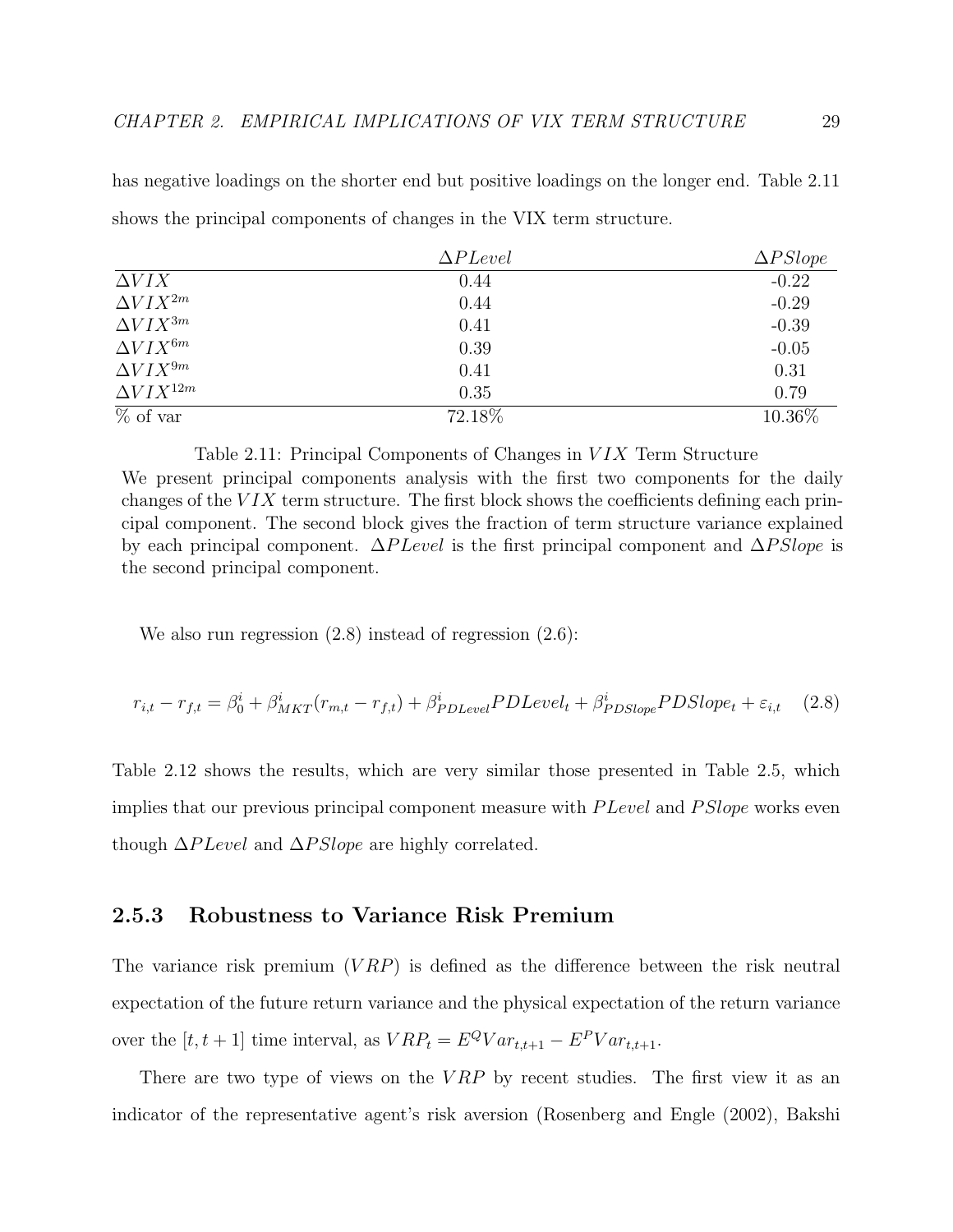$\Delta P \text{Level}$   $\Delta P \text{Slope}$  $\Delta VIX$  -0.22  $\Delta V I X^{2m}$  -0.29  $\Delta V I X^{3m}$  -0.39  $\Delta V I X^{6m}$  -0.05  $\Delta V I X^{9m}$  0.41 0.31  $\Delta V I X^{12m}$  0.35 0.79 % of var  $72.18\%$   $10.36\%$ 

has negative loadings on the shorter end but positive loadings on the longer end. Table 2.11 shows the principal components of changes in the VIX term structure.

Table 2.11: Principal Components of Changes in VIX Term Structure We present principal components analysis with the first two components for the daily changes of the  $VIX$  term structure. The first block shows the coefficients defining each principal component. The second block gives the fraction of term structure variance explained by each principal component.  $\Delta P \text{Level}$  is the first principal component and  $\Delta PS l \text{ope}$  is the second principal component.

We also run regression (2.8) instead of regression (2.6):

$$
r_{i,t} - r_{f,t} = \beta_0^i + \beta_{MKT}^i(r_{m,t} - r_{f,t}) + \beta_{PDEevel}^i P DLevel_t + \beta_{PDSlope}^i P DSlope_t + \varepsilon_{i,t} \quad (2.8)
$$

Table 2.12 shows the results, which are very similar those presented in Table 2.5, which implies that our previous principal component measure with *P Level* and *P Slope* works even though  $\Delta P Level$  and  $\Delta PSlope$  are highly correlated.

## 2.5.3 Robustness to Variance Risk Premium

The variance risk premium  $(VRP)$  is defined as the difference between the risk neutral expectation of the future return variance and the physical expectation of the return variance over the  $[t, t+1]$  time interval, as  $VRP_t = E^QVar_{t,t+1} - E^PVar_{t,t+1}$ .

There are two type of views on the  $VRP$  by recent studies. The first view it as an indicator of the representative agent's risk aversion (Rosenberg and Engle (2002), Bakshi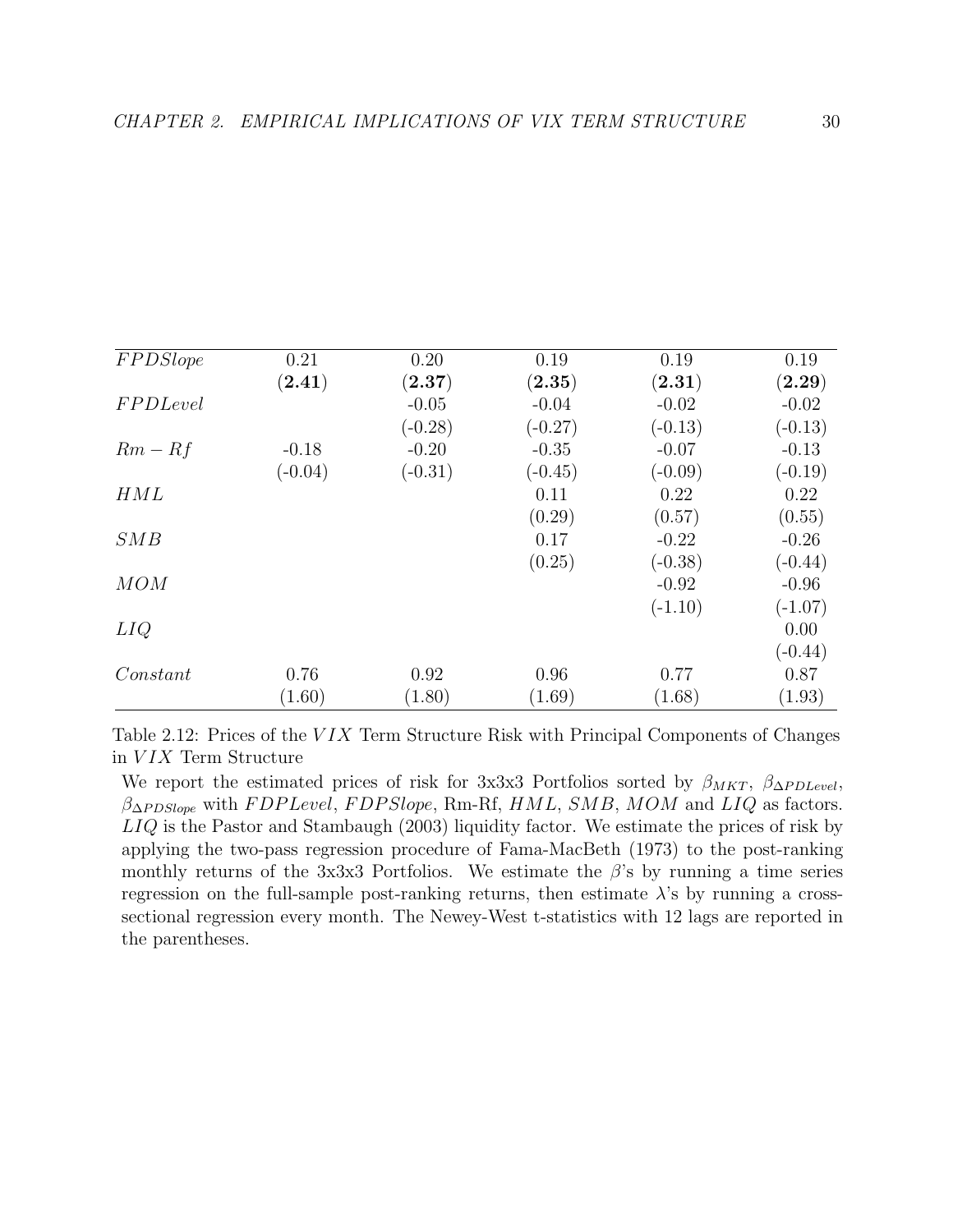| <b>FPDSlope</b> | 0.21      | 0.20                 | 0.19         | 0.19         | 0.19              |
|-----------------|-----------|----------------------|--------------|--------------|-------------------|
|                 | (2.41)    | $\left( 2.37\right)$ | $\bf (2.35)$ | $\bf (2.31)$ | $(\mathbf{2.29})$ |
| <b>FPDLevel</b> |           | $-0.05$              | $-0.04$      | $-0.02$      | $-0.02$           |
|                 |           | $(-0.28)$            | $(-0.27)$    | $(-0.13)$    | $(-0.13)$         |
| $Rm-Rf$         | $-0.18$   | $-0.20$              | $-0.35$      | $-0.07$      | $-0.13$           |
|                 | $(-0.04)$ | $(-0.31)$            | $(-0.45)$    | $(-0.09)$    | $(-0.19)$         |
| HML             |           |                      | 0.11         | 0.22         | 0.22              |
|                 |           |                      | (0.29)       | (0.57)       | (0.55)            |
| SMB             |           |                      | 0.17         | $-0.22$      | $-0.26$           |
|                 |           |                      | (0.25)       | $(-0.38)$    | $(-0.44)$         |
| MOM             |           |                      |              | $-0.92$      | $-0.96$           |
|                 |           |                      |              | $(-1.10)$    | $(-1.07)$         |
| LIQ             |           |                      |              |              | 0.00              |
|                 |           |                      |              |              | $(-0.44)$         |
| Constant        | 0.76      | 0.92                 | 0.96         | 0.77         | 0.87              |
|                 | (1.60)    | (1.80)               | (1.69)       | (1.68)       | (1.93)            |

Table 2.12: Prices of the VIX Term Structure Risk with Principal Components of Changes in VIX Term Structure

We report the estimated prices of risk for 3x3x3 Portfolios sorted by  $\beta_{MKT}$ ,  $\beta_{\Delta P DLevel}$ ,  $\beta_{\Delta PDSlope}$  with FDP Level, FDP Slope, Rm-Rf, HML, SMB, MOM and LIQ as factors. LIQ is the Pastor and Stambaugh (2003) liquidity factor. We estimate the prices of risk by applying the two-pass regression procedure of Fama-MacBeth (1973) to the post-ranking monthly returns of the 3x3x3 Portfolios. We estimate the  $\beta$ 's by running a time series regression on the full-sample post-ranking returns, then estimate  $\lambda$ 's by running a crosssectional regression every month. The Newey-West t-statistics with 12 lags are reported in the parentheses.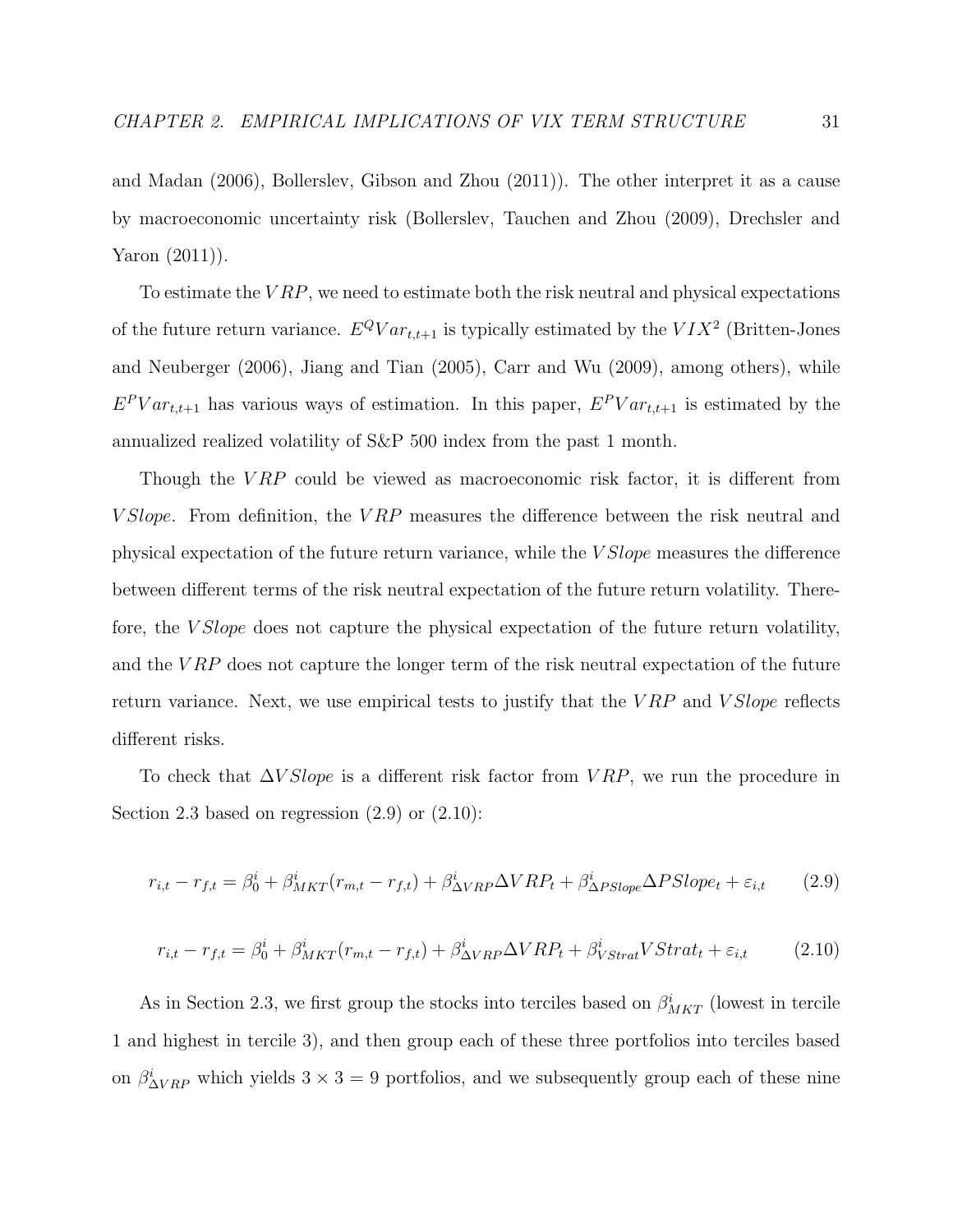and Madan (2006), Bollerslev, Gibson and Zhou (2011)). The other interpret it as a cause by macroeconomic uncertainty risk (Bollerslev, Tauchen and Zhou (2009), Drechsler and Yaron (2011)).

To estimate the  $VRP$ , we need to estimate both the risk neutral and physical expectations of the future return variance.  $E^Q Var_{t,t+1}$  is typically estimated by the  $VIX^2$  (Britten-Jones and Neuberger (2006), Jiang and Tian (2005), Carr and Wu (2009), among others), while  $E^P Var_{t,t+1}$  has various ways of estimation. In this paper,  $E^P Var_{t,t+1}$  is estimated by the annualized realized volatility of S&P 500 index from the past 1 month.

Though the  $VRP$  could be viewed as macroeconomic risk factor, it is different from V Slope. From definition, the V RP measures the difference between the risk neutral and physical expectation of the future return variance, while the V Slope measures the difference between different terms of the risk neutral expectation of the future return volatility. Therefore, the *V Slope* does not capture the physical expectation of the future return volatility, and the  $VRP$  does not capture the longer term of the risk neutral expectation of the future return variance. Next, we use empirical tests to justify that the  $VRP$  and  $VSlope$  reflects different risks.

To check that  $\Delta V Slope$  is a different risk factor from  $VRP$ , we run the procedure in Section 2.3 based on regression  $(2.9)$  or  $(2.10)$ :

$$
r_{i,t} - r_{f,t} = \beta_0^i + \beta_{MKT}^i(r_{m,t} - r_{f,t}) + \beta_{\Delta VRP}^i \Delta VRP_t + \beta_{\Delta PSlope}^i \Delta PSlope_t + \varepsilon_{i,t}
$$
 (2.9)

$$
r_{i,t} - r_{f,t} = \beta_0^i + \beta_{MKT}^i(r_{m,t} - r_{f,t}) + \beta_{\Delta VRP}^i \Delta VRP_t + \beta_{VStrat}^i VStrat_t + \varepsilon_{i,t}
$$
 (2.10)

As in Section 2.3, we first group the stocks into terciles based on  $\beta_{MKT}^i$  (lowest in tercile 1 and highest in tercile 3), and then group each of these three portfolios into terciles based on  $\beta_{\Delta VRP}^i$  which yields  $3 \times 3 = 9$  portfolios, and we subsequently group each of these nine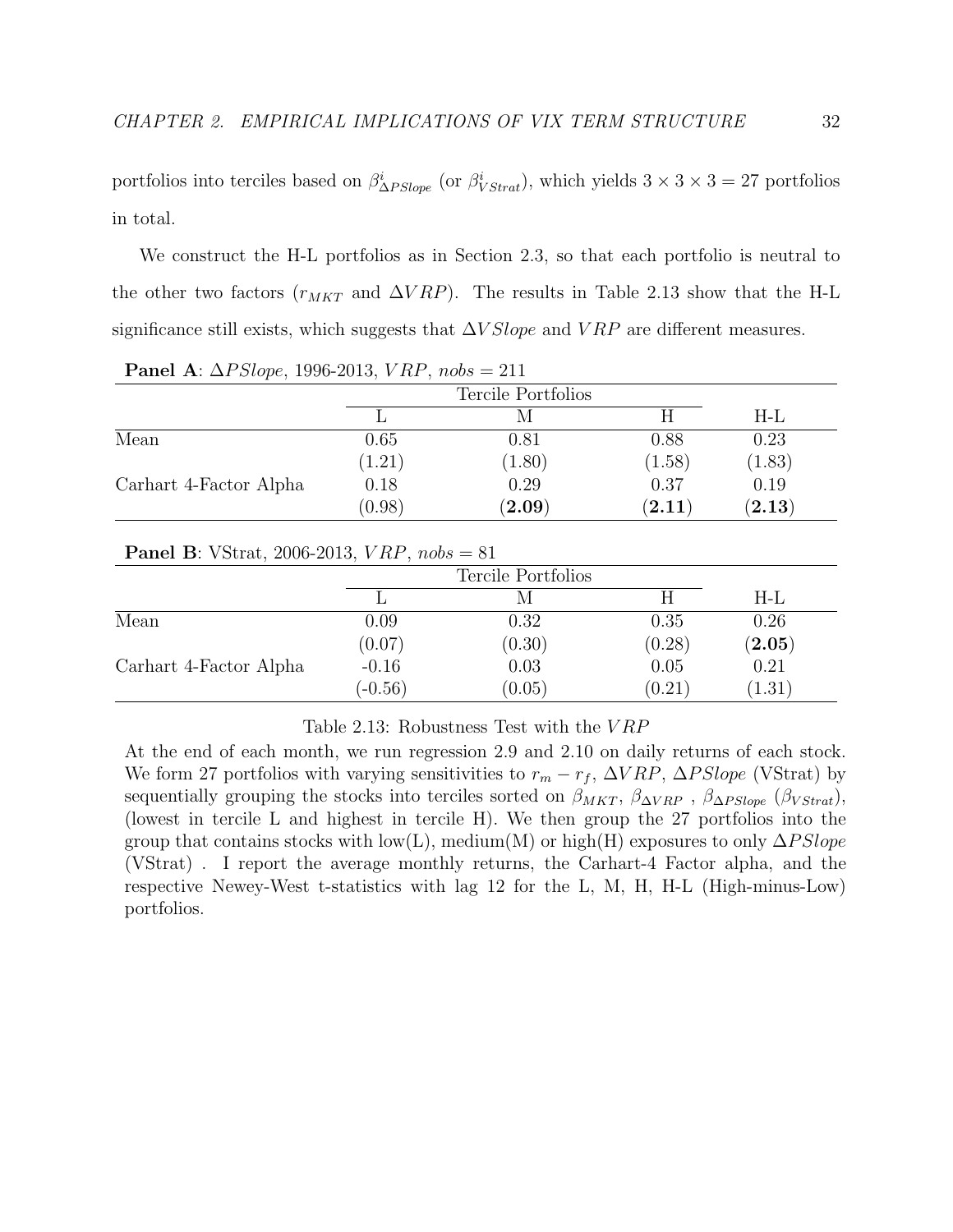portfolios into terciles based on  $\beta_{\Delta PSlope}^i$  (or  $\beta_{VStrat}^i$ ), which yields  $3 \times 3 \times 3 = 27$  portfolios in total.

We construct the H-L portfolios as in Section 2.3, so that each portfolio is neutral to the other two factors ( $r_{MKT}$  and  $\Delta VRP$ ). The results in Table 2.13 show that the H-L significance still exists, which suggests that  $\Delta VSlope$  and  $VRP$  are different measures.

|                        |        | Tercile Portfolios    |                      |             |
|------------------------|--------|-----------------------|----------------------|-------------|
|                        |        |                       |                      | H-L         |
| Mean                   | 0.65   | 0.81                  | 0.88                 | 0.23        |
|                        | (1.21) | (1.80)                | (1.58)               | (1.83)      |
| Carhart 4-Factor Alpha | 0.18   | 0.29                  | 0.37                 | 0.19        |
|                        | (0.98) | $(\boldsymbol{2.09})$ | $\left( 2.11\right)$ | $\bf(2.13)$ |

Panel A:  $\Delta PSlope$ , 1996-2013,  $VRP$ ,  $nobs = 211$ 

#### **Panel B**: VStrat, 2006-2013,  $VRP$ ,  $nobs = 81$

|                        | Tercile Portfolios |        |        |                   |  |
|------------------------|--------------------|--------|--------|-------------------|--|
|                        |                    |        |        | $H-L$             |  |
| Mean                   | 0.09               | 0.32   | 0.35   | 0.26              |  |
|                        | (0.07)             | (0.30) | (0.28) | $(\mathbf{2.05})$ |  |
| Carhart 4-Factor Alpha | $-0.16$            | 0.03   | 0.05   | 0.21              |  |
|                        | $(-0.56)$          | (0.05) | (0.21) | (1.31)            |  |

Table 2.13: Robustness Test with the V RP

At the end of each month, we run regression 2.9 and 2.10 on daily returns of each stock. We form 27 portfolios with varying sensitivities to  $r_m - r_f$ ,  $\Delta VRP$ ,  $\Delta PSlope$  (VStrat) by sequentially grouping the stocks into terciles sorted on  $\beta_{MKT}$ ,  $\beta_{\Delta VRP}$ ,  $\beta_{\Delta PSlope}$  ( $\beta_{VStrat}$ ), (lowest in tercile L and highest in tercile H). We then group the 27 portfolios into the group that contains stocks with low(L), medium(M) or high(H) exposures to only  $\Delta PSlope$ (VStrat) . I report the average monthly returns, the Carhart-4 Factor alpha, and the respective Newey-West t-statistics with lag 12 for the L, M, H, H-L (High-minus-Low) portfolios.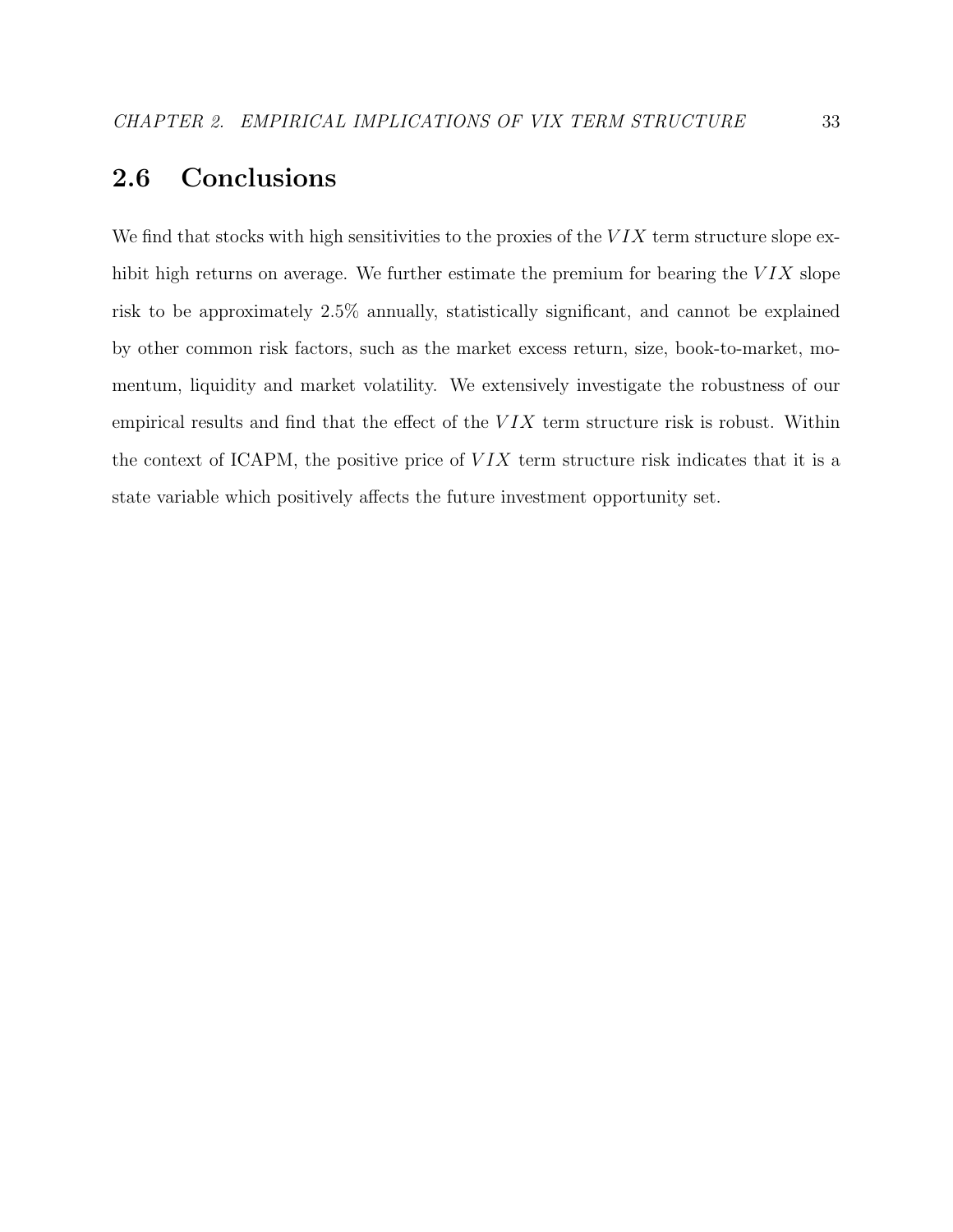# 2.6 Conclusions

We find that stocks with high sensitivities to the proxies of the  $VIX$  term structure slope exhibit high returns on average. We further estimate the premium for bearing the  $VIX$  slope risk to be approximately 2.5% annually, statistically significant, and cannot be explained by other common risk factors, such as the market excess return, size, book-to-market, momentum, liquidity and market volatility. We extensively investigate the robustness of our empirical results and find that the effect of the  $VIX$  term structure risk is robust. Within the context of ICAPM, the positive price of  $VIX$  term structure risk indicates that it is a state variable which positively affects the future investment opportunity set.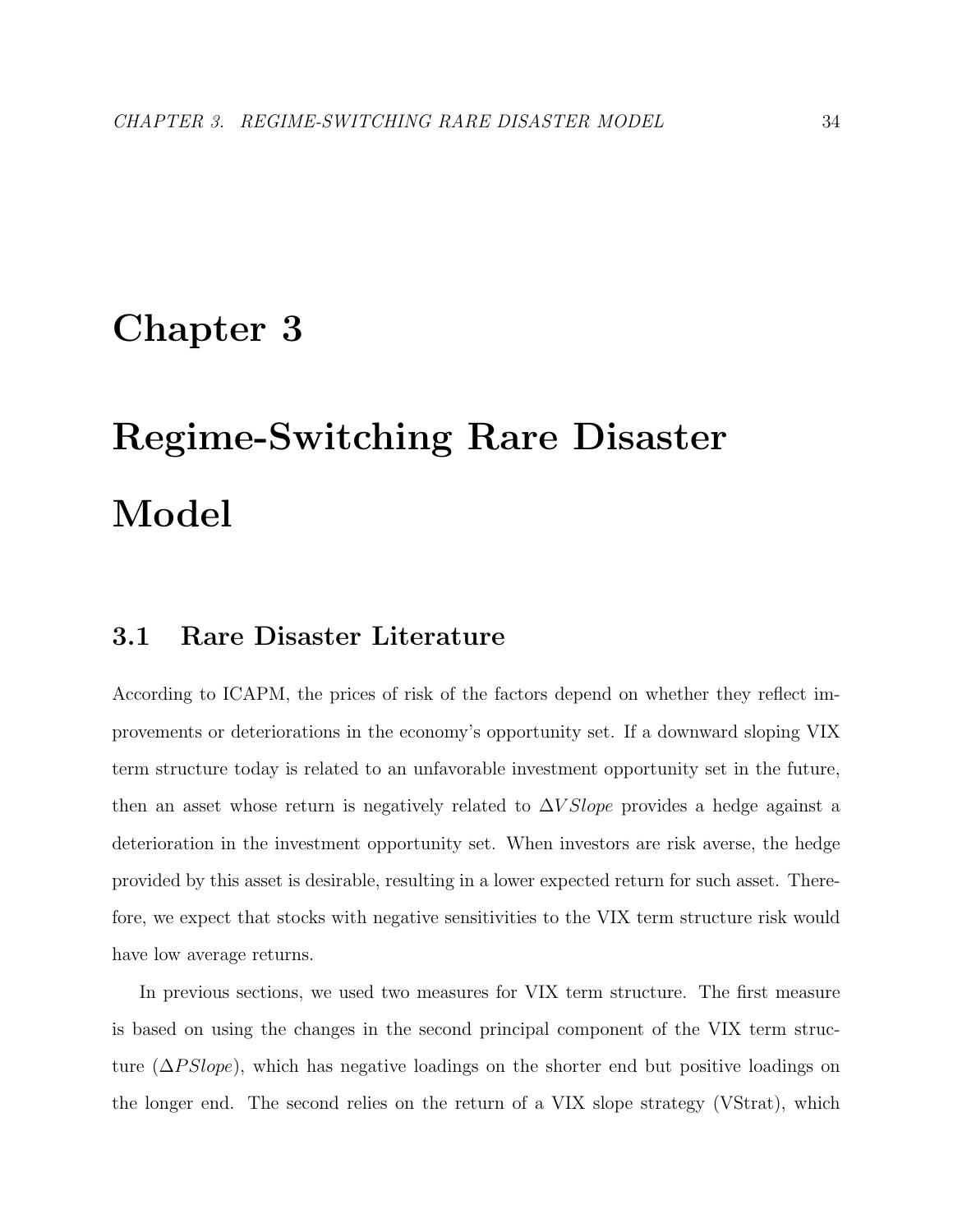# Chapter 3

# Regime-Switching Rare Disaster Model

# 3.1 Rare Disaster Literature

According to ICAPM, the prices of risk of the factors depend on whether they reflect improvements or deteriorations in the economy's opportunity set. If a downward sloping VIX term structure today is related to an unfavorable investment opportunity set in the future, then an asset whose return is negatively related to  $\Delta V Slope$  provides a hedge against a deterioration in the investment opportunity set. When investors are risk averse, the hedge provided by this asset is desirable, resulting in a lower expected return for such asset. Therefore, we expect that stocks with negative sensitivities to the VIX term structure risk would have low average returns.

In previous sections, we used two measures for VIX term structure. The first measure is based on using the changes in the second principal component of the VIX term structure ( $\Delta PSlope$ ), which has negative loadings on the shorter end but positive loadings on the longer end. The second relies on the return of a VIX slope strategy (VStrat), which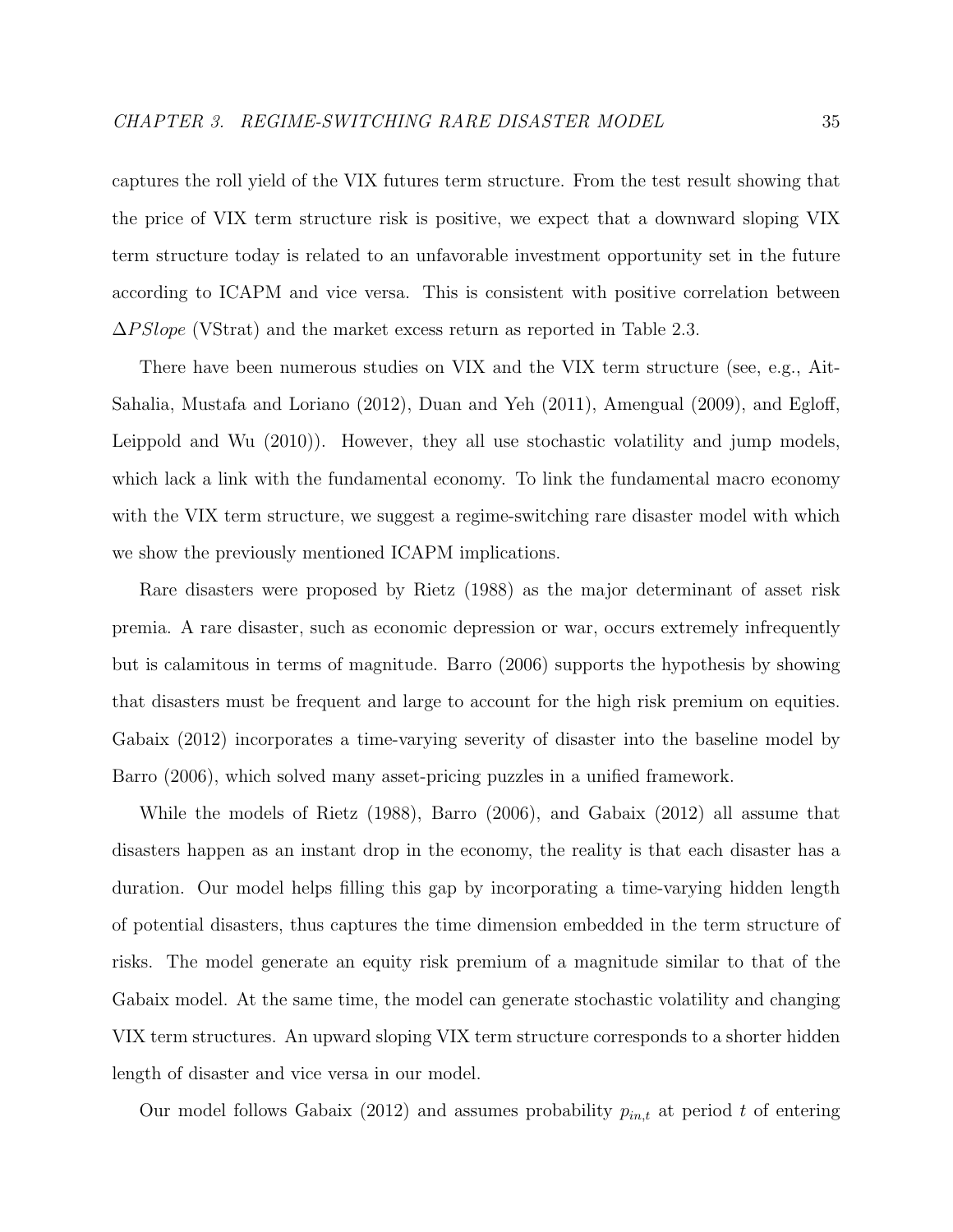captures the roll yield of the VIX futures term structure. From the test result showing that the price of VIX term structure risk is positive, we expect that a downward sloping VIX term structure today is related to an unfavorable investment opportunity set in the future according to ICAPM and vice versa. This is consistent with positive correlation between  $\Delta PSlope$  (VStrat) and the market excess return as reported in Table 2.3.

There have been numerous studies on VIX and the VIX term structure (see, e.g., Ait-Sahalia, Mustafa and Loriano (2012), Duan and Yeh (2011), Amengual (2009), and Egloff, Leippold and Wu (2010)). However, they all use stochastic volatility and jump models, which lack a link with the fundamental economy. To link the fundamental macro economy with the VIX term structure, we suggest a regime-switching rare disaster model with which we show the previously mentioned ICAPM implications.

Rare disasters were proposed by Rietz (1988) as the major determinant of asset risk premia. A rare disaster, such as economic depression or war, occurs extremely infrequently but is calamitous in terms of magnitude. Barro (2006) supports the hypothesis by showing that disasters must be frequent and large to account for the high risk premium on equities. Gabaix (2012) incorporates a time-varying severity of disaster into the baseline model by Barro (2006), which solved many asset-pricing puzzles in a unified framework.

While the models of Rietz (1988), Barro (2006), and Gabaix (2012) all assume that disasters happen as an instant drop in the economy, the reality is that each disaster has a duration. Our model helps filling this gap by incorporating a time-varying hidden length of potential disasters, thus captures the time dimension embedded in the term structure of risks. The model generate an equity risk premium of a magnitude similar to that of the Gabaix model. At the same time, the model can generate stochastic volatility and changing VIX term structures. An upward sloping VIX term structure corresponds to a shorter hidden length of disaster and vice versa in our model.

Our model follows Gabaix (2012) and assumes probability  $p_{in,t}$  at period t of entering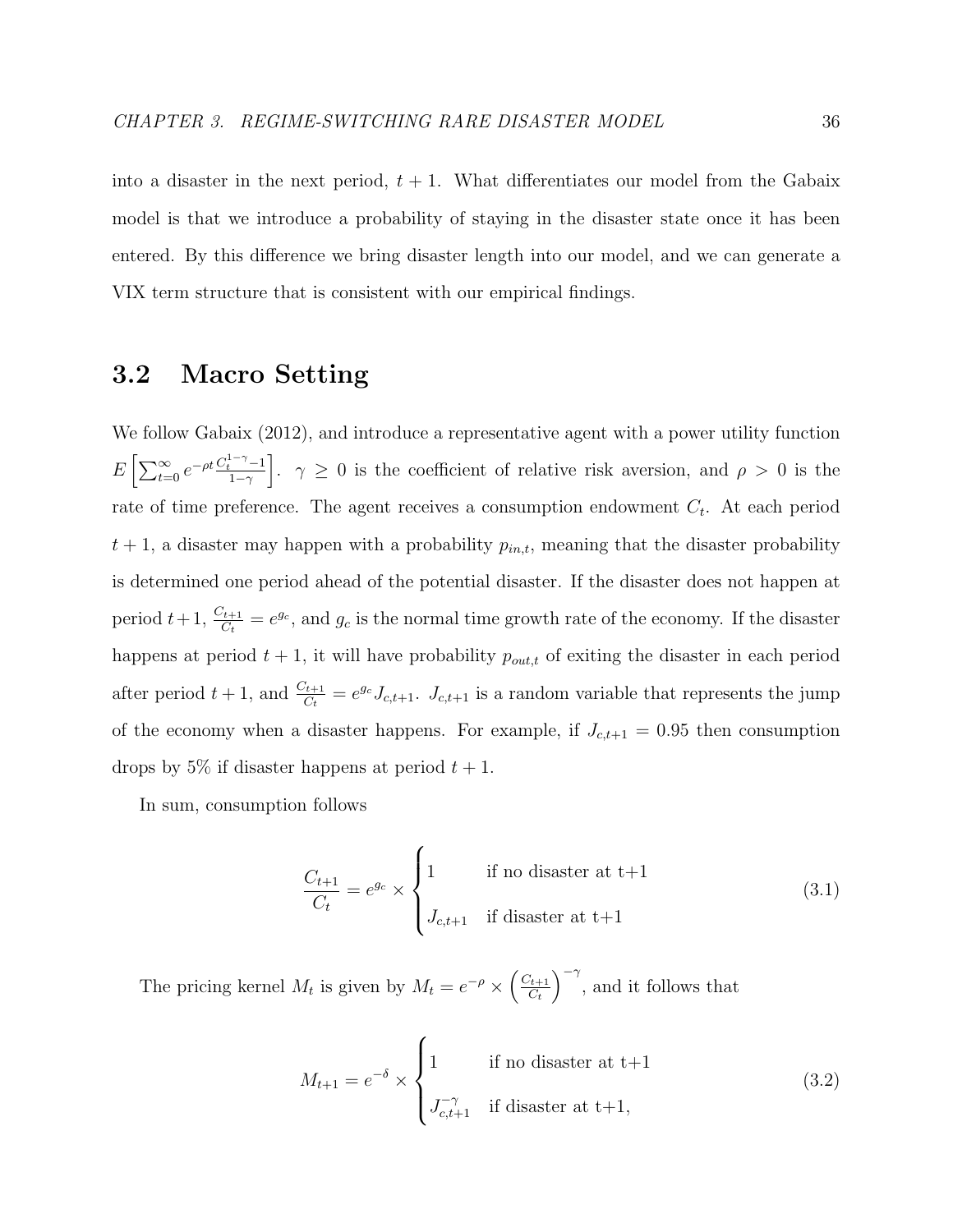into a disaster in the next period,  $t + 1$ . What differentiates our model from the Gabaix model is that we introduce a probability of staying in the disaster state once it has been entered. By this difference we bring disaster length into our model, and we can generate a VIX term structure that is consistent with our empirical findings.

# 3.2 Macro Setting

We follow Gabaix (2012), and introduce a representative agent with a power utility function  $E\left[\sum_{t=0}^{\infty}e^{-\rho t}\frac{C_t^{1-\gamma}-1}{1-\gamma}\right]$  $\left[\frac{1-\gamma}{1-\gamma}-1\right]$ .  $\gamma \geq 0$  is the coefficient of relative risk aversion, and  $\rho > 0$  is the rate of time preference. The agent receives a consumption endowment  $C_t$ . At each period  $t + 1$ , a disaster may happen with a probability  $p_{in,t}$ , meaning that the disaster probability is determined one period ahead of the potential disaster. If the disaster does not happen at period  $t+1$ ,  $\frac{C_{t+1}}{C_t} = e^{g_c}$ , and  $g_c$  is the normal time growth rate of the economy. If the disaster happens at period  $t + 1$ , it will have probability  $p_{out,t}$  of exiting the disaster in each period after period  $t+1$ , and  $\frac{C_{t+1}}{C_t} = e^{g_c} J_{c,t+1}$ .  $J_{c,t+1}$  is a random variable that represents the jump of the economy when a disaster happens. For example, if  $J_{c,t+1} = 0.95$  then consumption drops by 5% if disaster happens at period  $t + 1$ .

In sum, consumption follows

$$
\frac{C_{t+1}}{C_t} = e^{g_c} \times \begin{cases} 1 & \text{if no disaster at t+1} \\ J_{c,t+1} & \text{if disaster at t+1} \end{cases} \tag{3.1}
$$

The pricing kernel  $M_t$  is given by  $M_t = e^{-\rho} \times \left(\frac{C_{t+1}}{C_t}\right)$  $C_t$  $\int_{-\infty}^{\infty}$  and it follows that

$$
M_{t+1} = e^{-\delta} \times \begin{cases} 1 & \text{if no disaster at } t+1\\ J_{c,t+1}^{-\gamma} & \text{if disaster at } t+1, \end{cases} \tag{3.2}
$$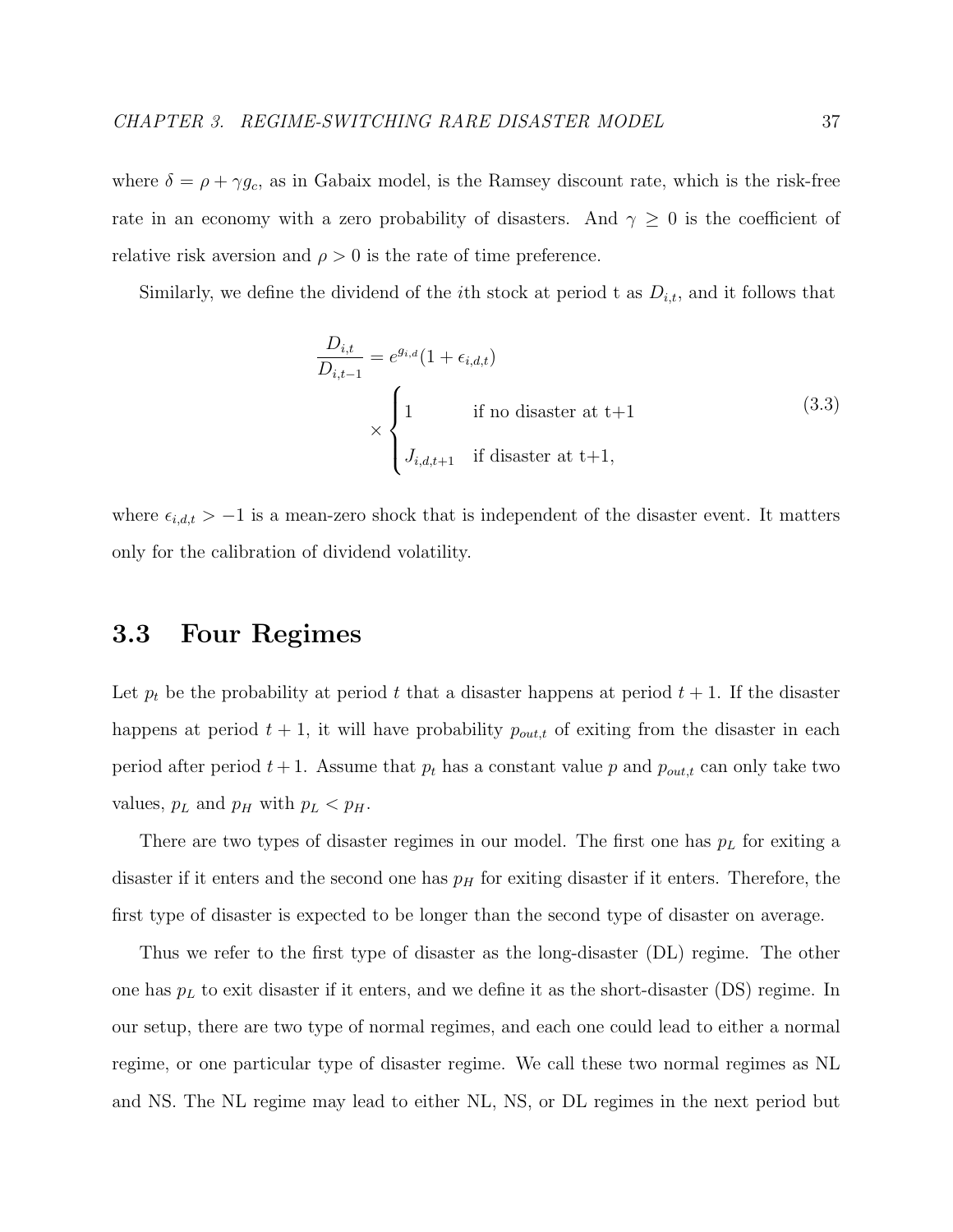where  $\delta = \rho + \gamma g_c$ , as in Gabaix model, is the Ramsey discount rate, which is the risk-free rate in an economy with a zero probability of disasters. And  $\gamma \geq 0$  is the coefficient of relative risk aversion and  $\rho > 0$  is the rate of time preference.

Similarly, we define the dividend of the *i*th stock at period t as  $D_{i,t}$ , and it follows that

$$
\frac{D_{i,t}}{D_{i,t-1}} = e^{g_{i,d}} (1 + \epsilon_{i,d,t})
$$
\n
$$
\times \begin{cases}\n1 & \text{if no disaster at t+1} \\
J_{i,d,t+1} & \text{if disaster at t+1,} \n\end{cases}
$$
\n(3.3)

where  $\epsilon_{i,d,t} > -1$  is a mean-zero shock that is independent of the disaster event. It matters only for the calibration of dividend volatility.

# 3.3 Four Regimes

Let  $p_t$  be the probability at period t that a disaster happens at period  $t + 1$ . If the disaster happens at period  $t + 1$ , it will have probability  $p_{out,t}$  of exiting from the disaster in each period after period  $t + 1$ . Assume that  $p_t$  has a constant value p and  $p_{out,t}$  can only take two values,  $p_L$  and  $p_H$  with  $p_L < p_H$ .

There are two types of disaster regimes in our model. The first one has  $p<sub>L</sub>$  for exiting a disaster if it enters and the second one has  $p<sub>H</sub>$  for exiting disaster if it enters. Therefore, the first type of disaster is expected to be longer than the second type of disaster on average.

Thus we refer to the first type of disaster as the long-disaster (DL) regime. The other one has  $p<sub>L</sub>$  to exit disaster if it enters, and we define it as the short-disaster (DS) regime. In our setup, there are two type of normal regimes, and each one could lead to either a normal regime, or one particular type of disaster regime. We call these two normal regimes as NL and NS. The NL regime may lead to either NL, NS, or DL regimes in the next period but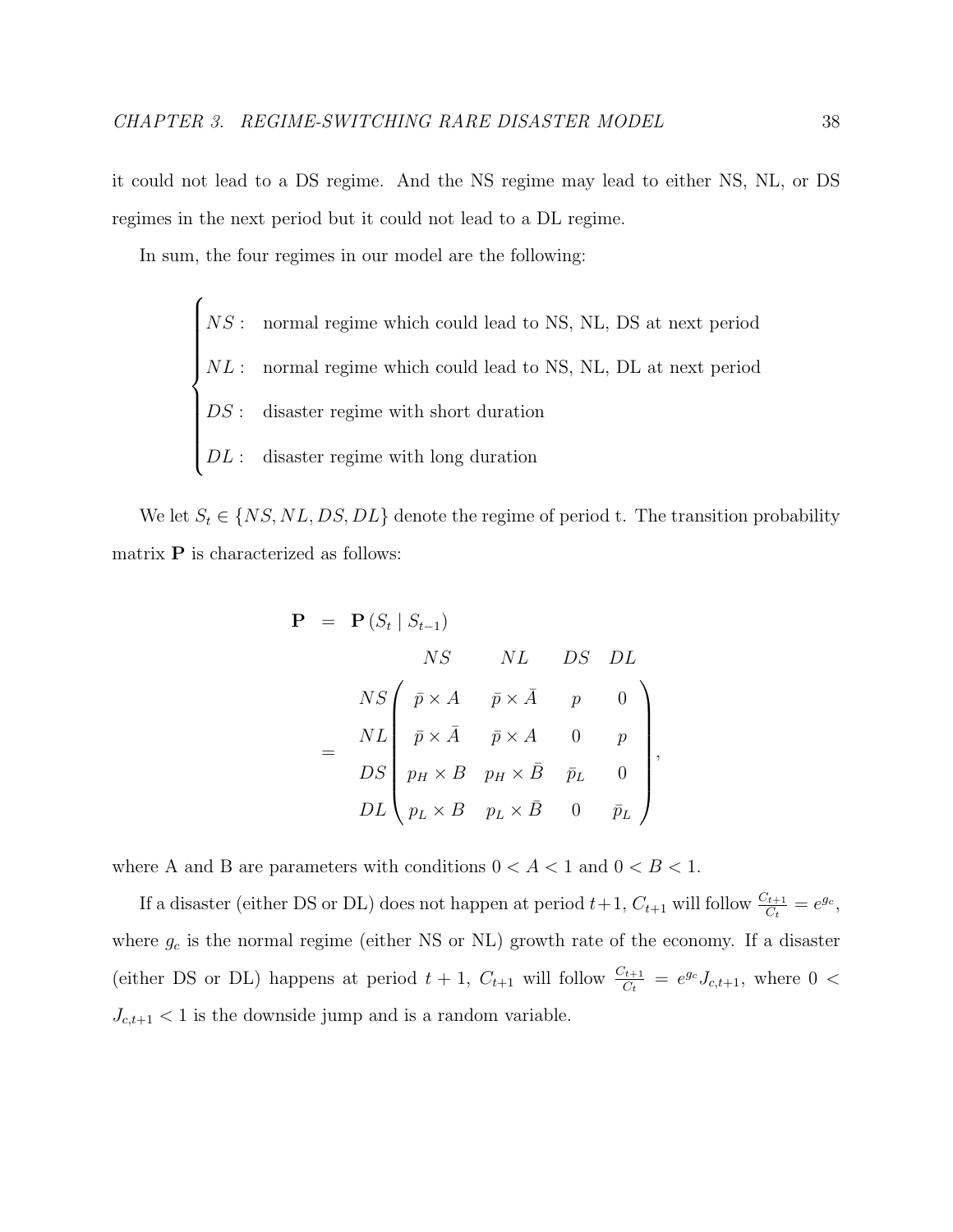it could not lead to a DS regime. And the NS regime may lead to either NS, NL, or DS regimes in the next period but it could not lead to a DL regime.

In sum, the four regimes in our model are the following:

 $\sqrt{ }$  $\begin{array}{c} \hline \end{array}$  $\begin{array}{c} \hline \end{array}$ NS : normal regime which could lead to NS, NL, DS at next period  $NL:$  normal regime which could lead to NS, NL, DL at next period DS : disaster regime with short duration  $DL:$  disaster regime with long duration

We let  $S_t \in \{NS, NL, DS, DL\}$  denote the regime of period t. The transition probability matrix  $P$  is characterized as follows:

$$
\mathbf{P} = \mathbf{P}(S_t | S_{t-1})
$$
  
\n
$$
NS \qquad NL \qquad DS \qquad DL
$$
  
\n
$$
NS \qquad \bar{p} \times \bar{A} \qquad \bar{p} \times \bar{A} \qquad p \qquad 0
$$
  
\n
$$
= \begin{bmatrix} NL \\ D S \\ p_H \times B & p_H \times \bar{B} & \bar{p}_L & 0 \\ p_L \times B & p_L \times \bar{B} & 0 & \bar{p}_L \end{bmatrix}
$$

,

where A and B are parameters with conditions  $0 < A < 1$  and  $0 < B < 1$ .

If a disaster (either DS or DL) does not happen at period  $t+1$ ,  $C_{t+1}$  will follow  $\frac{C_{t+1}}{C_t} = e^{g_c}$ , where  $g_c$  is the normal regime (either NS or NL) growth rate of the economy. If a disaster (either DS or DL) happens at period  $t + 1$ ,  $C_{t+1}$  will follow  $\frac{C_{t+1}}{C_t} = e^{g_c} J_{c,t+1}$ , where  $0 <$  $J_{c,t+1}$  < 1 is the downside jump and is a random variable.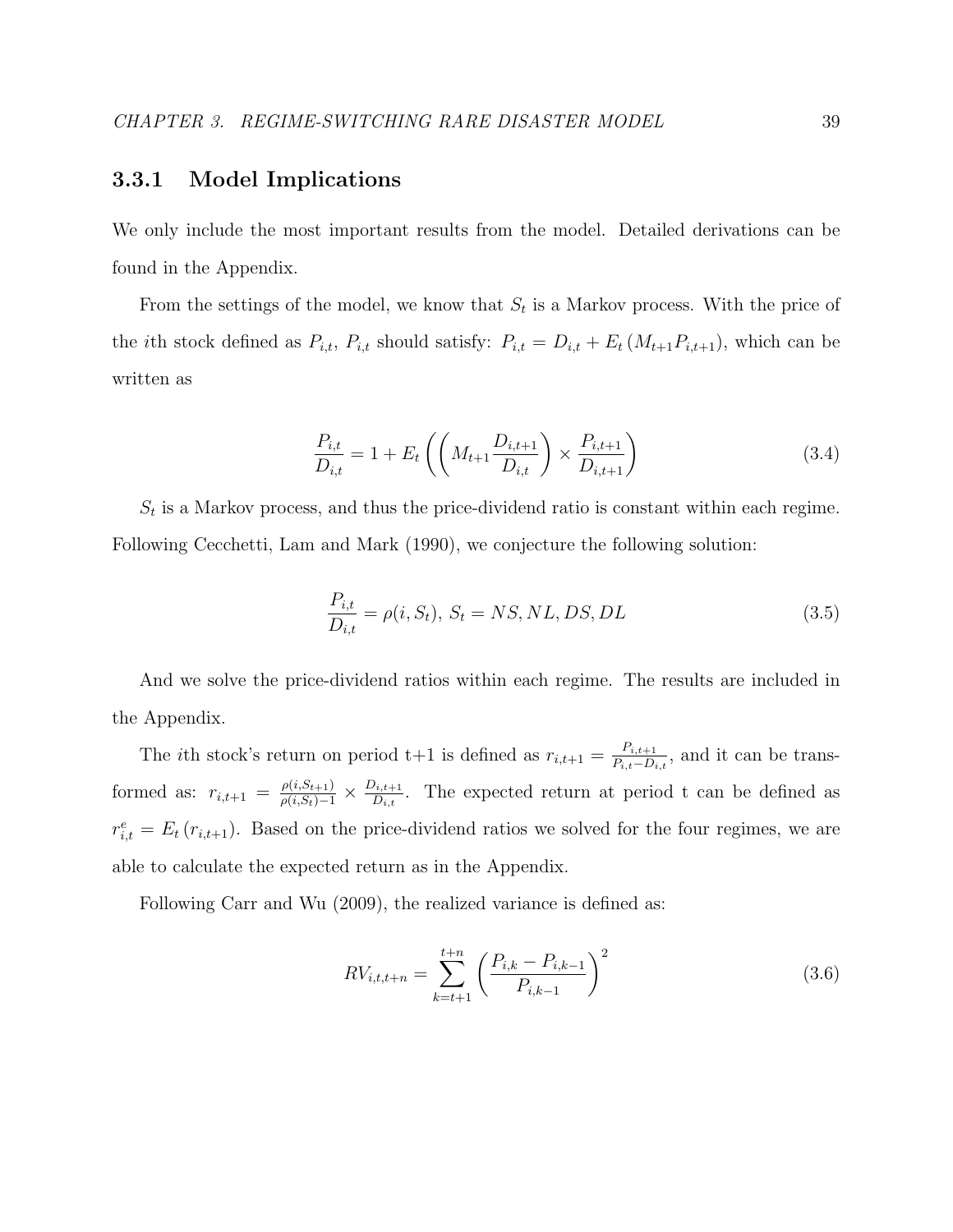# 3.3.1 Model Implications

We only include the most important results from the model. Detailed derivations can be found in the Appendix.

From the settings of the model, we know that  $S_t$  is a Markov process. With the price of the *i*th stock defined as  $P_{i,t}$ ,  $P_{i,t}$  should satisfy:  $P_{i,t} = D_{i,t} + E_t (M_{t+1}P_{i,t+1})$ , which can be written as

$$
\frac{P_{i,t}}{D_{i,t}} = 1 + E_t \left( \left( M_{t+1} \frac{D_{i,t+1}}{D_{i,t}} \right) \times \frac{P_{i,t+1}}{D_{i,t+1}} \right)
$$
(3.4)

 $S_t$  is a Markov process, and thus the price-dividend ratio is constant within each regime. Following Cecchetti, Lam and Mark (1990), we conjecture the following solution:

$$
\frac{P_{i,t}}{D_{i,t}} = \rho(i, S_t), \ S_t = NS, NL, DS, DL \tag{3.5}
$$

And we solve the price-dividend ratios within each regime. The results are included in the Appendix.

The *i*th stock's return on period t+1 is defined as  $r_{i,t+1} = \frac{P_{i,t+1}}{P_{i,t}-D_{i,t}}$  $\frac{P_{i,t+1}}{P_{i,t}-D_{i,t}}$ , and it can be transformed as:  $r_{i,t+1} = \frac{\rho(i, S_{t+1})}{\rho(i, S_t)-1} \times \frac{D_{i,t+1}}{D_{i,t}}$  $\frac{\partial I_{i,t+1}}{\partial I_{i,t}}$ . The expected return at period t can be defined as  $r_{i,t}^e = E_t(r_{i,t+1})$ . Based on the price-dividend ratios we solved for the four regimes, we are able to calculate the expected return as in the Appendix.

Following Carr and Wu (2009), the realized variance is defined as:

$$
RV_{i,t,t+n} = \sum_{k=t+1}^{t+n} \left( \frac{P_{i,k} - P_{i,k-1}}{P_{i,k-1}} \right)^2
$$
\n(3.6)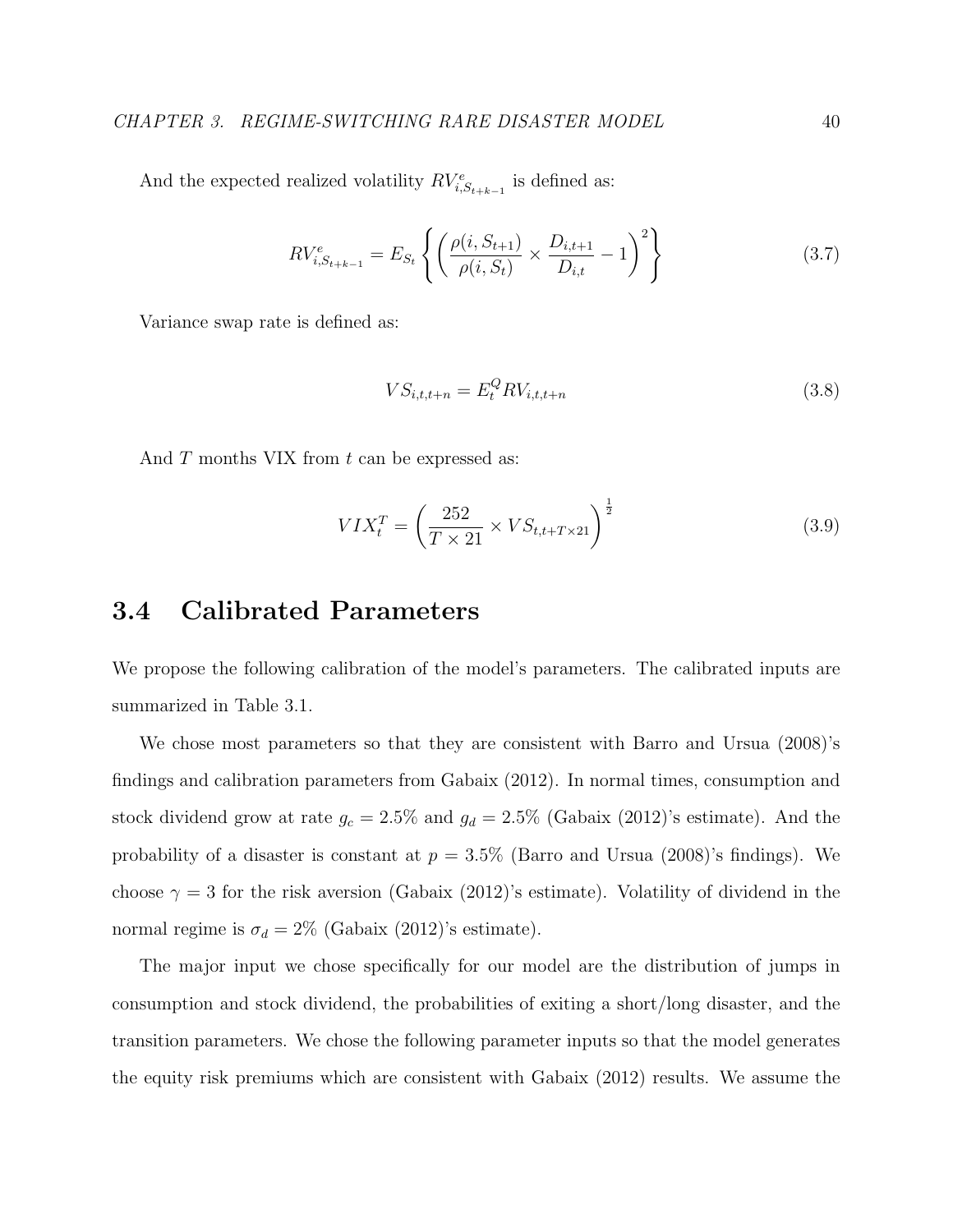And the expected realized volatility  $RV_{i,S_{t+k-1}}^{e}$  is defined as:

$$
RV_{i, S_{t+k-1}}^{e} = E_{S_t} \left\{ \left( \frac{\rho(i, S_{t+1})}{\rho(i, S_t)} \times \frac{D_{i, t+1}}{D_{i, t}} - 1 \right)^2 \right\}
$$
(3.7)

Variance swap rate is defined as:

$$
VS_{i,t,t+n} = E_t^Q RV_{i,t,t+n}
$$
\n(3.8)

And T months VIX from t can be expressed as:

$$
VIX_t^T = \left(\frac{252}{T \times 21} \times VS_{t,t+T \times 21}\right)^{\frac{1}{2}}
$$
\n(3.9)

# 3.4 Calibrated Parameters

We propose the following calibration of the model's parameters. The calibrated inputs are summarized in Table 3.1.

We chose most parameters so that they are consistent with Barro and Ursua (2008)'s findings and calibration parameters from Gabaix (2012). In normal times, consumption and stock dividend grow at rate  $g_c = 2.5\%$  and  $g_d = 2.5\%$  (Gabaix (2012)'s estimate). And the probability of a disaster is constant at  $p = 3.5\%$  (Barro and Ursua (2008)'s findings). We choose  $\gamma = 3$  for the risk aversion (Gabaix (2012)'s estimate). Volatility of dividend in the normal regime is  $\sigma_d = 2\%$  (Gabaix (2012)'s estimate).

The major input we chose specifically for our model are the distribution of jumps in consumption and stock dividend, the probabilities of exiting a short/long disaster, and the transition parameters. We chose the following parameter inputs so that the model generates the equity risk premiums which are consistent with Gabaix (2012) results. We assume the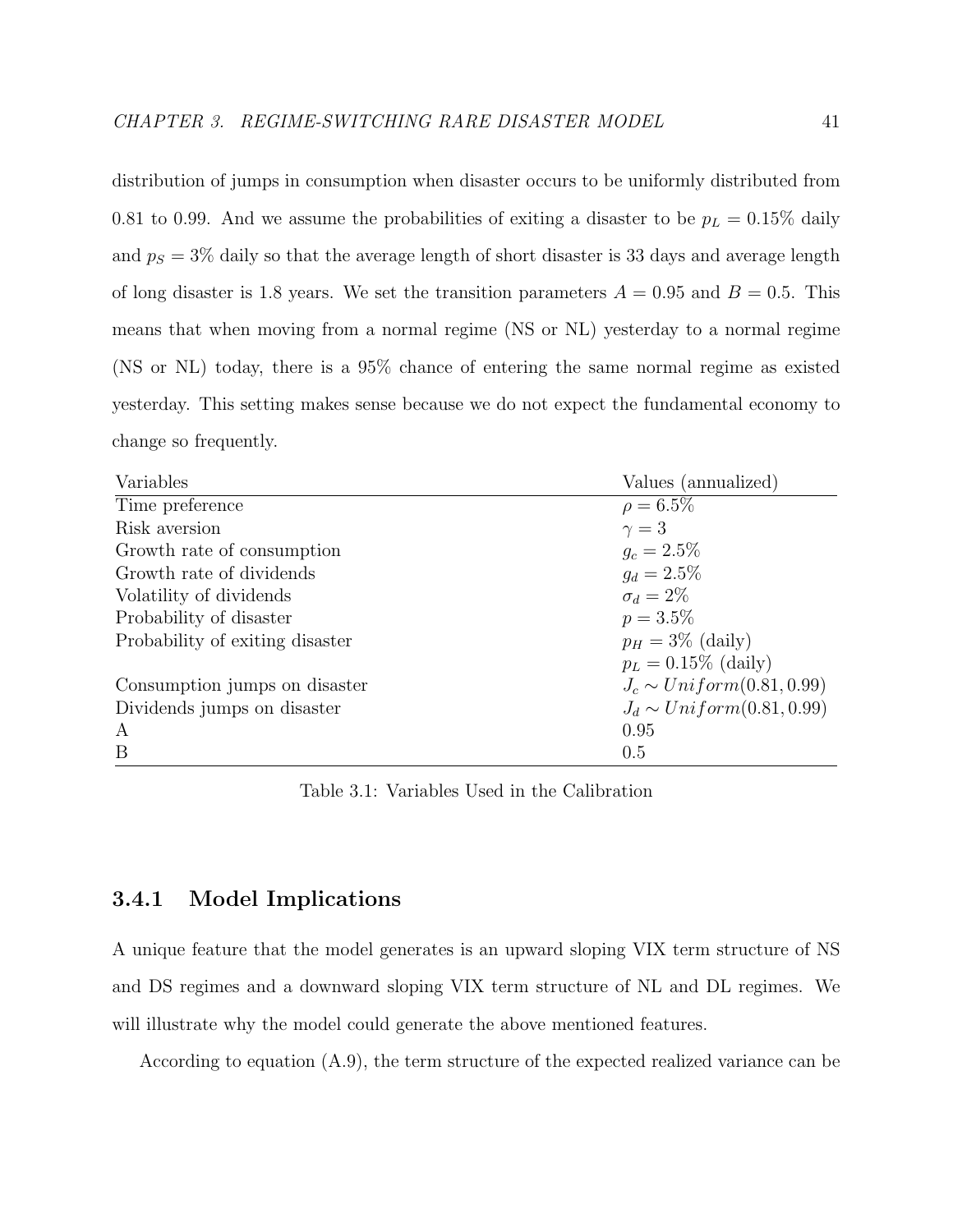distribution of jumps in consumption when disaster occurs to be uniformly distributed from 0.81 to 0.99. And we assume the probabilities of exiting a disaster to be  $p_L = 0.15\%$  daily and  $p_S = 3\%$  daily so that the average length of short disaster is 33 days and average length of long disaster is 1.8 years. We set the transition parameters  $A = 0.95$  and  $B = 0.5$ . This means that when moving from a normal regime (NS or NL) yesterday to a normal regime (NS or NL) today, there is a 95% chance of entering the same normal regime as existed yesterday. This setting makes sense because we do not expect the fundamental economy to change so frequently.

| Variables                       | Values (annualized)            |
|---------------------------------|--------------------------------|
| Time preference                 | $\rho = 6.5\%$                 |
| Risk aversion                   | $\gamma=3$                     |
| Growth rate of consumption      | $q_c = 2.5\%$                  |
| Growth rate of dividends        | $g_d = 2.5\%$                  |
| Volatility of dividends         | $\sigma_d = 2\%$               |
| Probability of disaster         | $p = 3.5\%$                    |
| Probability of exiting disaster | $p_H = 3\%$ (daily)            |
|                                 | $p_L = 0.15\%$ (daily)         |
| Consumption jumps on disaster   | $J_c \sim Uniform(0.81, 0.99)$ |
| Dividends jumps on disaster     | $J_d \sim Uniform(0.81, 0.99)$ |
| A                               | 0.95                           |
| B                               | 0.5                            |

Table 3.1: Variables Used in the Calibration

### 3.4.1 Model Implications

A unique feature that the model generates is an upward sloping VIX term structure of NS and DS regimes and a downward sloping VIX term structure of NL and DL regimes. We will illustrate why the model could generate the above mentioned features.

According to equation (A.9), the term structure of the expected realized variance can be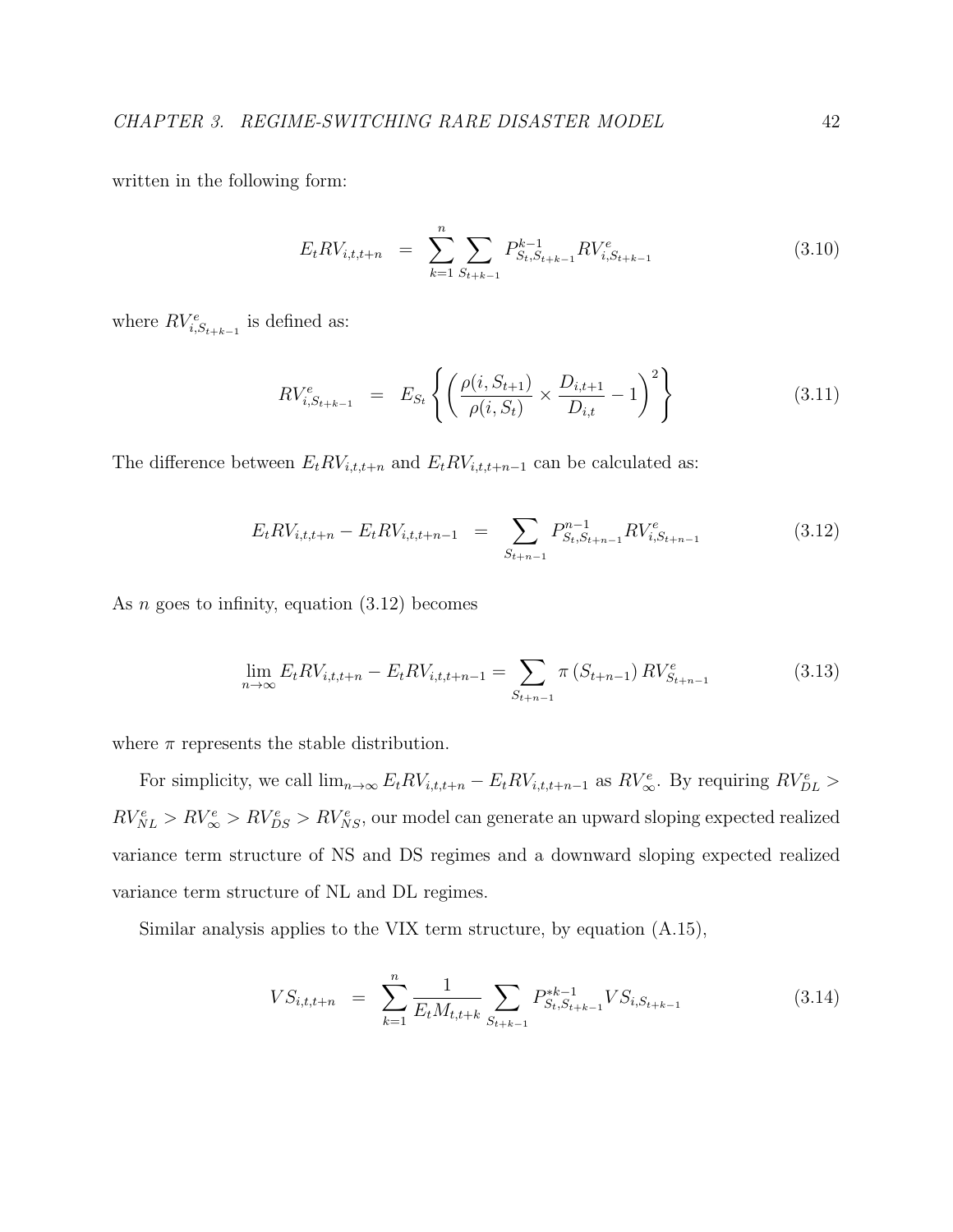written in the following form:

$$
E_t R V_{i,t,t+n} = \sum_{k=1}^n \sum_{S_{t+k-1}} P_{S_t, S_{t+k-1}}^{k-1} R V_{i,S_{t+k-1}}^e \tag{3.10}
$$

where  $RV_{i,S_{t+k-1}}^e$  is defined as:

$$
RV_{i, S_{t+k-1}}^{e} = E_{S_t} \left\{ \left( \frac{\rho(i, S_{t+1})}{\rho(i, S_t)} \times \frac{D_{i,t+1}}{D_{i,t}} - 1 \right)^2 \right\}
$$
(3.11)

The difference between  $E_t RV_{i,t,t+n}$  and  $E_t RV_{i,t,t+n-1}$  can be calculated as:

$$
E_t RV_{i,t,t+n} - E_t RV_{i,t,t+n-1} = \sum_{S_{t+n-1}} P_{S_t, S_{t+n-1}}^{n-1} RV_{i,S_{t+n-1}}^e \tag{3.12}
$$

As  $n$  goes to infinity, equation  $(3.12)$  becomes

$$
\lim_{n \to \infty} E_t R V_{i,t,t+n} - E_t R V_{i,t,t+n-1} = \sum_{S_{t+n-1}} \pi \left( S_{t+n-1} \right) R V_{S_{t+n-1}}^e \tag{3.13}
$$

where  $\pi$  represents the stable distribution.

For simplicity, we call  $\lim_{n\to\infty} E_t RV_{i,t,t+n} - E_t RV_{i,t,t+n-1}$  as  $RV_{\infty}^e$ . By requiring  $RV_{DL}^e >$  $RV_{NL}^e > RV_{\infty}^e > RV_{DS}^e > RV_{NS}^e$ , our model can generate an upward sloping expected realized variance term structure of NS and DS regimes and a downward sloping expected realized variance term structure of NL and DL regimes.

Similar analysis applies to the VIX term structure, by equation (A.15),

$$
VS_{i,t,t+n} = \sum_{k=1}^{n} \frac{1}{E_t M_{t,t+k}} \sum_{S_{t+k-1}} P_{S_t, S_{t+k-1}}^{*k-1} VS_{i, S_{t+k-1}}
$$
(3.14)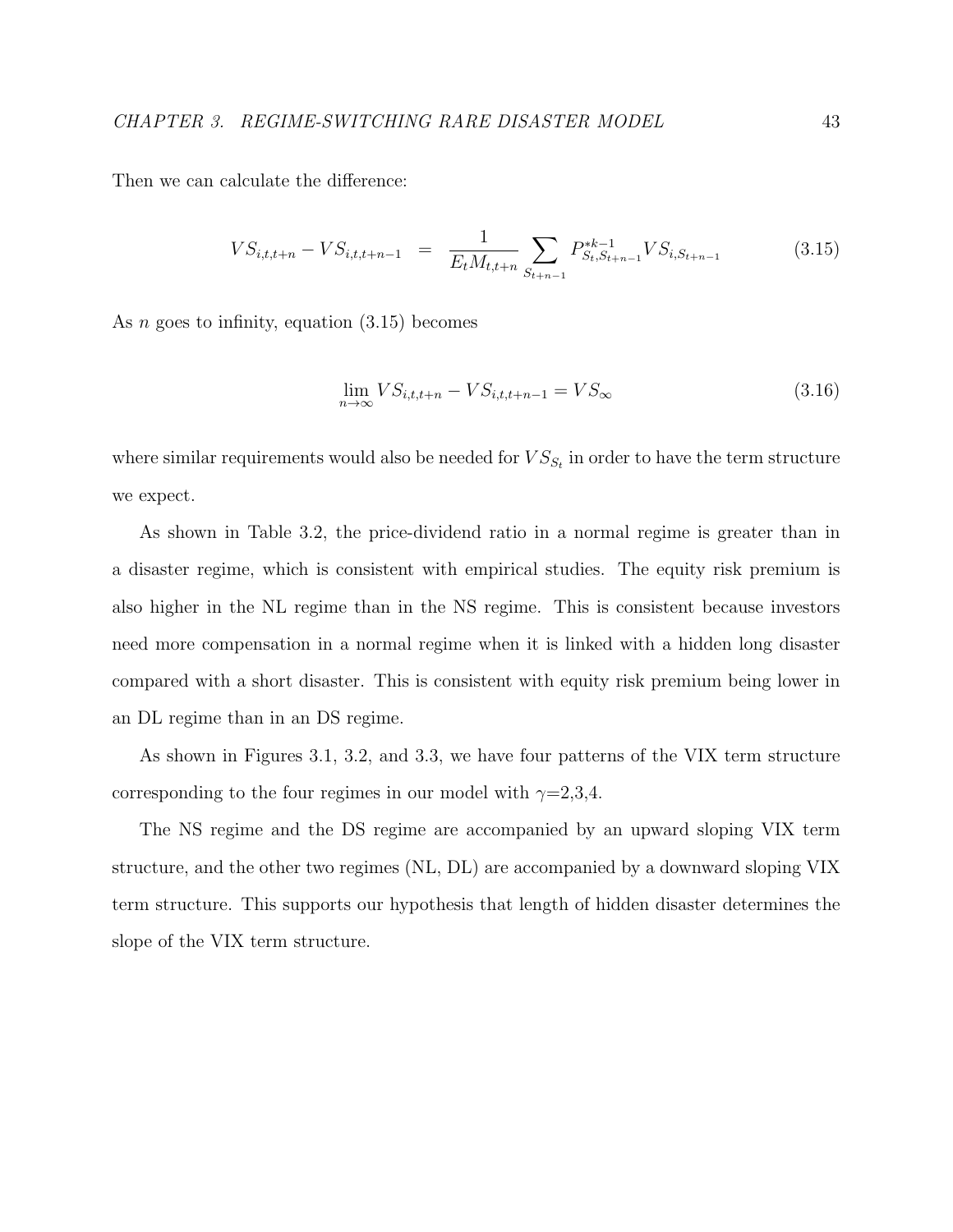Then we can calculate the difference:

$$
VS_{i,t,t+n} - VS_{i,t,t+n-1} = \frac{1}{E_t M_{t,t+n}} \sum_{S_{t+n-1}} P_{S_t, S_{t+n-1}}^{*k-1} VS_{i,S_{t+n-1}}
$$
(3.15)

As  $n$  goes to infinity, equation  $(3.15)$  becomes

$$
\lim_{n \to \infty} V S_{i,t,t+n} - V S_{i,t,t+n-1} = V S_{\infty}
$$
\n(3.16)

where similar requirements would also be needed for  $VS_{S_t}$  in order to have the term structure we expect.

As shown in Table 3.2, the price-dividend ratio in a normal regime is greater than in a disaster regime, which is consistent with empirical studies. The equity risk premium is also higher in the NL regime than in the NS regime. This is consistent because investors need more compensation in a normal regime when it is linked with a hidden long disaster compared with a short disaster. This is consistent with equity risk premium being lower in an DL regime than in an DS regime.

As shown in Figures 3.1, 3.2, and 3.3, we have four patterns of the VIX term structure corresponding to the four regimes in our model with  $\gamma=2,3,4$ .

The NS regime and the DS regime are accompanied by an upward sloping VIX term structure, and the other two regimes (NL, DL) are accompanied by a downward sloping VIX term structure. This supports our hypothesis that length of hidden disaster determines the slope of the VIX term structure.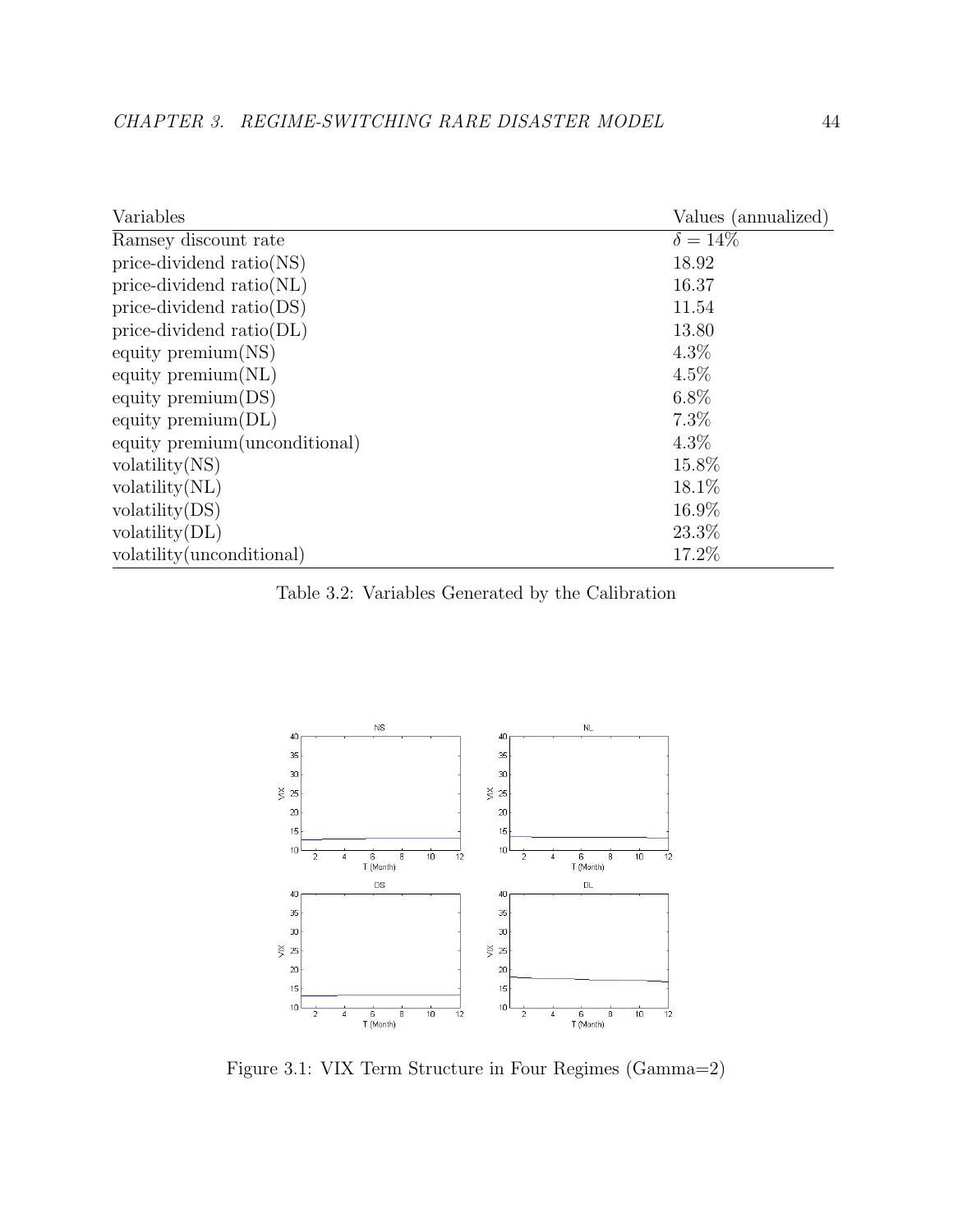| Variables                      | Values (annualized) |
|--------------------------------|---------------------|
| Ramsey discount rate           | $\delta = 14\%$     |
| price-dividend $ratio(NS)$     | 18.92               |
| price-dividend ratio(NL)       | 16.37               |
| price-dividend $ratio(DS)$     | 11.54               |
| price-dividend $ratio(DL)$     | 13.80               |
| equity premium $(NS)$          | $4.3\%$             |
| equity $\mathrm{premium}(NL)$  | $4.5\%$             |
| equity premium $(DS)$          | $6.8\%$             |
| equity premium $(DL)$          | 7.3%                |
| equity premium (unconditional) | $4.3\%$             |
| volatility(NS)                 | 15.8%               |
| volatility(NL)                 | 18.1\%              |
| volatility(DS)                 | 16.9%               |
| volatility(DL)                 | 23.3%               |
| volatility (unconditional)     | 17.2%               |

Table 3.2: Variables Generated by the Calibration



Figure 3.1: VIX Term Structure in Four Regimes (Gamma=2)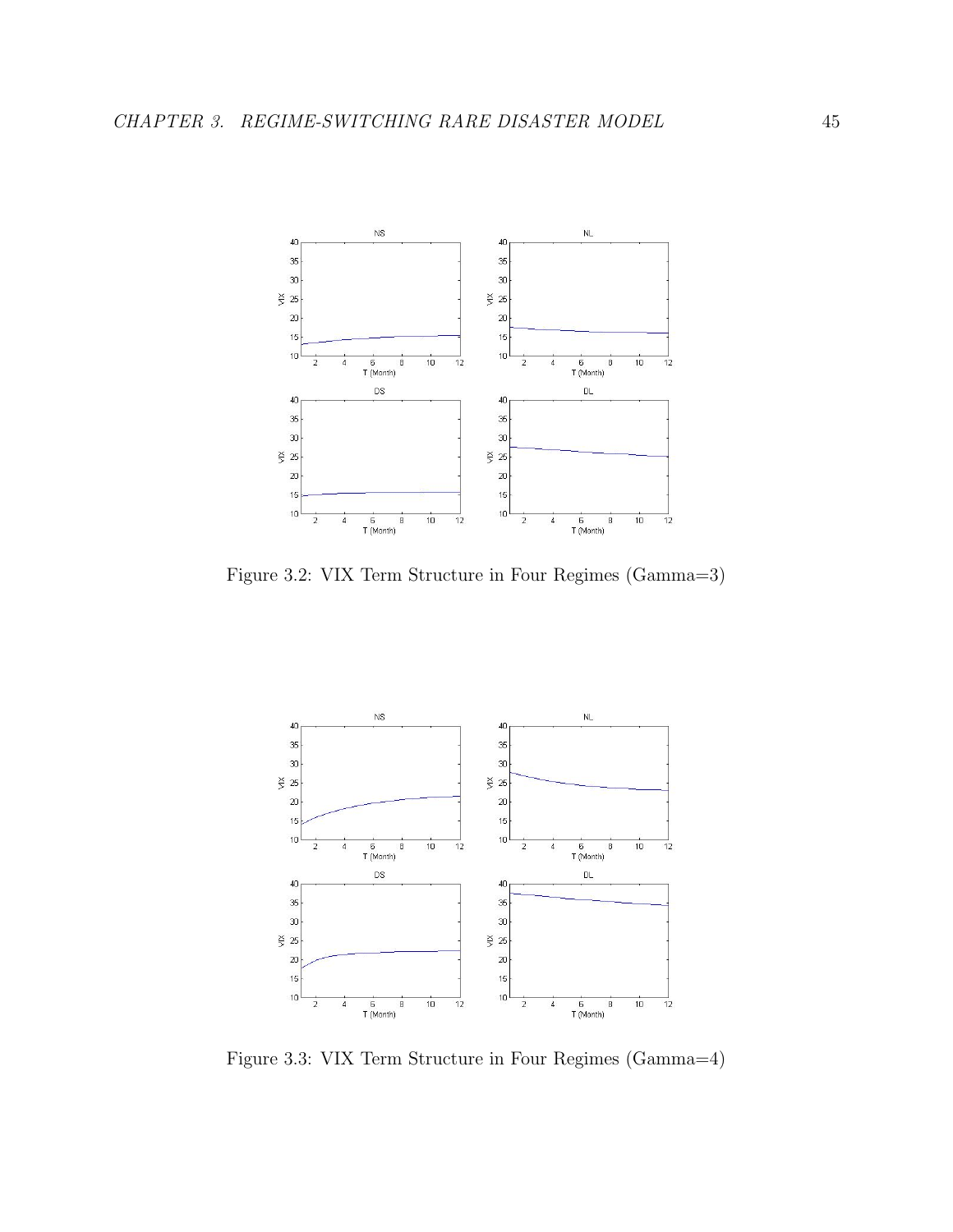

Figure 3.2: VIX Term Structure in Four Regimes (Gamma=3)



Figure 3.3: VIX Term Structure in Four Regimes (Gamma=4)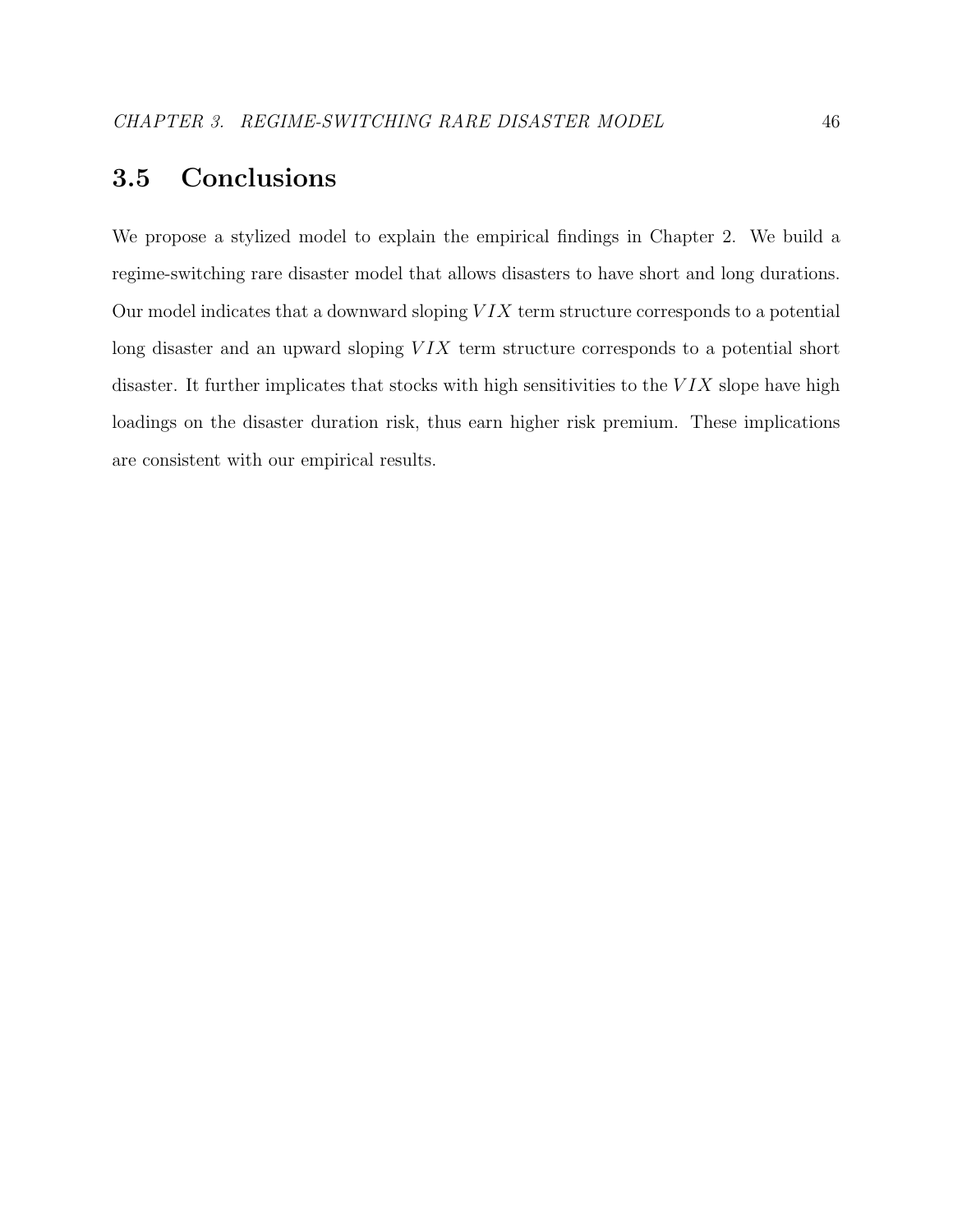# 3.5 Conclusions

We propose a stylized model to explain the empirical findings in Chapter 2. We build a regime-switching rare disaster model that allows disasters to have short and long durations. Our model indicates that a downward sloping  $VIX$  term structure corresponds to a potential long disaster and an upward sloping  $VIX$  term structure corresponds to a potential short disaster. It further implicates that stocks with high sensitivities to the  $VIX$  slope have high loadings on the disaster duration risk, thus earn higher risk premium. These implications are consistent with our empirical results.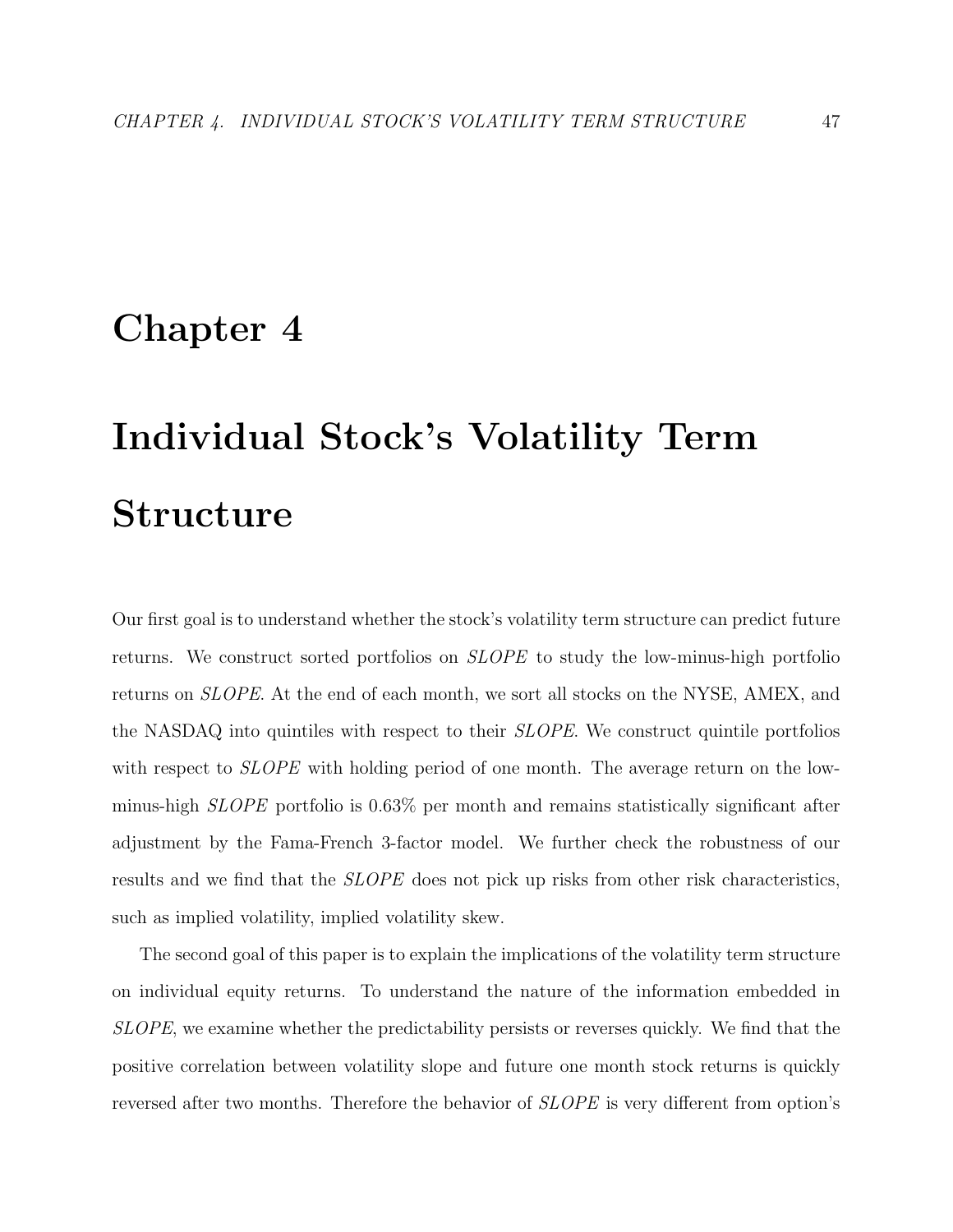# Chapter 4

# Individual Stock's Volatility Term Structure

Our first goal is to understand whether the stock's volatility term structure can predict future returns. We construct sorted portfolios on SLOPE to study the low-minus-high portfolio returns on SLOPE. At the end of each month, we sort all stocks on the NYSE, AMEX, and the NASDAQ into quintiles with respect to their SLOPE. We construct quintile portfolios with respect to *SLOPE* with holding period of one month. The average return on the lowminus-high SLOPE portfolio is 0.63% per month and remains statistically significant after adjustment by the Fama-French 3-factor model. We further check the robustness of our results and we find that the *SLOPE* does not pick up risks from other risk characteristics, such as implied volatility, implied volatility skew.

The second goal of this paper is to explain the implications of the volatility term structure on individual equity returns. To understand the nature of the information embedded in SLOPE, we examine whether the predictability persists or reverses quickly. We find that the positive correlation between volatility slope and future one month stock returns is quickly reversed after two months. Therefore the behavior of SLOPE is very different from option's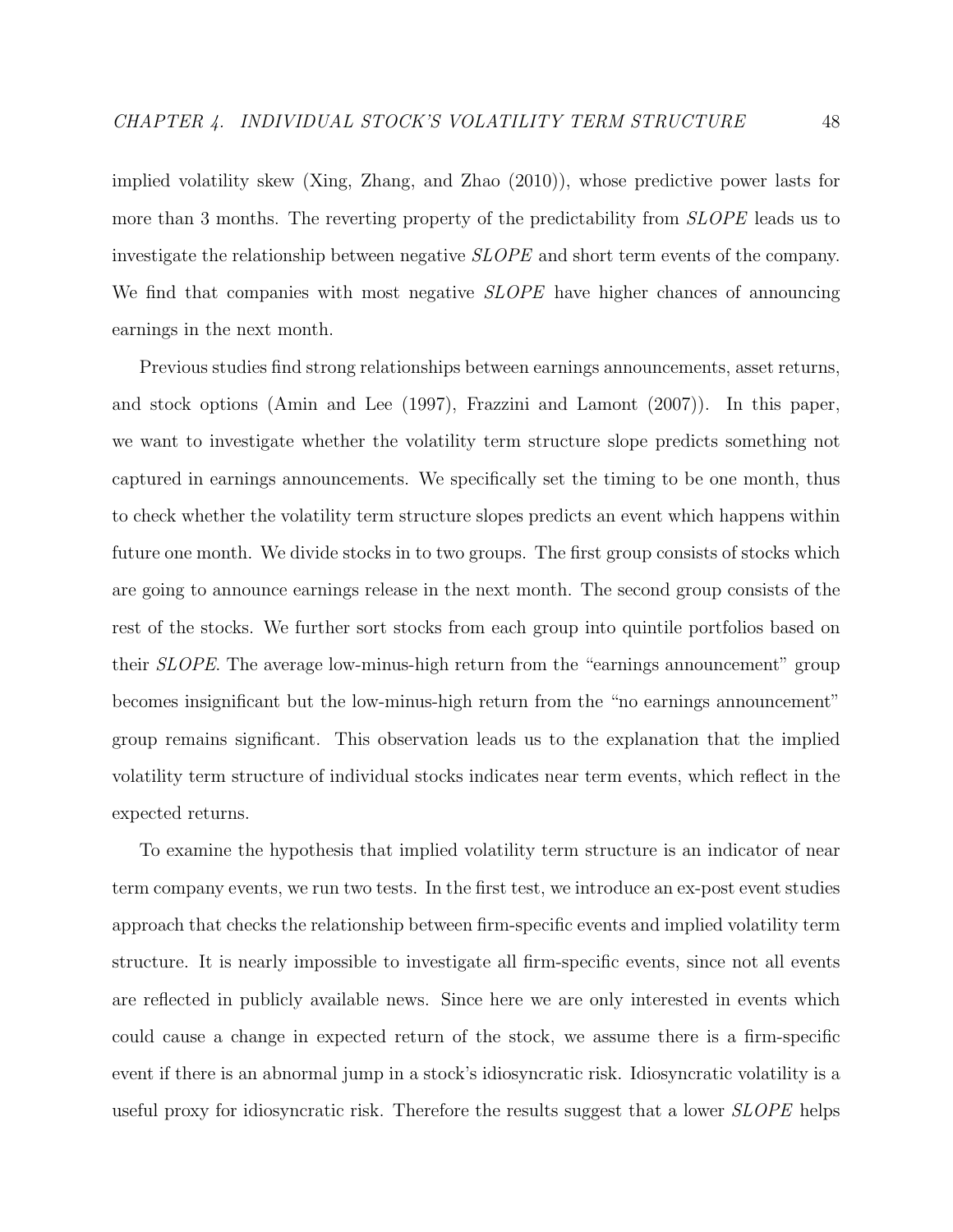implied volatility skew (Xing, Zhang, and Zhao (2010)), whose predictive power lasts for more than 3 months. The reverting property of the predictability from *SLOPE* leads us to investigate the relationship between negative SLOPE and short term events of the company. We find that companies with most negative SLOPE have higher chances of announcing earnings in the next month.

Previous studies find strong relationships between earnings announcements, asset returns, and stock options (Amin and Lee (1997), Frazzini and Lamont (2007)). In this paper, we want to investigate whether the volatility term structure slope predicts something not captured in earnings announcements. We specifically set the timing to be one month, thus to check whether the volatility term structure slopes predicts an event which happens within future one month. We divide stocks in to two groups. The first group consists of stocks which are going to announce earnings release in the next month. The second group consists of the rest of the stocks. We further sort stocks from each group into quintile portfolios based on their SLOPE. The average low-minus-high return from the "earnings announcement" group becomes insignificant but the low-minus-high return from the "no earnings announcement" group remains significant. This observation leads us to the explanation that the implied volatility term structure of individual stocks indicates near term events, which reflect in the expected returns.

To examine the hypothesis that implied volatility term structure is an indicator of near term company events, we run two tests. In the first test, we introduce an ex-post event studies approach that checks the relationship between firm-specific events and implied volatility term structure. It is nearly impossible to investigate all firm-specific events, since not all events are reflected in publicly available news. Since here we are only interested in events which could cause a change in expected return of the stock, we assume there is a firm-specific event if there is an abnormal jump in a stock's idiosyncratic risk. Idiosyncratic volatility is a useful proxy for idiosyncratic risk. Therefore the results suggest that a lower SLOPE helps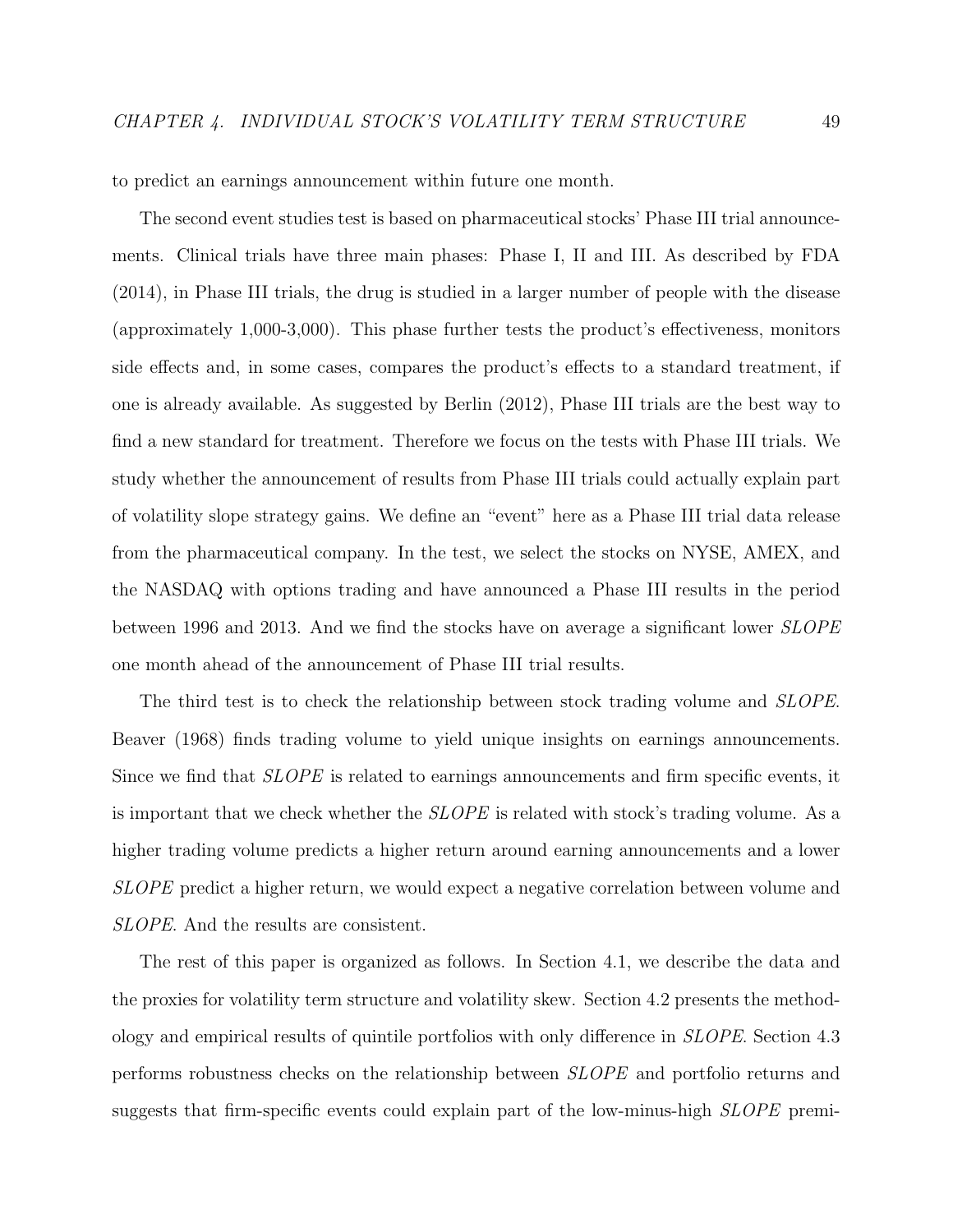to predict an earnings announcement within future one month.

The second event studies test is based on pharmaceutical stocks' Phase III trial announcements. Clinical trials have three main phases: Phase I, II and III. As described by FDA (2014), in Phase III trials, the drug is studied in a larger number of people with the disease (approximately 1,000-3,000). This phase further tests the product's effectiveness, monitors side effects and, in some cases, compares the product's effects to a standard treatment, if one is already available. As suggested by Berlin (2012), Phase III trials are the best way to find a new standard for treatment. Therefore we focus on the tests with Phase III trials. We study whether the announcement of results from Phase III trials could actually explain part of volatility slope strategy gains. We define an "event" here as a Phase III trial data release from the pharmaceutical company. In the test, we select the stocks on NYSE, AMEX, and the NASDAQ with options trading and have announced a Phase III results in the period between 1996 and 2013. And we find the stocks have on average a significant lower SLOPE one month ahead of the announcement of Phase III trial results.

The third test is to check the relationship between stock trading volume and *SLOPE*. Beaver (1968) finds trading volume to yield unique insights on earnings announcements. Since we find that SLOPE is related to earnings announcements and firm specific events, it is important that we check whether the SLOPE is related with stock's trading volume. As a higher trading volume predicts a higher return around earning announcements and a lower SLOPE predict a higher return, we would expect a negative correlation between volume and SLOPE. And the results are consistent.

The rest of this paper is organized as follows. In Section 4.1, we describe the data and the proxies for volatility term structure and volatility skew. Section 4.2 presents the methodology and empirical results of quintile portfolios with only difference in SLOPE. Section 4.3 performs robustness checks on the relationship between SLOPE and portfolio returns and suggests that firm-specific events could explain part of the low-minus-high SLOPE premi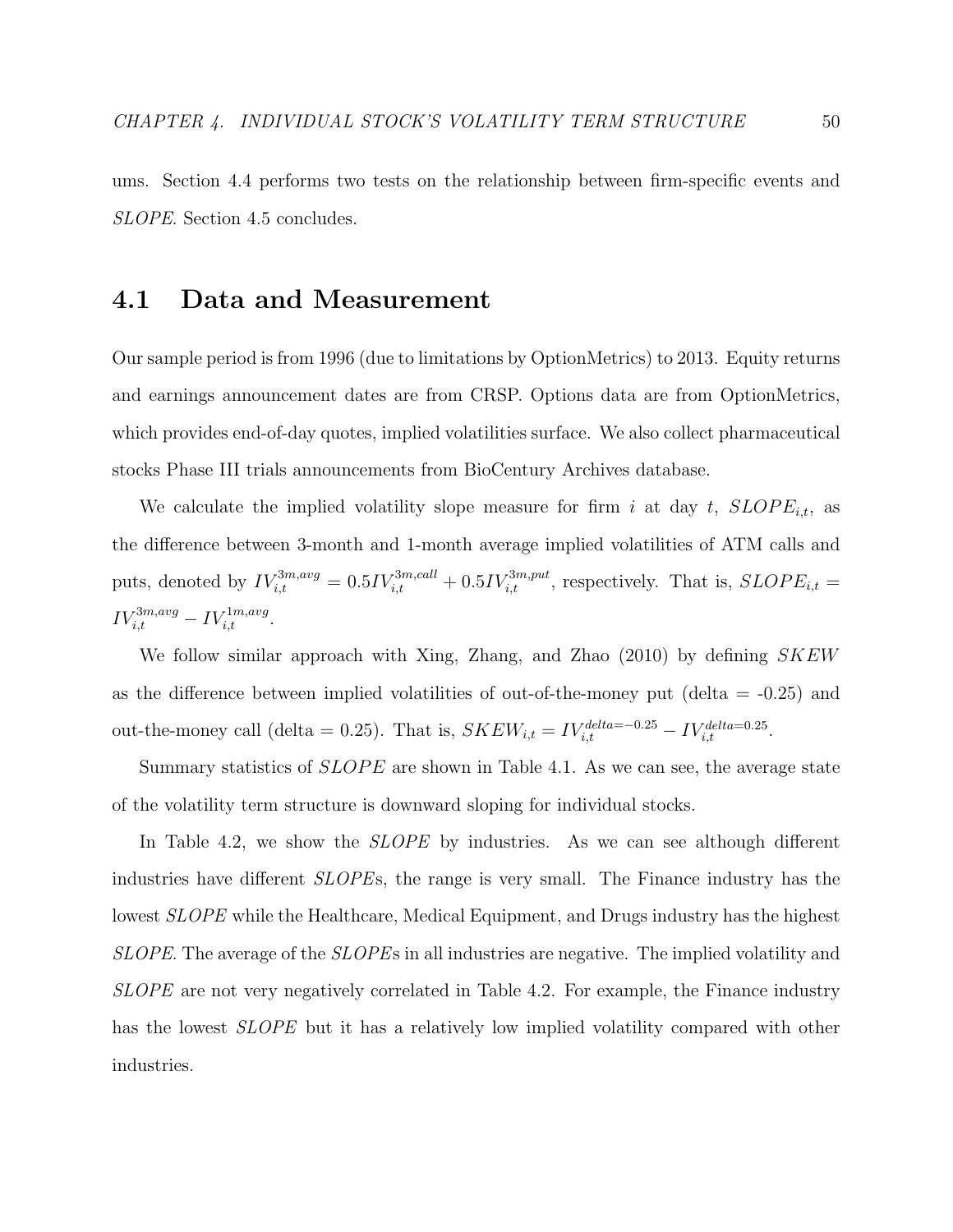ums. Section 4.4 performs two tests on the relationship between firm-specific events and SLOPE. Section 4.5 concludes.

# 4.1 Data and Measurement

Our sample period is from 1996 (due to limitations by OptionMetrics) to 2013. Equity returns and earnings announcement dates are from CRSP. Options data are from OptionMetrics, which provides end-of-day quotes, implied volatilities surface. We also collect pharmaceutical stocks Phase III trials announcements from BioCentury Archives database.

We calculate the implied volatility slope measure for firm i at day t,  $SLOPE_{i,t}$ , as the difference between 3-month and 1-month average implied volatilities of ATM calls and puts, denoted by  $IV_{i,t}^{3m,avg} = 0.5IV_{i,t}^{3m,call} + 0.5IV_{i,t}^{3m,put}$ , respectively. That is,  $SLOPE_{i,t} =$  $IV_{i,t}^{3m,avg} - IV_{i,t}^{1m,avg}.$ 

We follow similar approach with Xing, Zhang, and Zhao  $(2010)$  by defining  $SKEW$ as the difference between implied volatilities of out-of-the-money put (delta  $=$  -0.25) and out-the-money call (delta = 0.25). That is,  $SKEW_{i,t} = IV_{i,t}^{delta=-0.25} - IV_{i,t}^{delta=0.25}$ .

Summary statistics of  $SLOPE$  are shown in Table 4.1. As we can see, the average state of the volatility term structure is downward sloping for individual stocks.

In Table 4.2, we show the *SLOPE* by industries. As we can see although different industries have different SLOPEs, the range is very small. The Finance industry has the lowest SLOPE while the Healthcare, Medical Equipment, and Drugs industry has the highest SLOPE. The average of the SLOPEs in all industries are negative. The implied volatility and SLOPE are not very negatively correlated in Table 4.2. For example, the Finance industry has the lowest *SLOPE* but it has a relatively low implied volatility compared with other industries.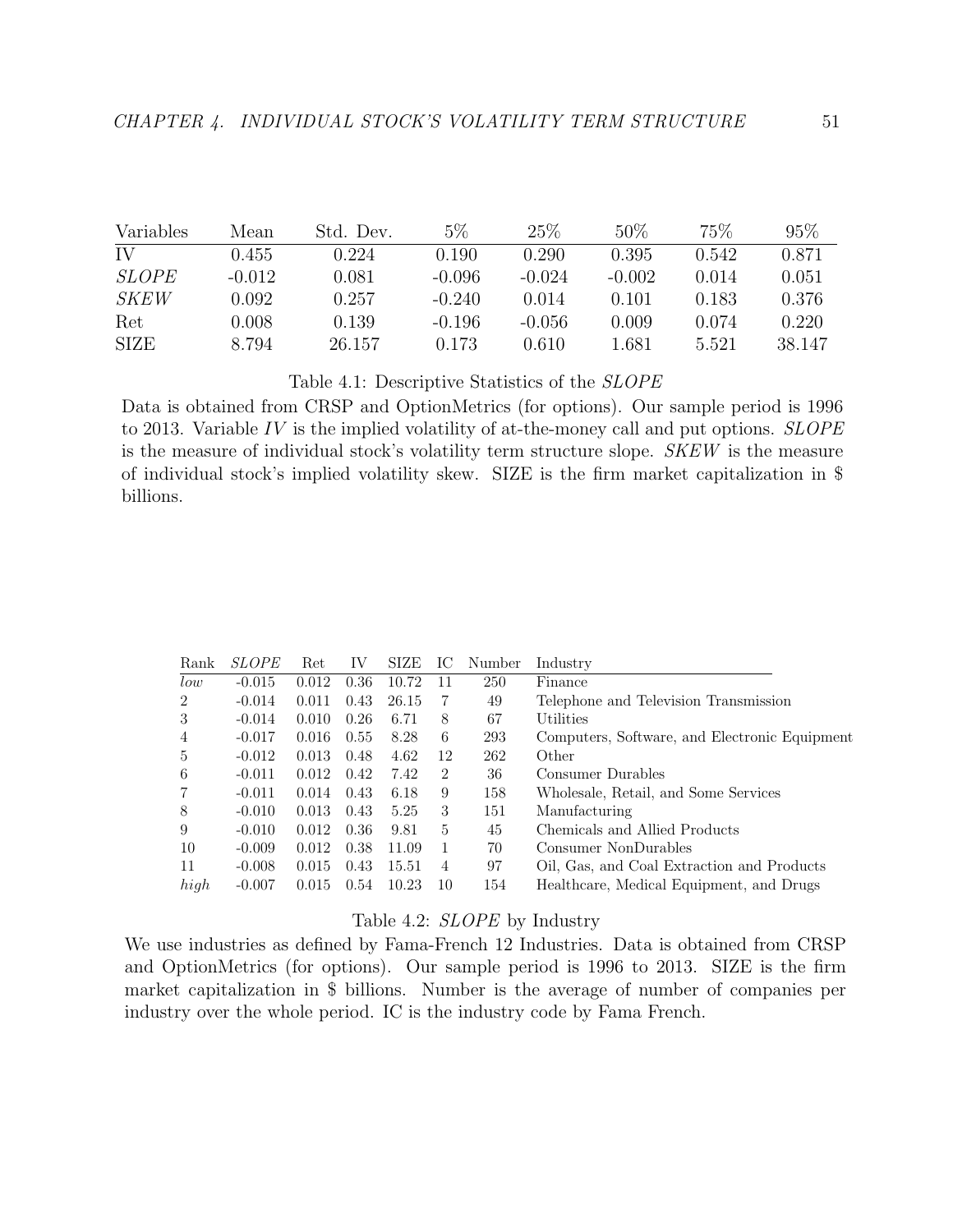| Variables    | Mean     | Std. Dev. | $5\%$    | 25%      | 50%      | 75%   | $95\%$ |
|--------------|----------|-----------|----------|----------|----------|-------|--------|
| IV           | 0.455    | 0.224     | 0.190    | 0.290    | 0.395    | 0.542 | 0.871  |
| <i>SLOPE</i> | $-0.012$ | 0.081     | $-0.096$ | $-0.024$ | $-0.002$ | 0.014 | 0.051  |
| <i>SKEW</i>  | 0.092    | 0.257     | $-0.240$ | 0.014    | 0.101    | 0.183 | 0.376  |
| Ret          | 0.008    | 0.139     | $-0.196$ | $-0.056$ | 0.009    | 0.074 | 0.220  |
| <b>SIZE</b>  | 8.794    | 26.157    | 0.173    | 0.610    | 1.681    | 5.521 | 38.147 |

Table 4.1: Descriptive Statistics of the SLOPE

Data is obtained from CRSP and OptionMetrics (for options). Our sample period is 1996 to 2013. Variable  $IV$  is the implied volatility of at-the-money call and put options.  $SLOPE$ is the measure of individual stock's volatility term structure slope. SKEW is the measure of individual stock's implied volatility skew. SIZE is the firm market capitalization in \$ billions.

| Rank           | <i>SLOPE</i> | Ret.  | IV   | SIZE  | IС             | Number | Industry                                      |
|----------------|--------------|-------|------|-------|----------------|--------|-----------------------------------------------|
| low            | $-0.015$     | 0.012 | 0.36 | 10.72 | 11             | 250    | Finance                                       |
| $\overline{2}$ | $-0.014$     | 0.011 | 0.43 | 26.15 | 7              | 49     | Telephone and Television Transmission         |
| 3              | $-0.014$     | 0.010 | 0.26 | 6.71  | 8              | 67     | Utilities                                     |
| 4              | $-0.017$     | 0.016 | 0.55 | 8.28  | 6              | 293    | Computers, Software, and Electronic Equipment |
| 5              | $-0.012$     | 0.013 | 0.48 | 4.62  | 12             | 262    | Other                                         |
| 6              | $-0.011$     | 0.012 | 0.42 | 7.42  | $\overline{2}$ | 36     | Consumer Durables                             |
| 7              | $-0.011$     | 0.014 | 0.43 | 6.18  | 9              | 158    | Wholesale, Retail, and Some Services          |
| 8              | $-0.010$     | 0.013 | 0.43 | 5.25  | 3              | 151    | Manufacturing                                 |
| 9              | $-0.010$     | 0.012 | 0.36 | 9.81  | 5              | 45     | Chemicals and Allied Products                 |
| 10             | $-0.009$     | 0.012 | 0.38 | 11.09 | 1              | 70     | Consumer NonDurables                          |
| 11             | $-0.008$     | 0.015 | 0.43 | 15.51 | 4              | 97     | Oil, Gas, and Coal Extraction and Products    |
| high           | $-0.007$     | 0.015 | 0.54 | 10.23 | 10             | 154    | Healthcare, Medical Equipment, and Drugs      |

Table 4.2: SLOPE by Industry

We use industries as defined by Fama-French 12 Industries. Data is obtained from CRSP and OptionMetrics (for options). Our sample period is 1996 to 2013. SIZE is the firm market capitalization in \$ billions. Number is the average of number of companies per industry over the whole period. IC is the industry code by Fama French.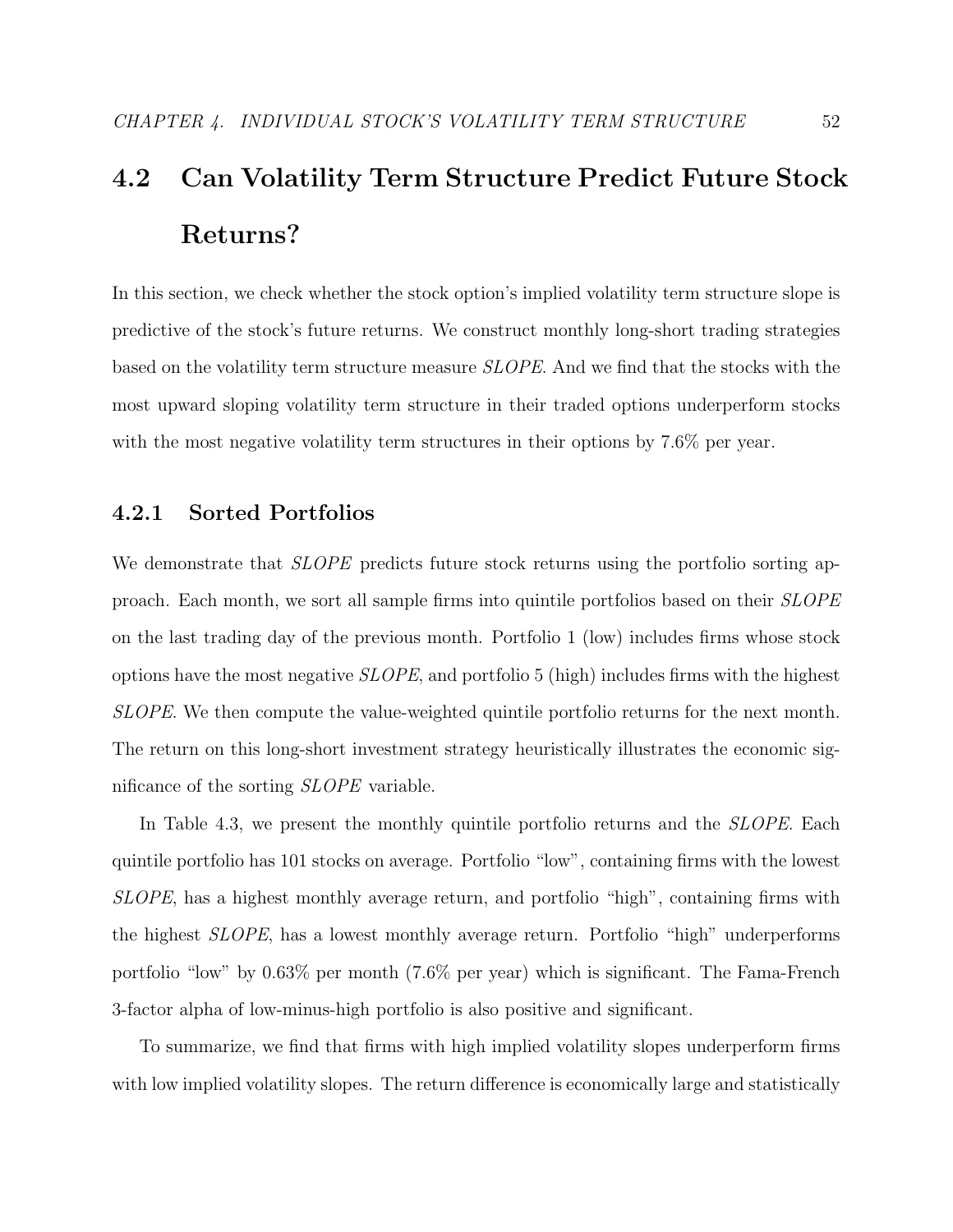# 4.2 Can Volatility Term Structure Predict Future Stock Returns?

In this section, we check whether the stock option's implied volatility term structure slope is predictive of the stock's future returns. We construct monthly long-short trading strategies based on the volatility term structure measure SLOPE. And we find that the stocks with the most upward sloping volatility term structure in their traded options underperform stocks with the most negative volatility term structures in their options by 7.6% per year.

# 4.2.1 Sorted Portfolios

We demonstrate that *SLOPE* predicts future stock returns using the portfolio sorting approach. Each month, we sort all sample firms into quintile portfolios based on their SLOPE on the last trading day of the previous month. Portfolio 1 (low) includes firms whose stock options have the most negative SLOPE, and portfolio 5 (high) includes firms with the highest SLOPE. We then compute the value-weighted quintile portfolio returns for the next month. The return on this long-short investment strategy heuristically illustrates the economic significance of the sorting SLOPE variable.

In Table 4.3, we present the monthly quintile portfolio returns and the *SLOPE*. Each quintile portfolio has 101 stocks on average. Portfolio "low", containing firms with the lowest SLOPE, has a highest monthly average return, and portfolio "high", containing firms with the highest SLOPE, has a lowest monthly average return. Portfolio "high" underperforms portfolio "low" by 0.63% per month (7.6% per year) which is significant. The Fama-French 3-factor alpha of low-minus-high portfolio is also positive and significant.

To summarize, we find that firms with high implied volatility slopes underperform firms with low implied volatility slopes. The return difference is economically large and statistically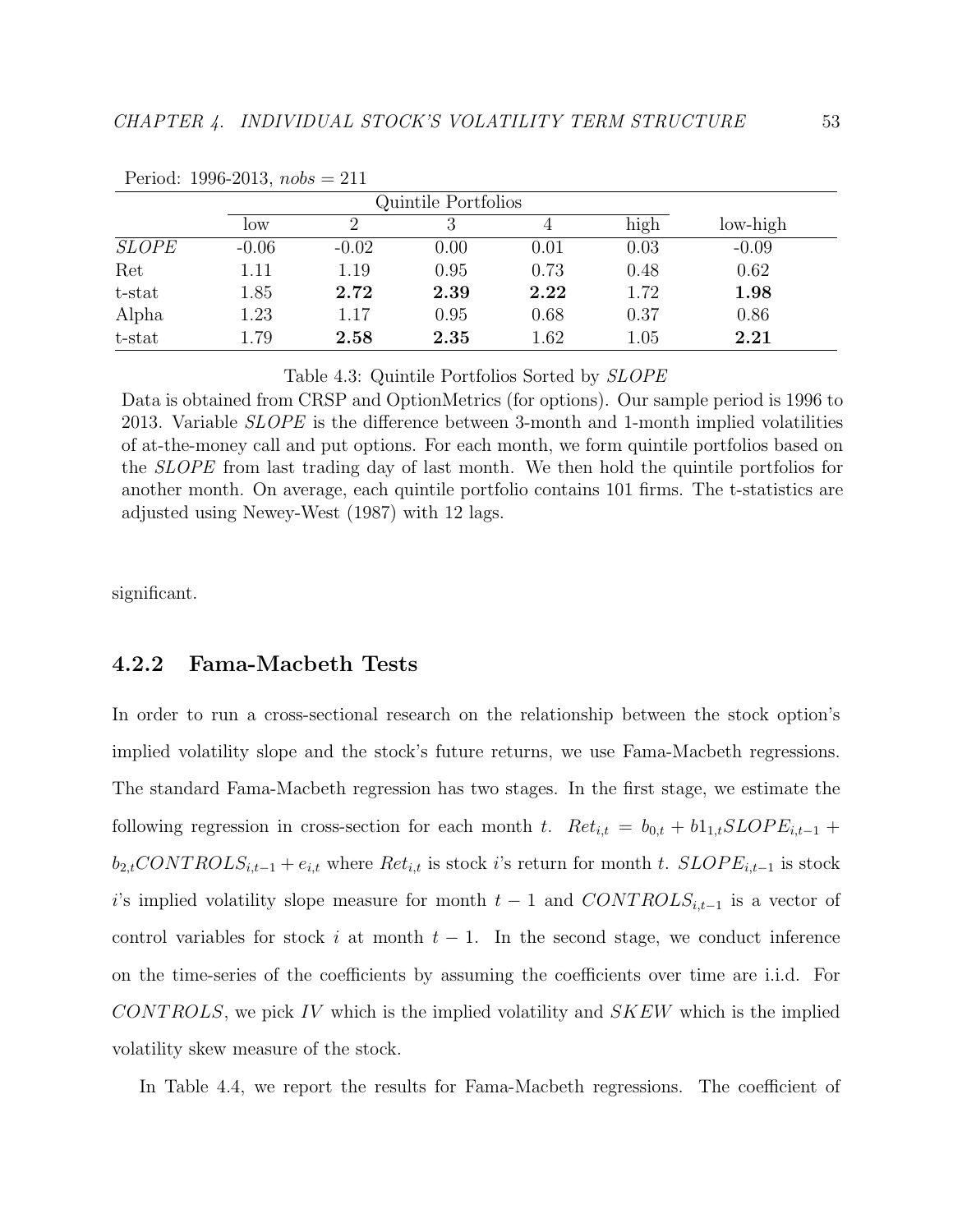|              |         | Quintile Portfolios |      |      |      |          |  |  |
|--------------|---------|---------------------|------|------|------|----------|--|--|
|              | low     |                     |      |      | high | low-high |  |  |
| <b>SLOPE</b> | $-0.06$ | $-0.02$             | 0.00 | 0.01 | 0.03 | $-0.09$  |  |  |
| Ret          | 1.11    | 1.19                | 0.95 | 0.73 | 0.48 | 0.62     |  |  |
| t-stat       | 1.85    | 2.72                | 2.39 | 2.22 | 1.72 | 1.98     |  |  |
| Alpha        | 1.23    | 1.17                | 0.95 | 0.68 | 0.37 | 0.86     |  |  |
| t-stat       | 1.79    | 2.58                | 2.35 | 1.62 | 1.05 | 2.21     |  |  |

Period: 1996-2013,  $nobs = 211$ 

Table 4.3: Quintile Portfolios Sorted by SLOPE

Data is obtained from CRSP and OptionMetrics (for options). Our sample period is 1996 to 2013. Variable *SLOPE* is the difference between 3-month and 1-month implied volatilities of at-the-money call and put options. For each month, we form quintile portfolios based on the SLOPE from last trading day of last month. We then hold the quintile portfolios for another month. On average, each quintile portfolio contains 101 firms. The t-statistics are adjusted using Newey-West (1987) with 12 lags.

significant.

## 4.2.2 Fama-Macbeth Tests

In order to run a cross-sectional research on the relationship between the stock option's implied volatility slope and the stock's future returns, we use Fama-Macbeth regressions. The standard Fama-Macbeth regression has two stages. In the first stage, we estimate the following regression in cross-section for each month t.  $Ret_{i,t} = b_{0,t} + b_{1,t} SLOPE_{i,t-1} +$  $b_{2,t}CONTROLS_{i,t-1} + e_{i,t}$  where  $Ret_{i,t}$  is stock i's return for month t.  $SLOPE_{i,t-1}$  is stock i's implied volatility slope measure for month  $t-1$  and  $CONTROLS_{i,t-1}$  is a vector of control variables for stock i at month  $t-1$ . In the second stage, we conduct inference on the time-series of the coefficients by assuming the coefficients over time are i.i.d. For  $CONTROLS$ , we pick IV which is the implied volatility and  $SKEW$  which is the implied volatility skew measure of the stock.

In Table 4.4, we report the results for Fama-Macbeth regressions. The coefficient of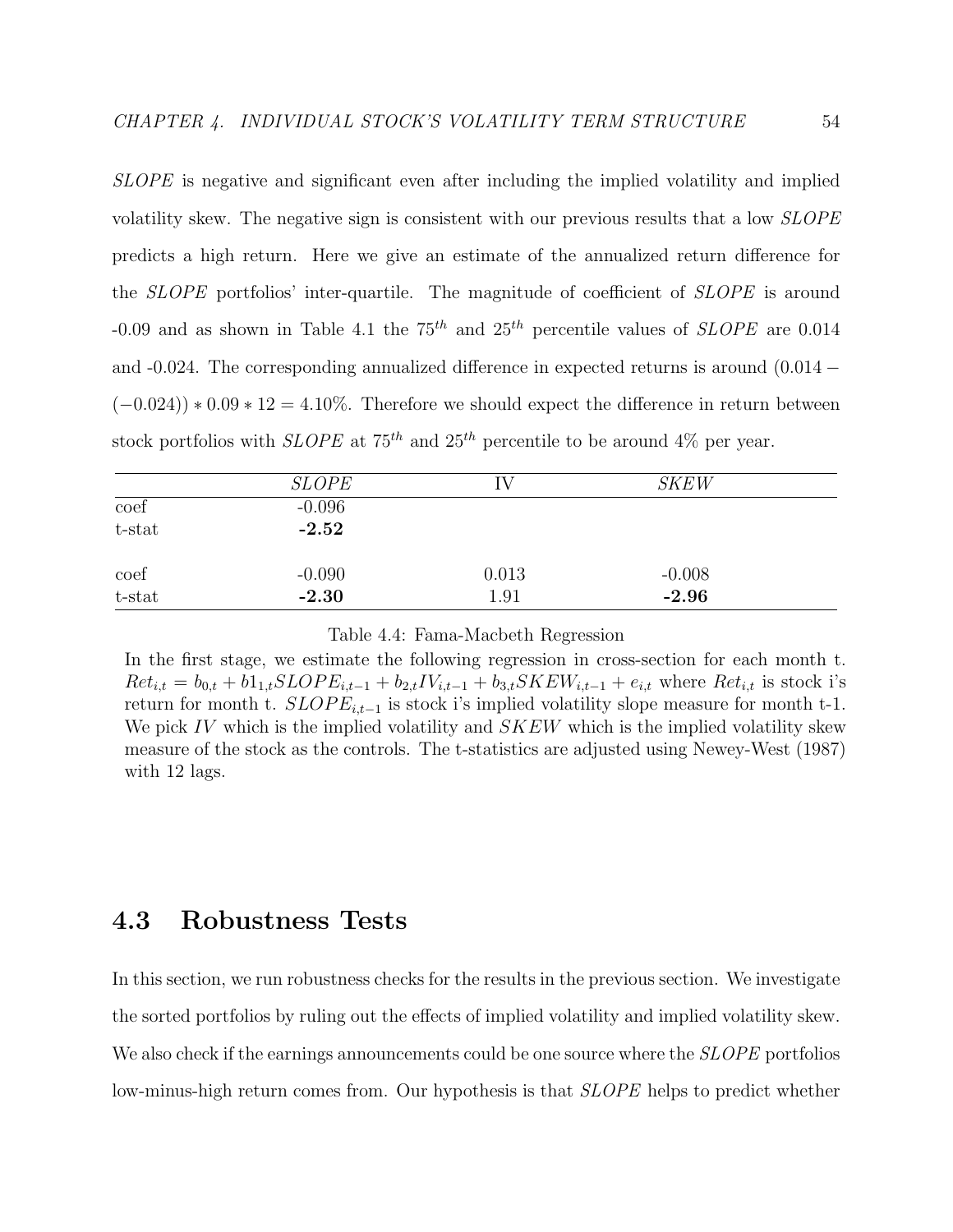SLOPE is negative and significant even after including the implied volatility and implied volatility skew. The negative sign is consistent with our previous results that a low SLOPE predicts a high return. Here we give an estimate of the annualized return difference for the SLOPE portfolios' inter-quartile. The magnitude of coefficient of SLOPE is around -0.09 and as shown in Table 4.1 the  $75^{th}$  and  $25^{th}$  percentile values of *SLOPE* are 0.014 and -0.024. The corresponding annualized difference in expected returns is around  $(0.014 (-0.024)$  \* 0.09 \* 12 = 4.10%. Therefore we should expect the difference in return between stock portfolios with *SLOPE* at  $75<sup>th</sup>$  and  $25<sup>th</sup>$  percentile to be around 4% per year.

|           | <b>SLOPE</b> | T.    | <i>SKEW</i> |  |
|-----------|--------------|-------|-------------|--|
| coef      | $-0.096$     |       |             |  |
| $t$ -stat | $-2.52$      |       |             |  |
| coef      | $-0.090$     | 0.013 | $-0.008$    |  |
| t-stat    | $-2.30$      | 1.91  | $-2.96$     |  |

Table 4.4: Fama-Macbeth Regression

In the first stage, we estimate the following regression in cross-section for each month t.  $Ret_{i,t} = b_{0,t} + b_{1,t} SLOPE_{i,t-1} + b_{2,t}IV_{i,t-1} + b_{3,t} SKEW_{i,t-1} + e_{i,t}$  where  $Ret_{i,t}$  is stock i's return for month t.  $SLOPE_{i,t-1}$  is stock i's implied volatility slope measure for month t-1. We pick IV which is the implied volatility and  $SKEW$  which is the implied volatility skew measure of the stock as the controls. The t-statistics are adjusted using Newey-West (1987) with 12 lags.

# 4.3 Robustness Tests

In this section, we run robustness checks for the results in the previous section. We investigate the sorted portfolios by ruling out the effects of implied volatility and implied volatility skew. We also check if the earnings announcements could be one source where the *SLOPE* portfolios low-minus-high return comes from. Our hypothesis is that *SLOPE* helps to predict whether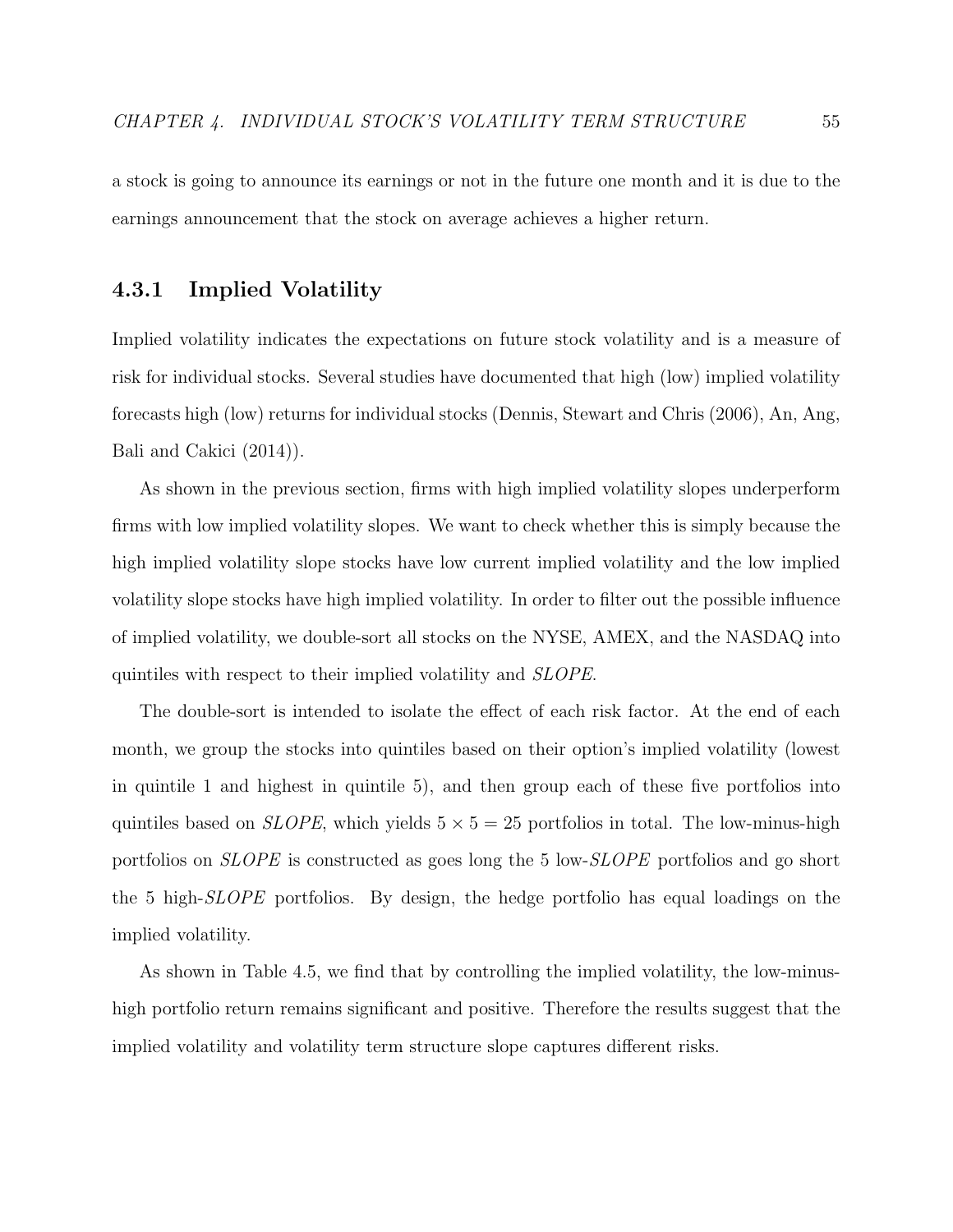a stock is going to announce its earnings or not in the future one month and it is due to the earnings announcement that the stock on average achieves a higher return.

### 4.3.1 Implied Volatility

Implied volatility indicates the expectations on future stock volatility and is a measure of risk for individual stocks. Several studies have documented that high (low) implied volatility forecasts high (low) returns for individual stocks (Dennis, Stewart and Chris (2006), An, Ang, Bali and Cakici (2014)).

As shown in the previous section, firms with high implied volatility slopes underperform firms with low implied volatility slopes. We want to check whether this is simply because the high implied volatility slope stocks have low current implied volatility and the low implied volatility slope stocks have high implied volatility. In order to filter out the possible influence of implied volatility, we double-sort all stocks on the NYSE, AMEX, and the NASDAQ into quintiles with respect to their implied volatility and SLOPE.

The double-sort is intended to isolate the effect of each risk factor. At the end of each month, we group the stocks into quintiles based on their option's implied volatility (lowest in quintile 1 and highest in quintile 5), and then group each of these five portfolios into quintiles based on *SLOPE*, which yields  $5 \times 5 = 25$  portfolios in total. The low-minus-high portfolios on *SLOPE* is constructed as goes long the 5 low-*SLOPE* portfolios and go short the 5 high-SLOPE portfolios. By design, the hedge portfolio has equal loadings on the implied volatility.

As shown in Table 4.5, we find that by controlling the implied volatility, the low-minushigh portfolio return remains significant and positive. Therefore the results suggest that the implied volatility and volatility term structure slope captures different risks.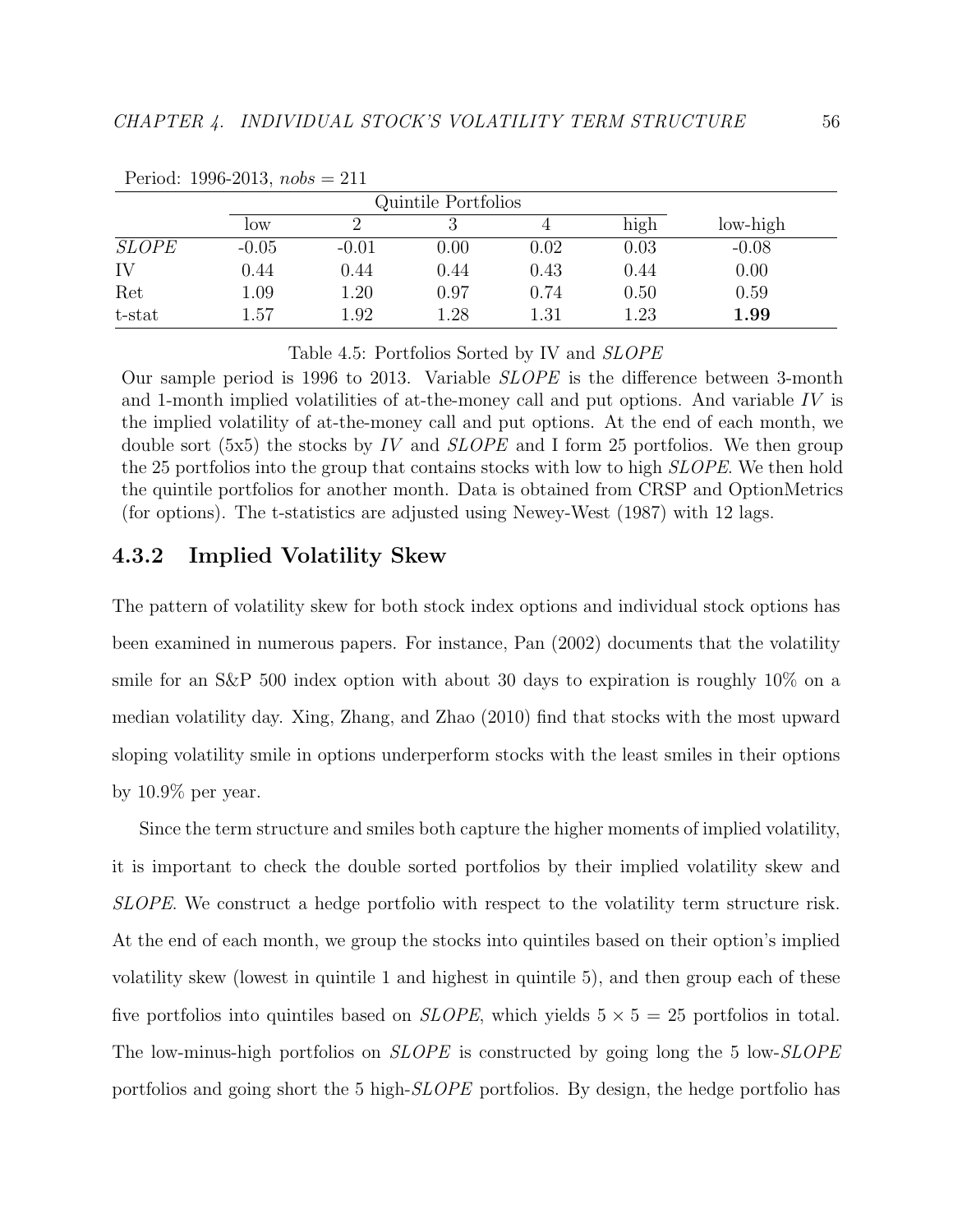|              |         | Quintile Portfolios |          |            |          |          |
|--------------|---------|---------------------|----------|------------|----------|----------|
|              | low     |                     |          |            | high     | low-high |
| <b>SLOPE</b> | $-0.05$ | $-0.01$             | 0.00     | $\rm 0.02$ | 0.03     | $-0.08$  |
| IV           | 0.44    | 0.44                | 0.44     | 0.43       | 0.44     | 0.00     |
| Ret          | 1.09    | 1.20                | 0.97     | 0.74       | 0.50     | 0.59     |
| t-stat       | .57     | 1.92                | $1.28\,$ | $1.31\,$   | $1.23\,$ | 1.99     |

Period: 1996-2013,  $nobs = 211$ 

Table 4.5: Portfolios Sorted by IV and SLOPE

Our sample period is 1996 to 2013. Variable SLOPE is the difference between 3-month and 1-month implied volatilities of at-the-money call and put options. And variable  $IV$  is the implied volatility of at-the-money call and put options. At the end of each month, we double sort (5x5) the stocks by IV and  $SLOPE$  and I form 25 portfolios. We then group the 25 portfolios into the group that contains stocks with low to high *SLOPE*. We then hold the quintile portfolios for another month. Data is obtained from CRSP and OptionMetrics (for options). The t-statistics are adjusted using Newey-West (1987) with 12 lags.

## 4.3.2 Implied Volatility Skew

The pattern of volatility skew for both stock index options and individual stock options has been examined in numerous papers. For instance, Pan (2002) documents that the volatility smile for an S&P 500 index option with about 30 days to expiration is roughly 10% on a median volatility day. Xing, Zhang, and Zhao (2010) find that stocks with the most upward sloping volatility smile in options underperform stocks with the least smiles in their options by 10.9% per year.

Since the term structure and smiles both capture the higher moments of implied volatility, it is important to check the double sorted portfolios by their implied volatility skew and SLOPE. We construct a hedge portfolio with respect to the volatility term structure risk. At the end of each month, we group the stocks into quintiles based on their option's implied volatility skew (lowest in quintile 1 and highest in quintile 5), and then group each of these five portfolios into quintiles based on *SLOPE*, which yields  $5 \times 5 = 25$  portfolios in total. The low-minus-high portfolios on *SLOPE* is constructed by going long the 5 low-*SLOPE* portfolios and going short the 5 high-SLOPE portfolios. By design, the hedge portfolio has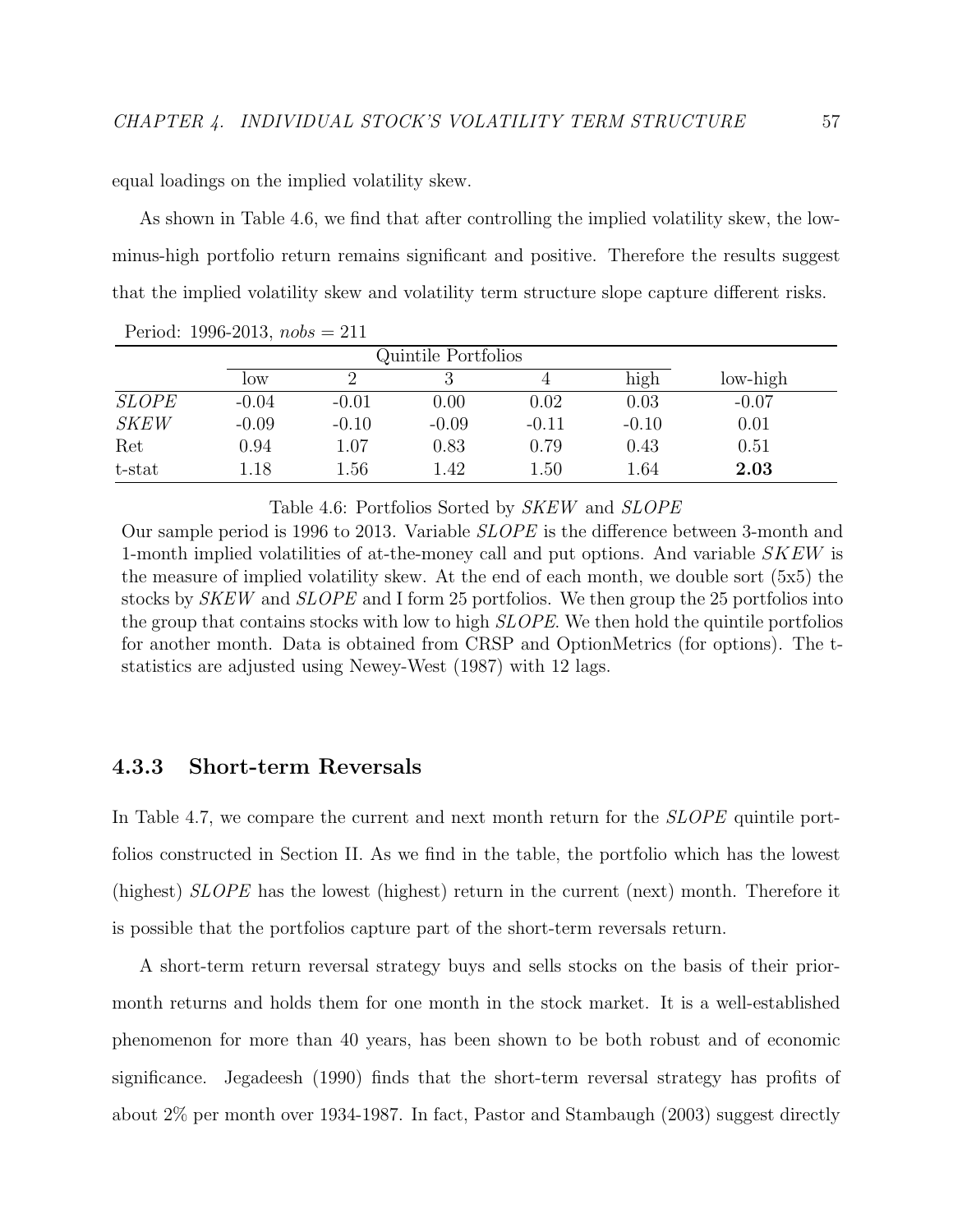equal loadings on the implied volatility skew.

As shown in Table 4.6, we find that after controlling the implied volatility skew, the lowminus-high portfolio return remains significant and positive. Therefore the results suggest that the implied volatility skew and volatility term structure slope capture different risks.

|              |         |         | Quintile Portfolios |         |         |          |
|--------------|---------|---------|---------------------|---------|---------|----------|
|              | low     |         |                     |         | high    | low-high |
| <i>SLOPE</i> | $-0.04$ | $-0.01$ | 0.00                | 0.02    | 0.03    | $-0.07$  |
| <b>SKEW</b>  | $-0.09$ | $-0.10$ | $-0.09$             | $-0.11$ | $-0.10$ | 0.01     |
| Ret          | 0.94    | 1.07    | 0.83                | 0.79    | 0.43    | 0.51     |
| t-stat       | 1.18    | 1.56    | 1.42                | 1.50    | 1.64    | 2.03     |

Period: 1996-2013,  $nobs = 211$ 

Table 4.6: Portfolios Sorted by SKEW and SLOPE

Our sample period is 1996 to 2013. Variable SLOPE is the difference between 3-month and 1-month implied volatilities of at-the-money call and put options. And variable SKEW is the measure of implied volatility skew. At the end of each month, we double sort (5x5) the stocks by SKEW and SLOPE and I form 25 portfolios. We then group the 25 portfolios into the group that contains stocks with low to high SLOPE. We then hold the quintile portfolios for another month. Data is obtained from CRSP and OptionMetrics (for options). The tstatistics are adjusted using Newey-West (1987) with 12 lags.

### 4.3.3 Short-term Reversals

In Table 4.7, we compare the current and next month return for the *SLOPE* quintile portfolios constructed in Section II. As we find in the table, the portfolio which has the lowest (highest) SLOPE has the lowest (highest) return in the current (next) month. Therefore it is possible that the portfolios capture part of the short-term reversals return.

A short-term return reversal strategy buys and sells stocks on the basis of their priormonth returns and holds them for one month in the stock market. It is a well-established phenomenon for more than 40 years, has been shown to be both robust and of economic significance. Jegadeesh (1990) finds that the short-term reversal strategy has profits of about 2% per month over 1934-1987. In fact, Pastor and Stambaugh (2003) suggest directly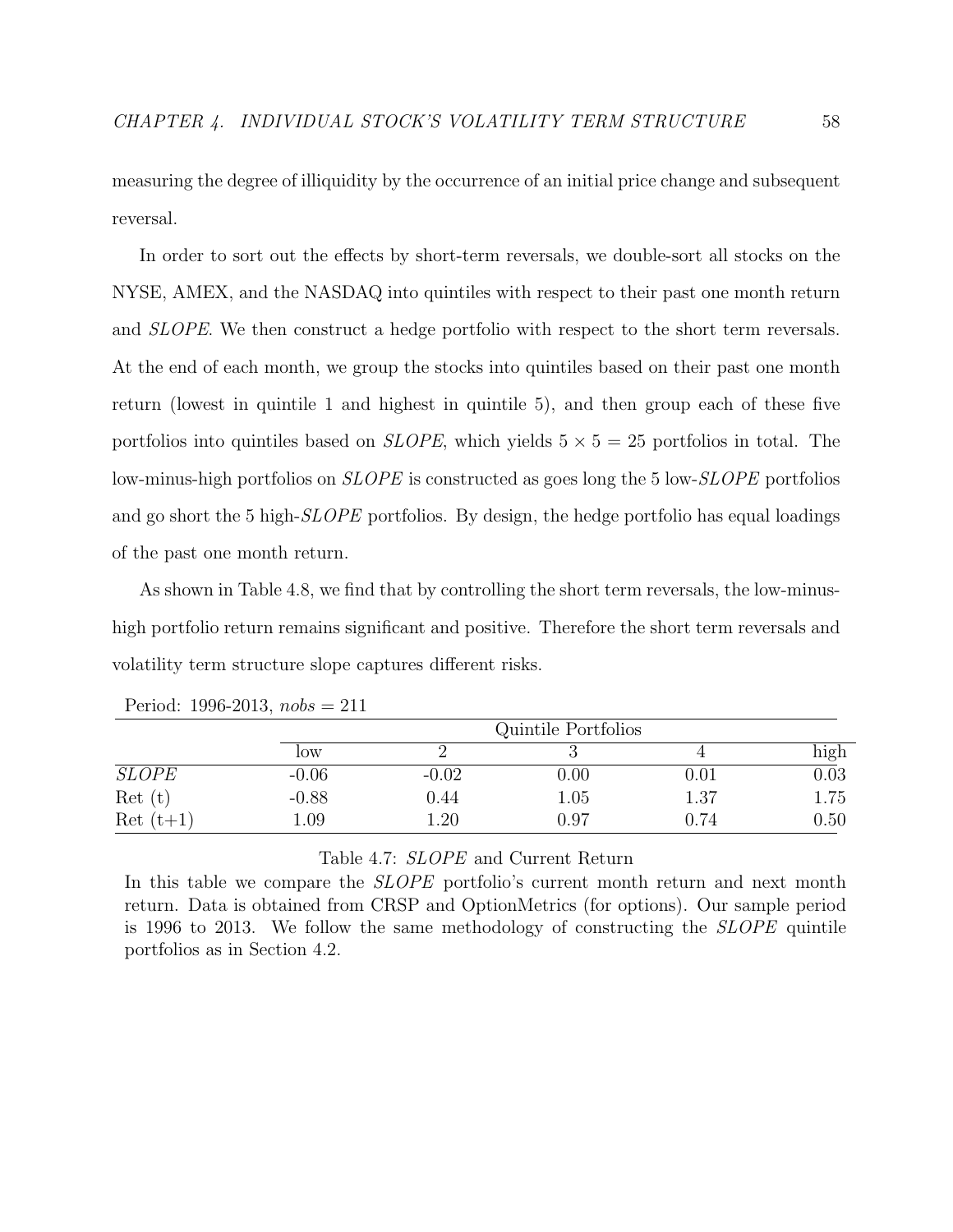measuring the degree of illiquidity by the occurrence of an initial price change and subsequent reversal.

In order to sort out the effects by short-term reversals, we double-sort all stocks on the NYSE, AMEX, and the NASDAQ into quintiles with respect to their past one month return and SLOPE. We then construct a hedge portfolio with respect to the short term reversals. At the end of each month, we group the stocks into quintiles based on their past one month return (lowest in quintile 1 and highest in quintile 5), and then group each of these five portfolios into quintiles based on *SLOPE*, which yields  $5 \times 5 = 25$  portfolios in total. The low-minus-high portfolios on *SLOPE* is constructed as goes long the 5 low-*SLOPE* portfolios and go short the 5 high-SLOPE portfolios. By design, the hedge portfolio has equal loadings of the past one month return.

As shown in Table 4.8, we find that by controlling the short term reversals, the low-minushigh portfolio return remains significant and positive. Therefore the short term reversals and volatility term structure slope captures different risks.

|              |         |         | Quintile Portfolios |          |          |
|--------------|---------|---------|---------------------|----------|----------|
|              | low     |         |                     |          | high     |
| <b>SLOPE</b> | $-0.06$ | $-0.02$ | $0.00\,$            | $0.01\,$ | $0.03\,$ |
| Ret(t)       | $-0.88$ | 0.44    | 1.05                | 1.37     | 1.75     |
| $Ret(t+1)$   | .09     | 1.20    | 0.97                | 0.74     | 0.50     |

Period: 1996-2013,  $nobs = 211$ 

#### Table 4.7: SLOPE and Current Return

In this table we compare the *SLOPE* portfolio's current month return and next month return. Data is obtained from CRSP and OptionMetrics (for options). Our sample period is 1996 to 2013. We follow the same methodology of constructing the SLOPE quintile portfolios as in Section 4.2.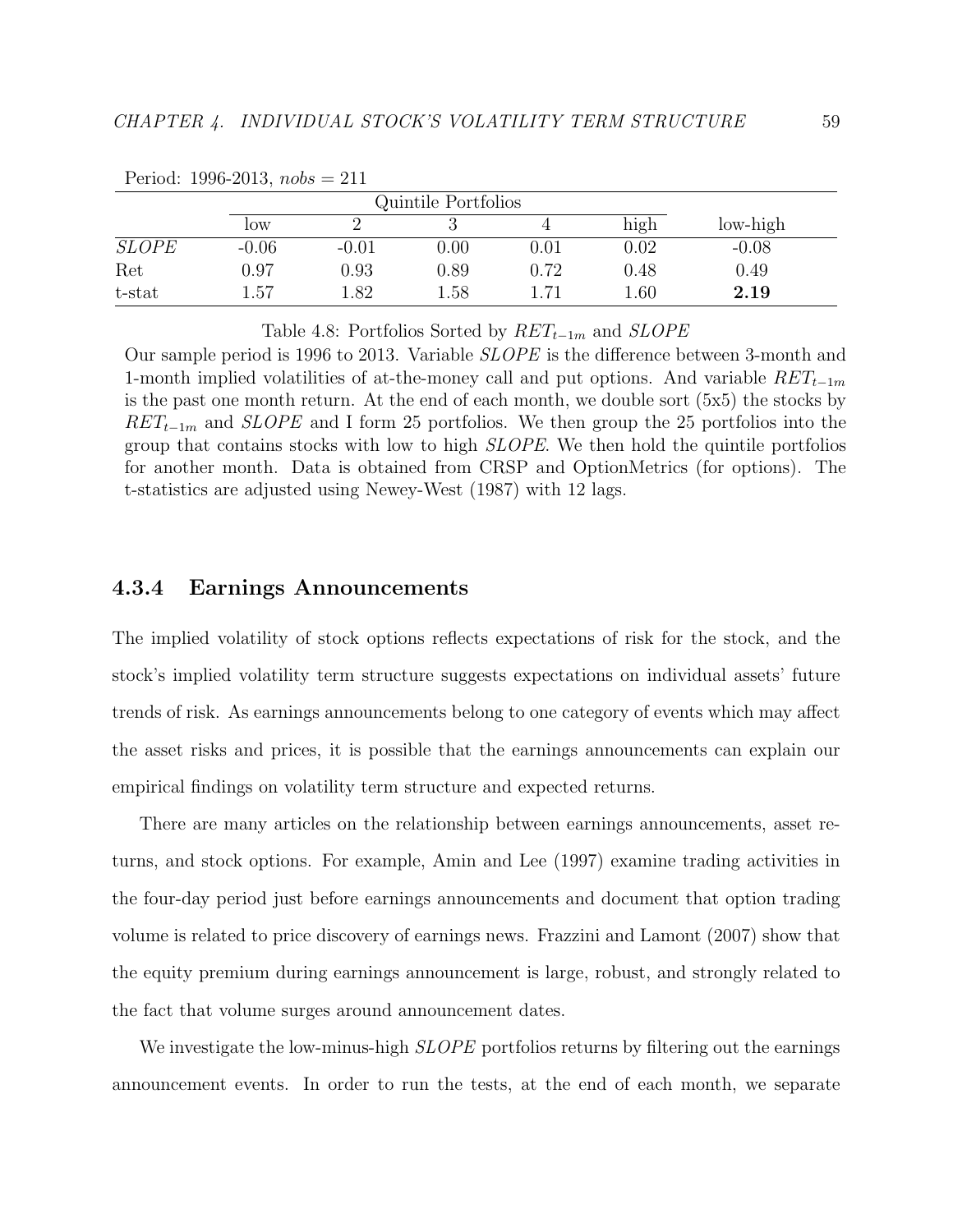|              |         | Quintile Portfolios |          |          |          |          |
|--------------|---------|---------------------|----------|----------|----------|----------|
|              | low     |                     |          |          | high     | low-high |
| <b>SLOPE</b> | $-0.06$ | $-0.01$             | $0.00\,$ | $0.01\,$ | $0.02\,$ | $-0.08$  |
| Ret          | 0.97    | $0.93\,$            | ${0.89}$ | 0.72     | $0.48\,$ | 0.49     |
| t-stat       | 1.57    | l.82                | 1.58     | .71      | 1.60     | 2.19     |

Period: 1996-2013,  $nobs = 211$ 

Table 4.8: Portfolios Sorted by  $RET_{t-1m}$  and  $SLOPE$ 

Our sample period is 1996 to 2013. Variable SLOPE is the difference between 3-month and 1-month implied volatilities of at-the-money call and put options. And variable  $RET_{t-1m}$ is the past one month return. At the end of each month, we double sort (5x5) the stocks by  $RET_{t-1m}$  and SLOPE and I form 25 portfolios. We then group the 25 portfolios into the group that contains stocks with low to high SLOPE. We then hold the quintile portfolios for another month. Data is obtained from CRSP and OptionMetrics (for options). The t-statistics are adjusted using Newey-West (1987) with 12 lags.

#### 4.3.4 Earnings Announcements

The implied volatility of stock options reflects expectations of risk for the stock, and the stock's implied volatility term structure suggests expectations on individual assets' future trends of risk. As earnings announcements belong to one category of events which may affect the asset risks and prices, it is possible that the earnings announcements can explain our empirical findings on volatility term structure and expected returns.

There are many articles on the relationship between earnings announcements, asset returns, and stock options. For example, Amin and Lee (1997) examine trading activities in the four-day period just before earnings announcements and document that option trading volume is related to price discovery of earnings news. Frazzini and Lamont (2007) show that the equity premium during earnings announcement is large, robust, and strongly related to the fact that volume surges around announcement dates.

We investigate the low-minus-high *SLOPE* portfolios returns by filtering out the earnings announcement events. In order to run the tests, at the end of each month, we separate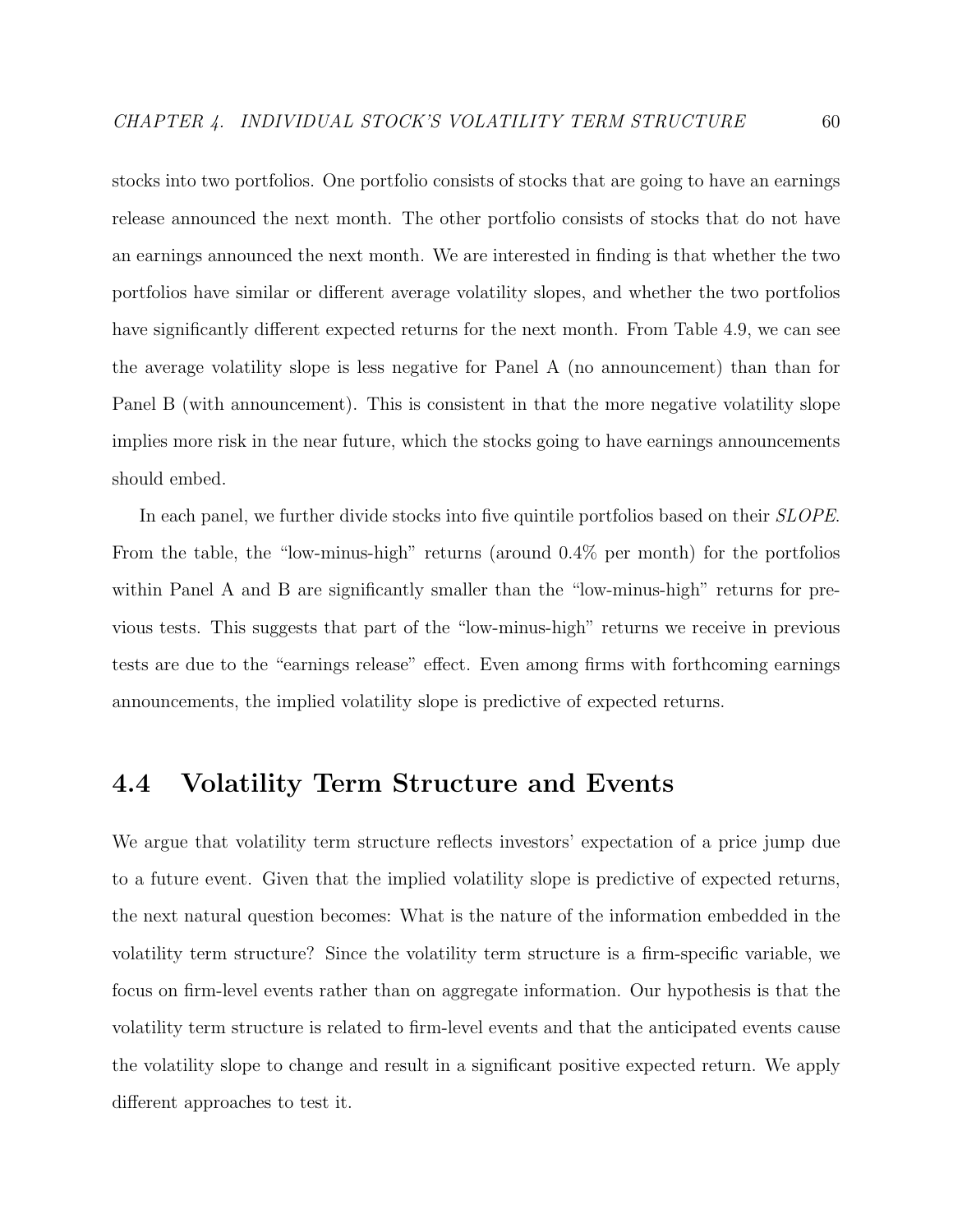stocks into two portfolios. One portfolio consists of stocks that are going to have an earnings release announced the next month. The other portfolio consists of stocks that do not have an earnings announced the next month. We are interested in finding is that whether the two portfolios have similar or different average volatility slopes, and whether the two portfolios have significantly different expected returns for the next month. From Table 4.9, we can see the average volatility slope is less negative for Panel A (no announcement) than than for Panel B (with announcement). This is consistent in that the more negative volatility slope implies more risk in the near future, which the stocks going to have earnings announcements should embed.

In each panel, we further divide stocks into five quintile portfolios based on their *SLOPE*. From the table, the "low-minus-high" returns (around 0.4% per month) for the portfolios within Panel A and B are significantly smaller than the "low-minus-high" returns for previous tests. This suggests that part of the "low-minus-high" returns we receive in previous tests are due to the "earnings release" effect. Even among firms with forthcoming earnings announcements, the implied volatility slope is predictive of expected returns.

# 4.4 Volatility Term Structure and Events

We argue that volatility term structure reflects investors' expectation of a price jump due to a future event. Given that the implied volatility slope is predictive of expected returns, the next natural question becomes: What is the nature of the information embedded in the volatility term structure? Since the volatility term structure is a firm-specific variable, we focus on firm-level events rather than on aggregate information. Our hypothesis is that the volatility term structure is related to firm-level events and that the anticipated events cause the volatility slope to change and result in a significant positive expected return. We apply different approaches to test it.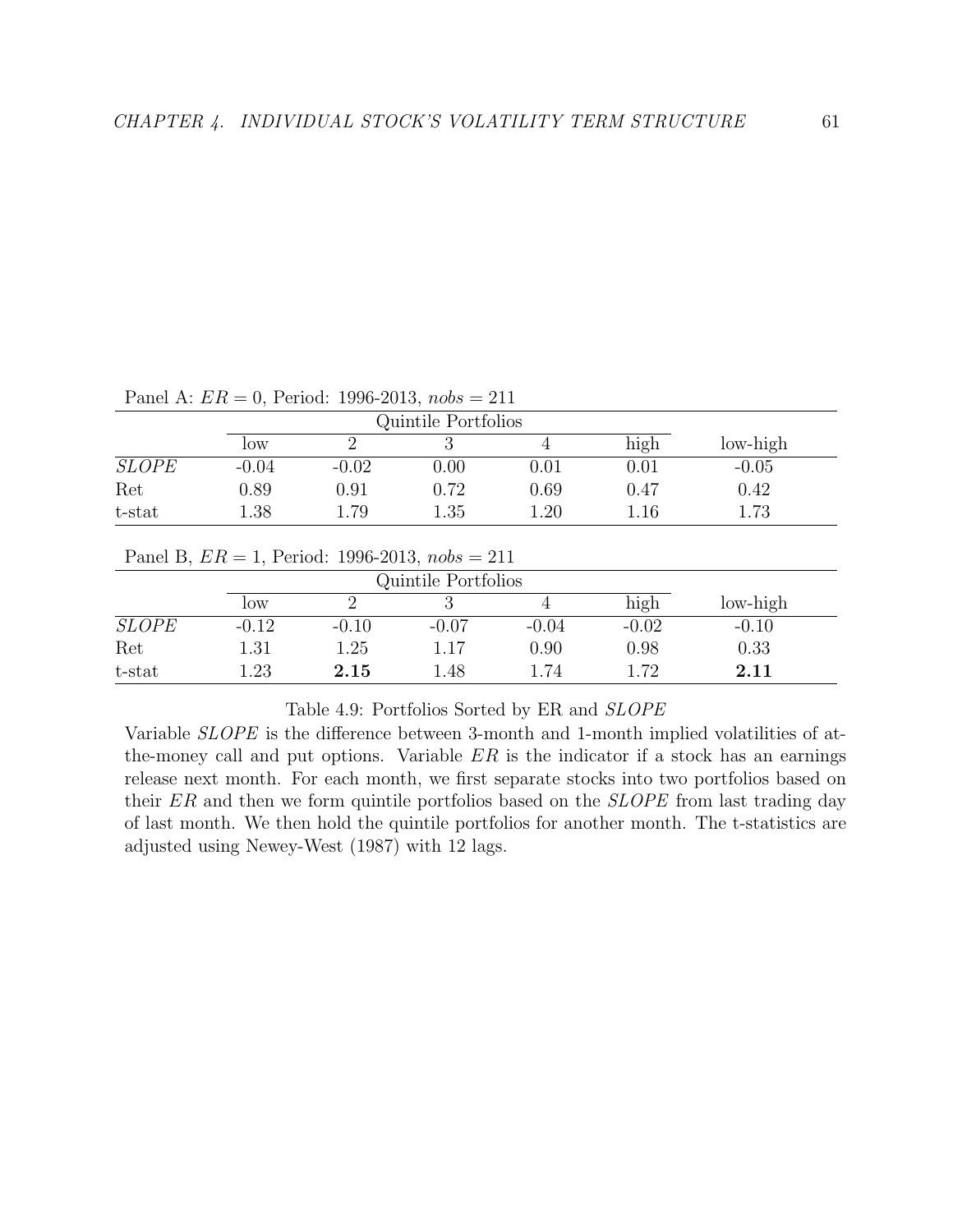|              | Quintile Portfolios |            |          |          |          |          |
|--------------|---------------------|------------|----------|----------|----------|----------|
|              | low                 |            |          |          | high     | low-high |
| <b>SLOPE</b> | $-0.04$             | $-0.02$    | $0.00\,$ | $0.01\,$ | $0.01\,$ | $-0.05$  |
| Ret          | 0.89                | $\rm 0.91$ | 0.72     | 0.69     | 0.47     | 0.42     |
| t-stat       | 1.38                | .79        | 1.35     | $1.20\,$ | 1.16     | 1.73     |

Panel A:  $ER = 0$ , Period: 1996-2013,  $nobs = 211$ 

|              | Quintile Portfolios |         |         |         |         |          |
|--------------|---------------------|---------|---------|---------|---------|----------|
|              | low                 |         |         |         | high    | low-high |
| <b>SLOPE</b> | $-0.12$             | $-0.10$ | $-0.07$ | $-0.04$ | $-0.02$ | $-0.10$  |
| Ret          | $1.31\,$            | 1.25    | 1.17    | 0.90    | 0.98    | 0.33     |
| t-stat       | .23                 | 2.15    | 1.48    | 1.74    | 179     | 2.11     |

Table 4.9: Portfolios Sorted by ER and SLOPE

Variable SLOPE is the difference between 3-month and 1-month implied volatilities of atthe-money call and put options. Variable  $ER$  is the indicator if a stock has an earnings release next month. For each month, we first separate stocks into two portfolios based on their ER and then we form quintile portfolios based on the *SLOPE* from last trading day of last month. We then hold the quintile portfolios for another month. The t-statistics are adjusted using Newey-West (1987) with 12 lags.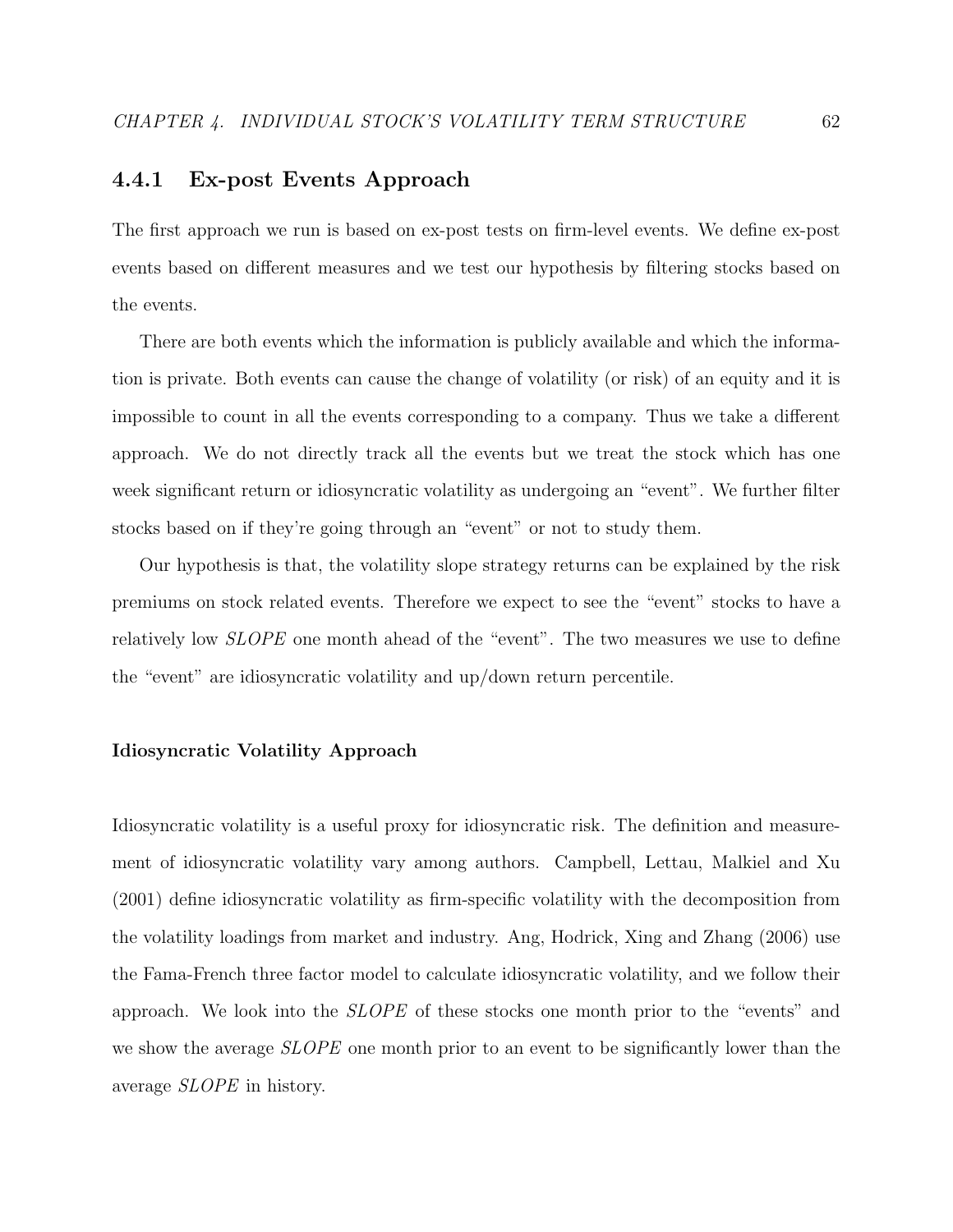### 4.4.1 Ex-post Events Approach

The first approach we run is based on ex-post tests on firm-level events. We define ex-post events based on different measures and we test our hypothesis by filtering stocks based on the events.

There are both events which the information is publicly available and which the information is private. Both events can cause the change of volatility (or risk) of an equity and it is impossible to count in all the events corresponding to a company. Thus we take a different approach. We do not directly track all the events but we treat the stock which has one week significant return or idiosyncratic volatility as undergoing an "event". We further filter stocks based on if they're going through an "event" or not to study them.

Our hypothesis is that, the volatility slope strategy returns can be explained by the risk premiums on stock related events. Therefore we expect to see the "event" stocks to have a relatively low SLOPE one month ahead of the "event". The two measures we use to define the "event" are idiosyncratic volatility and up/down return percentile.

#### Idiosyncratic Volatility Approach

Idiosyncratic volatility is a useful proxy for idiosyncratic risk. The definition and measurement of idiosyncratic volatility vary among authors. Campbell, Lettau, Malkiel and Xu (2001) define idiosyncratic volatility as firm-specific volatility with the decomposition from the volatility loadings from market and industry. Ang, Hodrick, Xing and Zhang (2006) use the Fama-French three factor model to calculate idiosyncratic volatility, and we follow their approach. We look into the SLOPE of these stocks one month prior to the "events" and we show the average *SLOPE* one month prior to an event to be significantly lower than the average SLOPE in history.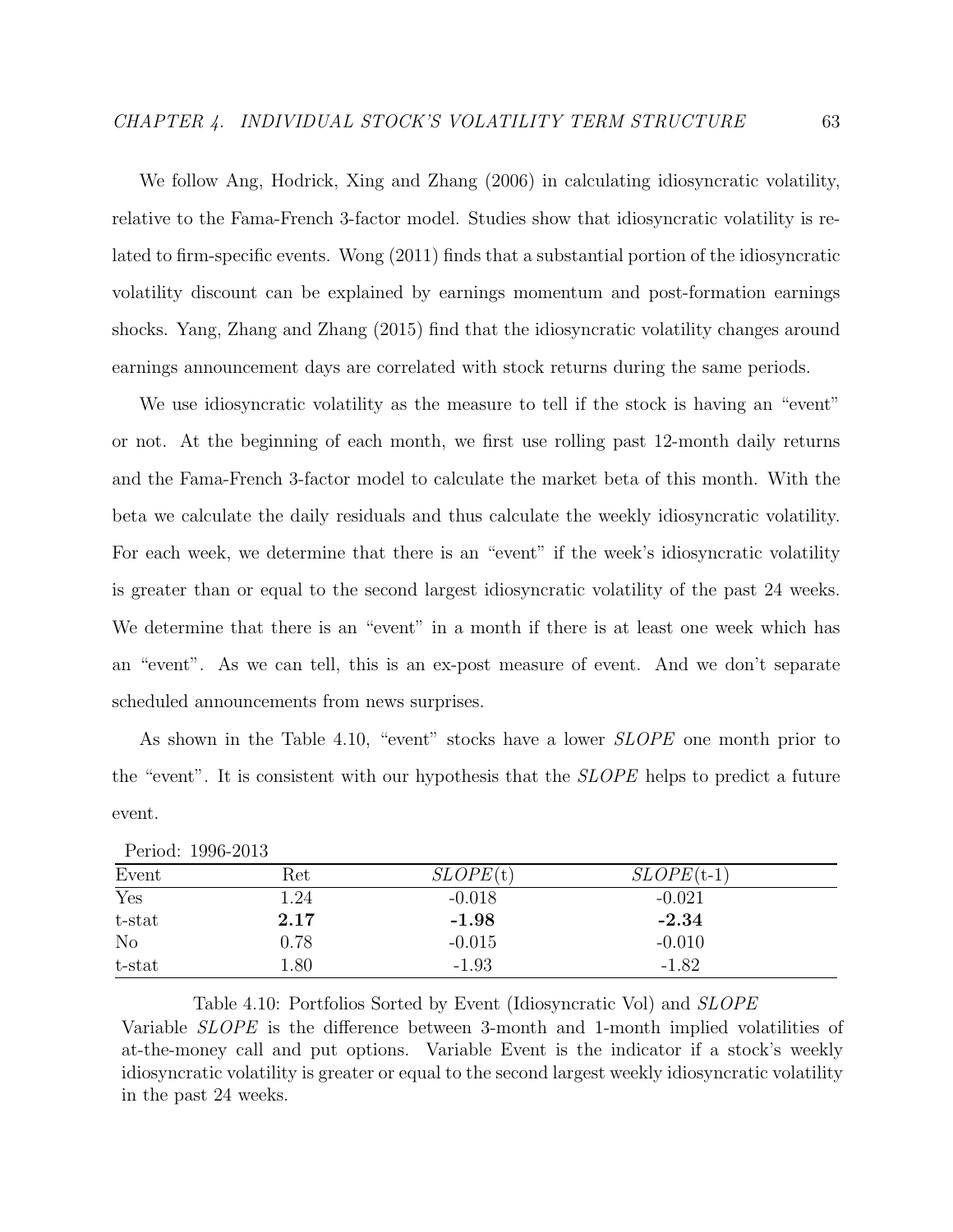We follow Ang, Hodrick, Xing and Zhang (2006) in calculating idiosyncratic volatility, relative to the Fama-French 3-factor model. Studies show that idiosyncratic volatility is related to firm-specific events. Wong (2011) finds that a substantial portion of the idiosyncratic volatility discount can be explained by earnings momentum and post-formation earnings shocks. Yang, Zhang and Zhang (2015) find that the idiosyncratic volatility changes around earnings announcement days are correlated with stock returns during the same periods.

We use idiosyncratic volatility as the measure to tell if the stock is having an "event" or not. At the beginning of each month, we first use rolling past 12-month daily returns and the Fama-French 3-factor model to calculate the market beta of this month. With the beta we calculate the daily residuals and thus calculate the weekly idiosyncratic volatility. For each week, we determine that there is an "event" if the week's idiosyncratic volatility is greater than or equal to the second largest idiosyncratic volatility of the past 24 weeks. We determine that there is an "event" in a month if there is at least one week which has an "event". As we can tell, this is an ex-post measure of event. And we don't separate scheduled announcements from news surprises.

As shown in the Table 4.10, "event" stocks have a lower *SLOPE* one month prior to the "event". It is consistent with our hypothesis that the SLOPE helps to predict a future event.

| Event            | Ret  | SLOPE(t) | $SLOPE$ (t-1) |  |
|------------------|------|----------|---------------|--|
| $\overline{Yes}$ | 1.24 | $-0.018$ | $-0.021$      |  |
| t-stat           | 2.17 | $-1.98$  | $-2.34$       |  |
| N <sub>o</sub>   | 0.78 | $-0.015$ | $-0.010$      |  |
| t-stat           | 1.80 | $-1.93$  | $-1.82$       |  |

Table 4.10: Portfolios Sorted by Event (Idiosyncratic Vol) and SLOPE Variable SLOPE is the difference between 3-month and 1-month implied volatilities of at-the-money call and put options. Variable Event is the indicator if a stock's weekly idiosyncratic volatility is greater or equal to the second largest weekly idiosyncratic volatility in the past 24 weeks.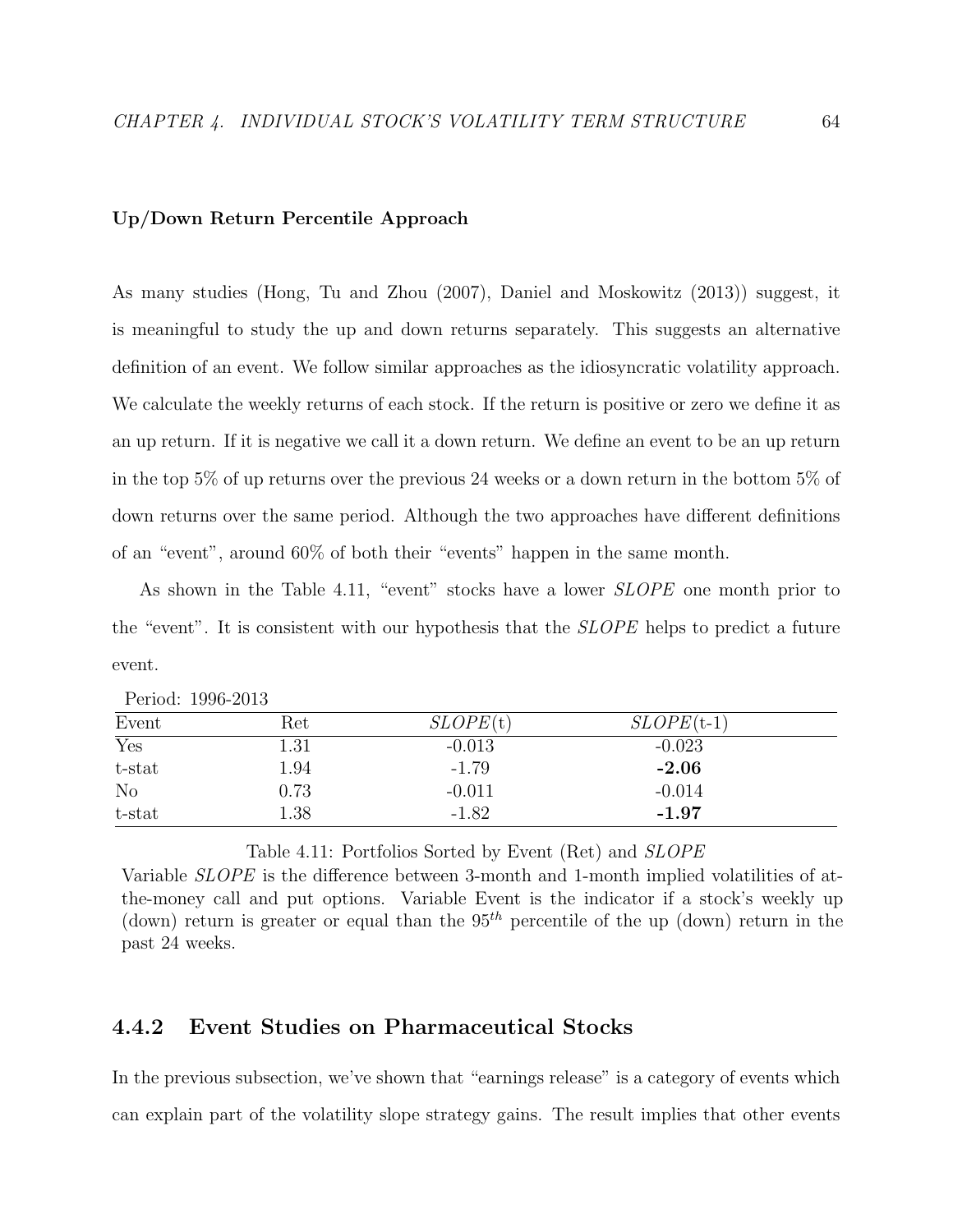#### Up/Down Return Percentile Approach

As many studies (Hong, Tu and Zhou (2007), Daniel and Moskowitz (2013)) suggest, it is meaningful to study the up and down returns separately. This suggests an alternative definition of an event. We follow similar approaches as the idiosyncratic volatility approach. We calculate the weekly returns of each stock. If the return is positive or zero we define it as an up return. If it is negative we call it a down return. We define an event to be an up return in the top 5% of up returns over the previous 24 weeks or a down return in the bottom 5% of down returns over the same period. Although the two approaches have different definitions of an "event", around 60% of both their "events" happen in the same month.

As shown in the Table 4.11, "event" stocks have a lower *SLOPE* one month prior to the "event". It is consistent with our hypothesis that the SLOPE helps to predict a future event.

| Event          | Ret      | SLOPE(t) | $SLOPE(t-1)$ |  |
|----------------|----------|----------|--------------|--|
| Yes            | $1.31\,$ | $-0.013$ | $-0.023$     |  |
| t-stat         | 1.94     | $-1.79$  | $-2.06$      |  |
| N <sub>o</sub> | 0.73     | $-0.011$ | $-0.014$     |  |
| t-stat         | 1.38     | $-1.82$  | $-1.97$      |  |

Period: 1996-2013

Table 4.11: Portfolios Sorted by Event (Ret) and SLOPE

Variable SLOPE is the difference between 3-month and 1-month implied volatilities of atthe-money call and put options. Variable Event is the indicator if a stock's weekly up (down) return is greater or equal than the  $95<sup>th</sup>$  percentile of the up (down) return in the past 24 weeks.

### 4.4.2 Event Studies on Pharmaceutical Stocks

In the previous subsection, we've shown that "earnings release" is a category of events which can explain part of the volatility slope strategy gains. The result implies that other events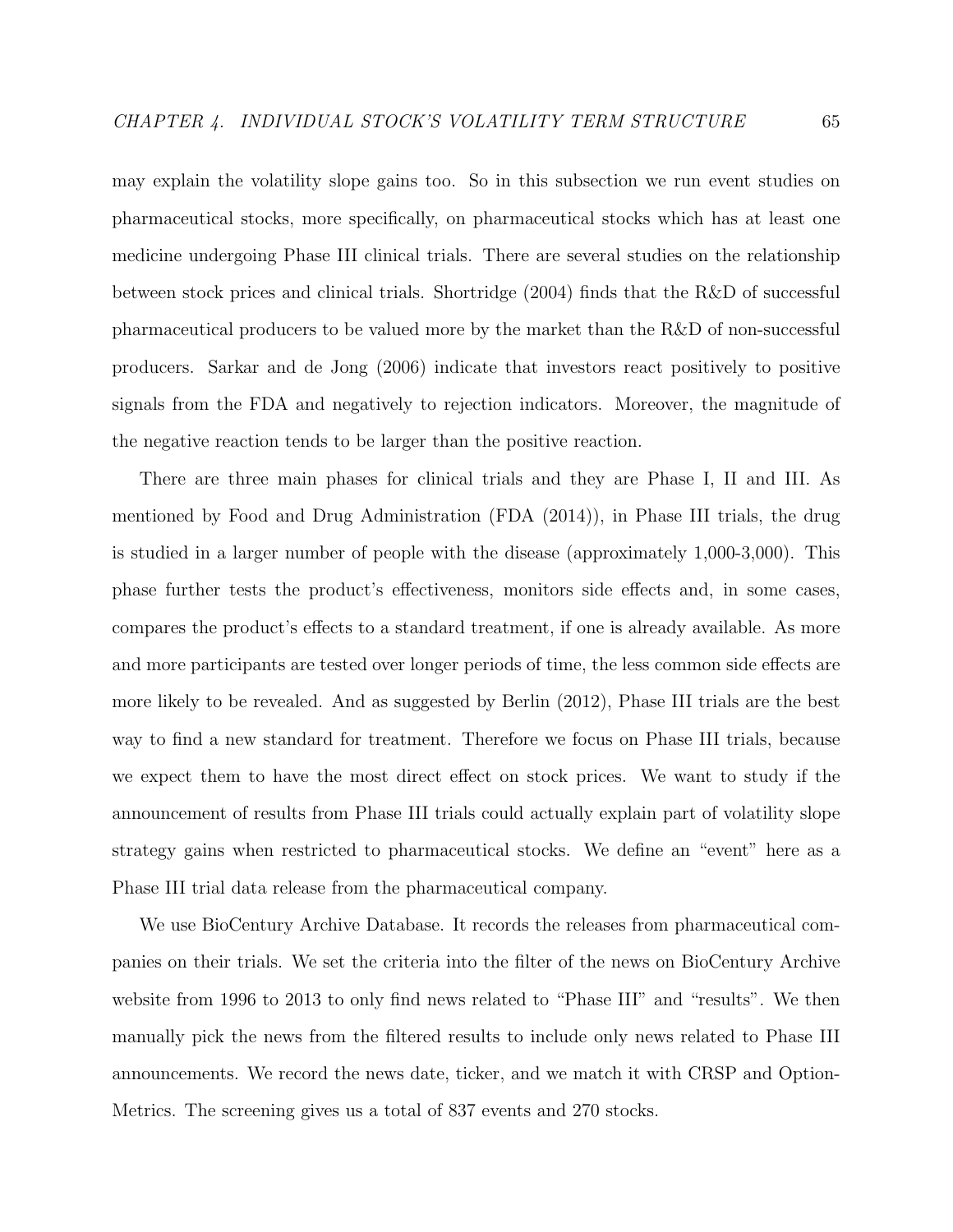may explain the volatility slope gains too. So in this subsection we run event studies on pharmaceutical stocks, more specifically, on pharmaceutical stocks which has at least one medicine undergoing Phase III clinical trials. There are several studies on the relationship between stock prices and clinical trials. Shortridge (2004) finds that the R&D of successful pharmaceutical producers to be valued more by the market than the R&D of non-successful producers. Sarkar and de Jong (2006) indicate that investors react positively to positive signals from the FDA and negatively to rejection indicators. Moreover, the magnitude of the negative reaction tends to be larger than the positive reaction.

There are three main phases for clinical trials and they are Phase I, II and III. As mentioned by Food and Drug Administration (FDA (2014)), in Phase III trials, the drug is studied in a larger number of people with the disease (approximately 1,000-3,000). This phase further tests the product's effectiveness, monitors side effects and, in some cases, compares the product's effects to a standard treatment, if one is already available. As more and more participants are tested over longer periods of time, the less common side effects are more likely to be revealed. And as suggested by Berlin (2012), Phase III trials are the best way to find a new standard for treatment. Therefore we focus on Phase III trials, because we expect them to have the most direct effect on stock prices. We want to study if the announcement of results from Phase III trials could actually explain part of volatility slope strategy gains when restricted to pharmaceutical stocks. We define an "event" here as a Phase III trial data release from the pharmaceutical company.

We use BioCentury Archive Database. It records the releases from pharmaceutical companies on their trials. We set the criteria into the filter of the news on BioCentury Archive website from 1996 to 2013 to only find news related to "Phase III" and "results". We then manually pick the news from the filtered results to include only news related to Phase III announcements. We record the news date, ticker, and we match it with CRSP and Option-Metrics. The screening gives us a total of 837 events and 270 stocks.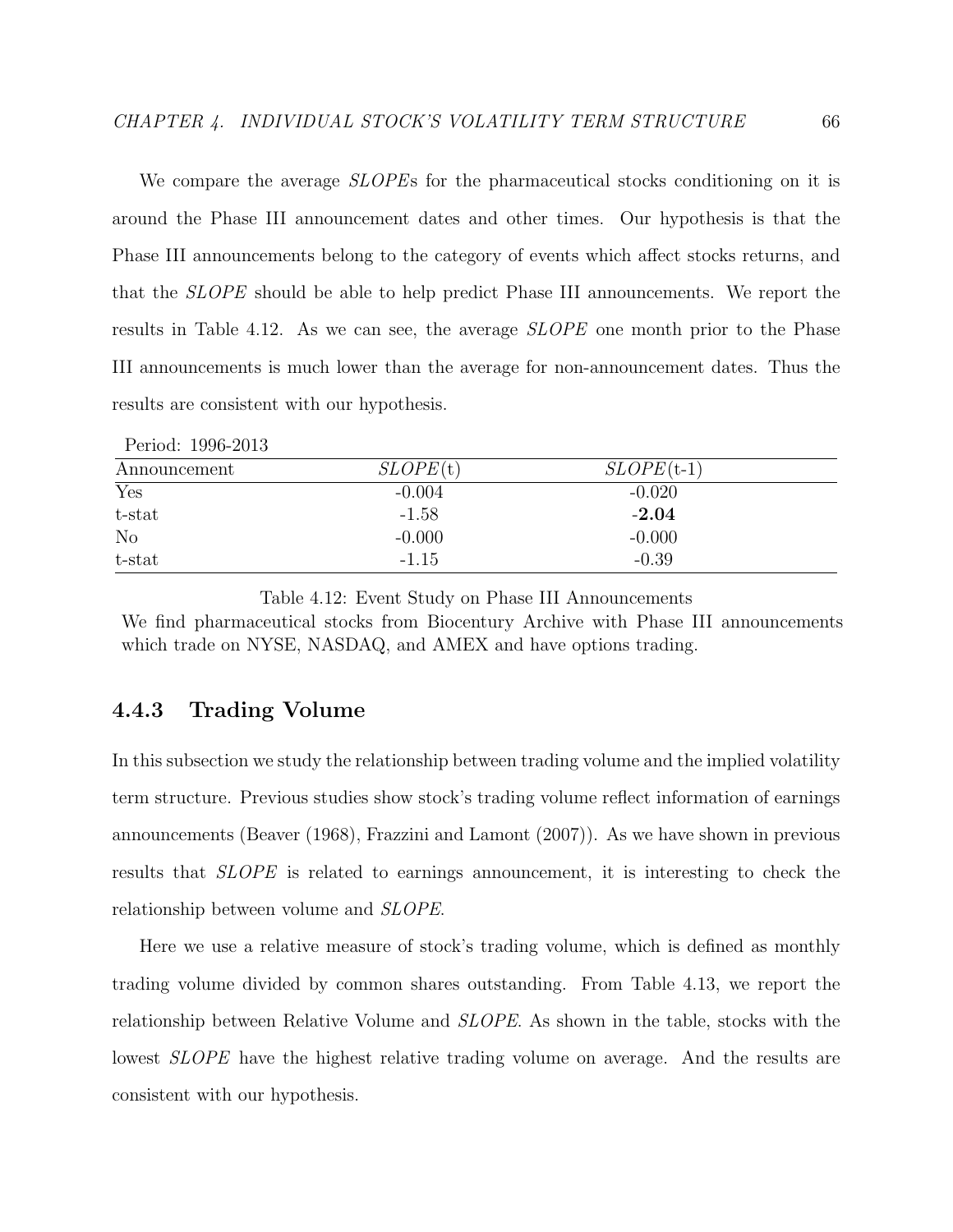We compare the average *SLOPEs* for the pharmaceutical stocks conditioning on it is around the Phase III announcement dates and other times. Our hypothesis is that the Phase III announcements belong to the category of events which affect stocks returns, and that the SLOPE should be able to help predict Phase III announcements. We report the results in Table 4.12. As we can see, the average SLOPE one month prior to the Phase III announcements is much lower than the average for non-announcement dates. Thus the results are consistent with our hypothesis.

| Period: 1996-2013 |          |               |  |
|-------------------|----------|---------------|--|
| Announcement      | SLOPE(t) | $SLOPE$ (t-1) |  |
| Yes               | $-0.004$ | $-0.020$      |  |
| t-stat            | $-1.58$  | $-2.04$       |  |
| N <sub>o</sub>    | $-0.000$ | $-0.000$      |  |
| t-stat            | $-1.15$  | $-0.39$       |  |

Table 4.12: Event Study on Phase III Announcements

We find pharmaceutical stocks from Biocentury Archive with Phase III announcements which trade on NYSE, NASDAQ, and AMEX and have options trading.

### 4.4.3 Trading Volume

In this subsection we study the relationship between trading volume and the implied volatility term structure. Previous studies show stock's trading volume reflect information of earnings announcements (Beaver (1968), Frazzini and Lamont (2007)). As we have shown in previous results that SLOPE is related to earnings announcement, it is interesting to check the relationship between volume and SLOPE.

Here we use a relative measure of stock's trading volume, which is defined as monthly trading volume divided by common shares outstanding. From Table 4.13, we report the relationship between Relative Volume and SLOPE. As shown in the table, stocks with the lowest SLOPE have the highest relative trading volume on average. And the results are consistent with our hypothesis.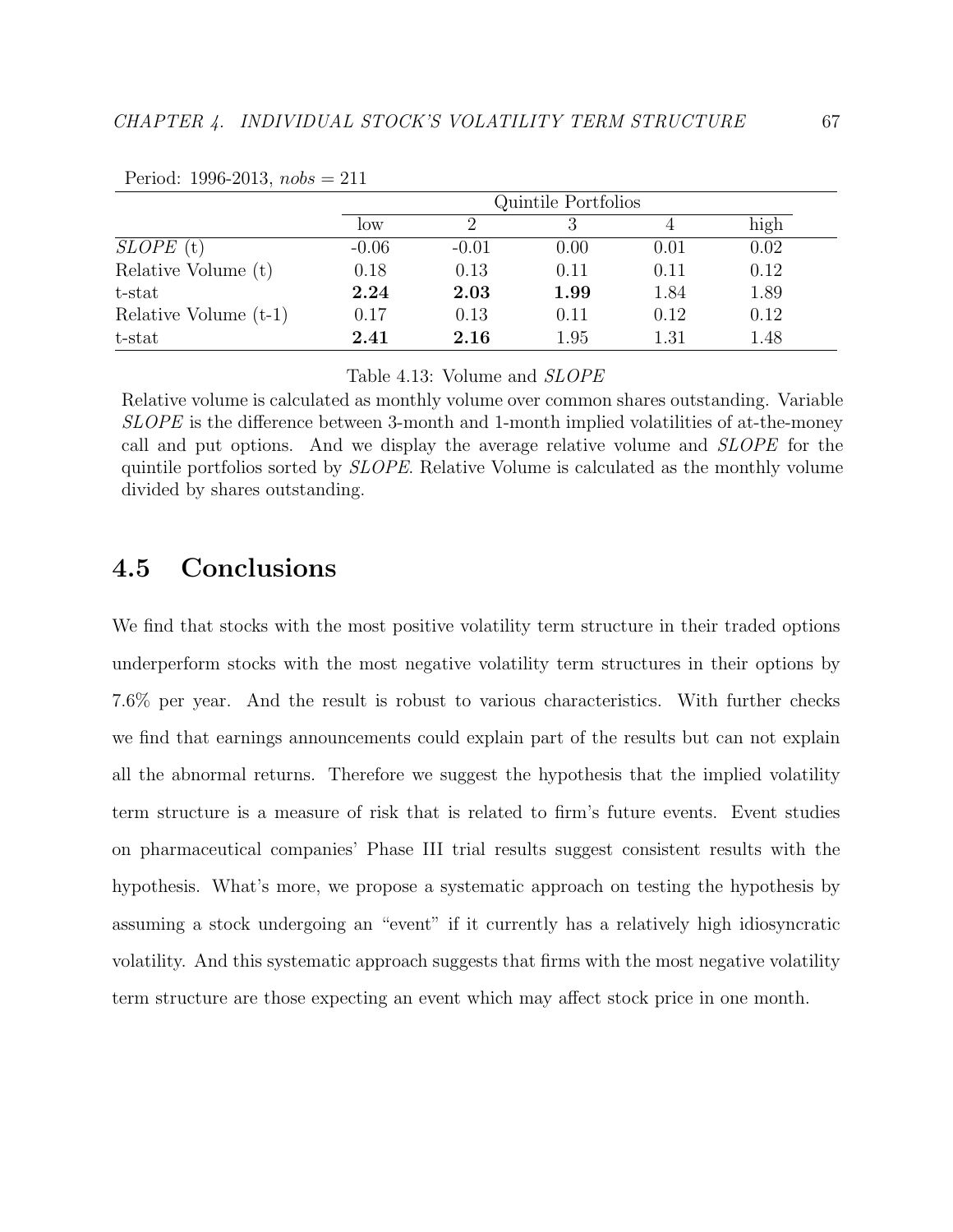|                         | Quintile Portfolios |         |      |          |      |
|-------------------------|---------------------|---------|------|----------|------|
|                         | low                 |         |      |          | high |
| $SLOPE$ (t)             | $-0.06$             | $-0.01$ | 0.00 | 0.01     | 0.02 |
| Relative Volume (t)     | 0.18                | 0.13    | 0.11 | 0.11     | 0.12 |
| t-stat                  | 2.24                | 2.03    | 1.99 | 1.84     | 1.89 |
| Relative Volume $(t-1)$ | 0.17                | 0.13    | 0.11 | 0.12     | 0.12 |
| t-stat                  | $2.41\,$            | 2.16    | 1.95 | $1.31\,$ | 1.48 |

Period: 1996-2013,  $nobs = 211$ 

Table 4.13: Volume and SLOPE

Relative volume is calculated as monthly volume over common shares outstanding. Variable SLOPE is the difference between 3-month and 1-month implied volatilities of at-the-money call and put options. And we display the average relative volume and SLOPE for the quintile portfolios sorted by SLOPE. Relative Volume is calculated as the monthly volume divided by shares outstanding.

## 4.5 Conclusions

We find that stocks with the most positive volatility term structure in their traded options underperform stocks with the most negative volatility term structures in their options by 7.6% per year. And the result is robust to various characteristics. With further checks we find that earnings announcements could explain part of the results but can not explain all the abnormal returns. Therefore we suggest the hypothesis that the implied volatility term structure is a measure of risk that is related to firm's future events. Event studies on pharmaceutical companies' Phase III trial results suggest consistent results with the hypothesis. What's more, we propose a systematic approach on testing the hypothesis by assuming a stock undergoing an "event" if it currently has a relatively high idiosyncratic volatility. And this systematic approach suggests that firms with the most negative volatility term structure are those expecting an event which may affect stock price in one month.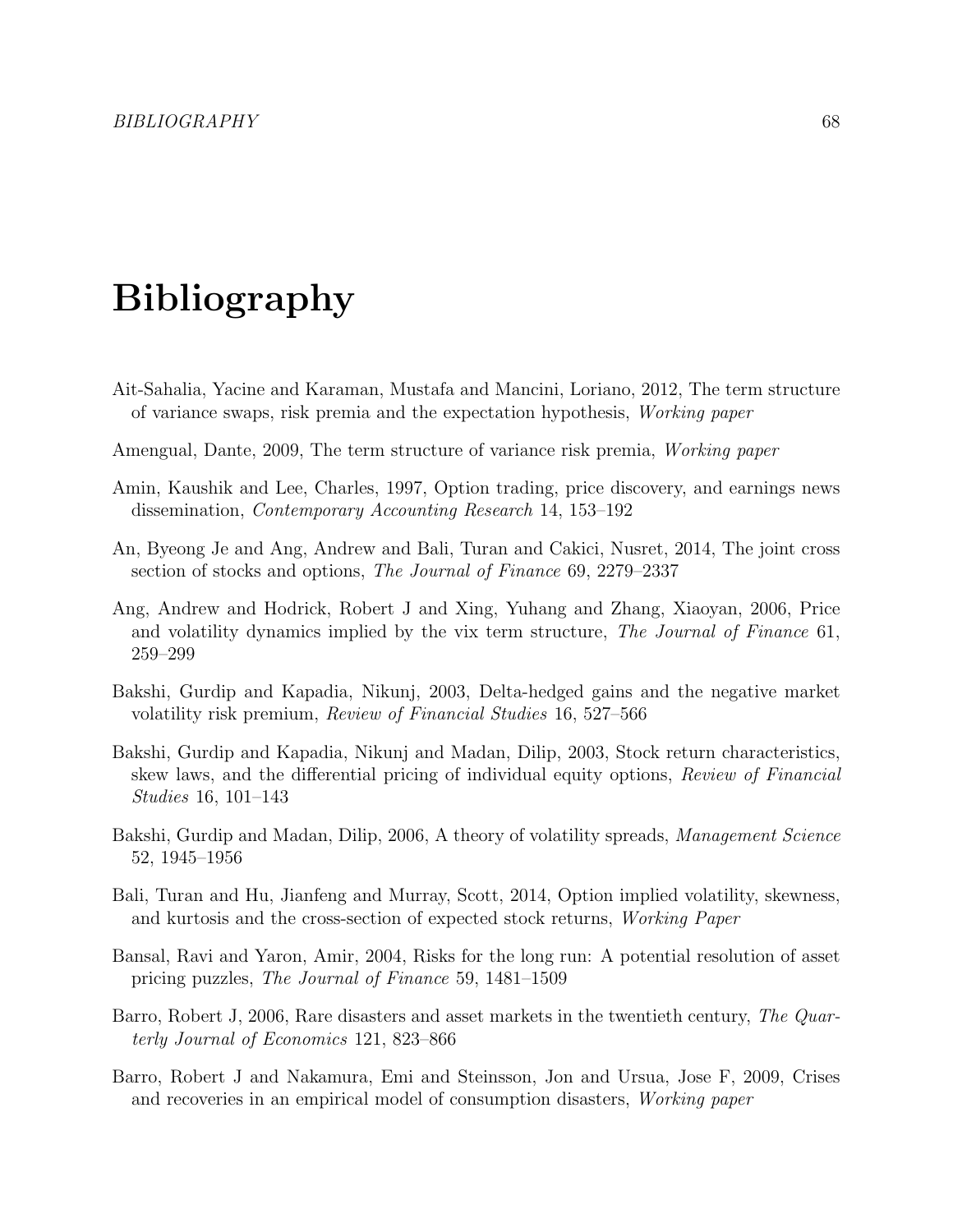# Bibliography

- Ait-Sahalia, Yacine and Karaman, Mustafa and Mancini, Loriano, 2012, The term structure of variance swaps, risk premia and the expectation hypothesis, Working paper
- Amengual, Dante, 2009, The term structure of variance risk premia, Working paper
- Amin, Kaushik and Lee, Charles, 1997, Option trading, price discovery, and earnings news dissemination, Contemporary Accounting Research 14, 153–192
- An, Byeong Je and Ang, Andrew and Bali, Turan and Cakici, Nusret, 2014, The joint cross section of stocks and options, The Journal of Finance 69, 2279–2337
- Ang, Andrew and Hodrick, Robert J and Xing, Yuhang and Zhang, Xiaoyan, 2006, Price and volatility dynamics implied by the vix term structure, The Journal of Finance 61, 259–299
- Bakshi, Gurdip and Kapadia, Nikunj, 2003, Delta-hedged gains and the negative market volatility risk premium, Review of Financial Studies 16, 527–566
- Bakshi, Gurdip and Kapadia, Nikunj and Madan, Dilip, 2003, Stock return characteristics, skew laws, and the differential pricing of individual equity options, Review of Financial Studies 16, 101–143
- Bakshi, Gurdip and Madan, Dilip, 2006, A theory of volatility spreads, *Management Science* 52, 1945–1956
- Bali, Turan and Hu, Jianfeng and Murray, Scott, 2014, Option implied volatility, skewness, and kurtosis and the cross-section of expected stock returns, Working Paper
- Bansal, Ravi and Yaron, Amir, 2004, Risks for the long run: A potential resolution of asset pricing puzzles, The Journal of Finance 59, 1481–1509
- Barro, Robert J, 2006, Rare disasters and asset markets in the twentieth century, The Quarterly Journal of Economics 121, 823–866
- Barro, Robert J and Nakamura, Emi and Steinsson, Jon and Ursua, Jose F, 2009, Crises and recoveries in an empirical model of consumption disasters, Working paper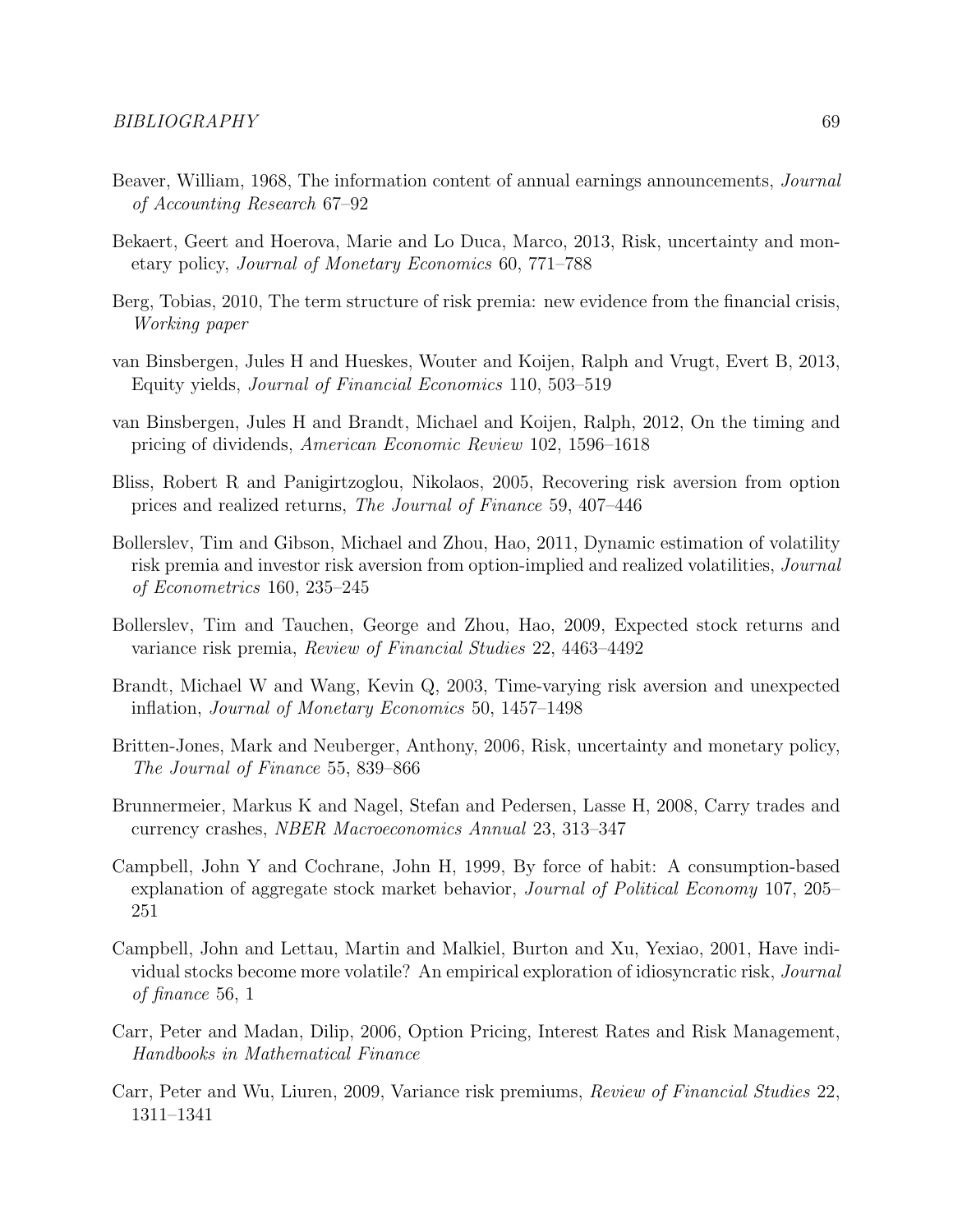- Beaver, William, 1968, The information content of annual earnings announcements, Journal of Accounting Research 67–92
- Bekaert, Geert and Hoerova, Marie and Lo Duca, Marco, 2013, Risk, uncertainty and monetary policy, Journal of Monetary Economics 60, 771–788
- Berg, Tobias, 2010, The term structure of risk premia: new evidence from the financial crisis, Working paper
- van Binsbergen, Jules H and Hueskes, Wouter and Koijen, Ralph and Vrugt, Evert B, 2013, Equity yields, Journal of Financial Economics 110, 503–519
- van Binsbergen, Jules H and Brandt, Michael and Koijen, Ralph, 2012, On the timing and pricing of dividends, American Economic Review 102, 1596–1618
- Bliss, Robert R and Panigirtzoglou, Nikolaos, 2005, Recovering risk aversion from option prices and realized returns, The Journal of Finance 59, 407–446
- Bollerslev, Tim and Gibson, Michael and Zhou, Hao, 2011, Dynamic estimation of volatility risk premia and investor risk aversion from option-implied and realized volatilities, Journal of Econometrics 160, 235–245
- Bollerslev, Tim and Tauchen, George and Zhou, Hao, 2009, Expected stock returns and variance risk premia, Review of Financial Studies 22, 4463–4492
- Brandt, Michael W and Wang, Kevin Q, 2003, Time-varying risk aversion and unexpected inflation, Journal of Monetary Economics 50, 1457–1498
- Britten-Jones, Mark and Neuberger, Anthony, 2006, Risk, uncertainty and monetary policy, The Journal of Finance 55, 839–866
- Brunnermeier, Markus K and Nagel, Stefan and Pedersen, Lasse H, 2008, Carry trades and currency crashes, NBER Macroeconomics Annual 23, 313–347
- Campbell, John Y and Cochrane, John H, 1999, By force of habit: A consumption-based explanation of aggregate stock market behavior, Journal of Political Economy 107, 205– 251
- Campbell, John and Lettau, Martin and Malkiel, Burton and Xu, Yexiao, 2001, Have individual stocks become more volatile? An empirical exploration of idiosyncratic risk, Journal of finance 56, 1
- Carr, Peter and Madan, Dilip, 2006, Option Pricing, Interest Rates and Risk Management, Handbooks in Mathematical Finance
- Carr, Peter and Wu, Liuren, 2009, Variance risk premiums, Review of Financial Studies 22, 1311–1341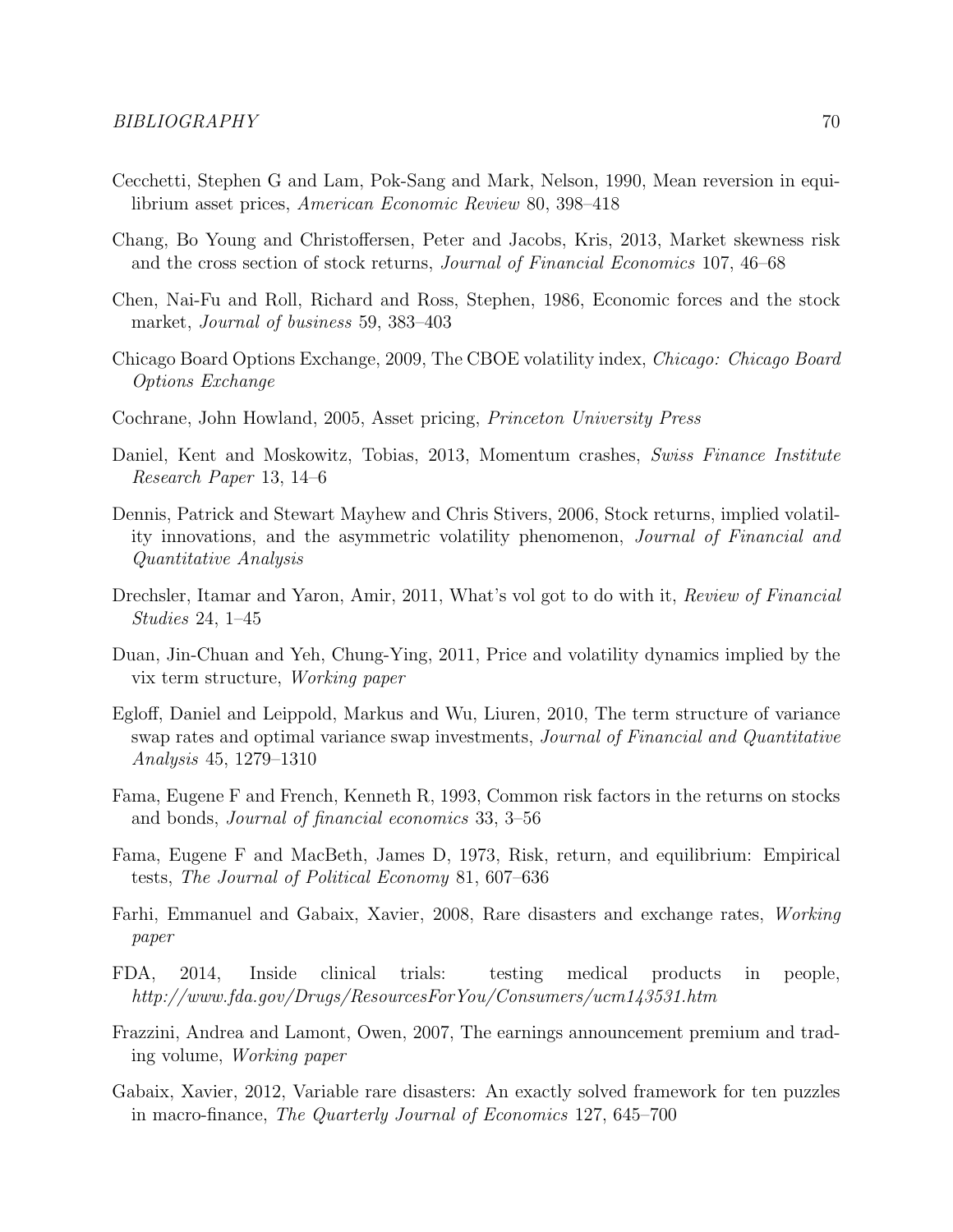- Cecchetti, Stephen G and Lam, Pok-Sang and Mark, Nelson, 1990, Mean reversion in equilibrium asset prices, American Economic Review 80, 398–418
- Chang, Bo Young and Christoffersen, Peter and Jacobs, Kris, 2013, Market skewness risk and the cross section of stock returns, Journal of Financial Economics 107, 46–68
- Chen, Nai-Fu and Roll, Richard and Ross, Stephen, 1986, Economic forces and the stock market, Journal of business 59, 383–403
- Chicago Board Options Exchange, 2009, The CBOE volatility index, Chicago: Chicago Board Options Exchange
- Cochrane, John Howland, 2005, Asset pricing, Princeton University Press
- Daniel, Kent and Moskowitz, Tobias, 2013, Momentum crashes, Swiss Finance Institute Research Paper 13, 14–6
- Dennis, Patrick and Stewart Mayhew and Chris Stivers, 2006, Stock returns, implied volatility innovations, and the asymmetric volatility phenomenon, Journal of Financial and Quantitative Analysis
- Drechsler, Itamar and Yaron, Amir, 2011, What's vol got to do with it, Review of Financial Studies 24, 1–45
- Duan, Jin-Chuan and Yeh, Chung-Ying, 2011, Price and volatility dynamics implied by the vix term structure, Working paper
- Egloff, Daniel and Leippold, Markus and Wu, Liuren, 2010, The term structure of variance swap rates and optimal variance swap investments, Journal of Financial and Quantitative Analysis 45, 1279–1310
- Fama, Eugene F and French, Kenneth R, 1993, Common risk factors in the returns on stocks and bonds, Journal of financial economics 33, 3–56
- Fama, Eugene F and MacBeth, James D, 1973, Risk, return, and equilibrium: Empirical tests, The Journal of Political Economy 81, 607–636
- Farhi, Emmanuel and Gabaix, Xavier, 2008, Rare disasters and exchange rates, Working paper
- FDA, 2014, Inside clinical trials: testing medical products in people, http://www.fda.gov/Drugs/ResourcesForYou/Consumers/ucm143531.htm
- Frazzini, Andrea and Lamont, Owen, 2007, The earnings announcement premium and trading volume, Working paper
- Gabaix, Xavier, 2012, Variable rare disasters: An exactly solved framework for ten puzzles in macro-finance, The Quarterly Journal of Economics 127, 645–700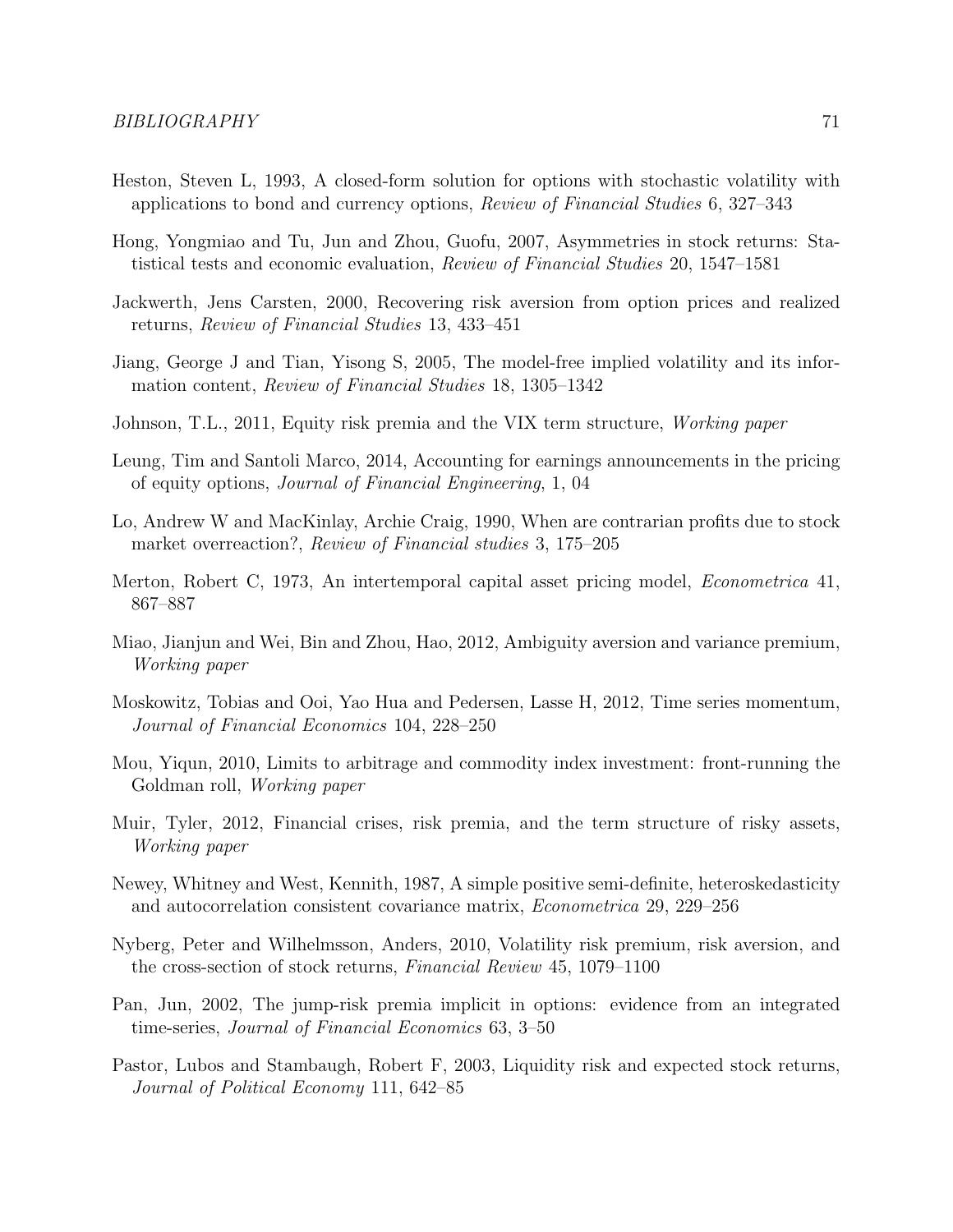- Heston, Steven L, 1993, A closed-form solution for options with stochastic volatility with applications to bond and currency options, Review of Financial Studies 6, 327–343
- Hong, Yongmiao and Tu, Jun and Zhou, Guofu, 2007, Asymmetries in stock returns: Statistical tests and economic evaluation, Review of Financial Studies 20, 1547–1581
- Jackwerth, Jens Carsten, 2000, Recovering risk aversion from option prices and realized returns, Review of Financial Studies 13, 433–451
- Jiang, George J and Tian, Yisong S, 2005, The model-free implied volatility and its information content, Review of Financial Studies 18, 1305–1342
- Johnson, T.L., 2011, Equity risk premia and the VIX term structure, Working paper
- Leung, Tim and Santoli Marco, 2014, Accounting for earnings announcements in the pricing of equity options, Journal of Financial Engineering, 1, 04
- Lo, Andrew W and MacKinlay, Archie Craig, 1990, When are contrarian profits due to stock market overreaction?, Review of Financial studies 3, 175–205
- Merton, Robert C, 1973, An intertemporal capital asset pricing model, Econometrica 41, 867–887
- Miao, Jianjun and Wei, Bin and Zhou, Hao, 2012, Ambiguity aversion and variance premium, Working paper
- Moskowitz, Tobias and Ooi, Yao Hua and Pedersen, Lasse H, 2012, Time series momentum, Journal of Financial Economics 104, 228–250
- Mou, Yiqun, 2010, Limits to arbitrage and commodity index investment: front-running the Goldman roll, Working paper
- Muir, Tyler, 2012, Financial crises, risk premia, and the term structure of risky assets, Working paper
- Newey, Whitney and West, Kennith, 1987, A simple positive semi-definite, heteroskedasticity and autocorrelation consistent covariance matrix, Econometrica 29, 229–256
- Nyberg, Peter and Wilhelmsson, Anders, 2010, Volatility risk premium, risk aversion, and the cross-section of stock returns, Financial Review 45, 1079–1100
- Pan, Jun, 2002, The jump-risk premia implicit in options: evidence from an integrated time-series, Journal of Financial Economics 63, 3–50
- Pastor, Lubos and Stambaugh, Robert F, 2003, Liquidity risk and expected stock returns, Journal of Political Economy 111, 642–85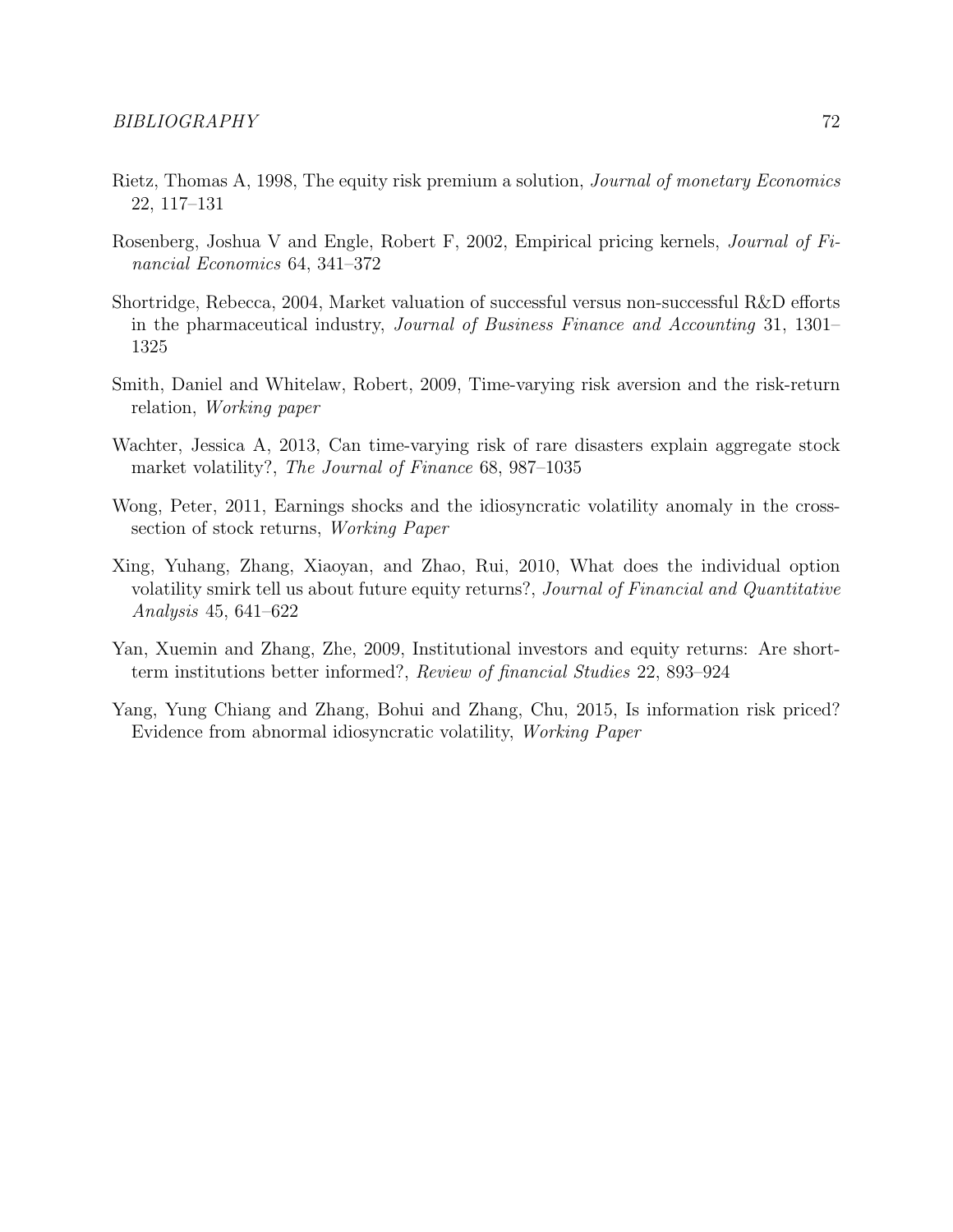- Rietz, Thomas A, 1998, The equity risk premium a solution, Journal of monetary Economics 22, 117–131
- Rosenberg, Joshua V and Engle, Robert F, 2002, Empirical pricing kernels, Journal of Financial Economics 64, 341–372
- Shortridge, Rebecca, 2004, Market valuation of successful versus non-successful R&D efforts in the pharmaceutical industry, Journal of Business Finance and Accounting 31, 1301– 1325
- Smith, Daniel and Whitelaw, Robert, 2009, Time-varying risk aversion and the risk-return relation, Working paper
- Wachter, Jessica A, 2013, Can time-varying risk of rare disasters explain aggregate stock market volatility?, The Journal of Finance 68, 987–1035
- Wong, Peter, 2011, Earnings shocks and the idiosyncratic volatility anomaly in the crosssection of stock returns, Working Paper
- Xing, Yuhang, Zhang, Xiaoyan, and Zhao, Rui, 2010, What does the individual option volatility smirk tell us about future equity returns?, Journal of Financial and Quantitative Analysis 45, 641–622
- Yan, Xuemin and Zhang, Zhe, 2009, Institutional investors and equity returns: Are shortterm institutions better informed?, Review of financial Studies 22, 893–924
- Yang, Yung Chiang and Zhang, Bohui and Zhang, Chu, 2015, Is information risk priced? Evidence from abnormal idiosyncratic volatility, Working Paper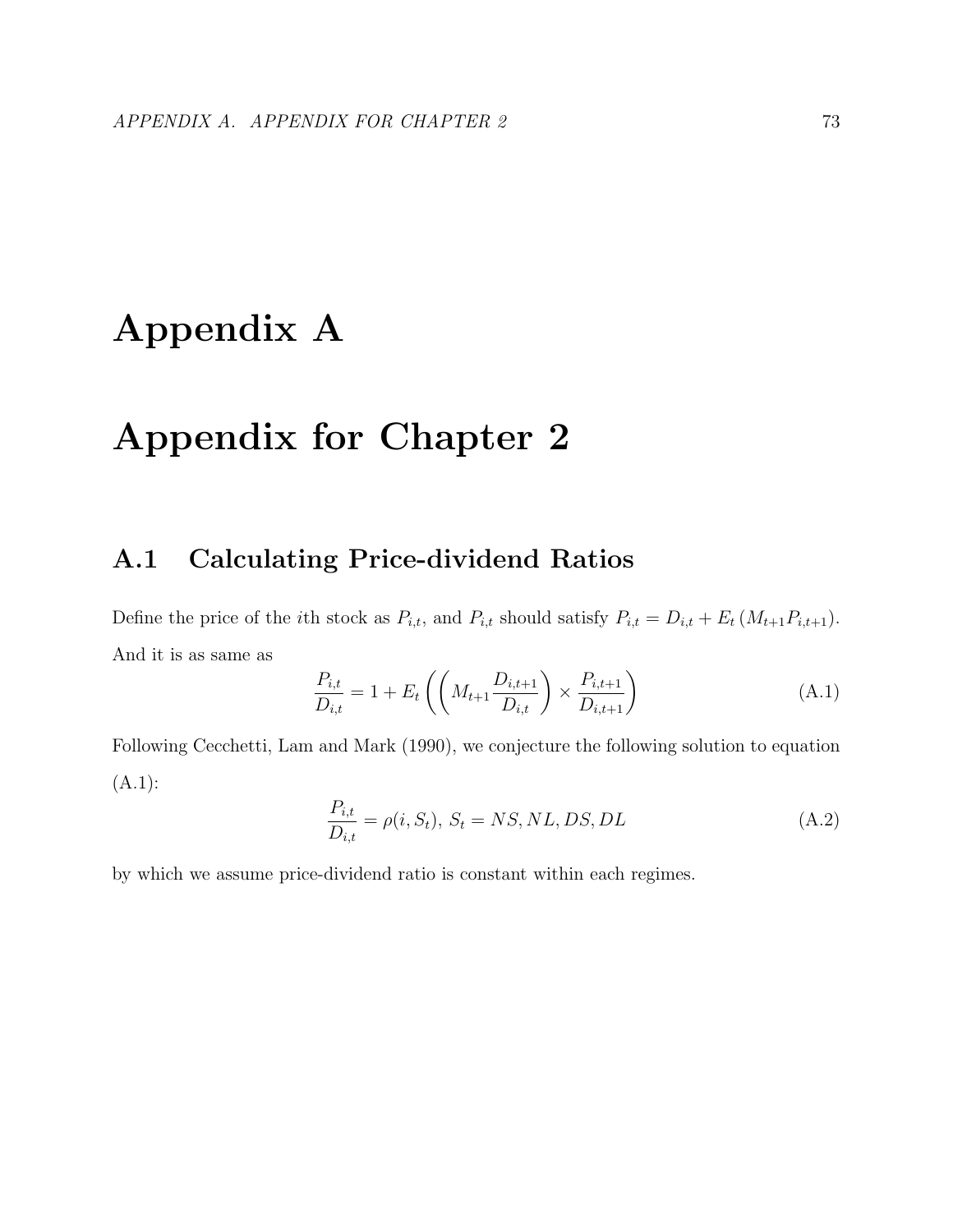# Appendix A

# Appendix for Chapter 2

## A.1 Calculating Price-dividend Ratios

Define the price of the *i*th stock as  $P_{i,t}$ , and  $P_{i,t}$  should satisfy  $P_{i,t} = D_{i,t} + E_t (M_{t+1}P_{i,t+1})$ . And it is as same as

$$
\frac{P_{i,t}}{D_{i,t}} = 1 + E_t \left( \left( M_{t+1} \frac{D_{i,t+1}}{D_{i,t}} \right) \times \frac{P_{i,t+1}}{D_{i,t+1}} \right)
$$
(A.1)

Following Cecchetti, Lam and Mark (1990), we conjecture the following solution to equation  $(A.1):$ 

$$
\frac{P_{i,t}}{D_{i,t}} = \rho(i, S_t), \ S_t = NS, NL, DS, DL \tag{A.2}
$$

by which we assume price-dividend ratio is constant within each regimes.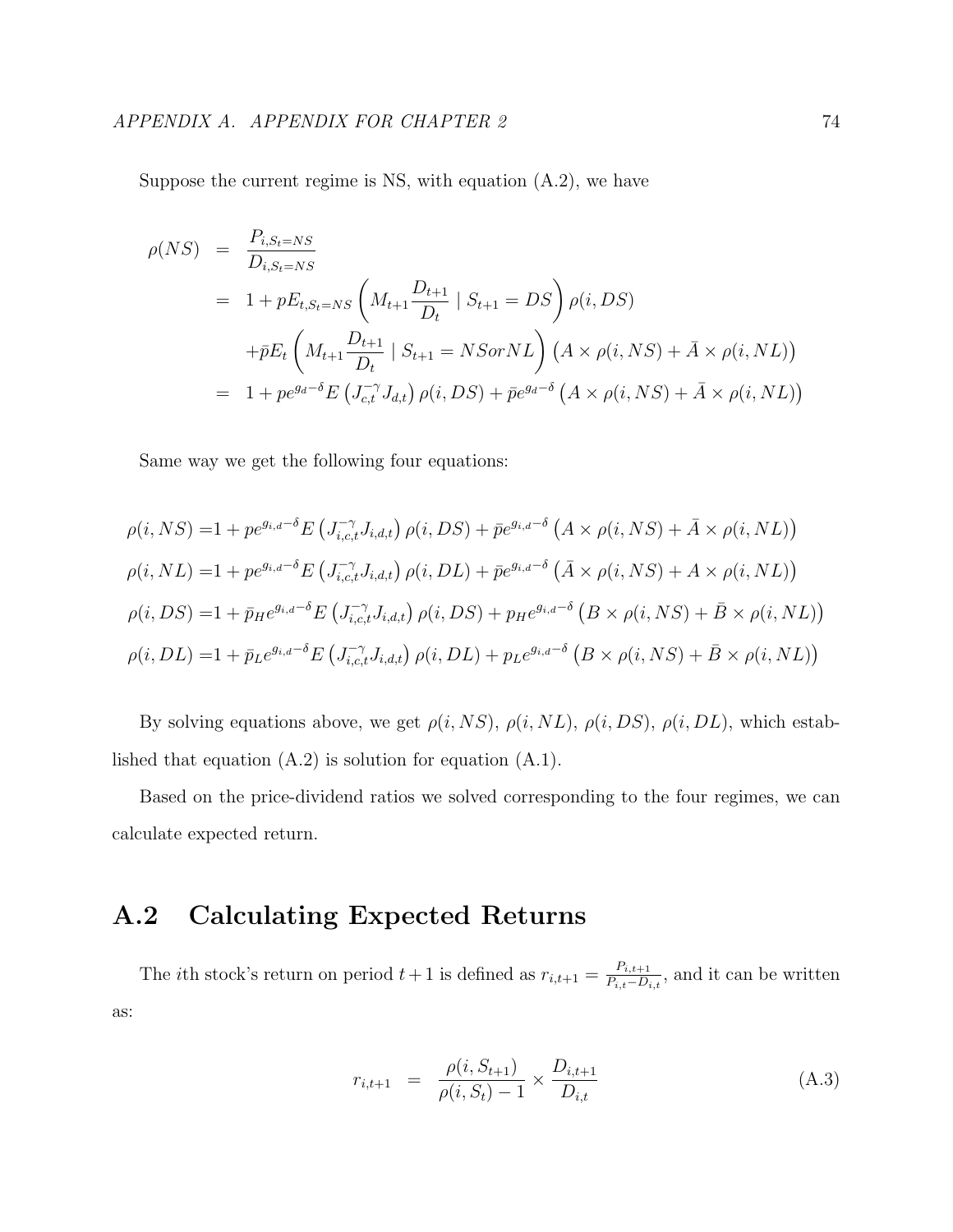Suppose the current regime is NS, with equation  $(A.2)$ , we have

$$
\rho(NS) = \frac{P_{i,S_t=NS}}{D_{i,S_t=NS}}
$$
  
= 1 + pE\_{t,S\_t=NS} \left( M\_{t+1} \frac{D\_{t+1}}{D\_t} | S\_{t+1} = DS \right) \rho(i, DS)  
+ \bar{p}E\_t \left( M\_{t+1} \frac{D\_{t+1}}{D\_t} | S\_{t+1} = NSorNL \right) \left( A \times \rho(i, NS) + \bar{A} \times \rho(i, NL) \right)  
= 1 + pe^{ga-\delta} E \left( J\_{c,t}^{-\gamma} J\_{d,t} \right) \rho(i, DS) + \bar{p}e^{ga-\delta} \left( A \times \rho(i, NS) + \bar{A} \times \rho(i, NL) \right)

Same way we get the following four equations:

$$
\rho(i, NS) = 1 + p e^{g_{i,d} - \delta} E \left( J_{i,c,t}^{-\gamma} J_{i,d,t} \right) \rho(i, DS) + \bar{p} e^{g_{i,d} - \delta} \left( A \times \rho(i, NS) + \bar{A} \times \rho(i, NL) \right)
$$
  
\n
$$
\rho(i, NL) = 1 + p e^{g_{i,d} - \delta} E \left( J_{i,c,t}^{-\gamma} J_{i,d,t} \right) \rho(i, DL) + \bar{p} e^{g_{i,d} - \delta} \left( \bar{A} \times \rho(i, NS) + A \times \rho(i, NL) \right)
$$
  
\n
$$
\rho(i, DS) = 1 + \bar{p}_H e^{g_{i,d} - \delta} E \left( J_{i,c,t}^{-\gamma} J_{i,d,t} \right) \rho(i, DS) + p_H e^{g_{i,d} - \delta} \left( B \times \rho(i, NS) + \bar{B} \times \rho(i, NL) \right)
$$
  
\n
$$
\rho(i, DL) = 1 + \bar{p}_L e^{g_{i,d} - \delta} E \left( J_{i,c,t}^{-\gamma} J_{i,d,t} \right) \rho(i, DL) + p_L e^{g_{i,d} - \delta} \left( B \times \rho(i, NS) + \bar{B} \times \rho(i, NL) \right)
$$

By solving equations above, we get  $\rho(i, NS)$ ,  $\rho(i, NL)$ ,  $\rho(i, DS)$ ,  $\rho(i, DL)$ , which established that equation  $(A.2)$  is solution for equation  $(A.1)$ .

Based on the price-dividend ratios we solved corresponding to the four regimes, we can calculate expected return.

## A.2 Calculating Expected Returns

The *i*th stock's return on period  $t+1$  is defined as  $r_{i,t+1} = \frac{P_{i,t+1}}{P_{i,t}-D_{i,t}}$  $\frac{P_{i,t+1}}{P_{i,t}-D_{i,t}}$ , and it can be written as:

$$
r_{i,t+1} = \frac{\rho(i, S_{t+1})}{\rho(i, S_t) - 1} \times \frac{D_{i,t+1}}{D_{i,t}}
$$
(A.3)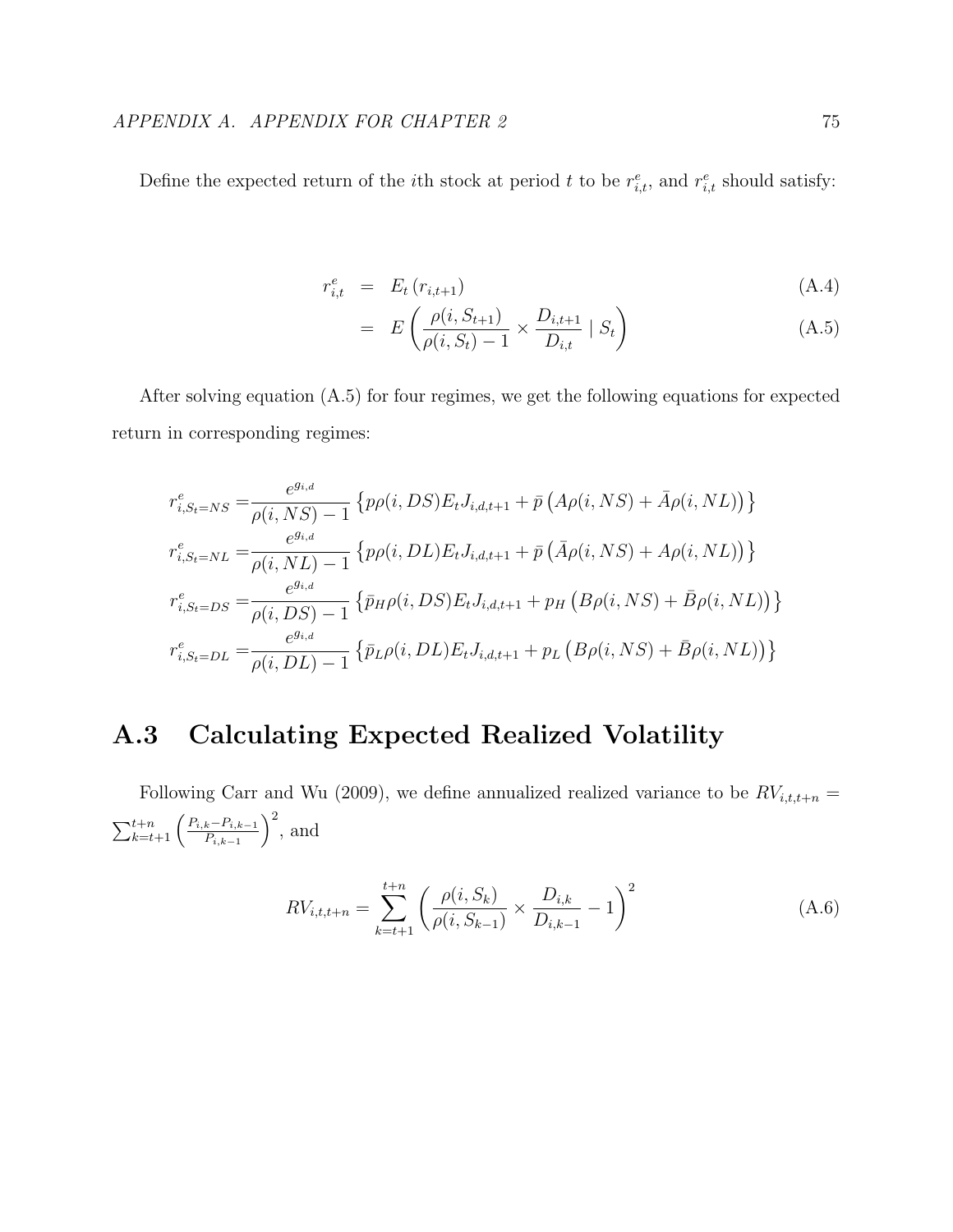Define the expected return of the *i*th stock at period t to be  $r_{i,t}^e$ , and  $r_{i,t}^e$  should satisfy:

$$
r_{i,t}^e = E_t(r_{i,t+1}) \tag{A.4}
$$

$$
= E\left(\frac{\rho(i, S_{t+1})}{\rho(i, S_t) - 1} \times \frac{D_{i, t+1}}{D_{i, t}} \mid S_t\right) \tag{A.5}
$$

After solving equation (A.5) for four regimes, we get the following equations for expected return in corresponding regimes:

$$
r_{i,S_t=NS}^e = \frac{e^{g_{i,d}}}{\rho(i,NS)-1} \left\{ p\rho(i,DS)E_t J_{i,d,t+1} + \bar{p} \left( A\rho(i,NS) + \bar{A}\rho(i, NL) \right) \right\}
$$
  
\n
$$
r_{i,S_t=NL}^e = \frac{e^{g_{i,d}}}{\rho(i,NL)-1} \left\{ p\rho(i,DL)E_t J_{i,d,t+1} + \bar{p} \left( \bar{A}\rho(i,NS) + A\rho(i,NL) \right) \right\}
$$
  
\n
$$
r_{i,S_t=DS}^e = \frac{e^{g_{i,d}}}{\rho(i,DS)-1} \left\{ \bar{p}_H \rho(i,DS)E_t J_{i,d,t+1} + p_H \left( B\rho(i,NS) + \bar{B}\rho(i,NL) \right) \right\}
$$
  
\n
$$
r_{i,S_t=DL}^e = \frac{e^{g_{i,d}}}{\rho(i,DL)-1} \left\{ \bar{p}_L \rho(i,DL)E_t J_{i,d,t+1} + p_L \left( B\rho(i,NS) + \bar{B}\rho(i,NL) \right) \right\}
$$

## A.3 Calculating Expected Realized Volatility

Following Carr and Wu (2009), we define annualized realized variance to be  $RV_{i,t,t+n}$  =  $\sum_{k=t+1}^{t+n} \left( \frac{P_{i,k}-P_{i,k-1}}{P_{i,k-1}} \right)$  $P_{i,k-1}$  $\big)^2$ , and

$$
RV_{i,t,t+n} = \sum_{k=t+1}^{t+n} \left( \frac{\rho(i, S_k)}{\rho(i, S_{k-1})} \times \frac{D_{i,k}}{D_{i,k-1}} - 1 \right)^2
$$
 (A.6)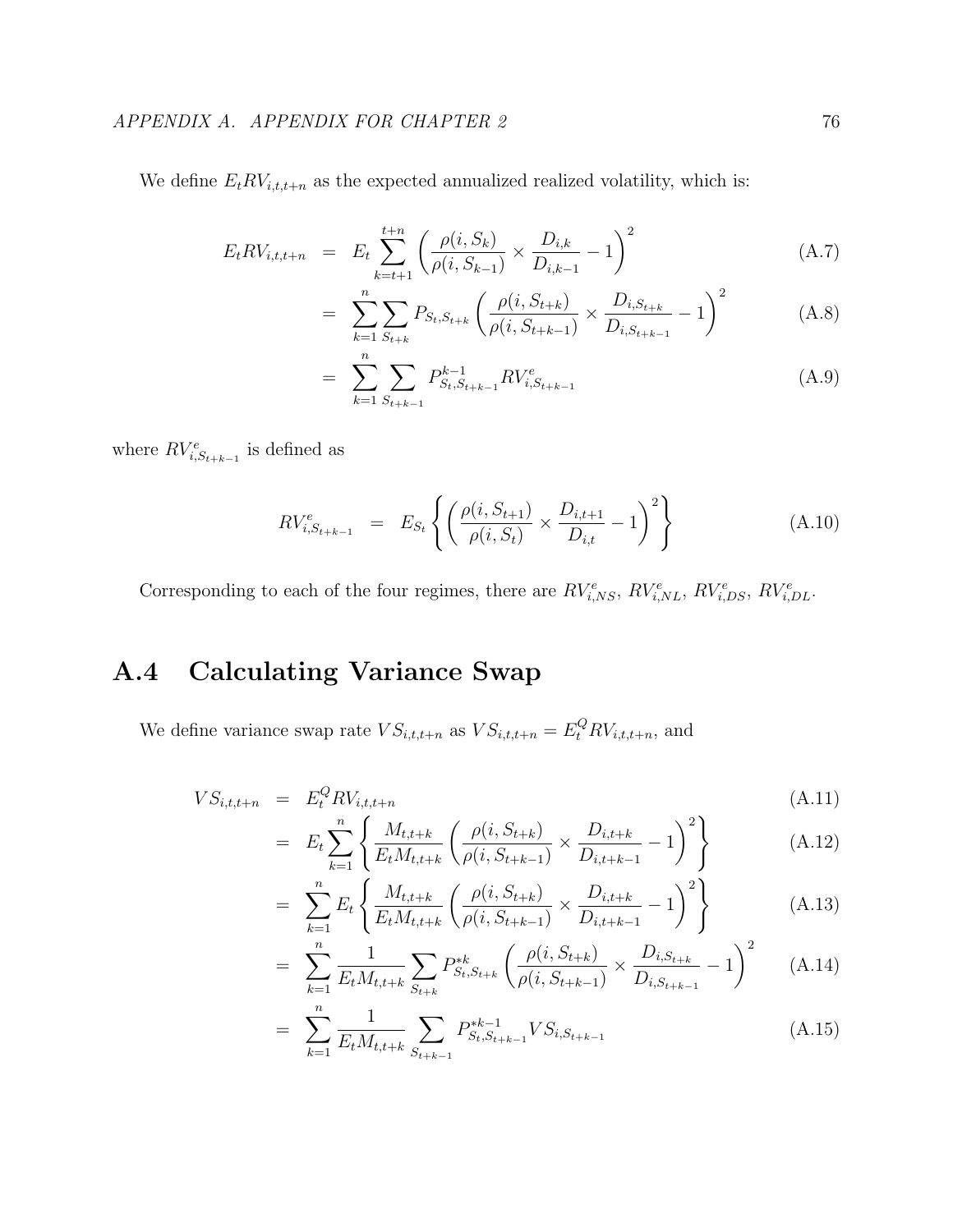We define  $E_t RV_{i,t,t+n}$  as the expected annualized realized volatility, which is:

$$
E_t RV_{i,t,t+n} = E_t \sum_{k=t+1}^{t+n} \left( \frac{\rho(i, S_k)}{\rho(i, S_{k-1})} \times \frac{D_{i,k}}{D_{i,k-1}} - 1 \right)^2
$$
 (A.7)

$$
= \sum_{k=1}^{n} \sum_{S_{t+k}} P_{S_t, S_{t+k}} \left( \frac{\rho(i, S_{t+k})}{\rho(i, S_{t+k-1})} \times \frac{D_{i, S_{t+k}}}{D_{i, S_{t+k-1}}} - 1 \right)^2 \tag{A.8}
$$

$$
= \sum_{k=1}^{n} \sum_{S_{t+k-1}} P_{S_t, S_{t+k-1}}^{k-1} RV_{i, S_{t+k-1}}^{e}
$$
 (A.9)

where  $RV_{i,S_{t+k-1}}^e$  is defined as

$$
RV_{i,S_{t+k-1}}^e = E_{S_t} \left\{ \left( \frac{\rho(i, S_{t+1})}{\rho(i, S_t)} \times \frac{D_{i,t+1}}{D_{i,t}} - 1 \right)^2 \right\}
$$
(A.10)

Corresponding to each of the four regimes, there are  $RV_{i,NS}^e$ ,  $RV_{i,NL}^e$ ,  $RV_{i,DS}^e$ ,  $RV_{i,DL}^e$ .

## A.4 Calculating Variance Swap

We define variance swap rate  $VS_{i,t,t+n}$  as  $VS_{i,t,t+n} = E_t^Q RV_{i,t,t+n}$ , and

$$
VS_{i,t,t+n} = E_t^Q RV_{i,t,t+n}
$$
\n(A.11)

$$
= E_t \sum_{k=1}^n \left\{ \frac{M_{t,t+k}}{E_t M_{t,t+k}} \left( \frac{\rho(i, S_{t+k})}{\rho(i, S_{t+k-1})} \times \frac{D_{i,t+k}}{D_{i,t+k-1}} - 1 \right)^2 \right\}
$$
(A.12)

$$
= \sum_{k=1}^{n} E_t \left\{ \frac{M_{t,t+k}}{E_t M_{t,t+k}} \left( \frac{\rho(i, S_{t+k})}{\rho(i, S_{t+k-1})} \times \frac{D_{i,t+k}}{D_{i,t+k-1}} - 1 \right)^2 \right\}
$$
(A.13)

$$
= \sum_{k=1}^{n} \frac{1}{E_t M_{t,t+k}} \sum_{S_{t+k}} P_{S_t, S_{t+k}}^{*k} \left( \frac{\rho(i, S_{t+k})}{\rho(i, S_{t+k-1})} \times \frac{D_{i, S_{t+k}}}{D_{i, S_{t+k-1}}} - 1 \right)^2 \tag{A.14}
$$

$$
= \sum_{k=1}^{n} \frac{1}{E_t M_{t,t+k}} \sum_{S_{t+k-1}} P_{S_t, S_{t+k-1}}^{*k-1} VS_{i, S_{t+k-1}}
$$
(A.15)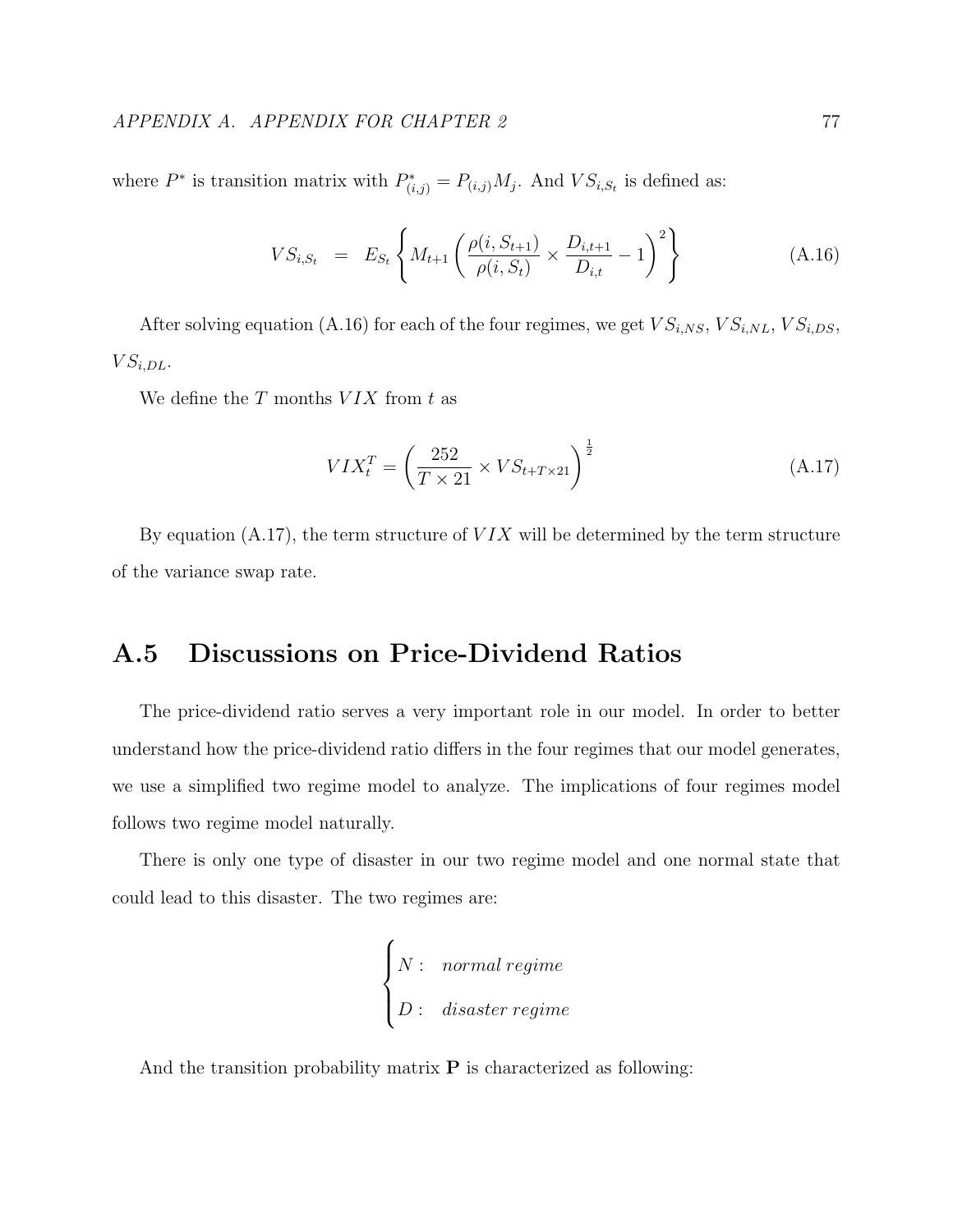where  $P^*$  is transition matrix with  $P^*_{(i,j)} = P_{(i,j)} M_j$ . And  $VS_{i,S_t}$  is defined as:

$$
VS_{i,S_t} = E_{S_t} \left\{ M_{t+1} \left( \frac{\rho(i, S_{t+1})}{\rho(i, S_t)} \times \frac{D_{i,t+1}}{D_{i,t}} - 1 \right)^2 \right\}
$$
(A.16)

After solving equation (A.16) for each of the four regimes, we get  $VS_{i,NS}, VS_{i,NL}, VS_{i,DS}$ ,  $VS_{i,DL}$ .

We define the  $T$  months  $VIX$  from  $t$  as

$$
VIX_t^T = \left(\frac{252}{T \times 21} \times VS_{t+T \times 21}\right)^{\frac{1}{2}}
$$
\n(A.17)

By equation  $(A.17)$ , the term structure of  $VIX$  will be determined by the term structure of the variance swap rate.

## A.5 Discussions on Price-Dividend Ratios

The price-dividend ratio serves a very important role in our model. In order to better understand how the price-dividend ratio differs in the four regimes that our model generates, we use a simplified two regime model to analyze. The implications of four regimes model follows two regime model naturally.

There is only one type of disaster in our two regime model and one normal state that could lead to this disaster. The two regimes are:

$$
\begin{cases} N: & \textit{normal regime} \\ D: & \textit{disaster regime} \end{cases}
$$

And the transition probability matrix  $P$  is characterized as following: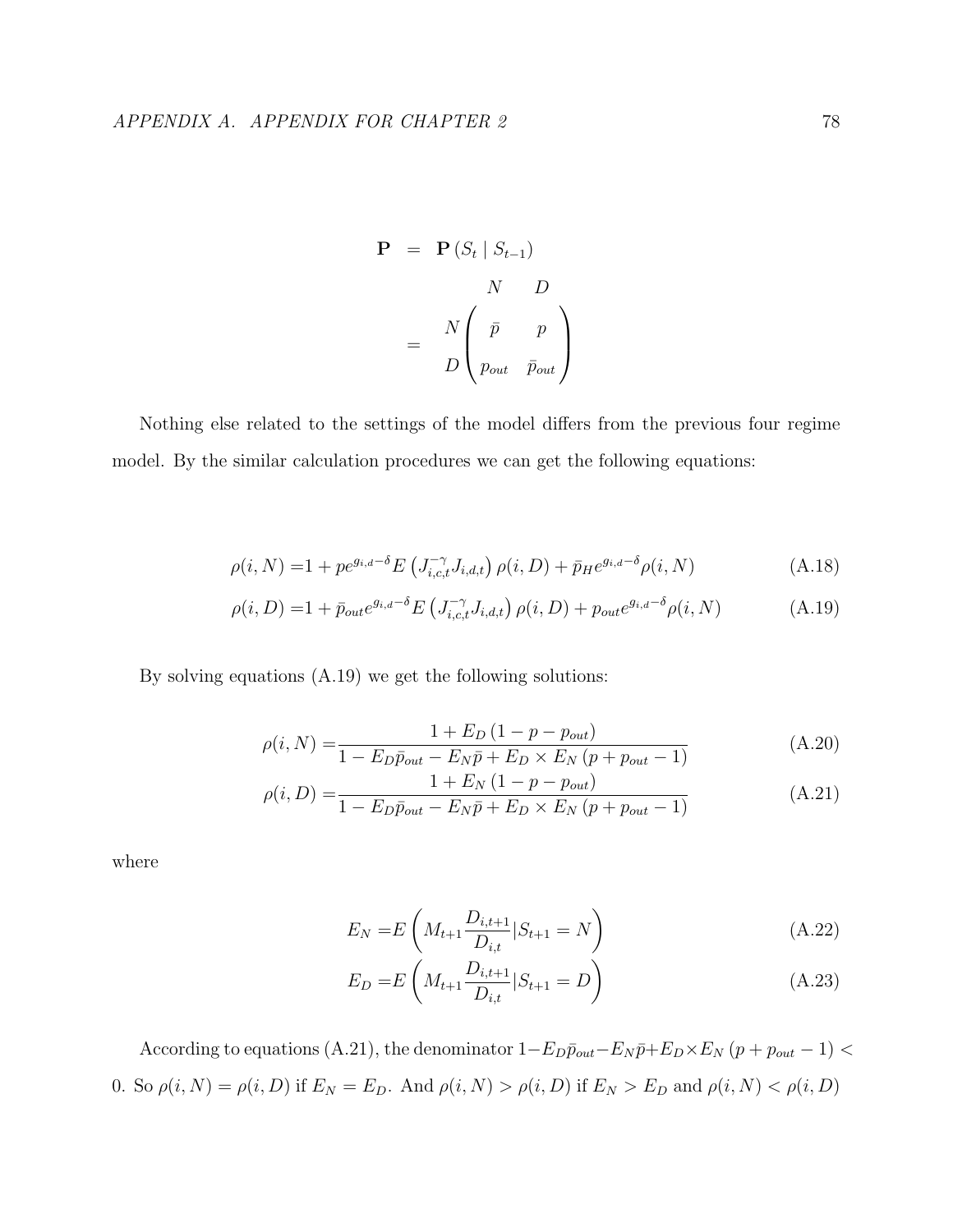$$
\mathbf{P} = \mathbf{P} (S_t | S_{t-1})
$$
  

$$
N \qquad D
$$
  

$$
= N \begin{pmatrix} \bar{p} & p \\ p_{out} & \bar{p}_{out} \end{pmatrix}
$$

Nothing else related to the settings of the model differs from the previous four regime model. By the similar calculation procedures we can get the following equations:

$$
\rho(i, N) = 1 + p e^{g_{i,d} - \delta} E\left(J_{i,c,t}^{-\gamma} J_{i,d,t}\right) \rho(i, D) + \bar{p}_H e^{g_{i,d} - \delta} \rho(i, N) \tag{A.18}
$$

$$
\rho(i, D) = 1 + \bar{p}_{out} e^{g_{i,d} - \delta} E\left(J_{i,c,t}^{-\gamma} J_{i,d,t}\right) \rho(i, D) + p_{out} e^{g_{i,d} - \delta} \rho(i, N) \tag{A.19}
$$

By solving equations (A.19) we get the following solutions:

$$
\rho(i, N) = \frac{1 + E_D (1 - p - p_{out})}{1 - E_D \bar{p}_{out} - E_N \bar{p} + E_D \times E_N (p + p_{out} - 1)}
$$
(A.20)

$$
\rho(i, D) = \frac{1 + E_N (1 - p - p_{out})}{1 - E_D \bar{p}_{out} - E_N \bar{p} + E_D \times E_N (p + p_{out} - 1)}
$$
(A.21)

where

$$
E_N = E\left(M_{t+1} \frac{D_{i,t+1}}{D_{i,t}} | S_{t+1} = N\right)
$$
\n(A.22)

$$
E_D = E\left(M_{t+1} \frac{D_{i,t+1}}{D_{i,t}} | S_{t+1} = D\right)
$$
\n(A.23)

According to equations (A.21), the denominator  $1-E_D\bar{p}_{out}-E_N\bar{p}+E_D\times E_N(p+p_{out}-1)<$ 0. So  $\rho(i, N) = \rho(i, D)$  if  $E_N = E_D$ . And  $\rho(i, N) > \rho(i, D)$  if  $E_N > E_D$  and  $\rho(i, N) < \rho(i, D)$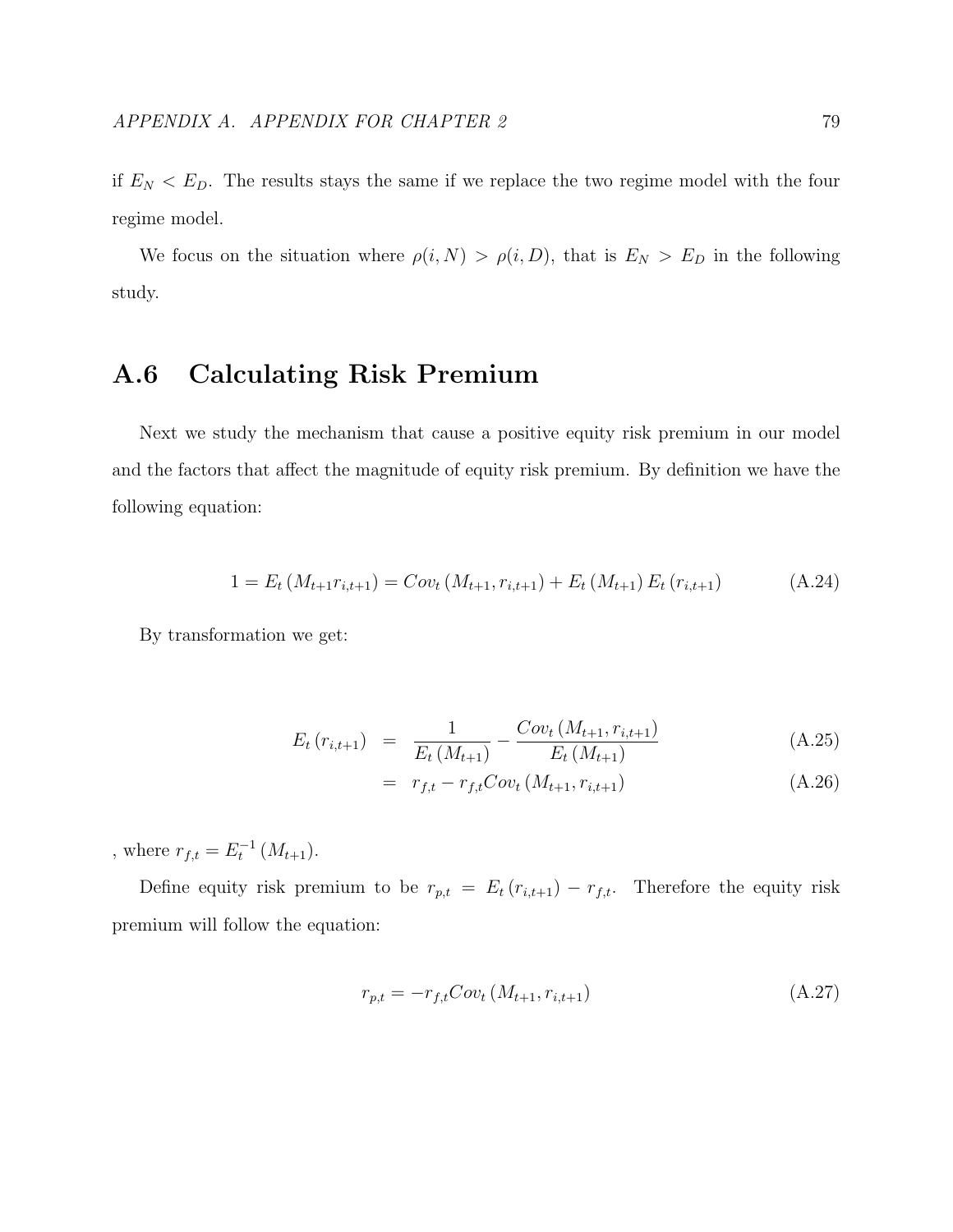if  $E_N < E_D$ . The results stays the same if we replace the two regime model with the four regime model.

We focus on the situation where  $\rho(i, N) > \rho(i, D)$ , that is  $E_N > E_D$  in the following study.

## A.6 Calculating Risk Premium

Next we study the mechanism that cause a positive equity risk premium in our model and the factors that affect the magnitude of equity risk premium. By definition we have the following equation:

$$
1 = E_t \left( M_{t+1} r_{i,t+1} \right) = Cov_t \left( M_{t+1}, r_{i,t+1} \right) + E_t \left( M_{t+1} \right) E_t \left( r_{i,t+1} \right) \tag{A.24}
$$

By transformation we get:

$$
E_t(r_{i,t+1}) = \frac{1}{E_t(M_{t+1})} - \frac{Cov_t(M_{t+1}, r_{i,t+1})}{E_t(M_{t+1})}
$$
(A.25)

$$
= r_{f,t} - r_{f,t}Cov_t(M_{t+1}, r_{i,t+1})
$$
\n(A.26)

, where  $r_{f,t} = E_t^{-1} (M_{t+1}).$ 

Define equity risk premium to be  $r_{p,t} = E_t (r_{i,t+1}) - r_{f,t}$ . Therefore the equity risk premium will follow the equation:

$$
r_{p,t} = -r_{f,t}Cov_t\left(M_{t+1}, r_{i,t+1}\right) \tag{A.27}
$$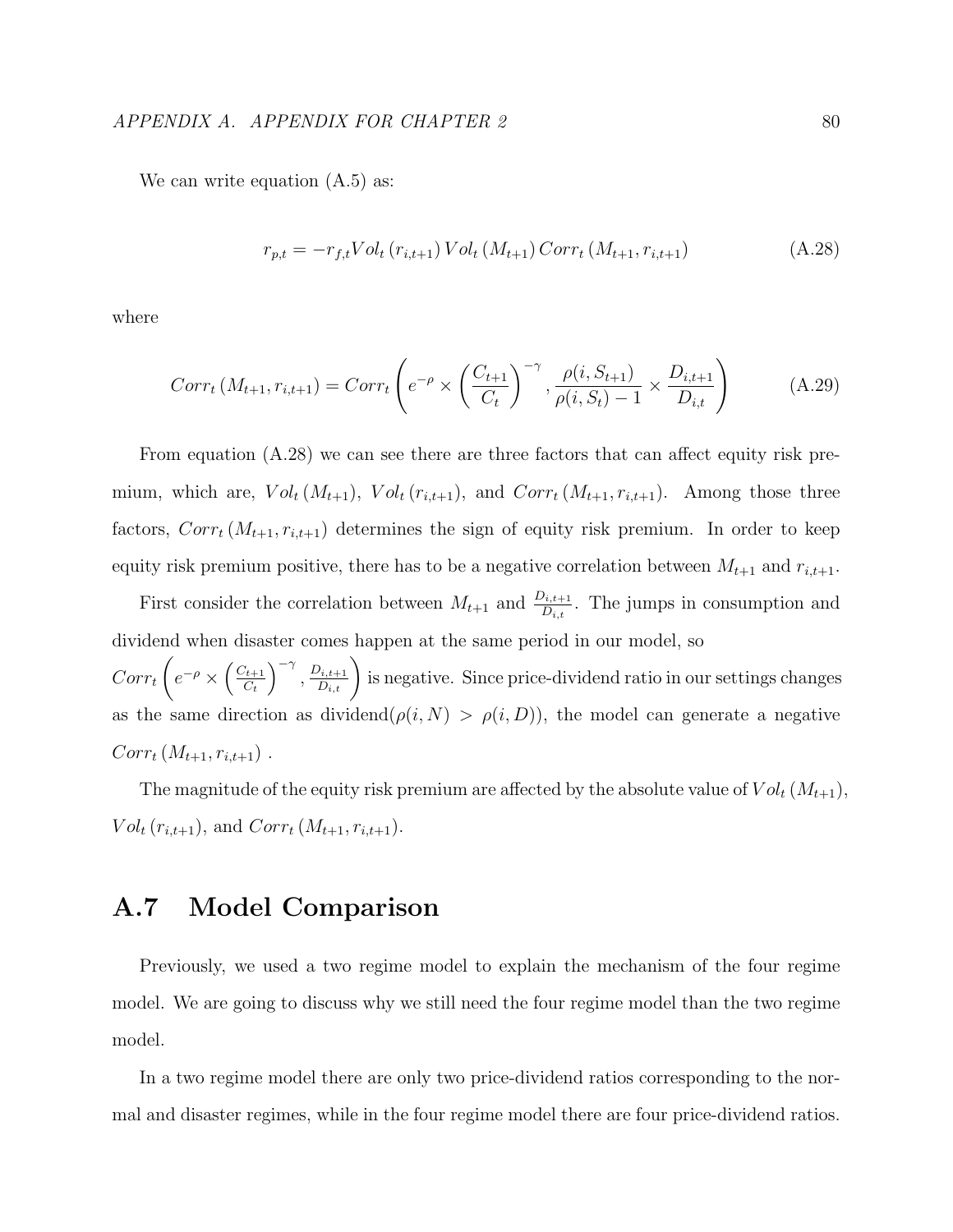We can write equation  $(A.5)$  as:

$$
r_{p,t} = -r_{f,t} Vol_t (r_{i,t+1}) Vol_t (M_{t+1}) Corr_t (M_{t+1}, r_{i,t+1})
$$
\n(A.28)

where

$$
Corr_t(M_{t+1}, r_{i,t+1}) = Corr_t\left(e^{-\rho} \times \left(\frac{C_{t+1}}{C_t}\right)^{-\gamma}, \frac{\rho(i, S_{t+1})}{\rho(i, S_t) - 1} \times \frac{D_{i,t+1}}{D_{i,t}}\right)
$$
(A.29)

From equation (A.28) we can see there are three factors that can affect equity risk premium, which are,  $Vol_t(M_{t+1}), Vol_t(r_{i,t+1}),$  and  $Corr_t(M_{t+1}, r_{i,t+1}).$  Among those three factors,  $Corr_t(M_{t+1}, r_{i,t+1})$  determines the sign of equity risk premium. In order to keep equity risk premium positive, there has to be a negative correlation between  $M_{t+1}$  and  $r_{i,t+1}$ .

First consider the correlation between  $M_{t+1}$  and  $\frac{D_{i,t+1}}{D_{i,t}}$ . The jumps in consumption and dividend when disaster comes happen at the same period in our model, so  $Corr_t$  $\sqrt{ }$  $e^{-\rho} \times \left(\frac{C_{t+1}}{C_t}\right)$  $C_t$  $\Big)^{-\gamma}, \frac{D_{i,t+1}}{D_{i,t}}\Big)$  is negative. Since price-dividend ratio in our settings changes as the same direction as dividend $(\rho(i, N) > \rho(i, D))$ , the model can generate a negative  $Corr_t(M_{t+1}, r_{i,t+1})$ .

The magnitude of the equity risk premium are affected by the absolute value of  $Vol_t(M_{t+1}),$  $Vol_t(r_{i,t+1}),$  and  $Corr_t(M_{t+1}, r_{i,t+1}).$ 

## A.7 Model Comparison

Previously, we used a two regime model to explain the mechanism of the four regime model. We are going to discuss why we still need the four regime model than the two regime model.

In a two regime model there are only two price-dividend ratios corresponding to the normal and disaster regimes, while in the four regime model there are four price-dividend ratios.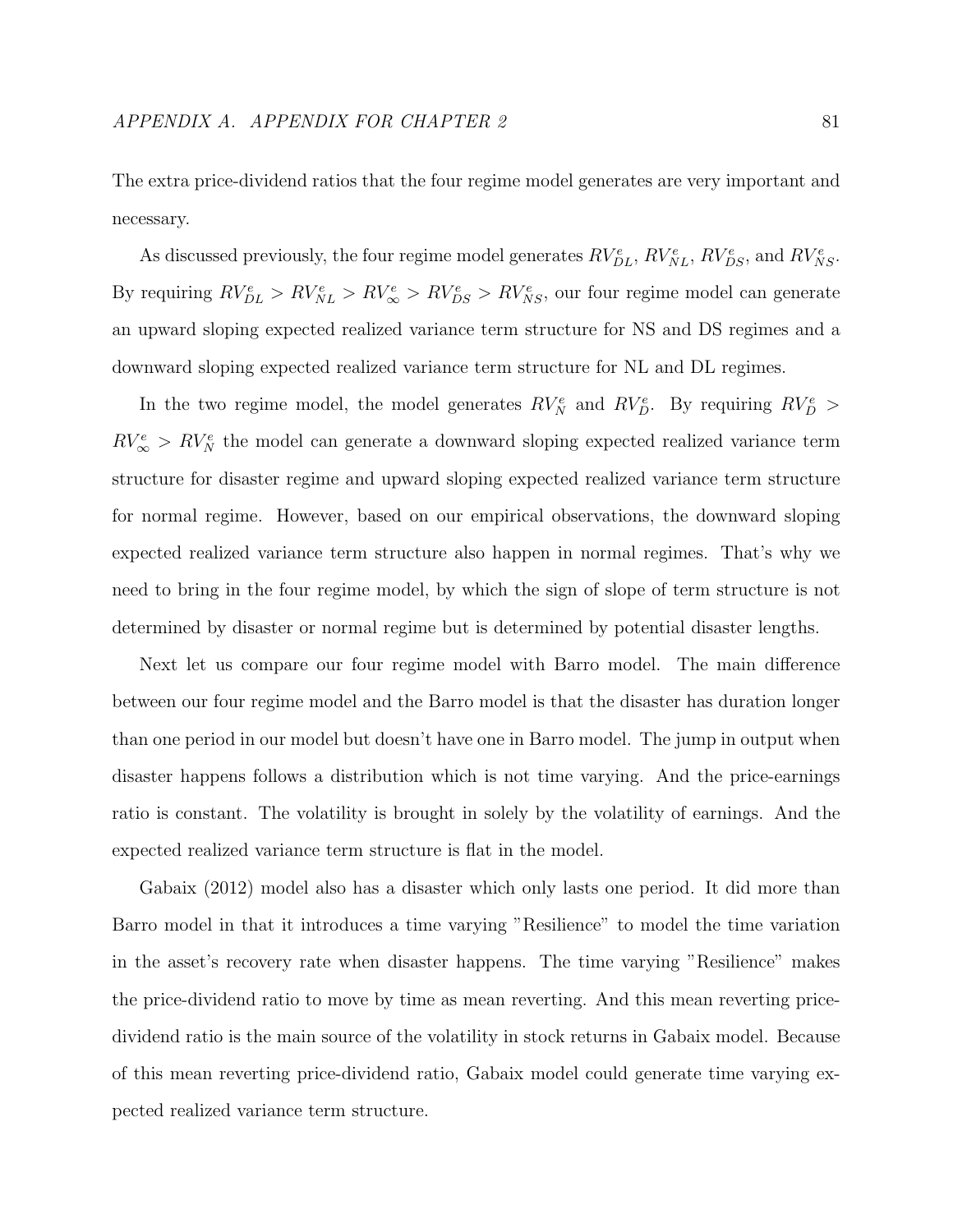The extra price-dividend ratios that the four regime model generates are very important and necessary.

As discussed previously, the four regime model generates  $RV_{DL}^e$ ,  $RV_{NL}^e$ ,  $RV_{DS}^e$ , and  $RV_{NS}^e$ . By requiring  $RV_{DL}^e > RV_{NL}^e > RV_{\infty}^e > RV_{DS}^e > RV_{NS}^e$ , our four regime model can generate an upward sloping expected realized variance term structure for NS and DS regimes and a downward sloping expected realized variance term structure for NL and DL regimes.

In the two regime model, the model generates  $RV_N^e$  and  $RV_D^e$ . By requiring  $RV_D^e$  $RV_{\infty}^e$  >  $RV_N^e$  the model can generate a downward sloping expected realized variance term structure for disaster regime and upward sloping expected realized variance term structure for normal regime. However, based on our empirical observations, the downward sloping expected realized variance term structure also happen in normal regimes. That's why we need to bring in the four regime model, by which the sign of slope of term structure is not determined by disaster or normal regime but is determined by potential disaster lengths.

Next let us compare our four regime model with Barro model. The main difference between our four regime model and the Barro model is that the disaster has duration longer than one period in our model but doesn't have one in Barro model. The jump in output when disaster happens follows a distribution which is not time varying. And the price-earnings ratio is constant. The volatility is brought in solely by the volatility of earnings. And the expected realized variance term structure is flat in the model.

Gabaix (2012) model also has a disaster which only lasts one period. It did more than Barro model in that it introduces a time varying "Resilience" to model the time variation in the asset's recovery rate when disaster happens. The time varying "Resilience" makes the price-dividend ratio to move by time as mean reverting. And this mean reverting pricedividend ratio is the main source of the volatility in stock returns in Gabaix model. Because of this mean reverting price-dividend ratio, Gabaix model could generate time varying expected realized variance term structure.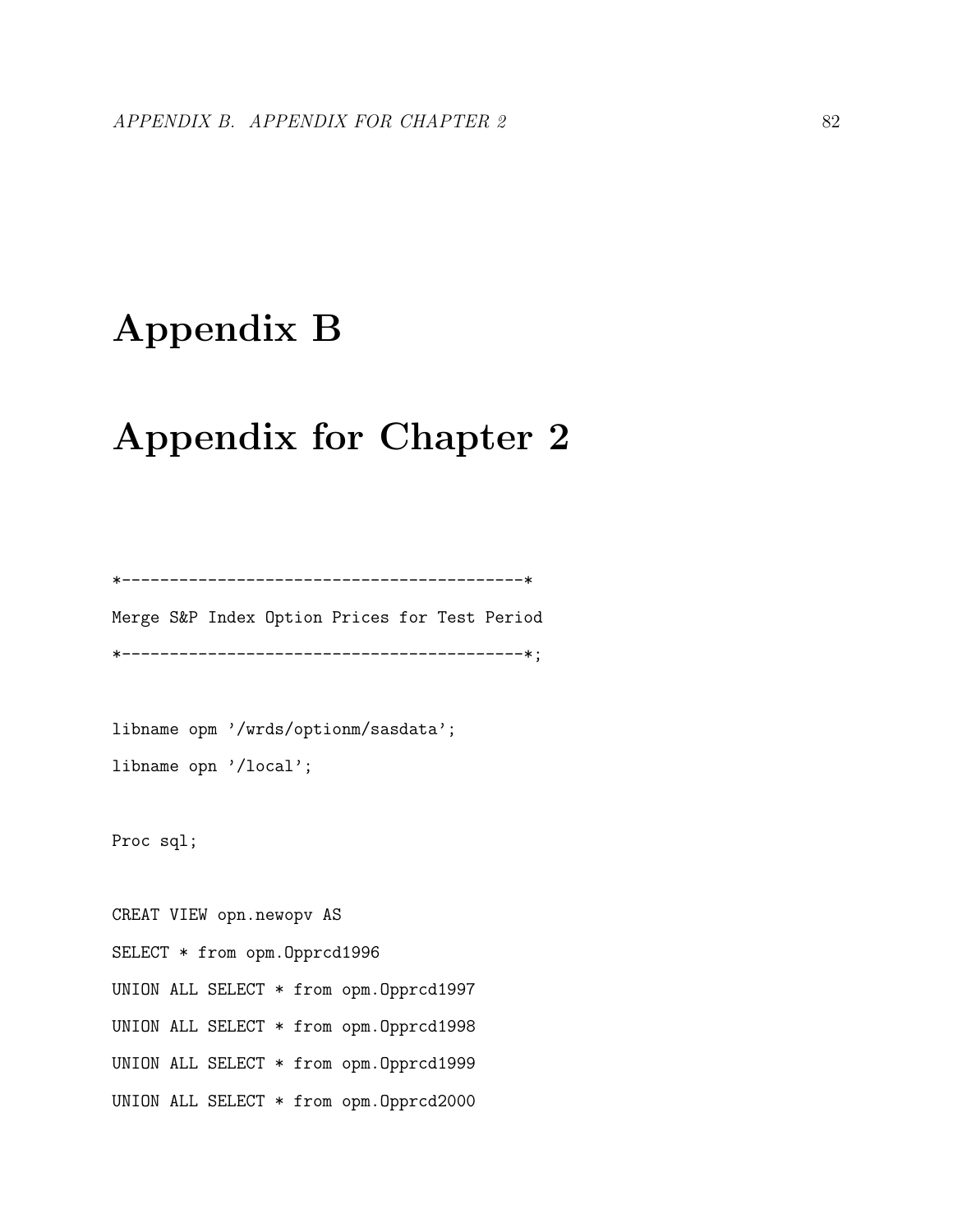# Appendix B

## Appendix for Chapter 2

Merge S&P Index Option Prices for Test Period \*------------------------------------------\*;

\*------------------------------------------\*

libname opm '/wrds/optionm/sasdata'; libname opn '/local';

Proc sql;

CREAT VIEW opn.newopv AS SELECT \* from opm.Opprcd1996 UNION ALL SELECT \* from opm.Opprcd1997 UNION ALL SELECT \* from opm.Opprcd1998 UNION ALL SELECT \* from opm.Opprcd1999 UNION ALL SELECT \* from opm.Opprcd2000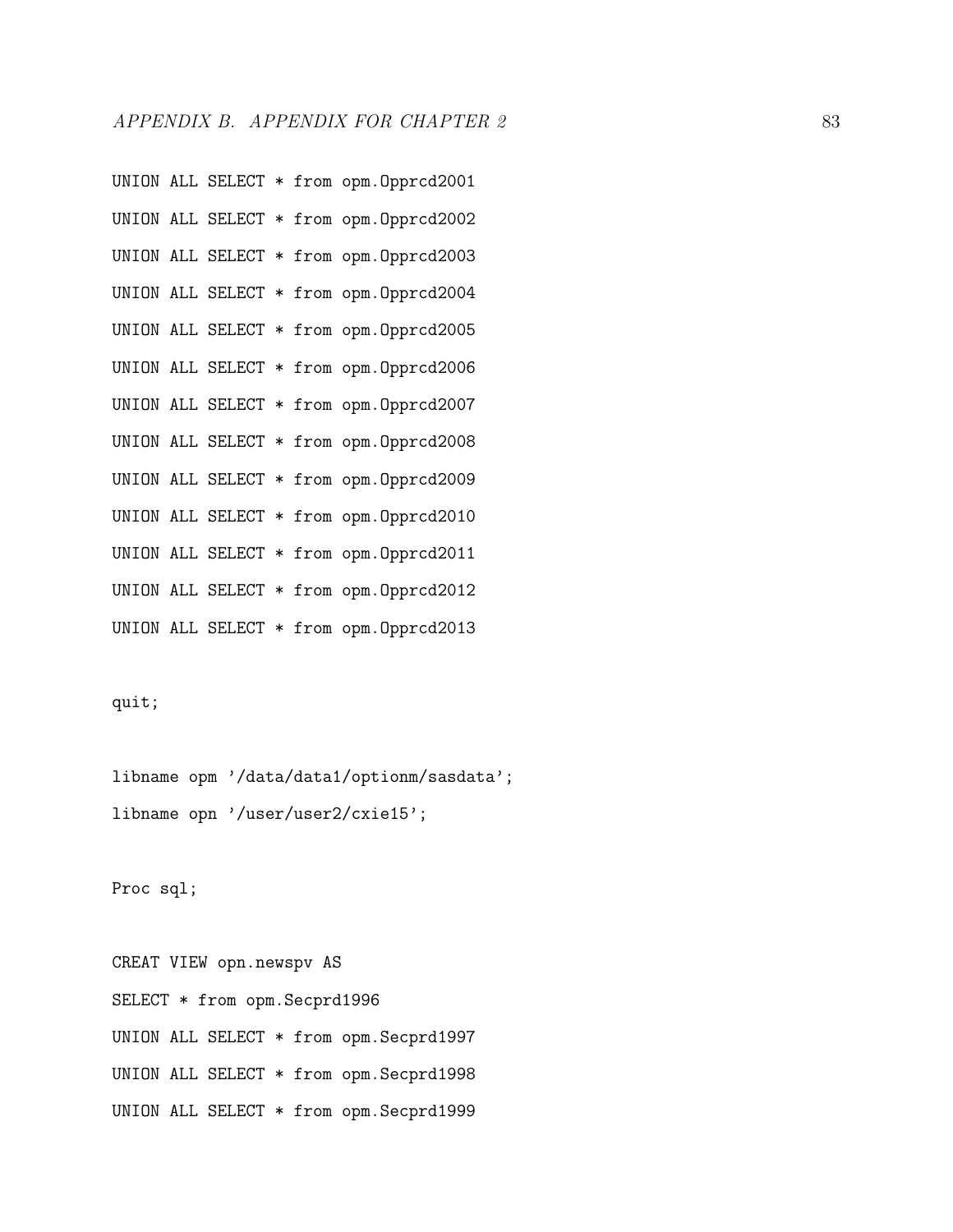UNION ALL SELECT \* from opm.Opprcd2001 UNION ALL SELECT \* from opm.Opprcd2002 UNION ALL SELECT \* from opm.Opprcd2003 UNION ALL SELECT \* from opm.Opprcd2004 UNION ALL SELECT \* from opm.Opprcd2005 UNION ALL SELECT \* from opm.Opprcd2006 UNION ALL SELECT \* from opm.Opprcd2007 UNION ALL SELECT \* from opm.Opprcd2008 UNION ALL SELECT \* from opm.Opprcd2009 UNION ALL SELECT \* from opm.Opprcd2010 UNION ALL SELECT \* from opm.Opprcd2011 UNION ALL SELECT \* from opm.Opprcd2012 UNION ALL SELECT \* from opm.Opprcd2013

#### quit;

libname opm '/data/data1/optionm/sasdata'; libname opn '/user/user2/cxie15';

Proc sql;

CREAT VIEW opn.newspv AS SELECT \* from opm.Secprd1996 UNION ALL SELECT \* from opm.Secprd1997 UNION ALL SELECT \* from opm.Secprd1998 UNION ALL SELECT \* from opm.Secprd1999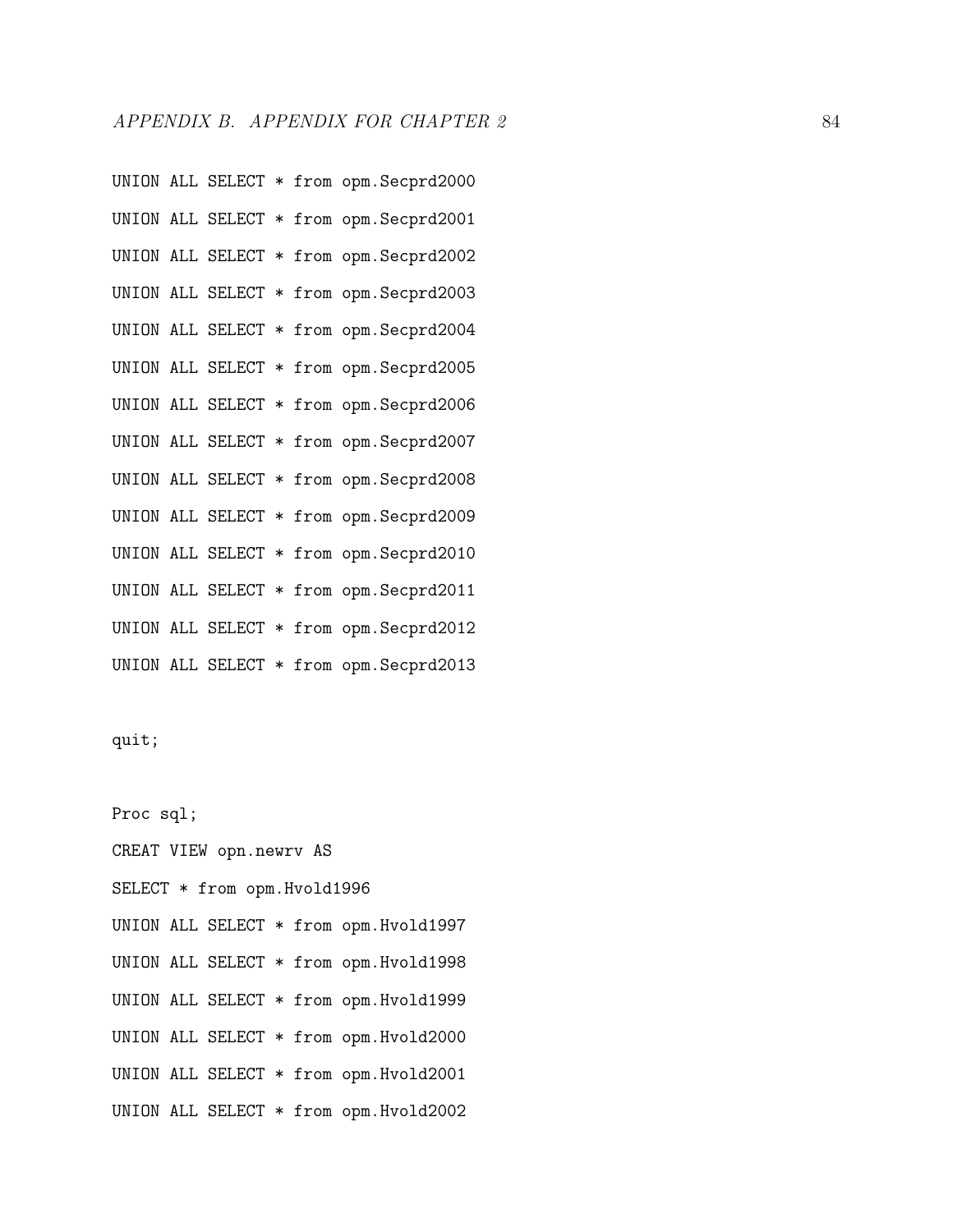UNION ALL SELECT \* from opm.Secprd2000 UNION ALL SELECT \* from opm.Secprd2001 UNION ALL SELECT \* from opm.Secprd2002 UNION ALL SELECT \* from opm.Secprd2003 UNION ALL SELECT \* from opm.Secprd2004 UNION ALL SELECT \* from opm.Secprd2005 UNION ALL SELECT \* from opm.Secprd2006 UNION ALL SELECT \* from opm.Secprd2007 UNION ALL SELECT \* from opm.Secprd2008 UNION ALL SELECT \* from opm.Secprd2009 UNION ALL SELECT \* from opm.Secprd2010 UNION ALL SELECT \* from opm.Secprd2011 UNION ALL SELECT \* from opm.Secprd2012 UNION ALL SELECT \* from opm.Secprd2013

quit;

Proc sql; CREAT VIEW opn.newrv AS SELECT \* from opm.Hvold1996 UNION ALL SELECT \* from opm.Hvold1997 UNION ALL SELECT \* from opm.Hvold1998 UNION ALL SELECT \* from opm.Hvold1999 UNION ALL SELECT \* from opm.Hvold2000 UNION ALL SELECT \* from opm.Hvold2001 UNION ALL SELECT \* from opm.Hvold2002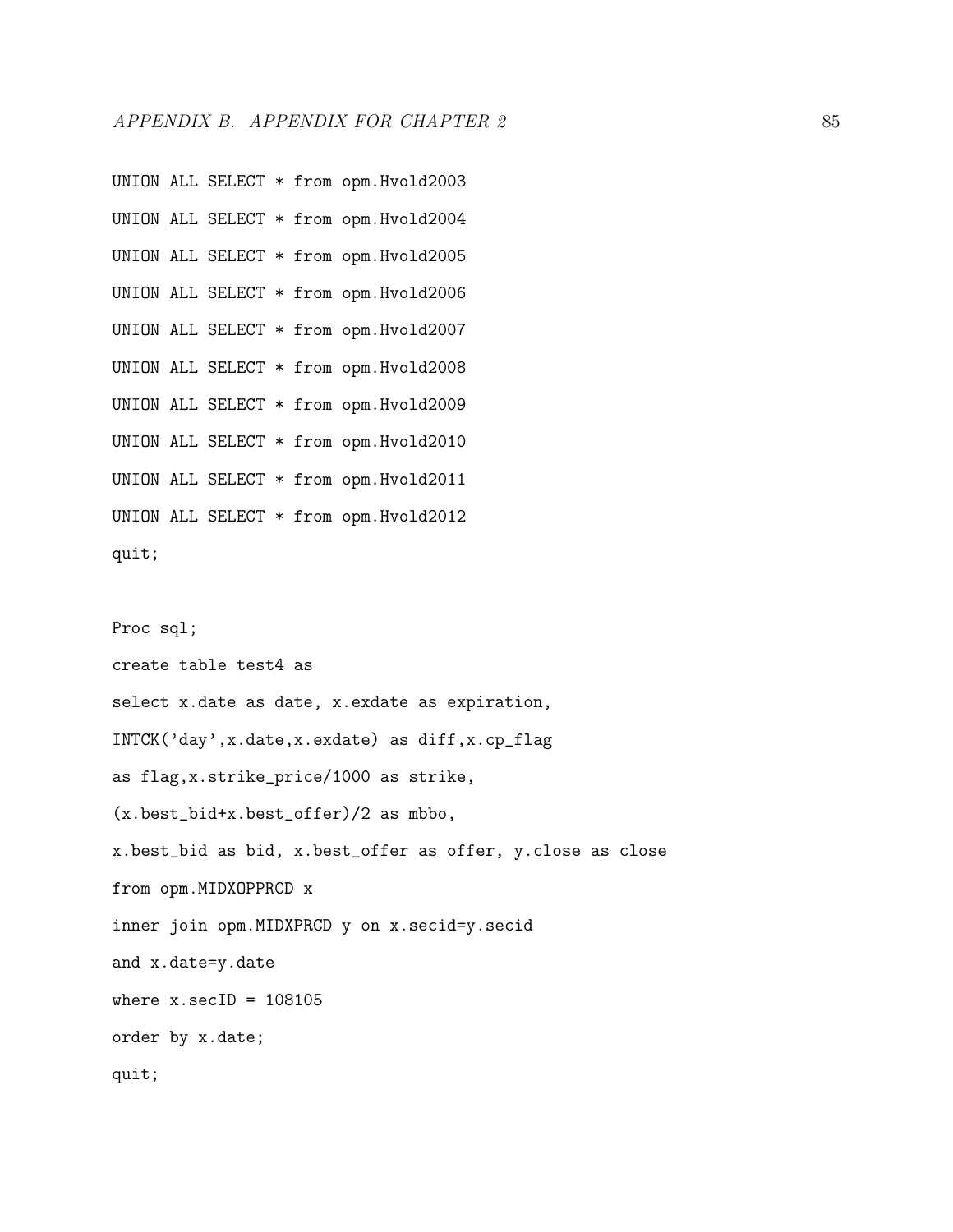UNION ALL SELECT \* from opm.Hvold2003 UNION ALL SELECT \* from opm.Hvold2004 UNION ALL SELECT \* from opm.Hvold2005 UNION ALL SELECT \* from opm.Hvold2006 UNION ALL SELECT \* from opm.Hvold2007 UNION ALL SELECT \* from opm.Hvold2008 UNION ALL SELECT \* from opm.Hvold2009 UNION ALL SELECT \* from opm.Hvold2010 UNION ALL SELECT \* from opm.Hvold2011 UNION ALL SELECT \* from opm.Hvold2012 quit;

Proc sql;

create table test4 as select x.date as date, x.exdate as expiration, INTCK('day',x.date,x.exdate) as diff,x.cp\_flag as flag,x.strike\_price/1000 as strike, (x.best\_bid+x.best\_offer)/2 as mbbo, x.best\_bid as bid, x.best\_offer as offer, y.close as close from opm.MIDXOPPRCD x inner join opm.MIDXPRCD y on x.secid=y.secid and x.date=y.date where  $x.\secID = 108105$ order by x.date; quit;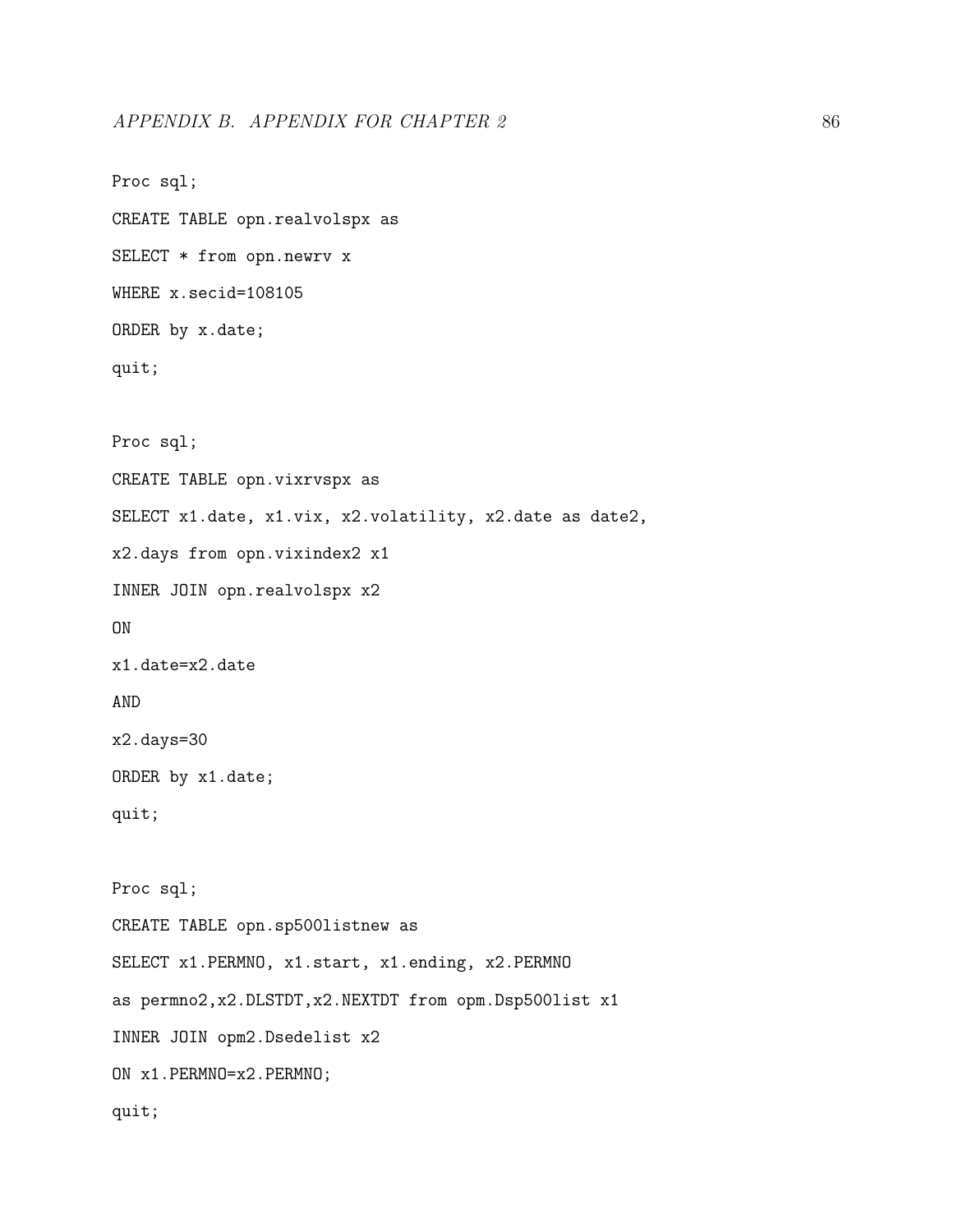```
Proc sql;
CREATE TABLE opn.realvolspx as
SELECT * from opn.newrv x
WHERE x.secid=108105
ORDER by x.date;
quit;
Proc sql;
CREATE TABLE opn.vixrvspx as
SELECT x1.date, x1.vix, x2.volatility, x2.date as date2,
x2.days from opn.vixindex2 x1
INNER JOIN opn.realvolspx x2
ON
x1.date=x2.date
AND
x2.days=30
ORDER by x1.date;
quit;
Proc sql;
CREATE TABLE opn.sp500listnew as
SELECT x1.PERMNO, x1.start, x1.ending, x2.PERMNO
as permno2,x2.DLSTDT,x2.NEXTDT from opm.Dsp500list x1
INNER JOIN opm2.Dsedelist x2
ON x1.PERMNO=x2.PERMNO;
quit;
```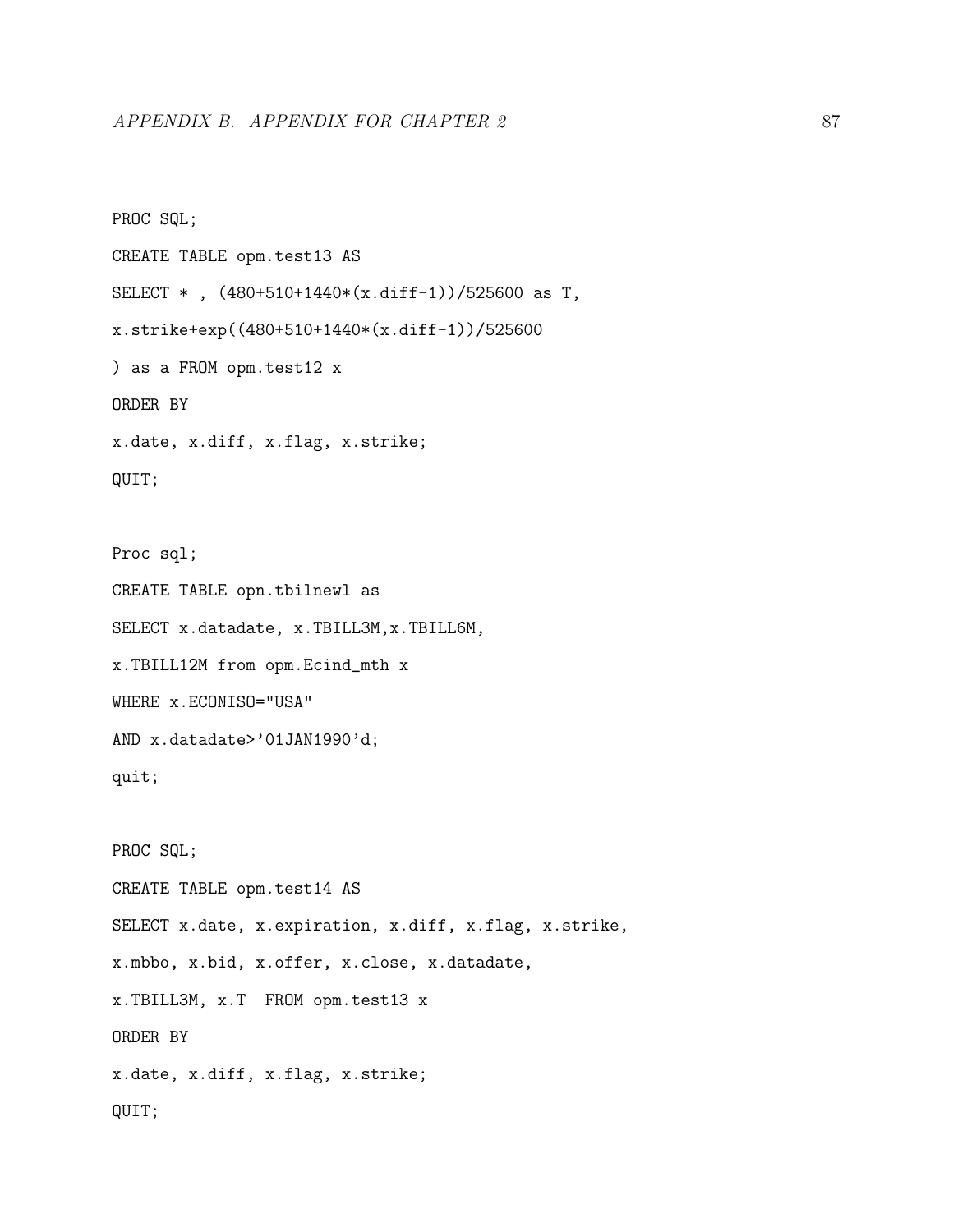PROC SQL; CREATE TABLE opm.test13 AS SELECT \* , (480+510+1440\*(x.diff-1))/525600 as T, x.strike+exp((480+510+1440\*(x.diff-1))/525600 ) as a FROM opm.test12 x ORDER BY x.date, x.diff, x.flag, x.strike; QUIT;

Proc sql; CREATE TABLE opn.tbilnewl as SELECT x.datadate, x.TBILL3M,x.TBILL6M, x.TBILL12M from opm.Ecind\_mth x WHERE x.ECONISO="USA" AND x.datadate>'01JAN1990'd; quit; PROC SQL;

CREATE TABLE opm.test14 AS SELECT x.date, x.expiration, x.diff, x.flag, x.strike, x.mbbo, x.bid, x.offer, x.close, x.datadate, x.TBILL3M, x.T FROM opm.test13 x ORDER BY x.date, x.diff, x.flag, x.strike; QUIT;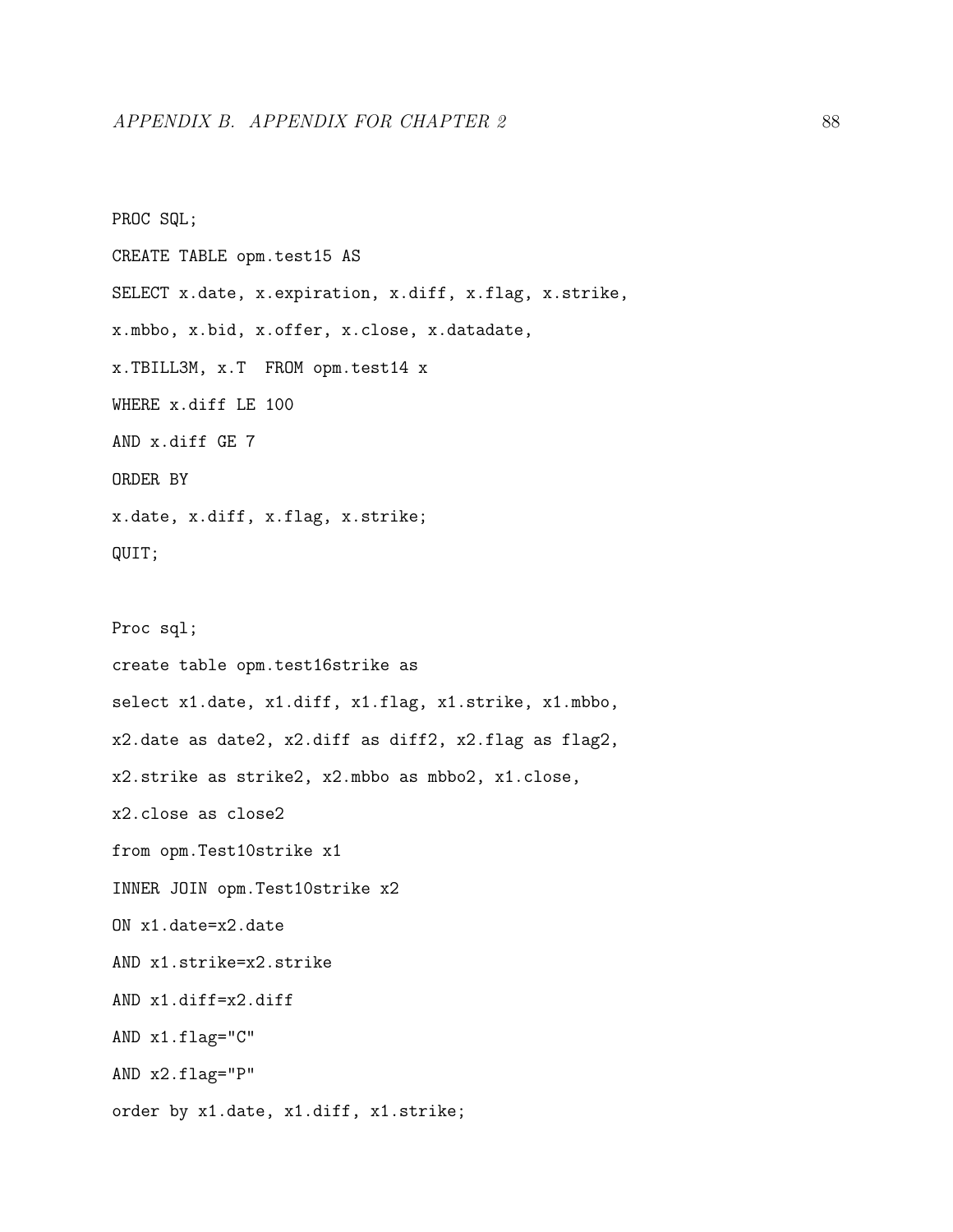PROC SQL; CREATE TABLE opm.test15 AS SELECT x.date, x.expiration, x.diff, x.flag, x.strike, x.mbbo, x.bid, x.offer, x.close, x.datadate, x.TBILL3M, x.T FROM opm.test14 x WHERE x.diff LE 100 AND x.diff GE 7 ORDER BY x.date, x.diff, x.flag, x.strike; QUIT; Proc sql; create table opm.test16strike as select x1.date, x1.diff, x1.flag, x1.strike, x1.mbbo, x2.date as date2, x2.diff as diff2, x2.flag as flag2, x2.strike as strike2, x2.mbbo as mbbo2, x1.close, x2.close as close2 from opm.Test10strike x1 INNER JOIN opm.Test10strike x2 ON x1.date=x2.date AND x1.strike=x2.strike AND x1.diff=x2.diff AND x1.flag="C" AND x2.flag="P" order by x1.date, x1.diff, x1.strike;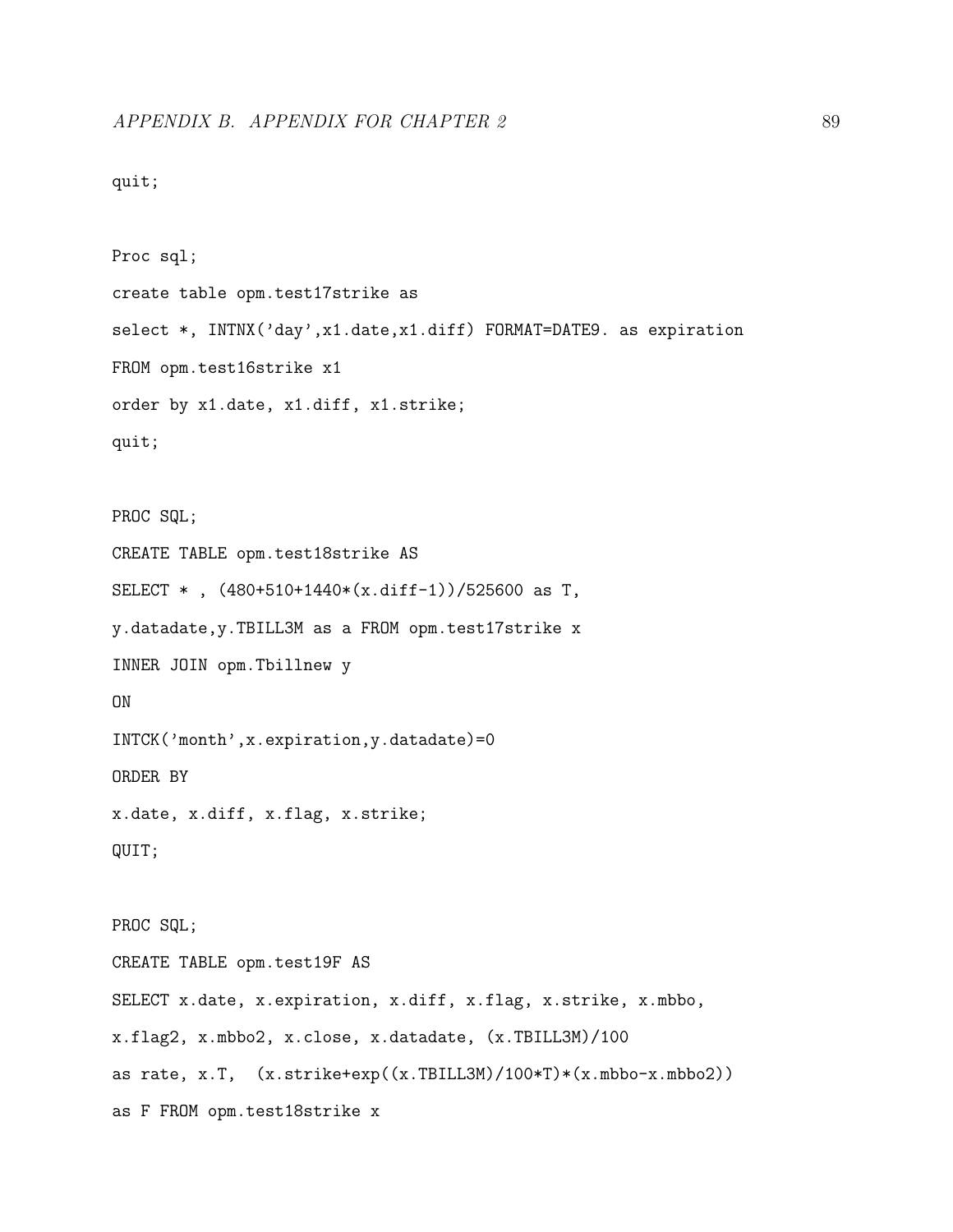```
quit;
```

```
Proc sql;
create table opm.test17strike as
select *, INTNX('day',x1.date,x1.diff) FORMAT=DATE9. as expiration
FROM opm.test16strike x1
order by x1.date, x1.diff, x1.strike;
quit;
PROC SQL;
CREATE TABLE opm.test18strike AS
SELECT * , (480+510+1440*(x.diff-1))/525600 as T,
y.datadate,y.TBILL3M as a FROM opm.test17strike x
INNER JOIN opm.Tbillnew y
ON
INTCK('month',x.expiration,y.datadate)=0
ORDER BY
x.date, x.diff, x.flag, x.strike;
QUIT;
PROC SQL;
CREATE TABLE opm.test19F AS
SELECT x.date, x.expiration, x.diff, x.flag, x.strike, x.mbbo,
x.flag2, x.mbbo2, x.close, x.datadate, (x.TBILL3M)/100
as rate, x.T, (x.strike+exp((x.TBILL3M)/100*T)*(x.mbbo-x.mbbo2))
```
as F FROM opm.test18strike x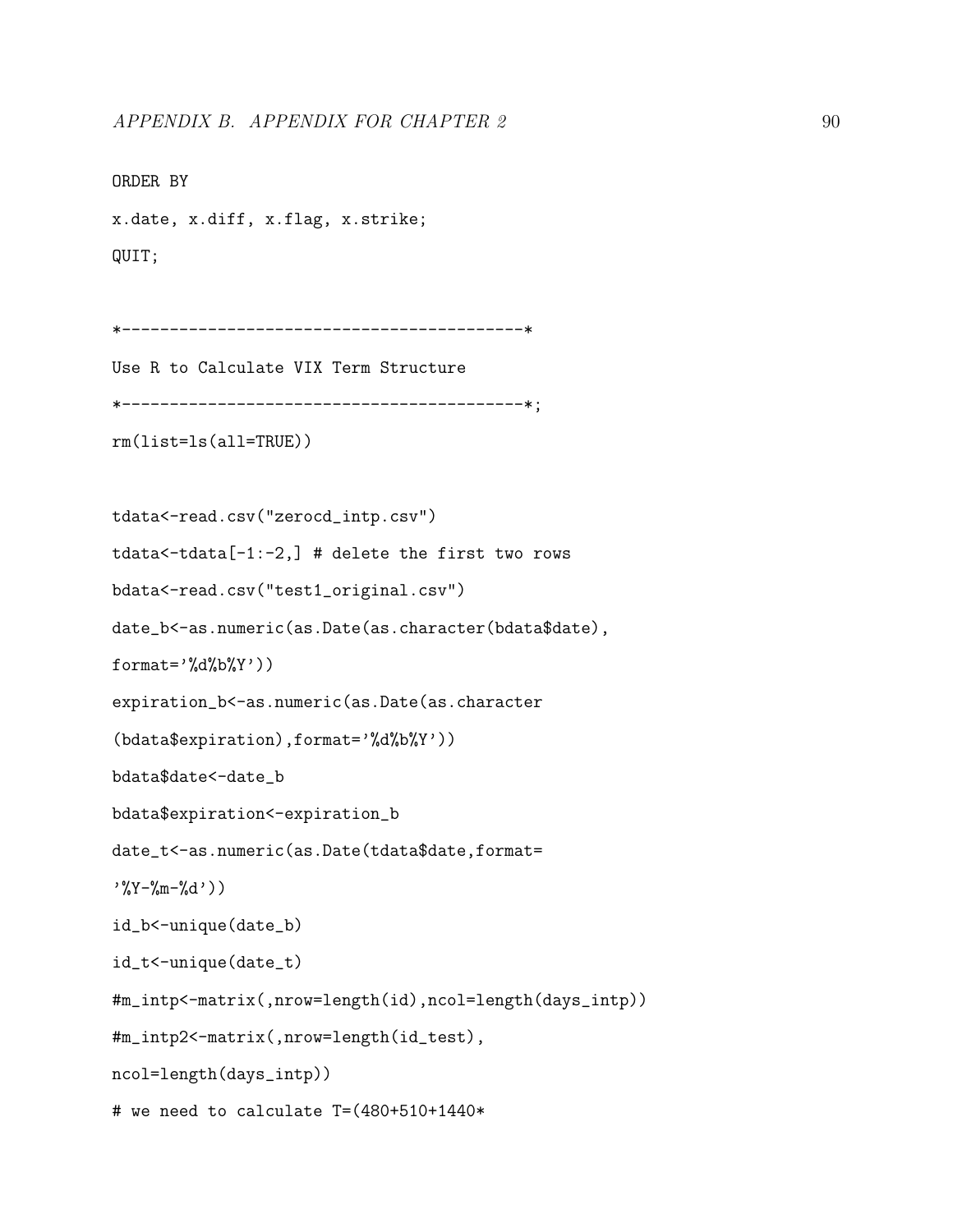```
ORDER BY
x.date, x.diff, x.flag, x.strike;
QUIT;
*------------------------------------------*
Use R to Calculate VIX Term Structure
*------------------------------------------*;
rm(list=ls(all=TRUE))
tdata<-read.csv("zerocd_intp.csv")
tdata < -tdata[-1:-2,] # delete the first two rows
bdata<-read.csv("test1_original.csv")
date_b<-as.numeric(as.Date(as.character(bdata$date),
format='%d%b%Y')expiration_b<-as.numeric(as.Date(as.character
(bdata$expiration),format='%d%b%Y'))
bdata$date<-date_b
bdata$expiration<-expiration_b
date_t<-as.numeric(as.Date(tdata$date,format=
', Y - \frac{9}{9}m - \frac{9}{9}d')
id_b<-unique(date_b)
id_t<-unique(date_t)
#m_intp<-matrix(,nrow=length(id),ncol=length(days_intp))
#m_intp2<-matrix(,nrow=length(id_test),
ncol=length(days_intp))
# we need to calculate T=(480+510+1440*
```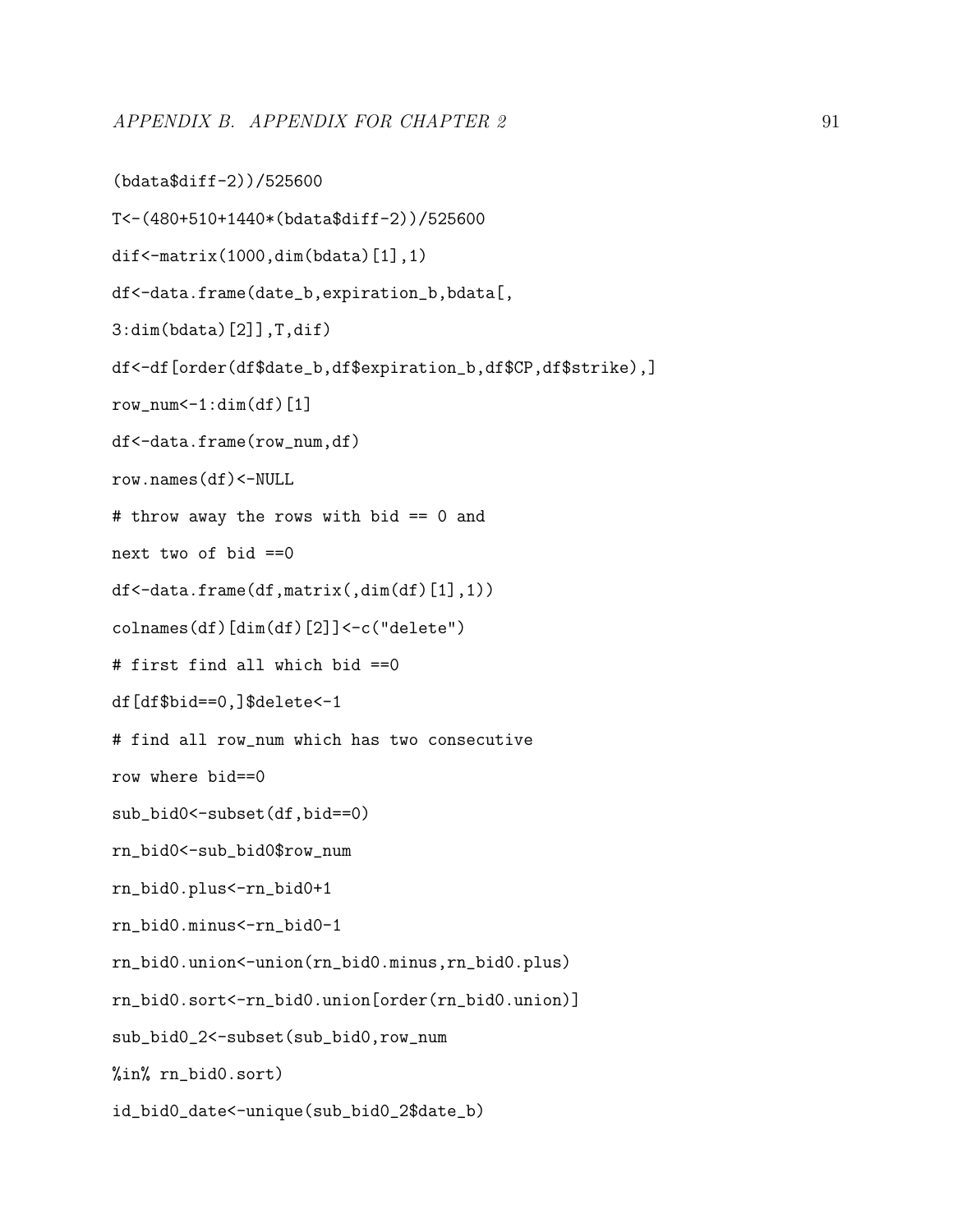```
(bdata$diff-2))/525600
```

```
T<-(480+510+1440*(bdata$diff-2))/525600
```

```
dif<-matrix(1000,dim(bdata)[1],1)
```
df<-data.frame(date\_b,expiration\_b,bdata[,

3:dim(bdata)[2]],T,dif)

df<-df[order(df\$date\_b,df\$expiration\_b,df\$CP,df\$strike),]

 $row\_num<-1:dim(df)$ [1]

df<-data.frame(row\_num,df)

row.names(df)<-NULL

# throw away the rows with bid == 0 and

next two of bid ==0

df<-data.frame(df,matrix(,dim(df)[1],1))

colnames(df)[dim(df)[2]]<-c("delete")

# first find all which bid ==0

df[df\$bid==0,]\$delete<-1

# find all row\_num which has two consecutive

row where bid==0

sub\_bid0<-subset(df,bid==0)

rn\_bid0<-sub\_bid0\$row\_num

rn\_bid0.plus<-rn\_bid0+1

rn\_bid0.minus<-rn\_bid0-1

rn\_bid0.union<-union(rn\_bid0.minus,rn\_bid0.plus)

rn\_bid0.sort<-rn\_bid0.union[order(rn\_bid0.union)]

sub\_bid0\_2<-subset(sub\_bid0,row\_num

%in% rn\_bid0.sort)

id\_bid0\_date<-unique(sub\_bid0\_2\$date\_b)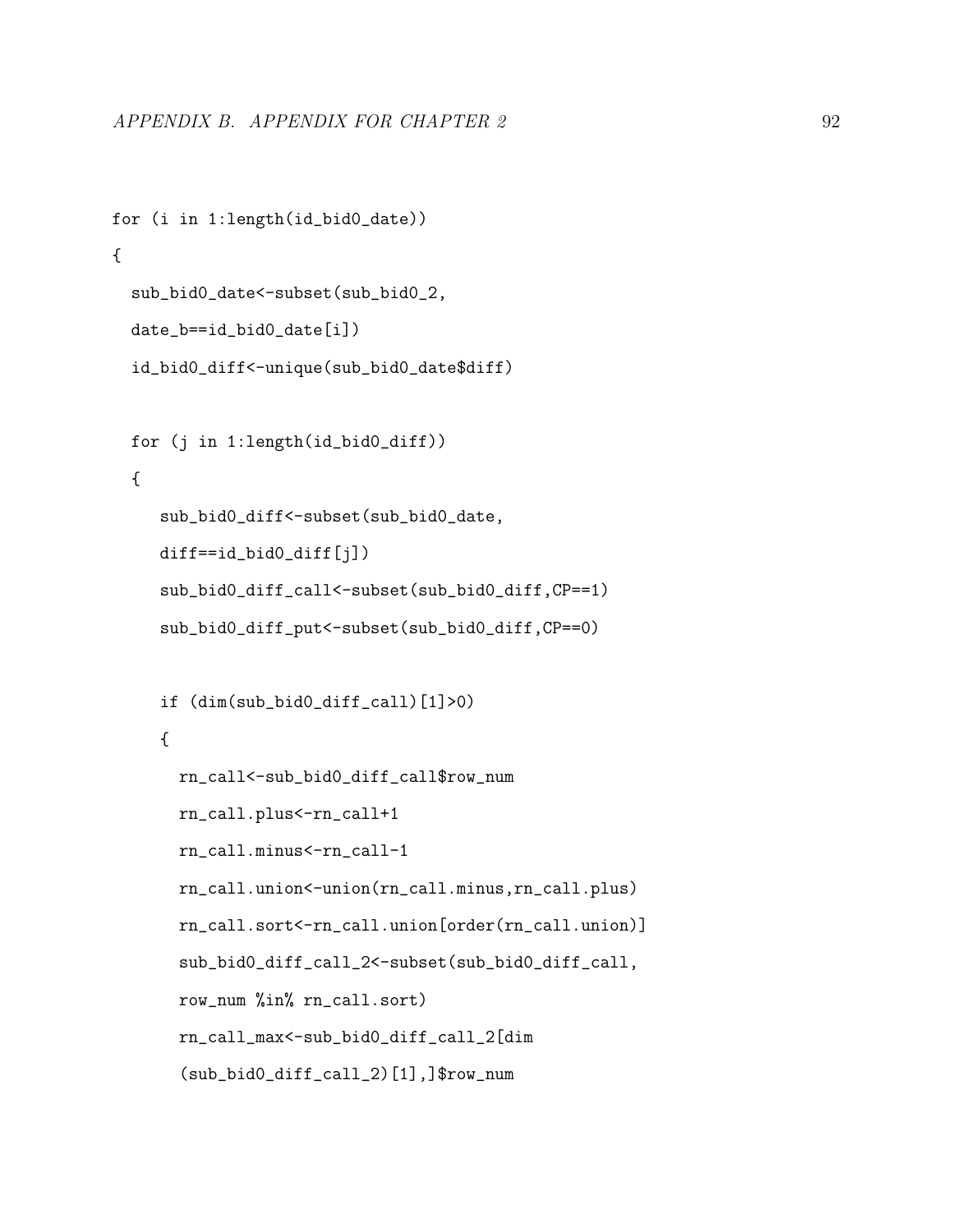```
for (i in 1:length(id_bid0_date))
{
 sub_bid0_date<-subset(sub_bid0_2,
 date_b==id_bid0_date[i])
 id_bid0_diff<-unique(sub_bid0_date$diff)
 for (j in 1:length(id_bid0_diff))
 {
     sub_bid0_diff<-subset(sub_bid0_date,
     diff==id_bid0_diff[j])
     sub_bid0_diff_call<-subset(sub_bid0_diff,CP==1)
     sub_bid0_diff_put<-subset(sub_bid0_diff,CP==0)
     if (dim(sub_bid0_diff_call)[1]>0)
     {
       rn_call<-sub_bid0_diff_call$row_num
      rn_call.plus<-rn_call+1
      rn_call.minus<-rn_call-1
      rn_call.union<-union(rn_call.minus,rn_call.plus)
      rn_call.sort<-rn_call.union[order(rn_call.union)]
       sub_bid0_diff_call_2<-subset(sub_bid0_diff_call,
       row_num %in% rn_call.sort)
       rn_call_max<-sub_bid0_diff_call_2[dim
       (sub_bid0_diff_call_2)[1],]$row_num
```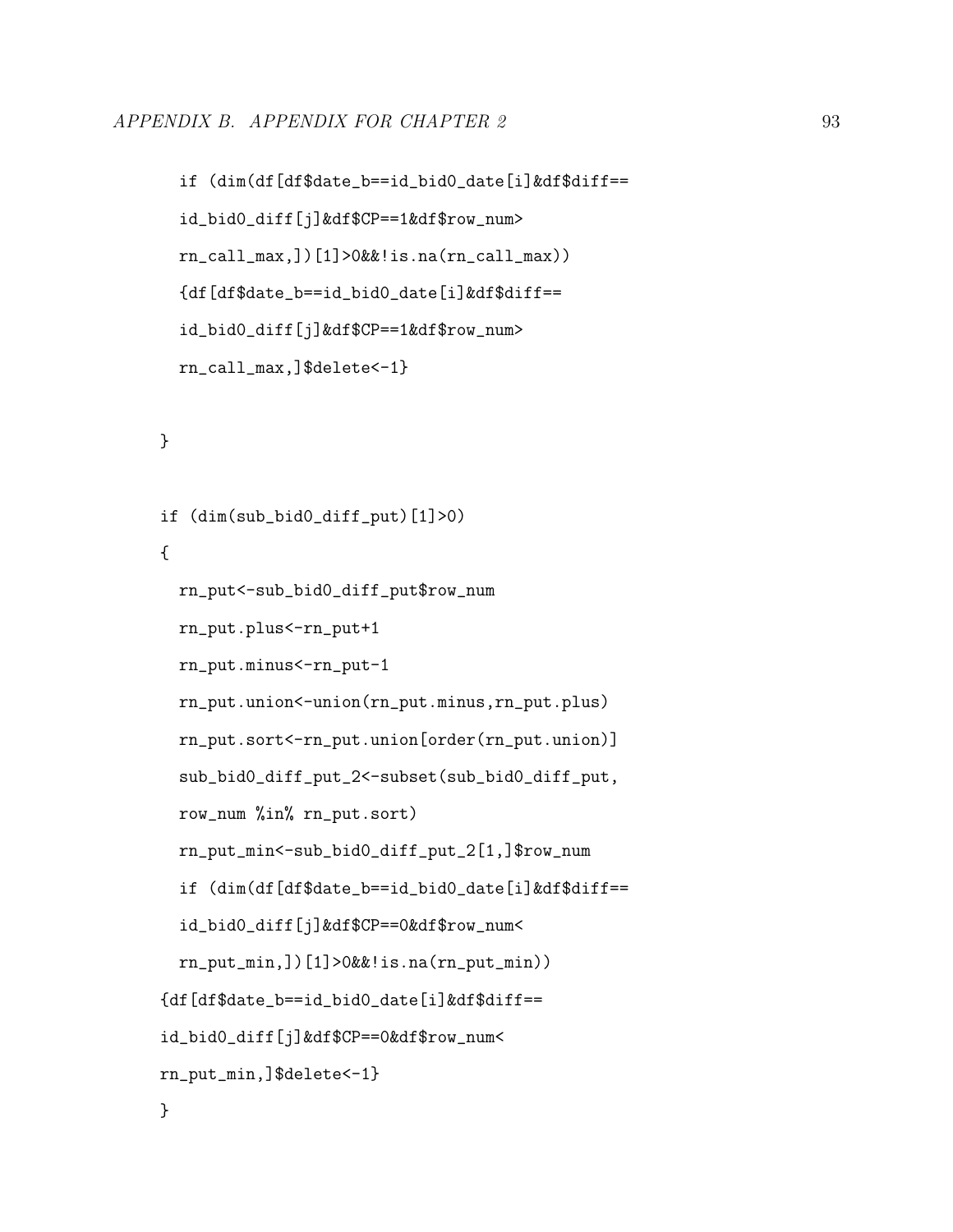```
if (dim(df[df$date_b==id_bid0_date[i]&df$diff==
id_bid0_diff[j]&df$CP==1&df$row_num>
rn_call_max,])[1]>0&&!is.na(rn_call_max))
{df[df$date_b==id_bid0_date[i]&df$diff==
id_bid0_diff[j]&df$CP==1&df$row_num>
rn_call_max,]$delete<-1}
```
### }

```
if (dim(sub_bid0_diff_put)[1]>0)
```
### {

```
rn_put<-sub_bid0_diff_put$row_num
 rn_put.plus<-rn_put+1
 rn_put.minus<-rn_put-1
 rn_put.union<-union(rn_put.minus,rn_put.plus)
 rn_put.sort<-rn_put.union[order(rn_put.union)]
 sub_bid0_diff_put_2<-subset(sub_bid0_diff_put,
 row_num %in% rn_put.sort)
 rn_put_min<-sub_bid0_diff_put_2[1,]$row_num
 if (dim(df[df$date_b==id_bid0_date[i]&df$diff==
 id_bid0_diff[j]&df$CP==0&df$row_num<
 rn_put_min,])[1]>0&&!is.na(rn_put_min))
{df[df$date_b==id_bid0_date[i]&df$diff==
id_bid0_diff[j]&df$CP==0&df$row_num<
rn_put_min,]$delete<-1}
```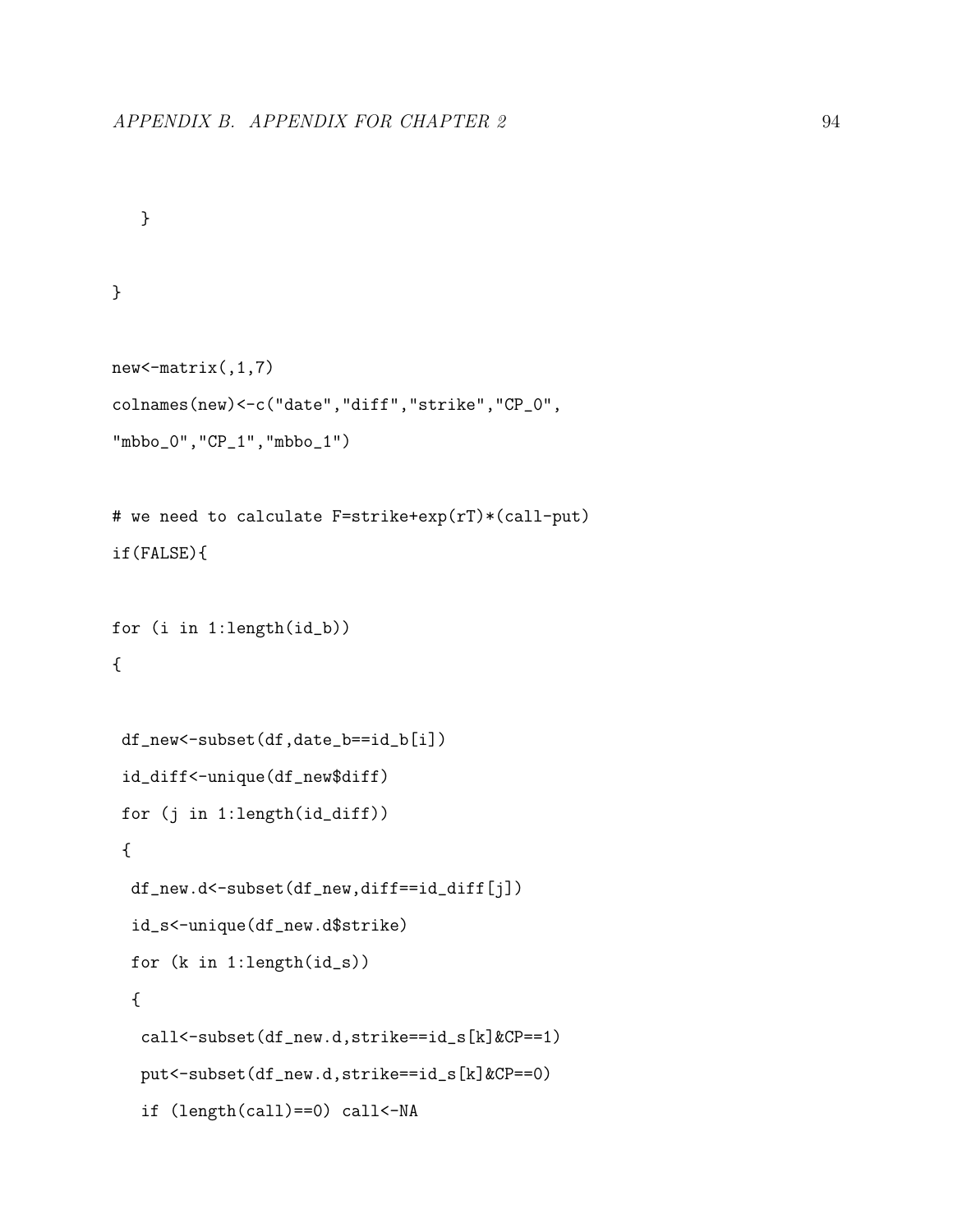```
}
```
### }

```
new<-matrix(,1,7)
colnames(new)<-c("date","diff","strike","CP_0",
"mbbo_0","CP_1","mbbo_1")
```

```
# we need to calculate F=strike+exp(rT)*(call-put)
if(FALSE){
```

```
for (i in 1:length(id_b))
{
```

```
df_new<-subset(df,date_b==id_b[i])
id_diff<-unique(df_new$diff)
for (j in 1:length(id_diff))
{
 df_new.d<-subset(df_new,diff==id_diff[j])
 id_s<-unique(df_new.d$strike)
for (k in 1:length(id_s))
 {
  call<-subset(df_new.d,strike==id_s[k]&CP==1)
  put<-subset(df_new.d,strike==id_s[k]&CP==0)
  if (length(call)==0) call<-NA
```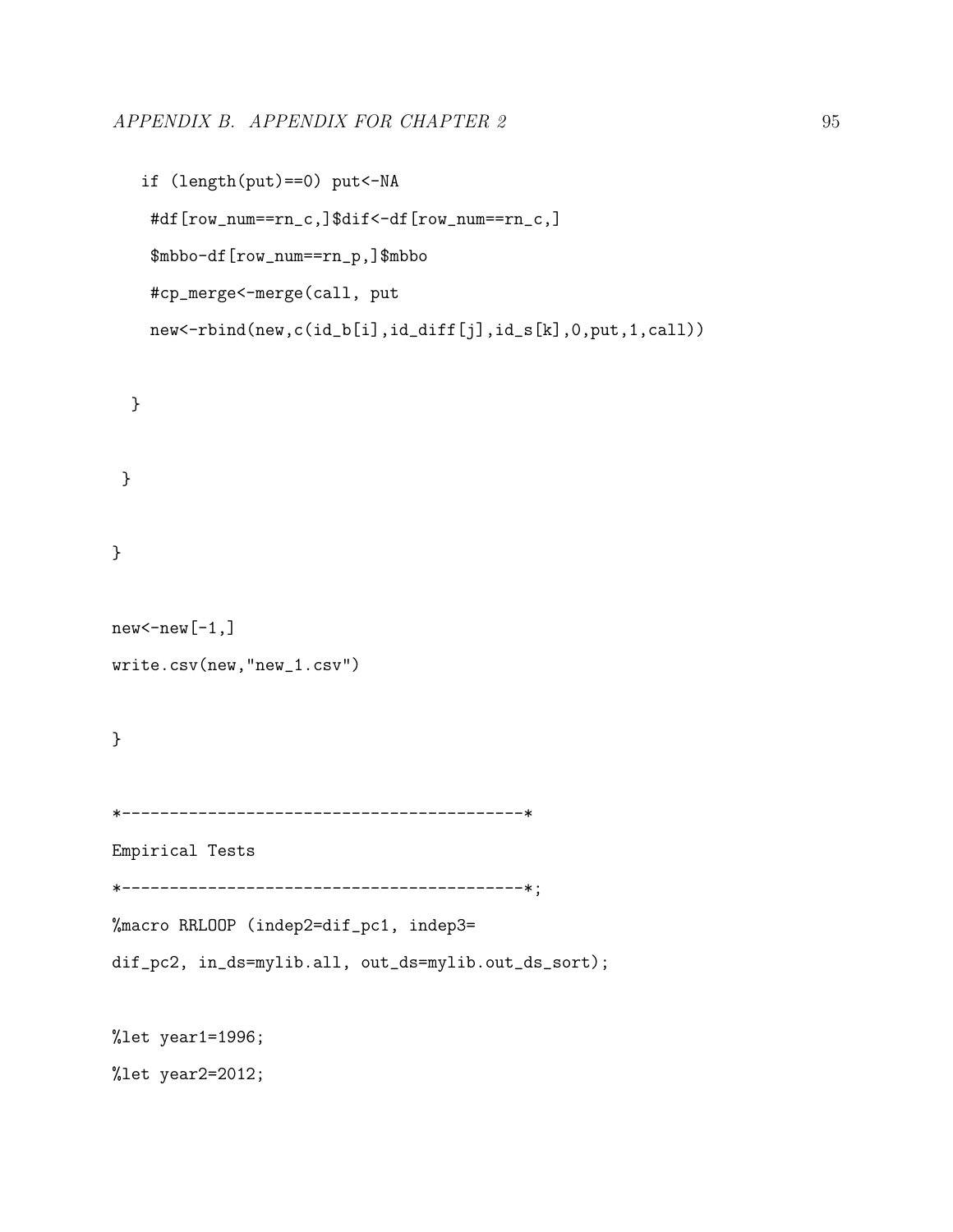```
if (length(put)==0) put<-NA
#df[row_num==rn_c,]$dif<-df[row_num==rn_c,]
$mbbo-df[row_num==rn_p,]$mbbo
#cp_merge<-merge(call, put
new<-rbind(new,c(id_b[i],id_diff[j],id_s[k],0,put,1,call))
```

```
}
```
}

}

```
new < - new [-1,]write.csv(new,"new_1.csv")
```
}

```
*------------------------------------------*
```
Empirical Tests

```
*------------------------------------------*;
```
%macro RRLOOP (indep2=dif\_pc1, indep3=

dif\_pc2, in\_ds=mylib.all, out\_ds=mylib.out\_ds\_sort);

%let year1=1996;

%let year2=2012;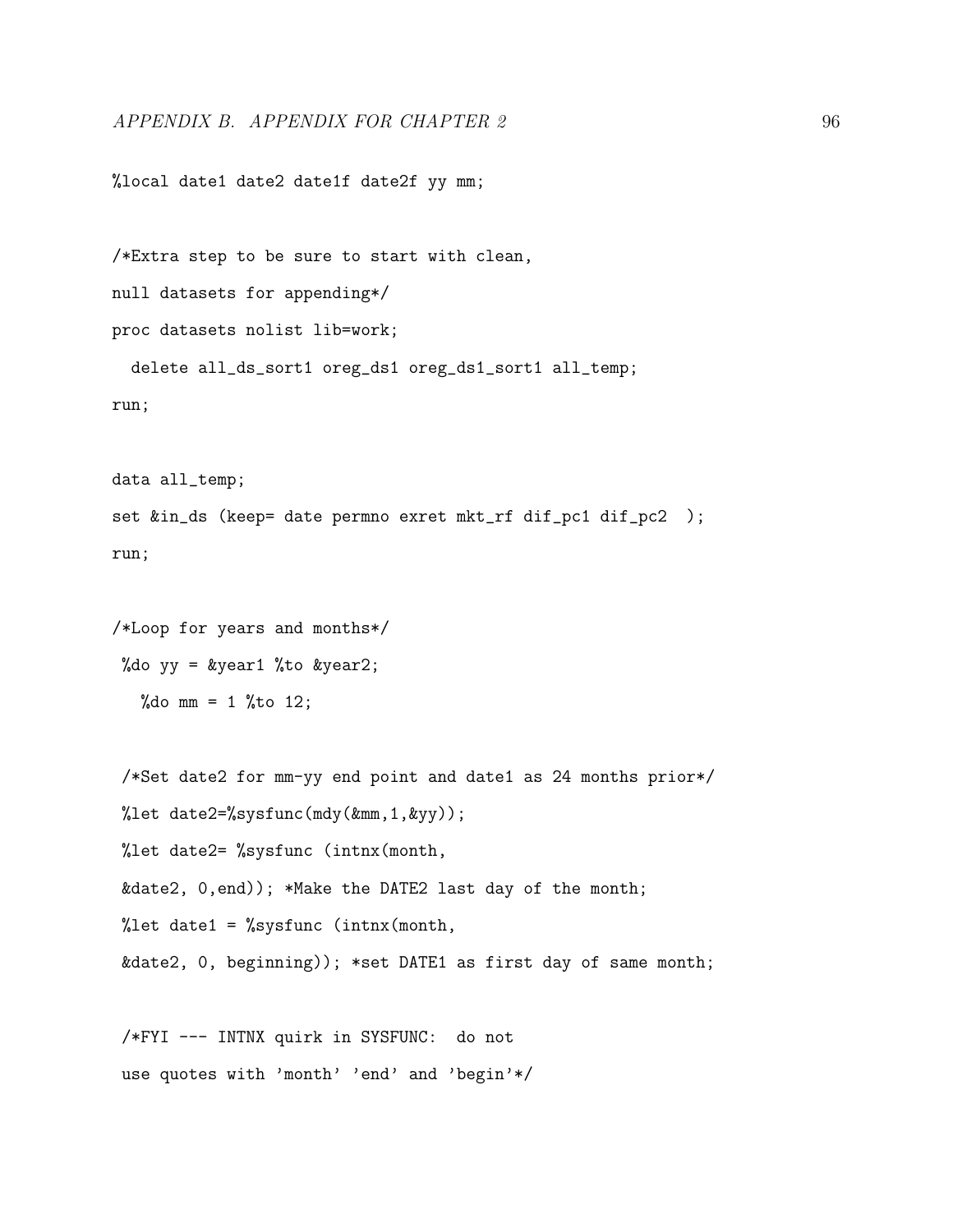%local date1 date2 date1f date2f yy mm;

/\*Extra step to be sure to start with clean, null datasets for appending\*/ proc datasets nolist lib=work; delete all\_ds\_sort1 oreg\_ds1 oreg\_ds1\_sort1 all\_temp; run;

data all\_temp; set &in\_ds (keep= date permno exret mkt\_rf dif\_pc1 dif\_pc2 ); run;

/\*Loop for years and months\*/ %do yy = &year1 %to &year2; %do mm =  $1$  %to 12;

/\*Set date2 for mm-yy end point and date1 as 24 months prior\*/ %let date2=%sysfunc(mdy(&mm,1,&yy)); %let date2= %sysfunc (intnx(month, &date2, 0,end)); \*Make the DATE2 last day of the month; %let date1 = %sysfunc (intnx(month, &date2, 0, beginning)); \*set DATE1 as first day of same month;

/\*FYI --- INTNX quirk in SYSFUNC: do not use quotes with 'month' 'end' and 'begin'\*/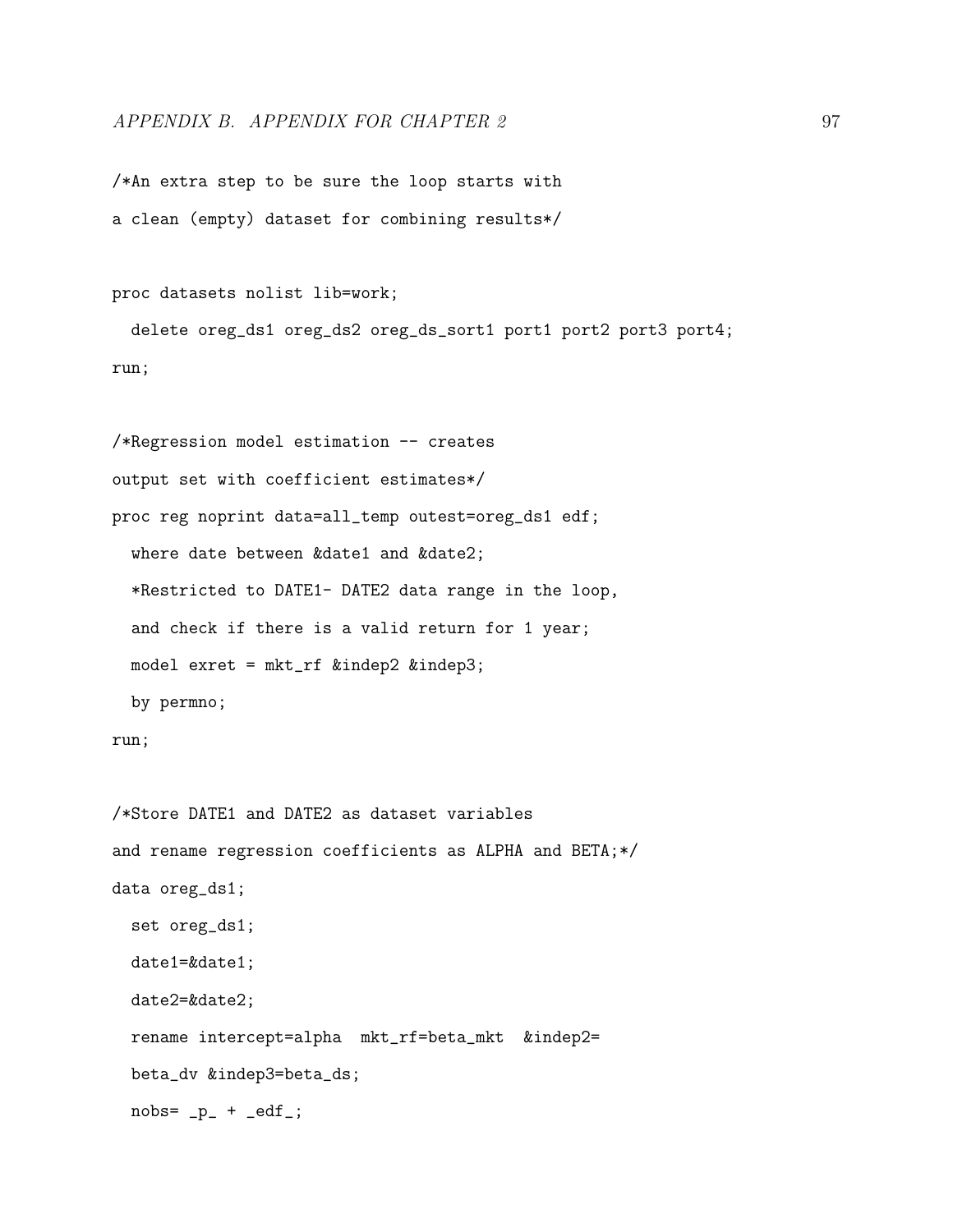### APPENDIX B. APPENDIX FOR CHAPTER 2 97

/\*An extra step to be sure the loop starts with a clean (empty) dataset for combining results\*/

proc datasets nolist lib=work;

delete oreg\_ds1 oreg\_ds2 oreg\_ds\_sort1 port1 port2 port3 port4; run;

```
/*Regression model estimation -- creates
output set with coefficient estimates*/
proc reg noprint data=all_temp outest=oreg_ds1 edf;
 where date between &date1 and &date2;
 *Restricted to DATE1- DATE2 data range in the loop,
 and check if there is a valid return for 1 year;
 model exret = mkt_rf &indep2 &indep3;
 by permno;
```
run;

```
/*Store DATE1 and DATE2 as dataset variables
and rename regression coefficients as ALPHA and BETA;*/
data oreg_ds1;
 set oreg_ds1;
 date1=&date1;
 date2=&date2;
 rename intercept=alpha mkt_rf=beta_mkt &indep2=
 beta_dv &indep3=beta_ds;
 nobs = p_ + -edf_;
```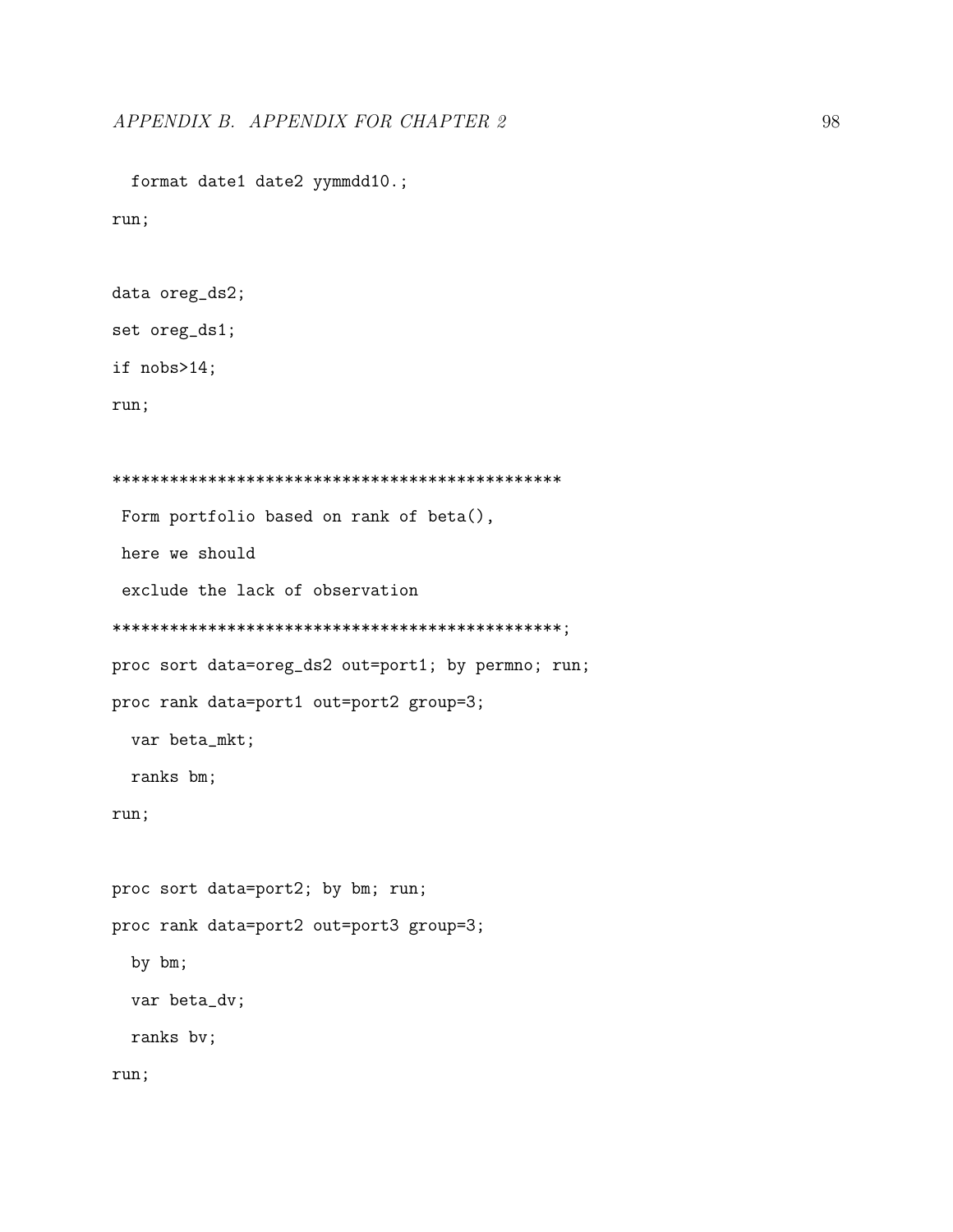format date1 date2 yymmdd10.;

run;

```
data oreg_ds2;
```
set oreg\_ds1;

if nobs>14;

run;

```
***********************************************
Form portfolio based on rank of beta(),
here we should
 exclude the lack of observation
***********************************************;
proc sort data=oreg_ds2 out=port1; by permno; run;
proc rank data=port1 out=port2 group=3;
 var beta_mkt;
 ranks bm;
run;
proc sort data=port2; by bm; run;
proc rank data=port2 out=port3 group=3;
  by bm;
 var beta_dv;
 ranks bv;
run;
```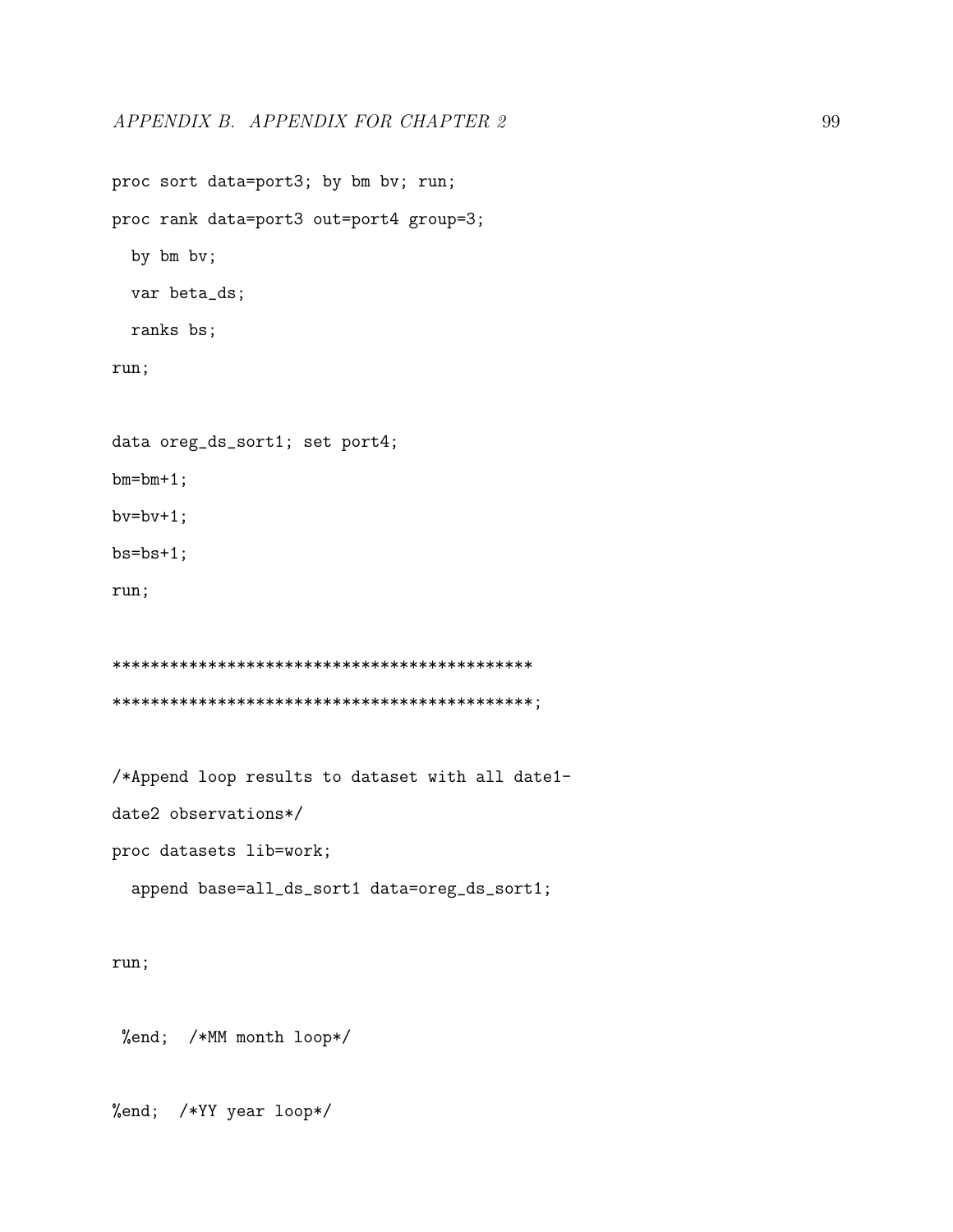```
proc sort data=port3; by bm bv; run;
proc rank data=port3 out=port4 group=3;
  by bm bv;
  var beta_ds;
  ranks bs;
run;
data oreg_ds_sort1; set port4;
bm=bm+1;
bv=bv+1;
bs = bs + 1;run;
********************************************
********************************************;
/*Append loop results to dataset with all date1-
date2 observations*/
```
proc datasets lib=work;

```
append base=all_ds_sort1 data=oreg_ds_sort1;
```
run;

%end; /\*MM month loop\*/

%end; /\*YY year loop\*/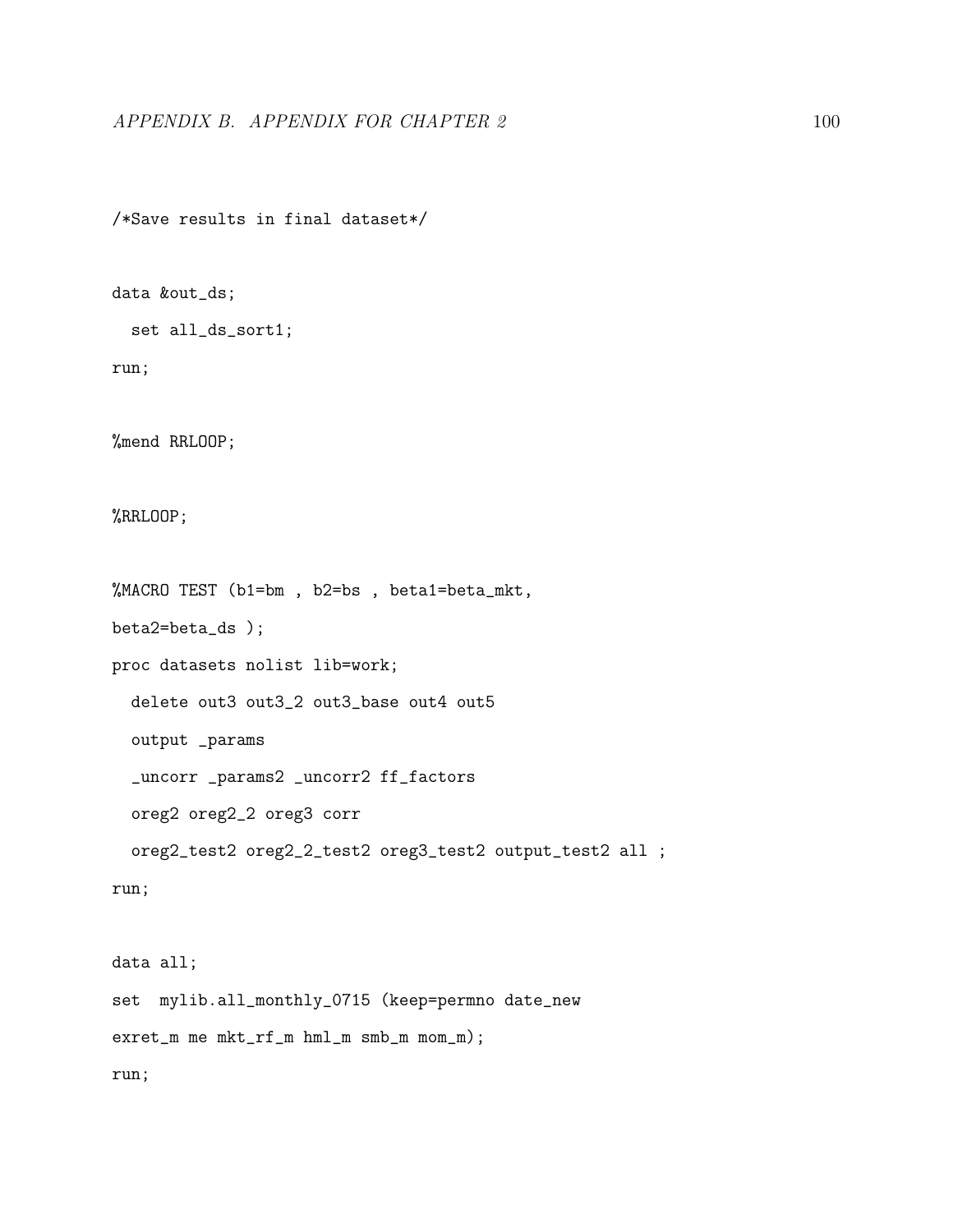/\*Save results in final dataset\*/

data &out\_ds;

set all\_ds\_sort1;

run;

%mend RRLOOP;

%RRLOOP;

%MACRO TEST (b1=bm , b2=bs , beta1=beta\_mkt,

beta2=beta\_ds );

proc datasets nolist lib=work;

delete out3 out3\_2 out3\_base out4 out5

output \_params

\_uncorr \_params2 \_uncorr2 ff\_factors

oreg2 oreg2\_2 oreg3 corr

oreg2\_test2 oreg2\_2\_test2 oreg3\_test2 output\_test2 all ;

run;

data all; set mylib.all\_monthly\_0715 (keep=permno date\_new exret\_m me mkt\_rf\_m hml\_m smb\_m mom\_m); run;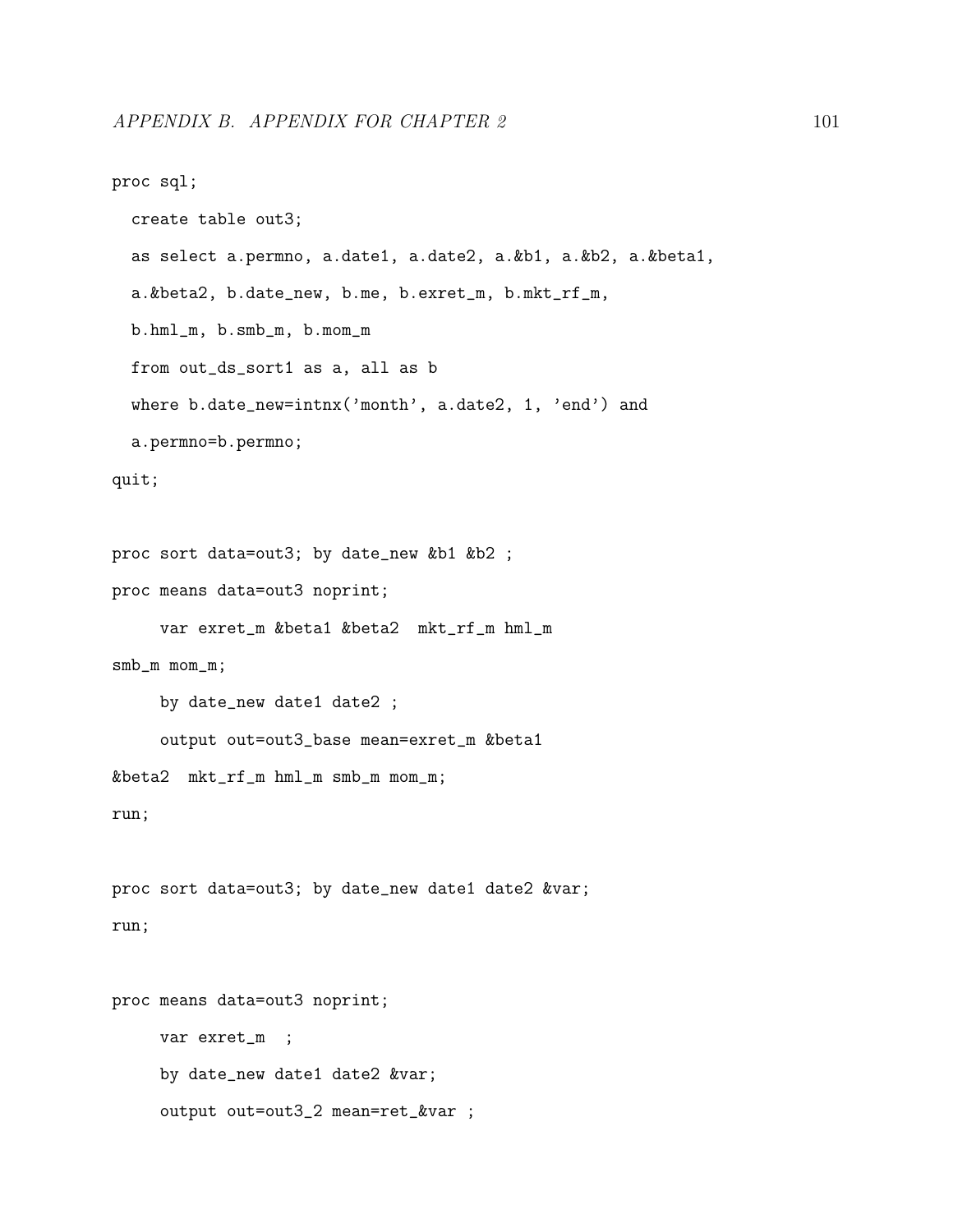```
proc sql;
  create table out3;
  as select a.permno, a.date1, a.date2, a.&b1, a.&b2, a.&beta1,
  a.&beta2, b.date_new, b.me, b.exret_m, b.mkt_rf_m,
  b.hml_m, b.smb_m, b.mom_m
  from out_ds_sort1 as a, all as b
  where b.date_new=intnx('month', a.date2, 1, 'end') and
  a.permno=b.permno;
quit;
proc sort data=out3; by date_new &b1 &b2 ;
proc means data=out3 noprint;
     var exret_m &beta1 &beta2 mkt_rf_m hml_m
smb_m mom_m;
     by date_new date1 date2 ;
     output out=out3_base mean=exret_m &beta1
&beta2 mkt_rf_m hml_m smb_m mom_m;
run;
proc sort data=out3; by date_new date1 date2 &var;
run;
proc means data=out3 noprint;
```
var exret\_m ; by date\_new date1 date2 &var; output out=out3\_2 mean=ret\_&var ;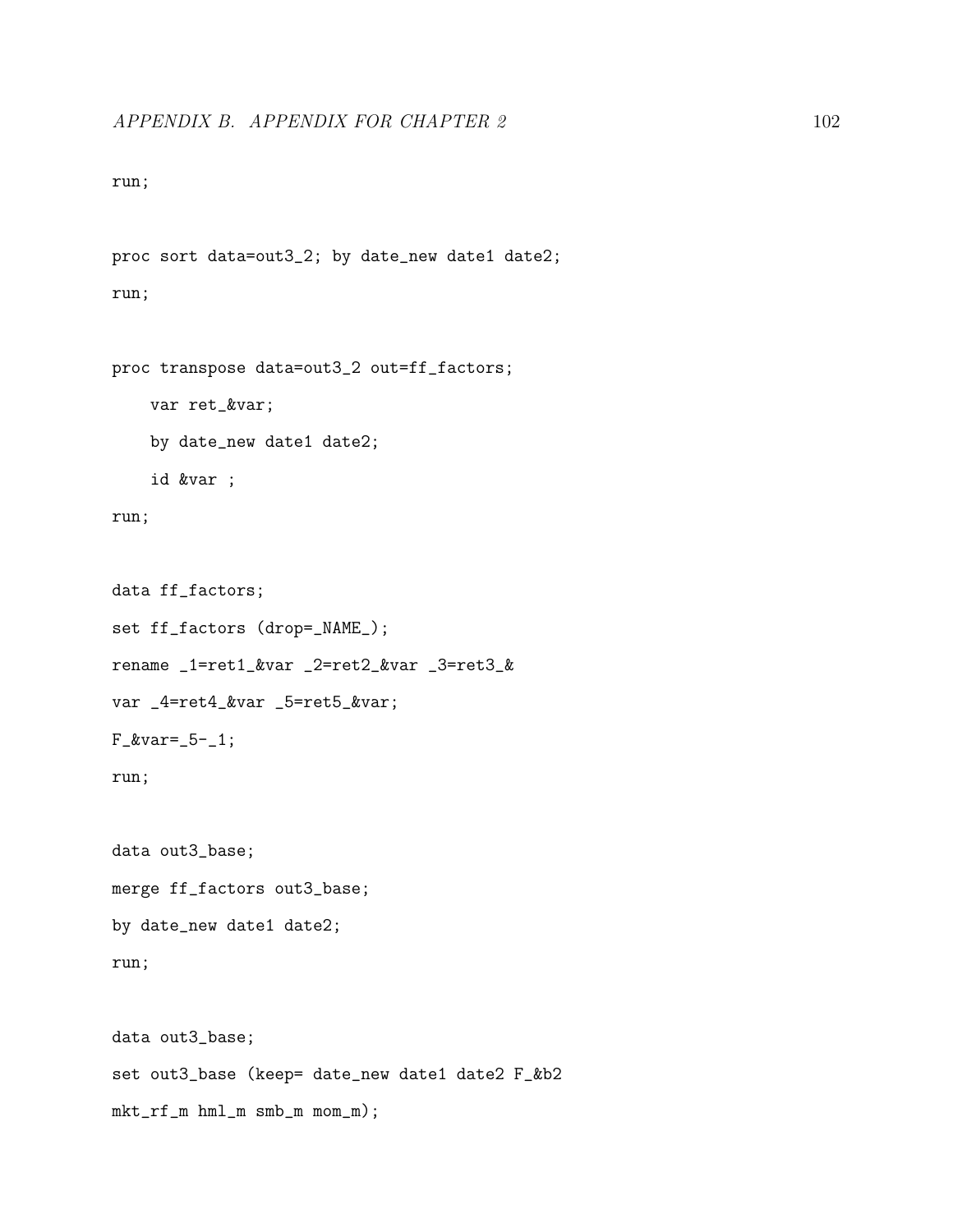run;

proc sort data=out3\_2; by date\_new date1 date2; run;

```
proc transpose data=out3_2 out=ff_factors;
    var ret_&var;
    by date_new date1 date2;
    id &var ;
run;
```

```
data ff_factors;
set ff_factors (drop=_NAME_);
rename _1=ret1_&var _2=ret2_&var _3=ret3_&
var _4=ret4_&var _5=ret5_&var;
F_{\text{avar}=-5-1;}run;
data out3_base;
merge ff_factors out3_base;
by date_new date1 date2;
run;
data out3_base;
set out3_base (keep= date_new date1 date2 F_&b2
```
mkt\_rf\_m hml\_m smb\_m mom\_m);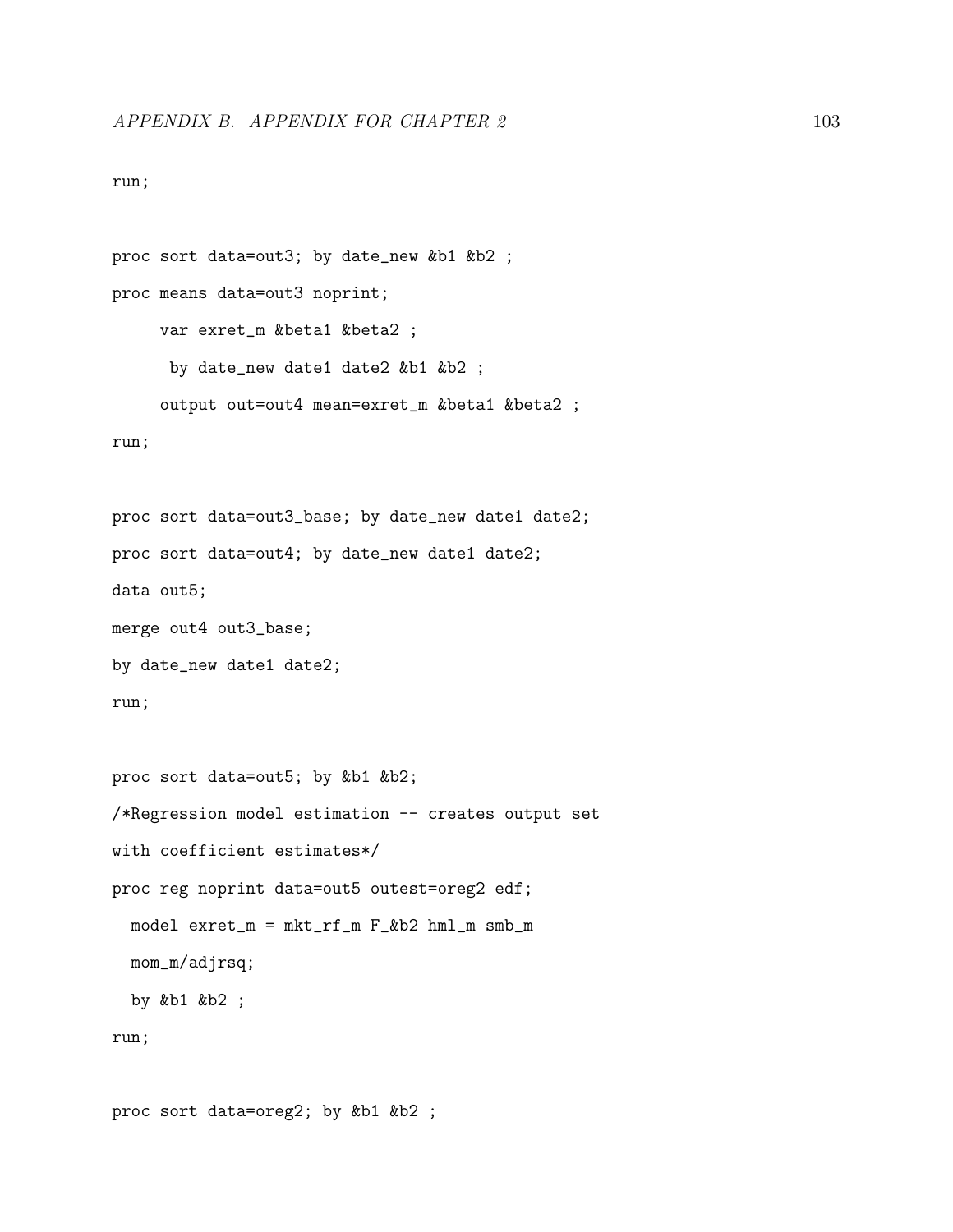run;

```
proc sort data=out3; by date_new &b1 &b2 ;
proc means data=out3 noprint;
     var exret_m &beta1 &beta2 ;
      by date_new date1 date2 &b1 &b2 ;
     output out=out4 mean=exret_m &beta1 &beta2 ;
run;
proc sort data=out3_base; by date_new date1 date2;
proc sort data=out4; by date_new date1 date2;
data out5;
merge out4 out3_base;
by date_new date1 date2;
run;
proc sort data=out5; by &b1 &b2;
/*Regression model estimation -- creates output set
with coefficient estimates*/
proc reg noprint data=out5 outest=oreg2 edf;
  model exret_m = mkt_rf_m F_&b2 hml_m smb_m
  mom_m/adjrsq;
  by &b1 &b2 ;
run;
```
proc sort data=oreg2; by &b1 &b2 ;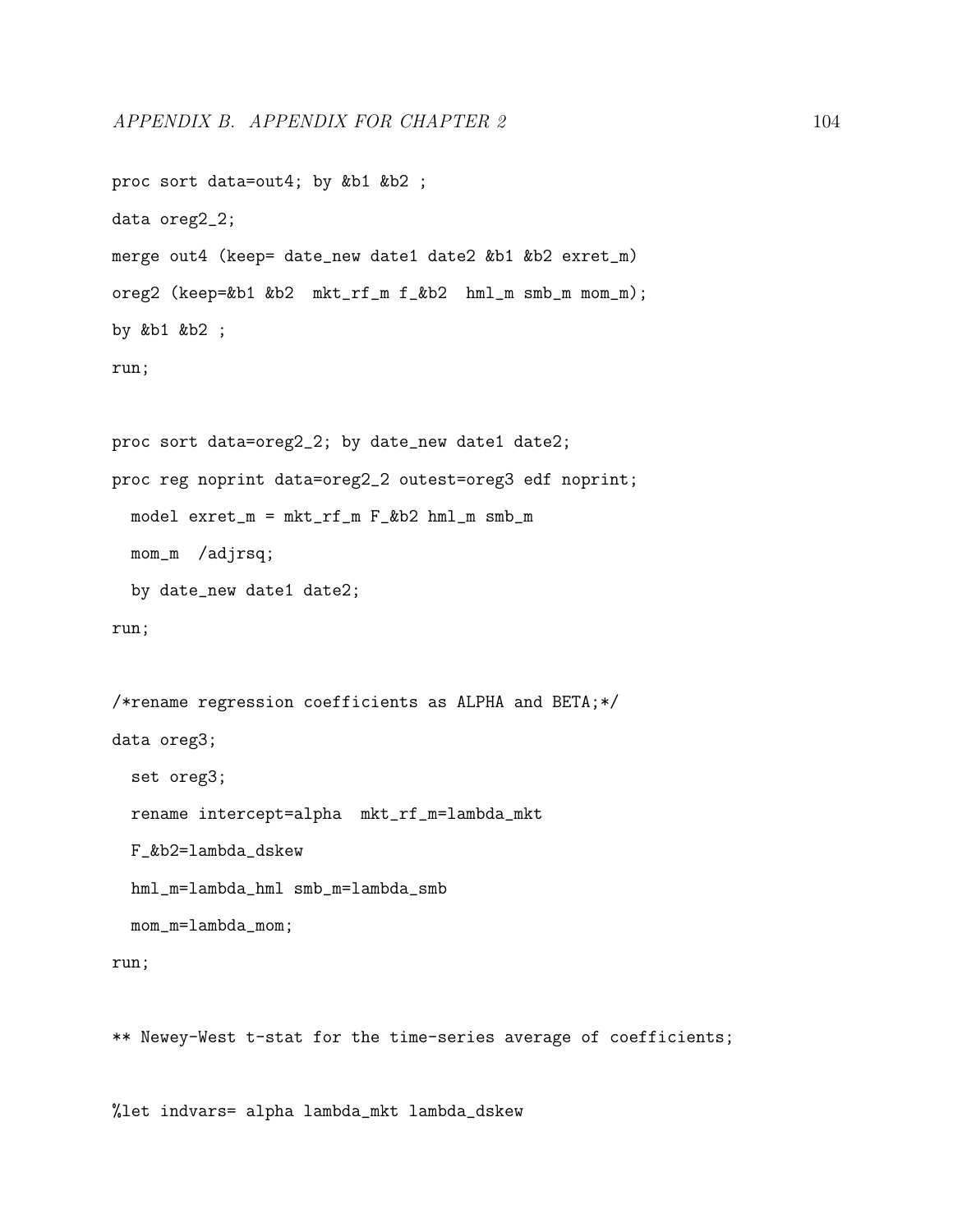```
proc sort data=out4; by &b1 &b2 ;
data oreg2_2;
merge out4 (keep= date_new date1 date2 &b1 &b2 exret_m)
oreg2 (keep=&b1 &b2 mkt_rf_m f_&b2 hml_m smb_m mom_m);
by &b1 &b2 ;
run;
proc sort data=oreg2_2; by date_new date1 date2;
proc reg noprint data=oreg2_2 outest=oreg3 edf noprint;
  model exret_m = mkt_rf_m F_&b2 hml_m smb_m
 mom_m /adjrsq;
 by date_new date1 date2;
run;
/*rename regression coefficients as ALPHA and BETA;*/
data oreg3;
  set oreg3;
  rename intercept=alpha mkt_rf_m=lambda_mkt
  F_&b2=lambda_dskew
 hml_m=lambda_hml smb_m=lambda_smb
 mom_m=lambda_mom;
run;
```
\*\* Newey-West t-stat for the time-series average of coefficients;

%let indvars= alpha lambda\_mkt lambda\_dskew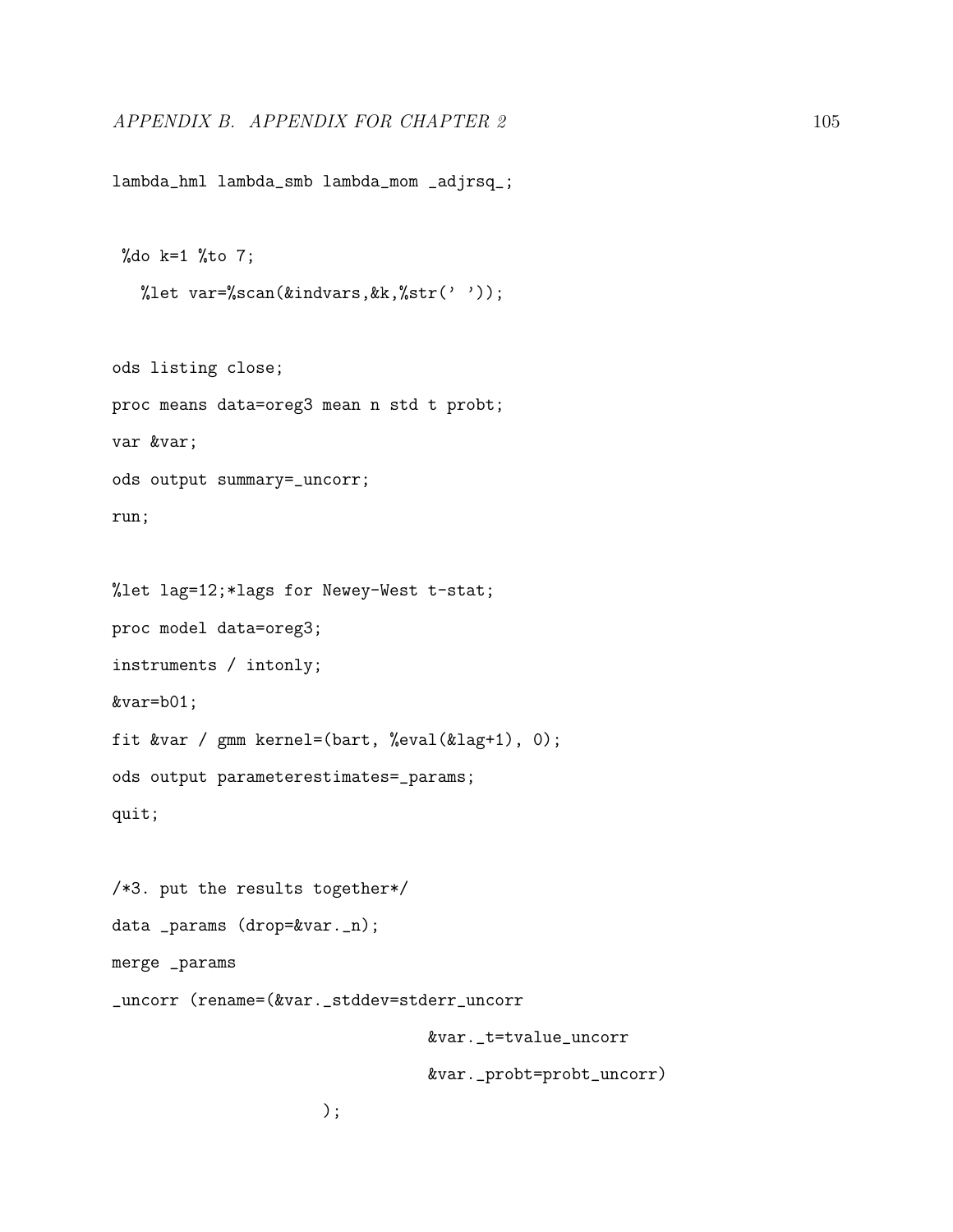lambda\_hml lambda\_smb lambda\_mom \_adjrsq\_;

```
%do k=1 %to 7;
  %let var=%scan(&indvars, kk, %str(''));
```

```
ods listing close;
proc means data=oreg3 mean n std t probt;
var &var;
ods output summary=_uncorr;
run;
```

```
%let lag=12;*lags for Newey-West t-stat;
proc model data=oreg3;
instruments / intonly;
&var=b01;
fit &var / gmm kernel=(bart, %eval(&lag+1), 0);
ods output parameterestimates=_params;
quit;
```
/\*3. put the results together\*/

data \_params (drop=&var.\_n);

merge \_params

\_uncorr (rename=(&var.\_stddev=stderr\_uncorr

&var.\_t=tvalue\_uncorr

&var.\_probt=probt\_uncorr)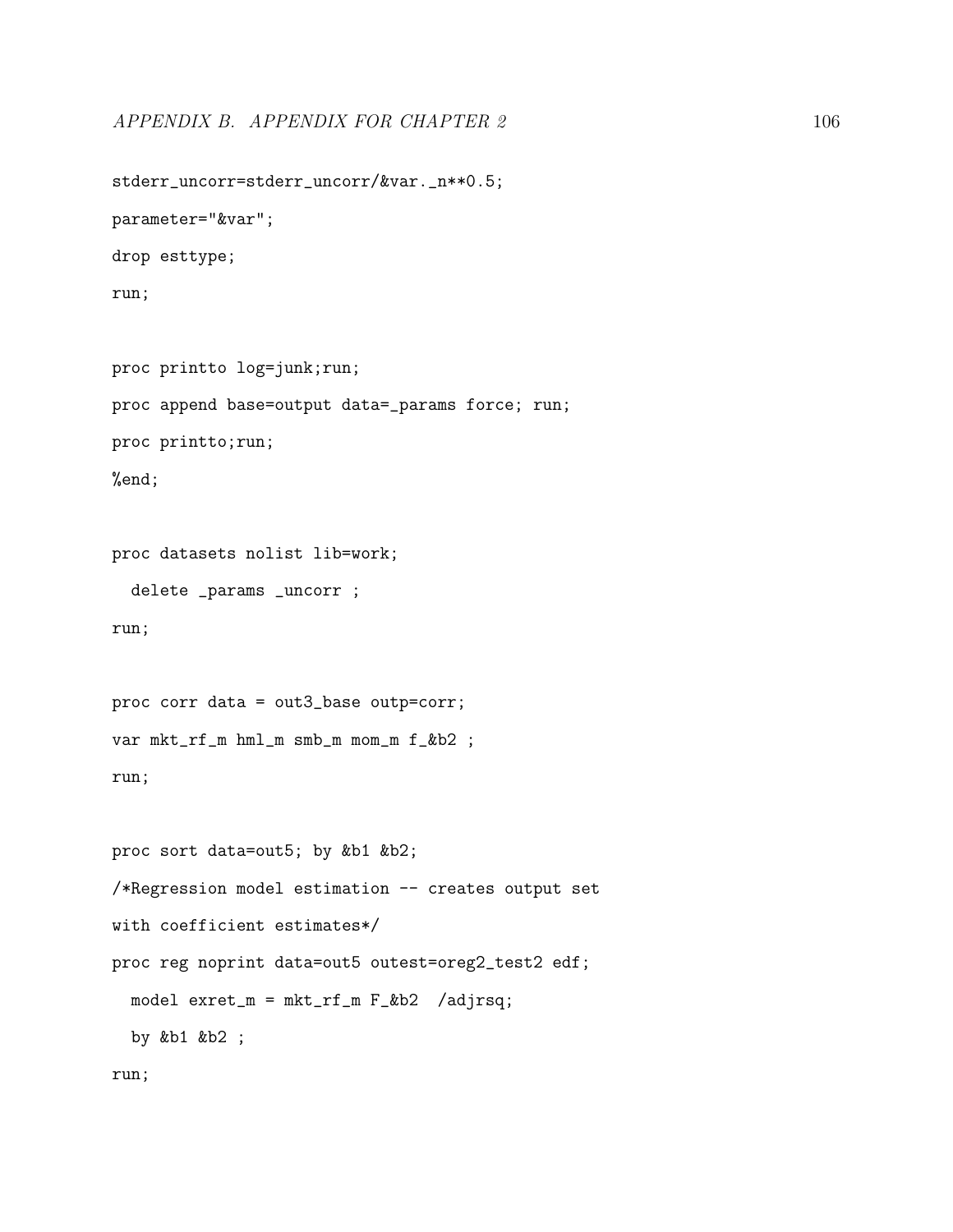stderr\_uncorr=stderr\_uncorr/&var.\_n\*\*0.5; parameter="&var"; drop esttype; run; proc printto log=junk;run; proc append base=output data=\_params force; run;

proc printto;run;

%end;

proc datasets nolist lib=work;

delete \_params \_uncorr ;

run;

proc corr data = out3\_base outp=corr; var mkt\_rf\_m hml\_m smb\_m mom\_m f\_&b2 ; run;

proc sort data=out5; by &b1 &b2; /\*Regression model estimation -- creates output set with coefficient estimates\*/ proc reg noprint data=out5 outest=oreg2\_test2 edf; model exret\_m = mkt\_rf\_m F\_&b2 /adjrsq; by &b1 &b2 ;

run;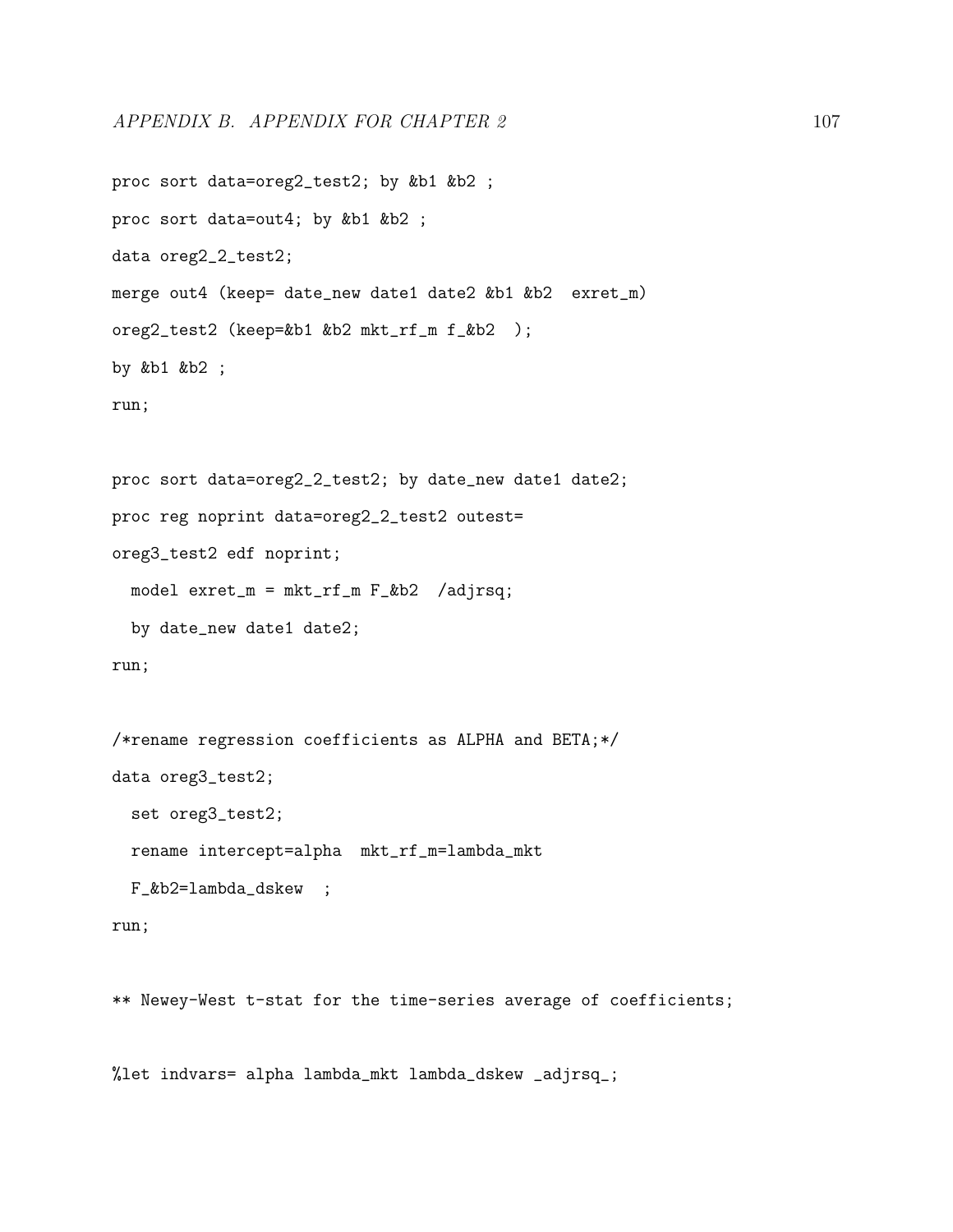```
proc sort data=oreg2_test2; by &b1 &b2 ;
proc sort data=out4; by &b1 &b2 ;
data oreg2_2_test2;
merge out4 (keep= date_new date1 date2 &b1 &b2 exret_m)
oreg2_test2 (keep=&b1 &b2 mkt_rf_m f_&b2 );
by &b1 &b2 ;
run;
proc sort data=oreg2_2_test2; by date_new date1 date2;
proc reg noprint data=oreg2_2_test2 outest=
oreg3_test2 edf noprint;
 model exret_m = mkt_rf_m F_&b2 /adjrsq;
 by date_new date1 date2;
run;
/*rename regression coefficients as ALPHA and BETA;*/
data oreg3_test2;
  set oreg3_test2;
  rename intercept=alpha mkt_rf_m=lambda_mkt
 F_&b2=lambda_dskew ;
```

```
run;
```
\*\* Newey-West t-stat for the time-series average of coefficients;

%let indvars= alpha lambda\_mkt lambda\_dskew \_adjrsq\_;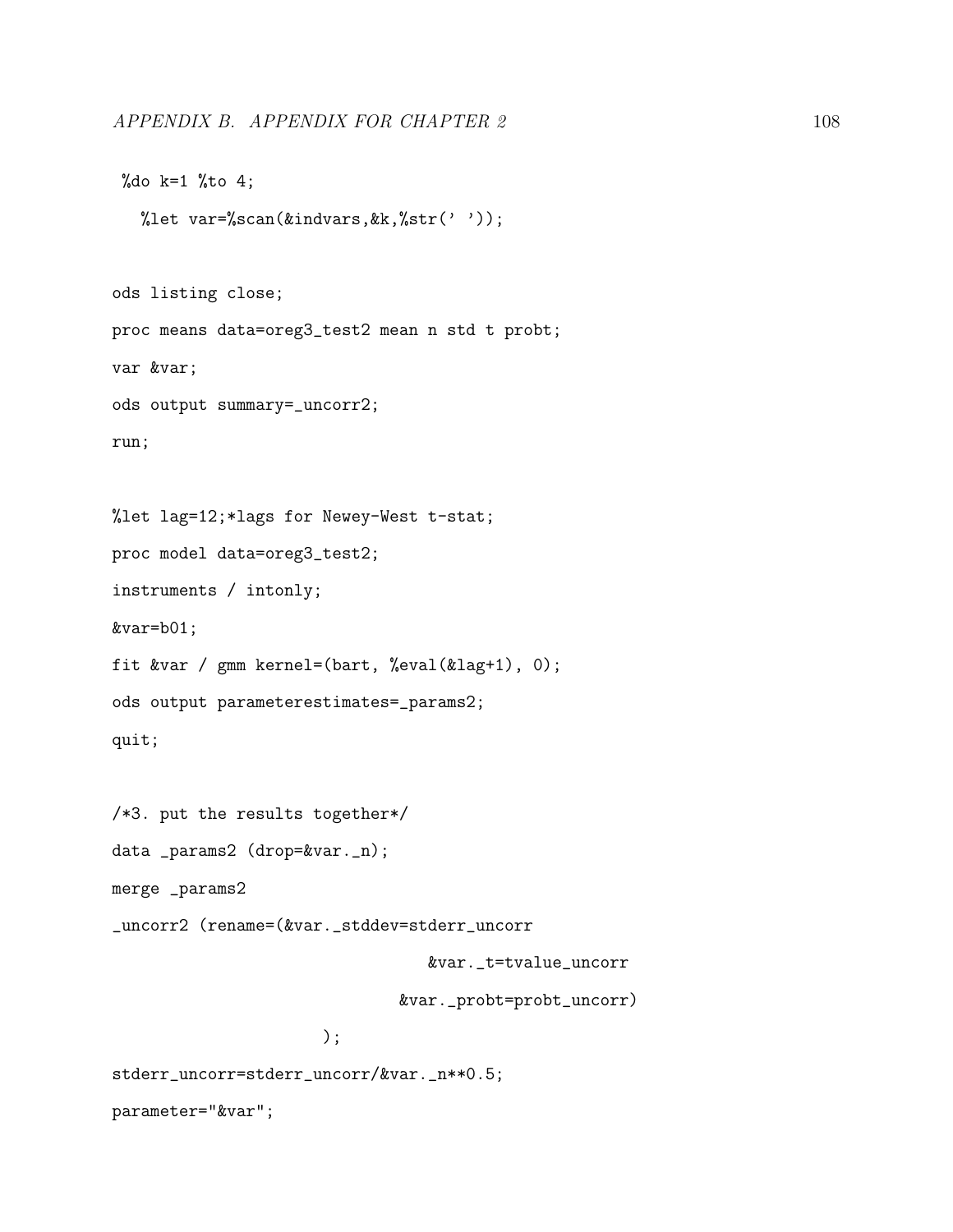$%$ do k=1  $%$ to 4;

```
%let var=%scan(&indvars, kk, %str(''));
ods listing close;
proc means data=oreg3_test2 mean n std t probt;
var &var;
ods output summary=_uncorr2;
run;
%let lag=12;*lags for Newey-West t-stat;
proc model data=oreg3_test2;
instruments / intonly;
&var=b01;
fit &var / gmm kernel=(bart, %eval(&lag+1), 0);
ods output parameterestimates=_params2;
quit;
/*3. put the results together*/
data _params2 (drop=&var._n);
merge _params2
_uncorr2 (rename=(&var._stddev=stderr_uncorr
```
&var.\_t=tvalue\_uncorr

&var.\_probt=probt\_uncorr)

```
);
```
stderr\_uncorr=stderr\_uncorr/&var.\_n\*\*0.5;

parameter="&var";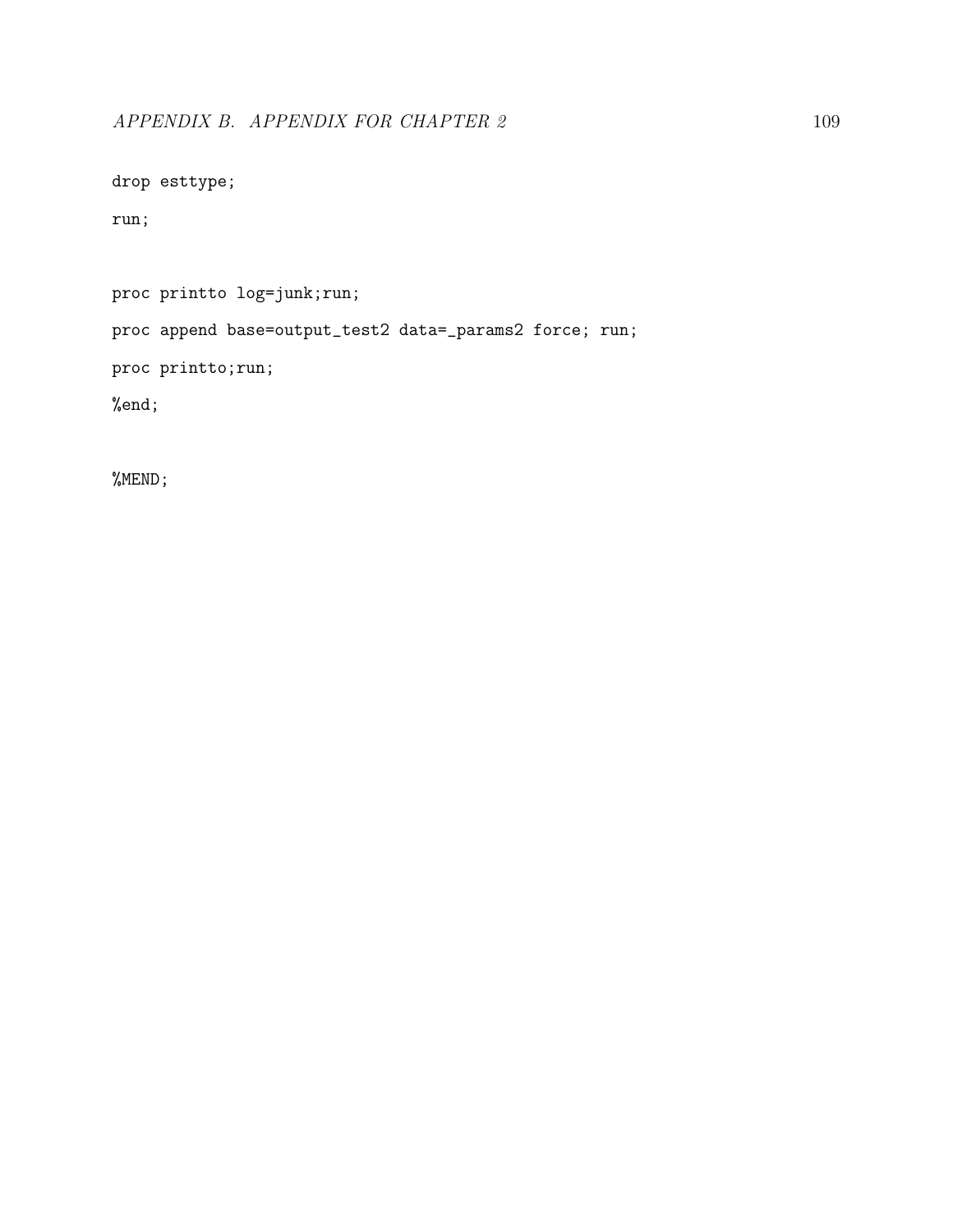drop esttype;

run;

proc printto log=junk;run;

proc append base=output\_test2 data=\_params2 force; run;

proc printto;run;

%end;

%MEND;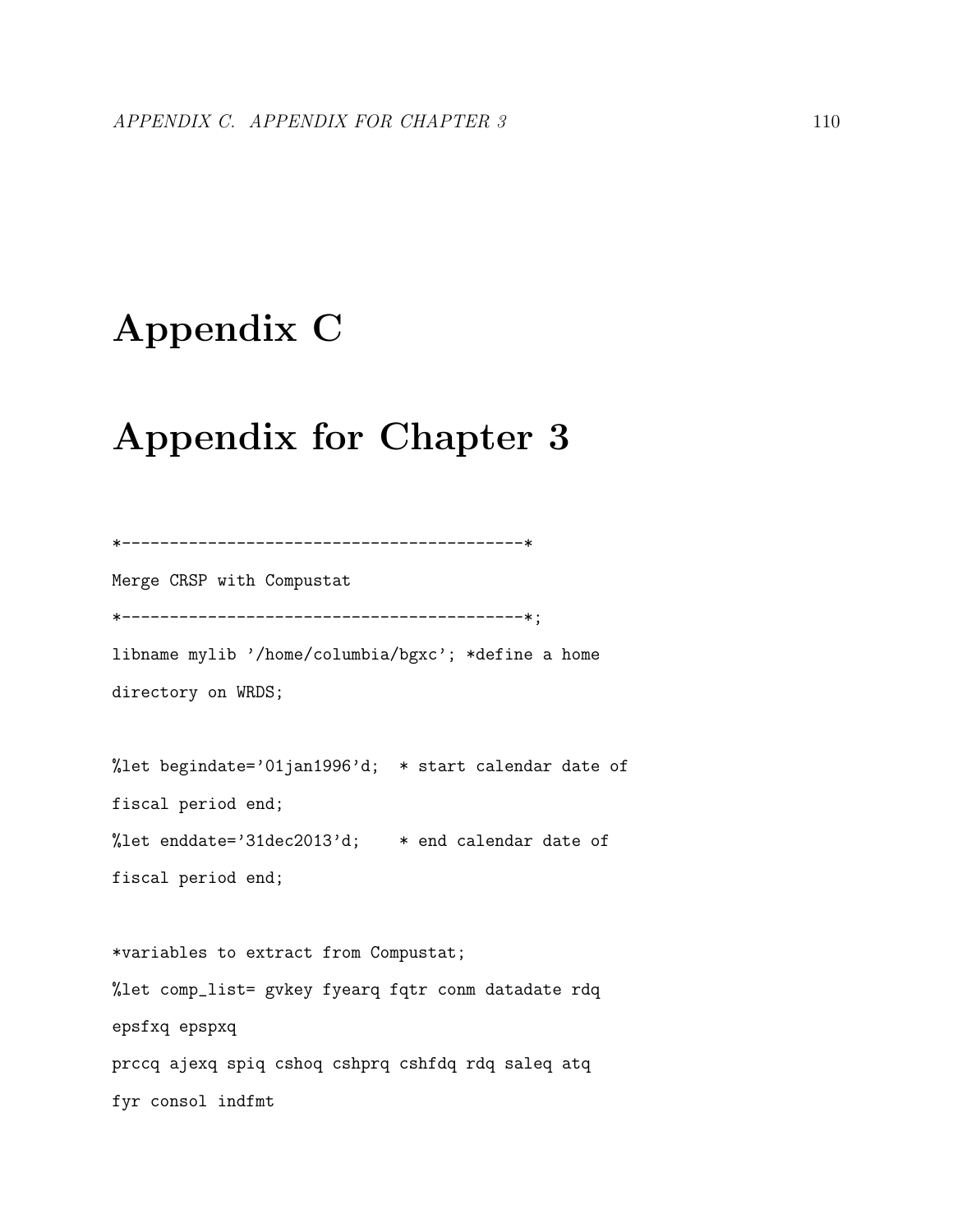# Appendix C

## Appendix for Chapter 3

```
*------------------------------------------*
Merge CRSP with Compustat
*------------------------------------------*;
libname mylib '/home/columbia/bgxc'; *define a home
directory on WRDS;
%let begindate='01jan1996'd; * start calendar date of
fiscal period end;
%let enddate='31dec2013'd; * end calendar date of
fiscal period end;
*variables to extract from Compustat;
%let comp_list= gvkey fyearq fqtr conm datadate rdq
epsfxq epspxq
prccq ajexq spiq cshoq cshprq cshfdq rdq saleq atq
fyr consol indfmt
```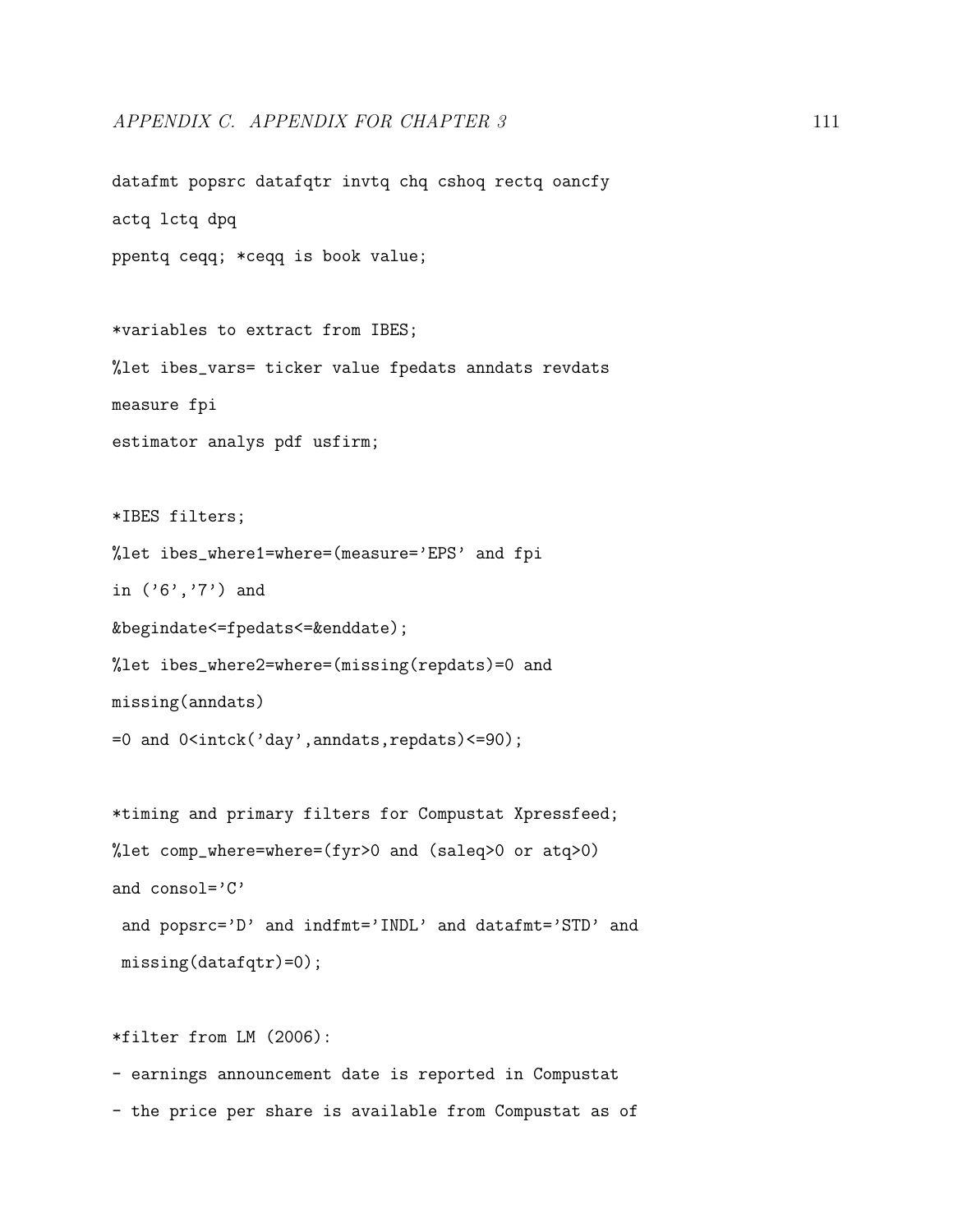```
datafmt popsrc datafqtr invtq chq cshoq rectq oancfy
actq lctq dpq
ppentq ceqq; *ceqq is book value;
*variables to extract from IBES;
%let ibes_vars= ticker value fpedats anndats revdats
measure fpi
estimator analys pdf usfirm;
*IBES filters;
%let ibes_where1=where=(measure='EPS' and fpi
in ('6','7') and
&begindate<=fpedats<=&enddate);
%let ibes_where2=where=(missing(repdats)=0 and
missing(anndats)
=0 and 0<intck('day',anndats,repdats)<=90);
*timing and primary filters for Compustat Xpressfeed;
%let comp_where=where=(fyr>0 and (saleq>0 or atq>0)
and consol='C'and popsrc='D' and indfmt='INDL' and datafmt='STD' and
missing(datafqtr)=0);
```
- earnings announcement date is reported in Compustat

\*filter from LM (2006):

- the price per share is available from Compustat as of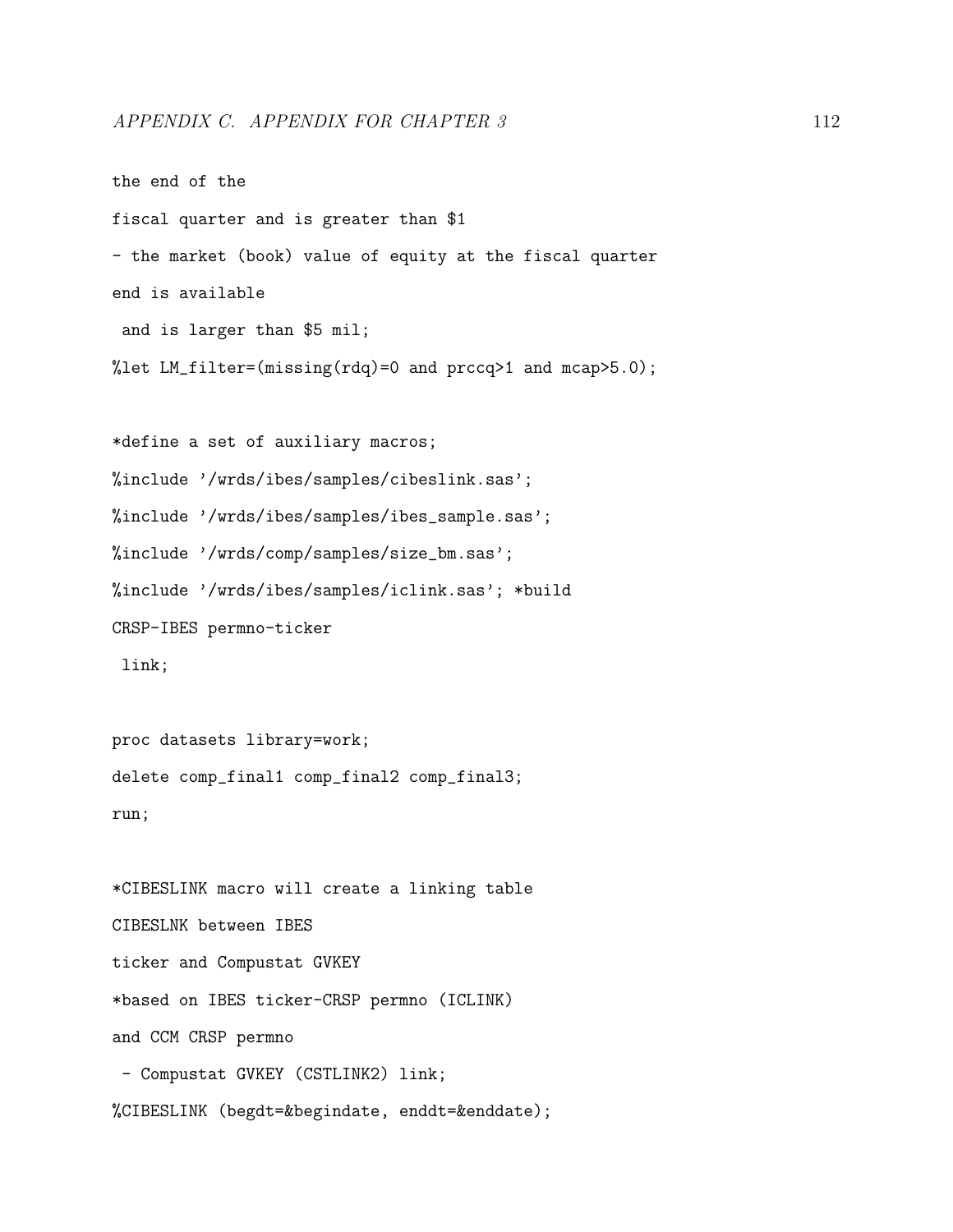```
the end of the
fiscal quarter and is greater than $1
- the market (book) value of equity at the fiscal quarter
end is available
and is larger than $5 mil;
%let LM_fitter=(missing(rdq)=0 and precq>1 and mcap>5.0;
*define a set of auxiliary macros;
%include '/wrds/ibes/samples/cibeslink.sas';
%include '/wrds/ibes/samples/ibes_sample.sas';
%include '/wrds/comp/samples/size_bm.sas';
%include '/wrds/ibes/samples/iclink.sas'; *build
CRSP-IBES permno-ticker
link;
proc datasets library=work;
```
delete comp\_final1 comp\_final2 comp\_final3;

run;

\*CIBESLINK macro will create a linking table CIBESLNK between IBES ticker and Compustat GVKEY \*based on IBES ticker-CRSP permno (ICLINK) and CCM CRSP permno - Compustat GVKEY (CSTLINK2) link;

%CIBESLINK (begdt=&begindate, enddt=&enddate);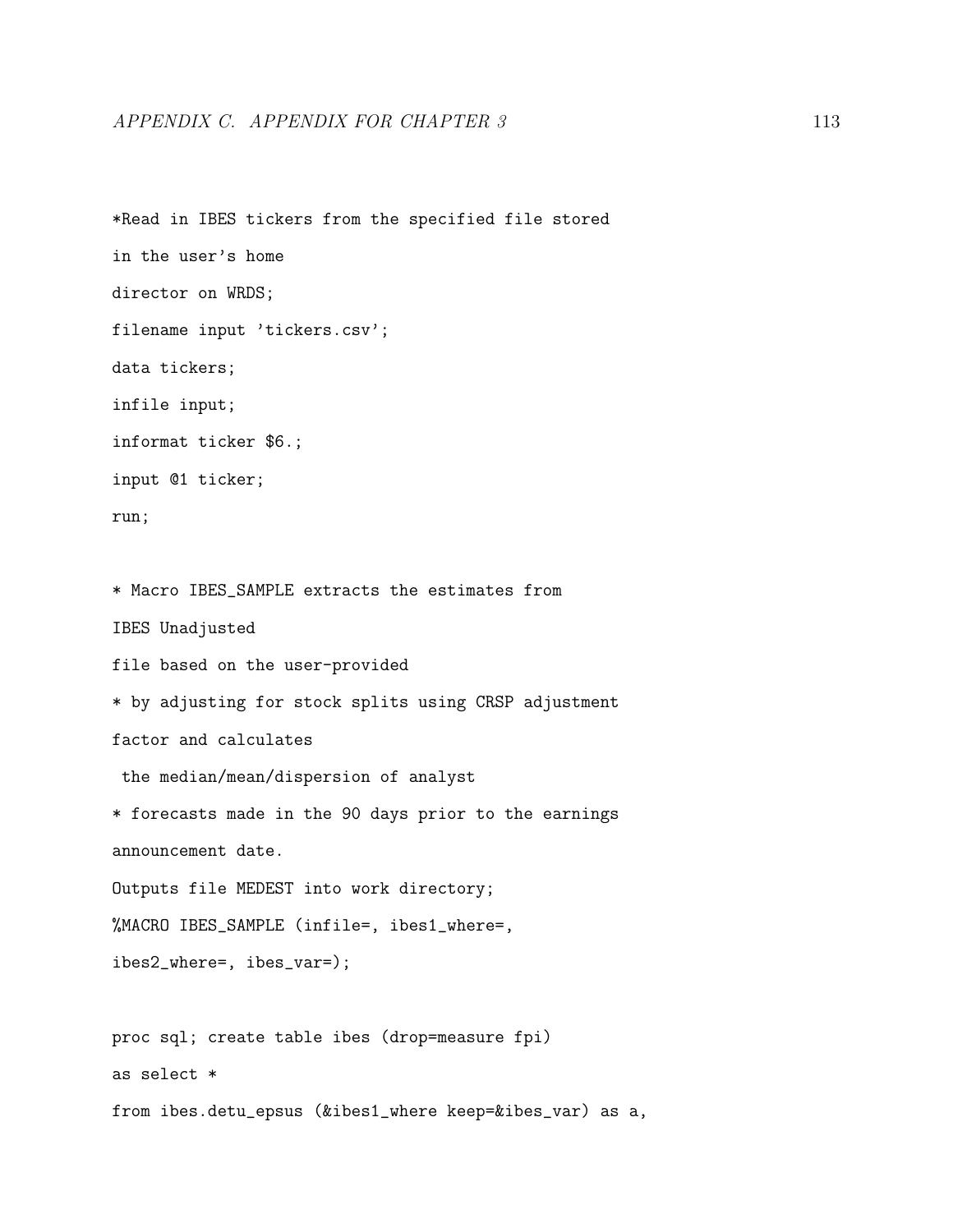## APPENDIX C. APPENDIX FOR CHAPTER 3 113

\*Read in IBES tickers from the specified file stored in the user's home director on WRDS; filename input 'tickers.csv'; data tickers; infile input; informat ticker \$6.; input @1 ticker; run; \* Macro IBES\_SAMPLE extracts the estimates from IBES Unadjusted file based on the user-provided \* by adjusting for stock splits using CRSP adjustment factor and calculates the median/mean/dispersion of analyst \* forecasts made in the 90 days prior to the earnings announcement date. Outputs file MEDEST into work directory; %MACRO IBES\_SAMPLE (infile=, ibes1\_where=, ibes2\_where=, ibes\_var=); proc sql; create table ibes (drop=measure fpi) as select \* from ibes.detu\_epsus (&ibes1\_where keep=&ibes\_var) as a,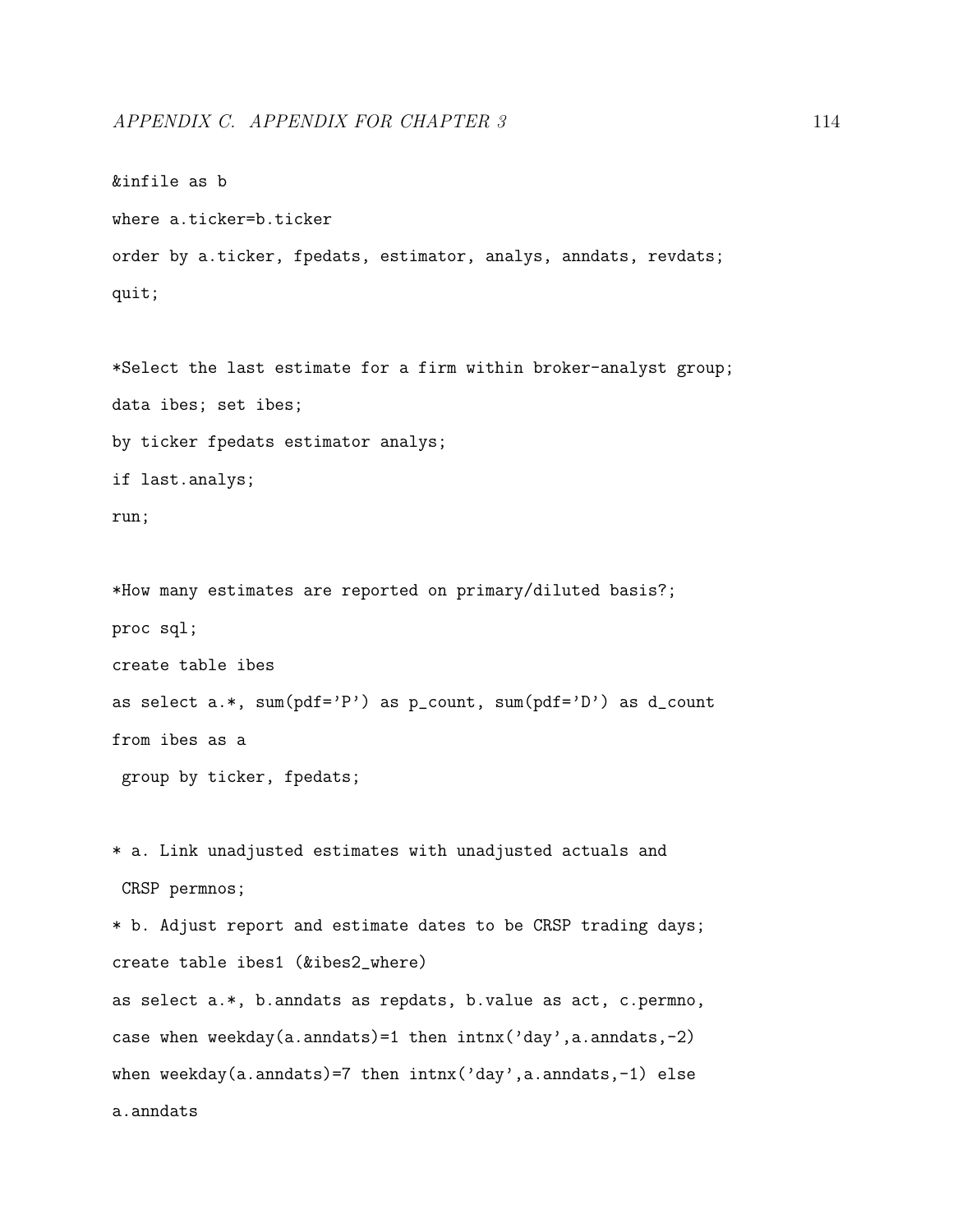```
&infile as b
where a.ticker=b.ticker
order by a.ticker, fpedats, estimator, analys, anndats, revdats;
quit;
*Select the last estimate for a firm within broker-analyst group;
data ibes; set ibes;
by ticker fpedats estimator analys;
if last.analys;
run;
*How many estimates are reported on primary/diluted basis?;
proc sql;
create table ibes
as select a.*, sum(pdf='P') as p\_count, sum(pdf='D') as d\_countfrom ibes as a
 group by ticker, fpedats;
* a. Link unadjusted estimates with unadjusted actuals and
CRSP permnos;
* b. Adjust report and estimate dates to be CRSP trading days;
create table ibes1 (&ibes2_where)
as select a.*, b.anndats as repdats, b.value as act, c.permno,
```
when weekday(a.anndats)=7 then  $intnx('day',a.annotation.pdf)$  else

case when weekday(a.anndats)=1 then intnx('day',a.anndats,-2)

```
a.anndats
```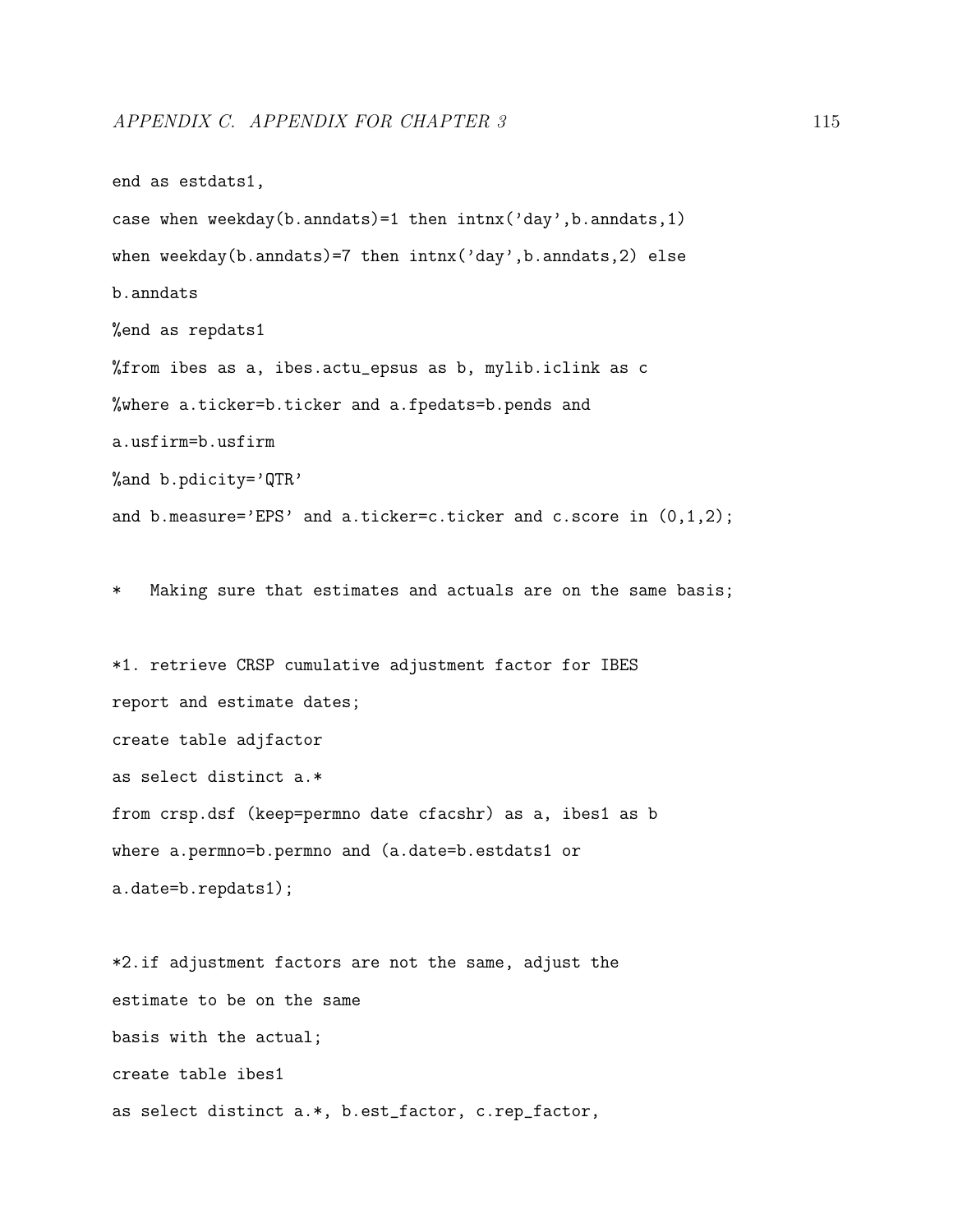```
end as estdats1,
case when weekday(b.anndats)=1 then intnx('day',b.~anndats,1)when weekday(b.anndats)=7 then intnx('day',b.anndats,2) else
b.anndats
%end as repdats1
%from ibes as a, ibes.actu_epsus as b, mylib.iclink as c
%where a.ticker=b.ticker and a.fpedats=b.pends and
a.usfirm=b.usfirm
%and b.pdicity='QTR'
and b.measure='EPS' and a.ticker=c.ticker and c.score in (0,1,2);
```
\* Making sure that estimates and actuals are on the same basis;

\*1. retrieve CRSP cumulative adjustment factor for IBES report and estimate dates; create table adjfactor as select distinct a.\* from crsp.dsf (keep=permno date cfacshr) as a, ibes1 as b where a.permno=b.permno and (a.date=b.estdats1 or a.date=b.repdats1);

\*2.if adjustment factors are not the same, adjust the estimate to be on the same basis with the actual; create table ibes1 as select distinct a.\*, b.est\_factor, c.rep\_factor,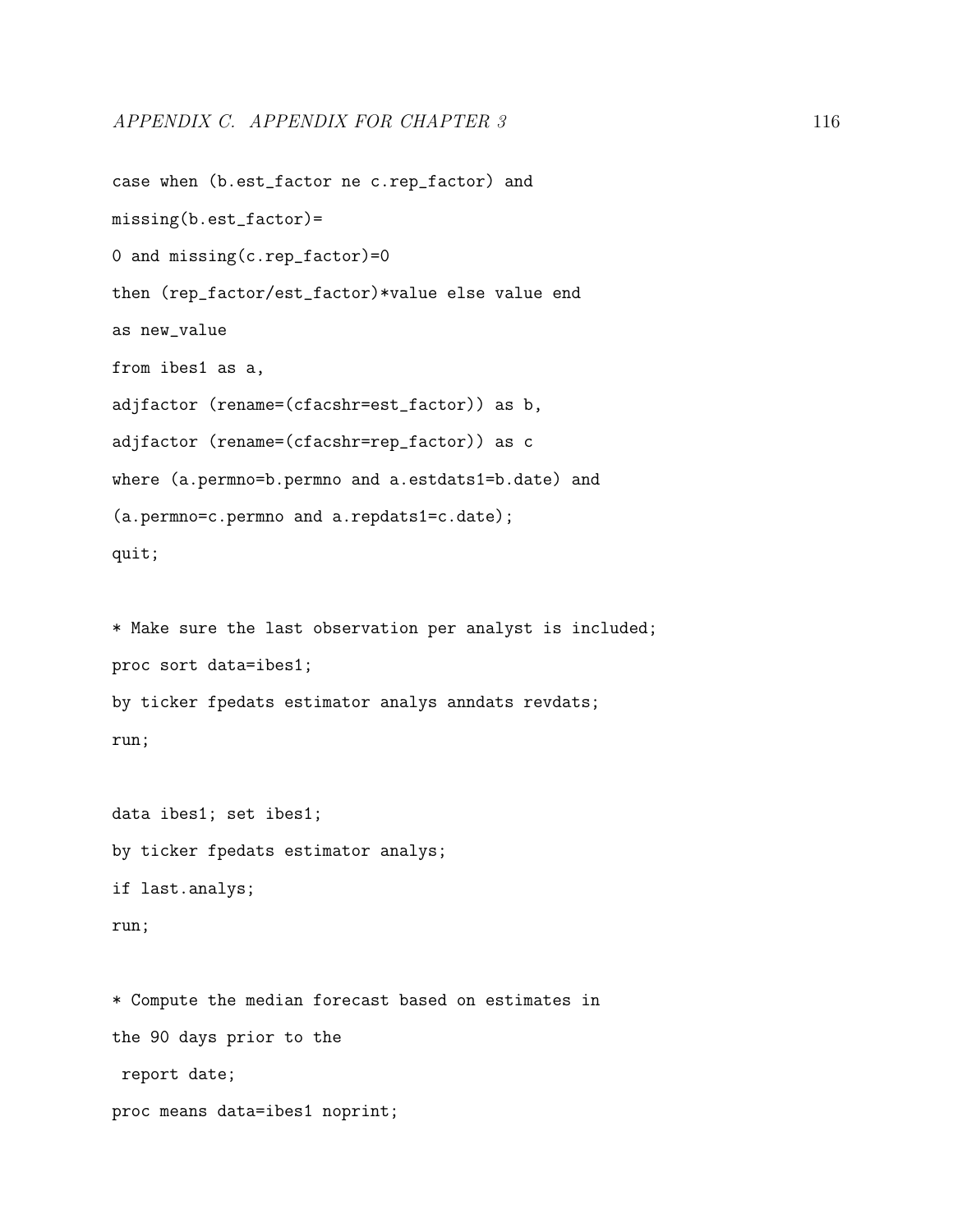```
case when (b.est_factor ne c.rep_factor) and
missing(b.est_factor)=
0 and missing(c.rep_factor)=0
then (rep_factor/est_factor)*value else value end
as new_value
from ibes1 as a,
adjfactor (rename=(cfacshr=est_factor)) as b,
adjfactor (rename=(cfacshr=rep_factor)) as c
where (a.permno=b.permno and a.estdats1=b.date) and
(a.permno=c.permno and a.repdats1=c.date);
quit;
* Make sure the last observation per analyst is included;
proc sort data=ibes1;
by ticker fpedats estimator analys anndats revdats;
run;
data ibes1; set ibes1;
by ticker fpedats estimator analys;
if last.analys;
run;
* Compute the median forecast based on estimates in
```
the 90 days prior to the report date;

proc means data=ibes1 noprint;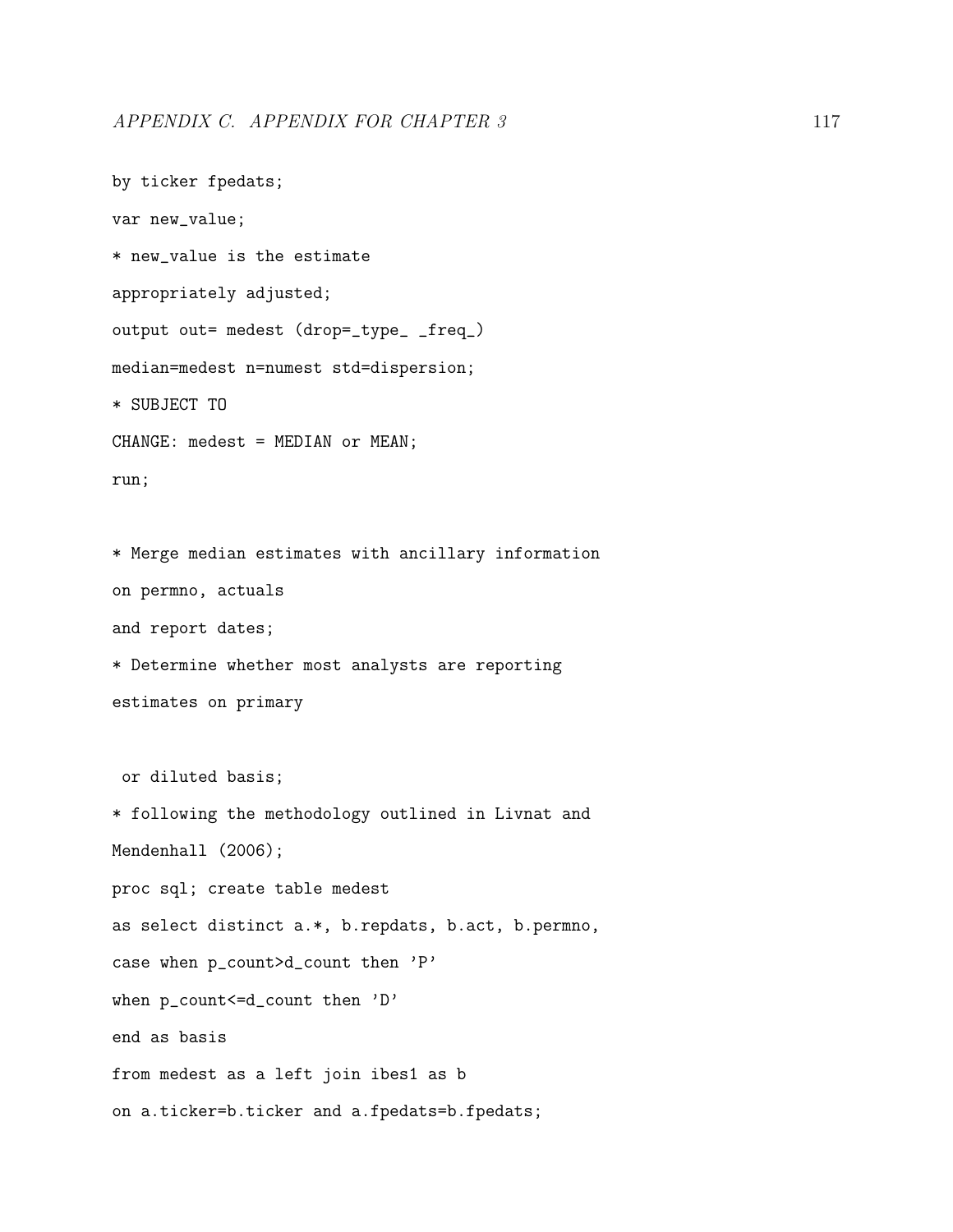```
by ticker fpedats;
var new_value;
* new_value is the estimate
appropriately adjusted;
output out= medest (drop=_type_ _freq_)
median=medest n=numest std=dispersion;
* SUBJECT TO
CHANGE: medest = MEDIAN or MEAN;
run;
* Merge median estimates with ancillary information
on permno, actuals
and report dates;
* Determine whether most analysts are reporting
estimates on primary
 or diluted basis;
* following the methodology outlined in Livnat and
Mendenhall (2006);
proc sql; create table medest
as select distinct a.*, b.repdats, b.act, b.permno,
case when p_count>d_count then 'P'
when p_count <= d_count then 'D'
end as basis
from medest as a left join ibes1 as b
on a.ticker=b.ticker and a.fpedats=b.fpedats;
```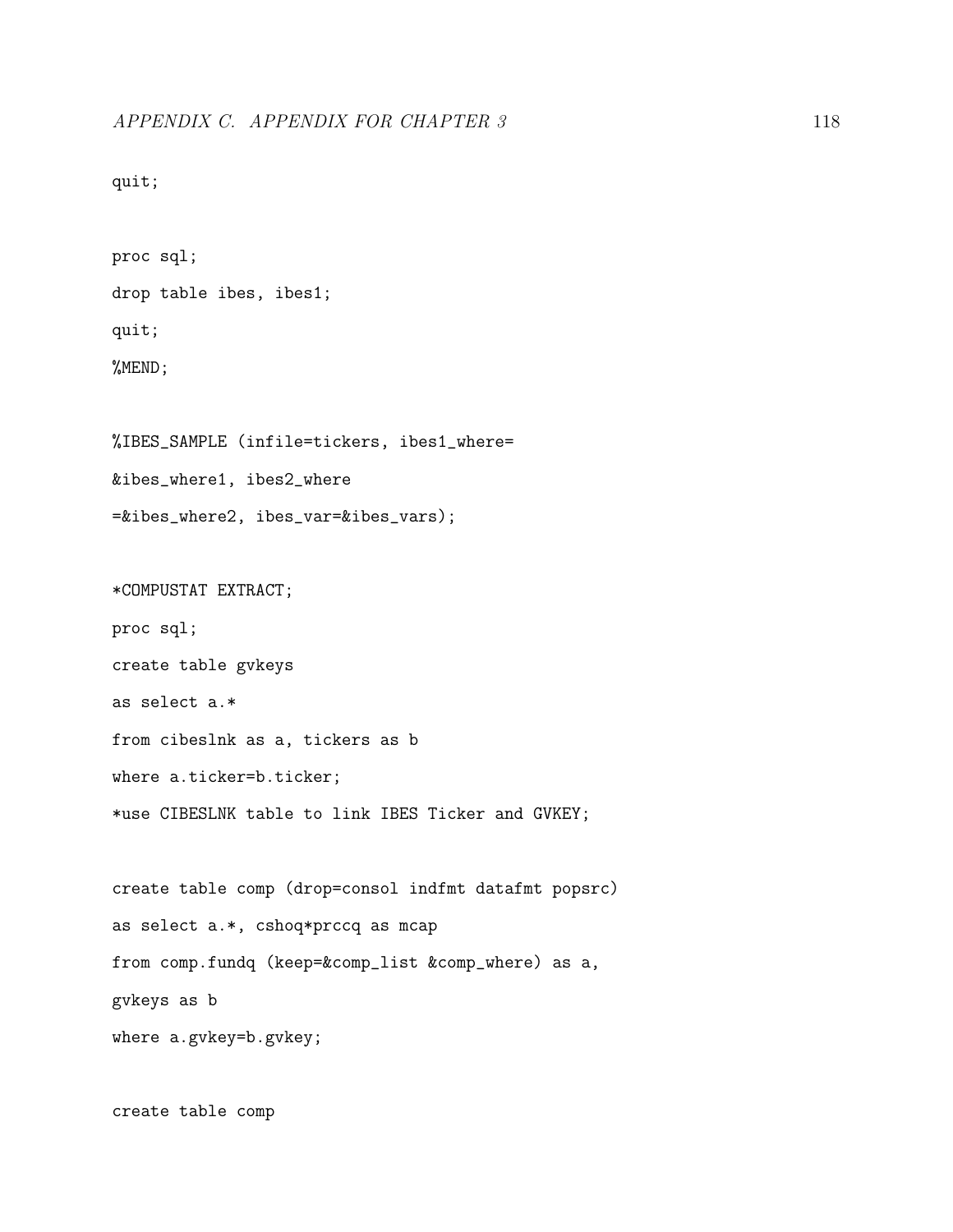quit;

proc sql; drop table ibes, ibes1; quit; %MEND; %IBES\_SAMPLE (infile=tickers, ibes1\_where= &ibes\_where1, ibes2\_where =&ibes\_where2, ibes\_var=&ibes\_vars); \*COMPUSTAT EXTRACT; proc sql; create table gvkeys as select a.\* from cibeslnk as a, tickers as b where a.ticker=b.ticker; \*use CIBESLNK table to link IBES Ticker and GVKEY; create table comp (drop=consol indfmt datafmt popsrc) as select a.\*, cshoq\*prccq as mcap from comp.fundq (keep=&comp\_list &comp\_where) as a,

gvkeys as b

where a.gvkey=b.gvkey;

create table comp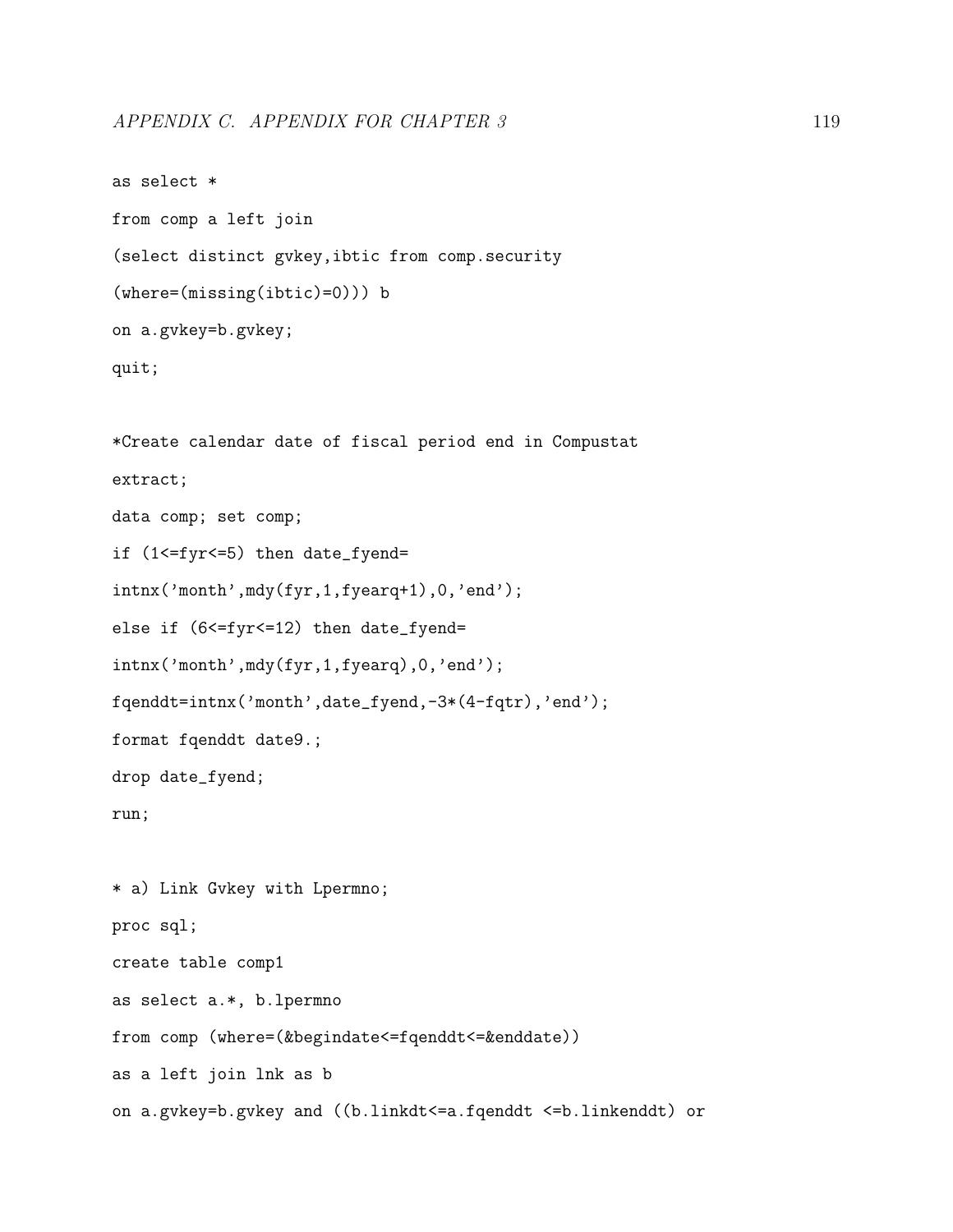```
as select *
from comp a left join
(select distinct gvkey,ibtic from comp.security
(where=(missing(ibtic)=0))) b
on a.gvkey=b.gvkey;
quit;
*Create calendar date of fiscal period end in Compustat
extract;
data comp; set comp;
if (1<=fyr<=5) then date_fyend=
intnx('month',mdy(fyr,1,fyearq+1),0,'end');
else if (6<=fyr<=12) then date_fyend=
intnx('month',mdy(fyr,1,fyearq),0,'end');
fqenddt=intnx('month',date_fyend,-3*(4-fqtr),'end');
format fqenddt date9.;
drop date_fyend;
run;
* a) Link Gvkey with Lpermno;
proc sql;
create table comp1
as select a.*, b.lpermno
from comp (where=(&begindate<=fqenddt<=&enddate))
as a left join lnk as b
on a.gvkey=b.gvkey and ((b.linkdt<=a.fqenddt <=b.linkenddt) or
```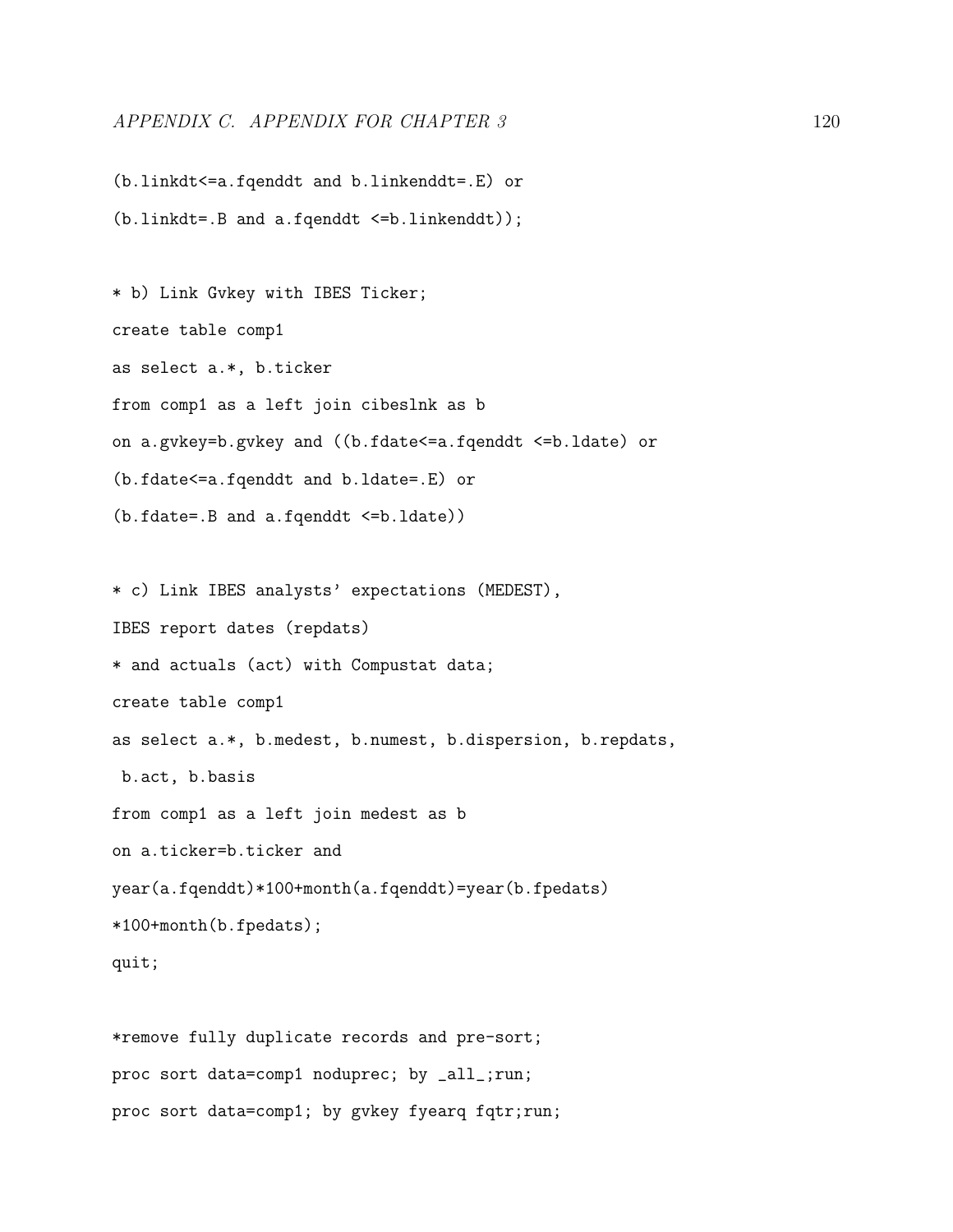## APPENDIX C. APPENDIX FOR CHAPTER 3 120

(b.linkdt<=a.fqenddt and b.linkenddt=.E) or (b.linkdt=.B and a.fqenddt <=b.linkenddt));

\* b) Link Gvkey with IBES Ticker; create table comp1 as select a.\*, b.ticker from comp1 as a left join cibeslnk as b on a.gvkey=b.gvkey and ((b.fdate<=a.fqenddt <=b.ldate) or (b.fdate<=a.fqenddt and b.ldate=.E) or (b.fdate=.B and a.fqenddt <=b.ldate))

\* c) Link IBES analysts' expectations (MEDEST), IBES report dates (repdats) \* and actuals (act) with Compustat data; create table comp1 as select a.\*, b.medest, b.numest, b.dispersion, b.repdats, b.act, b.basis from comp1 as a left join medest as b on a.ticker=b.ticker and year(a.fqenddt)\*100+month(a.fqenddt)=year(b.fpedats) \*100+month(b.fpedats);

quit;

\*remove fully duplicate records and pre-sort; proc sort data=comp1 noduprec; by \_all\_;run; proc sort data=comp1; by gvkey fyearq fqtr;run;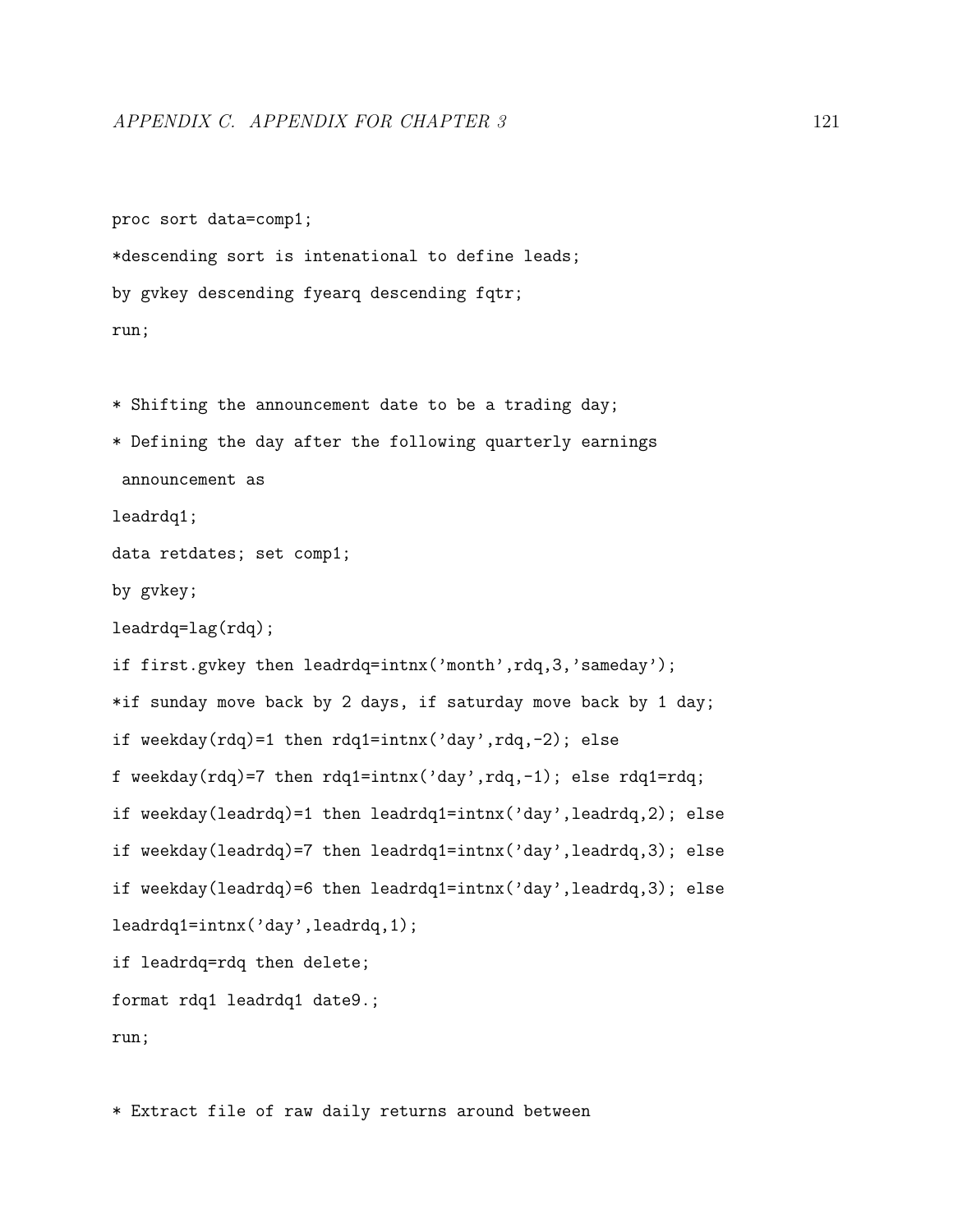proc sort data=comp1;

```
*descending sort is intenational to define leads;
by gvkey descending fyearq descending fqtr;
run;
* Shifting the announcement date to be a trading day;
* Defining the day after the following quarterly earnings
announcement as
leadrdq1;
data retdates; set comp1;
by gvkey;
leadrdq=lag(rdq);
if first.gvkey then leadrdq=intnx('month',rdq,3,'sameday');
*if sunday move back by 2 days, if saturday move back by 1 day;
if weekday(rdq)=1 then rdq1=intnx('day',rdq,-2); else
f weekday(rdq)=7 then rdq1=intnx('day',rdq,-1); else rdq1=rdq;
if weekday(leadrdq)=1 then leadrdq1=intnx('day',leadrdq,2); else
if weekday(leadrdq)=7 then leadrdq1=intnx('day',leadrdq,3); else
if weekday(leadrdq)=6 then leadrdq1=intnx('day',leadrdq,3); else
leadrdq1=intnx('day',leadrdq,1);
if leadrdq=rdq then delete;
format rdq1 leadrdq1 date9.;
run;
```
\* Extract file of raw daily returns around between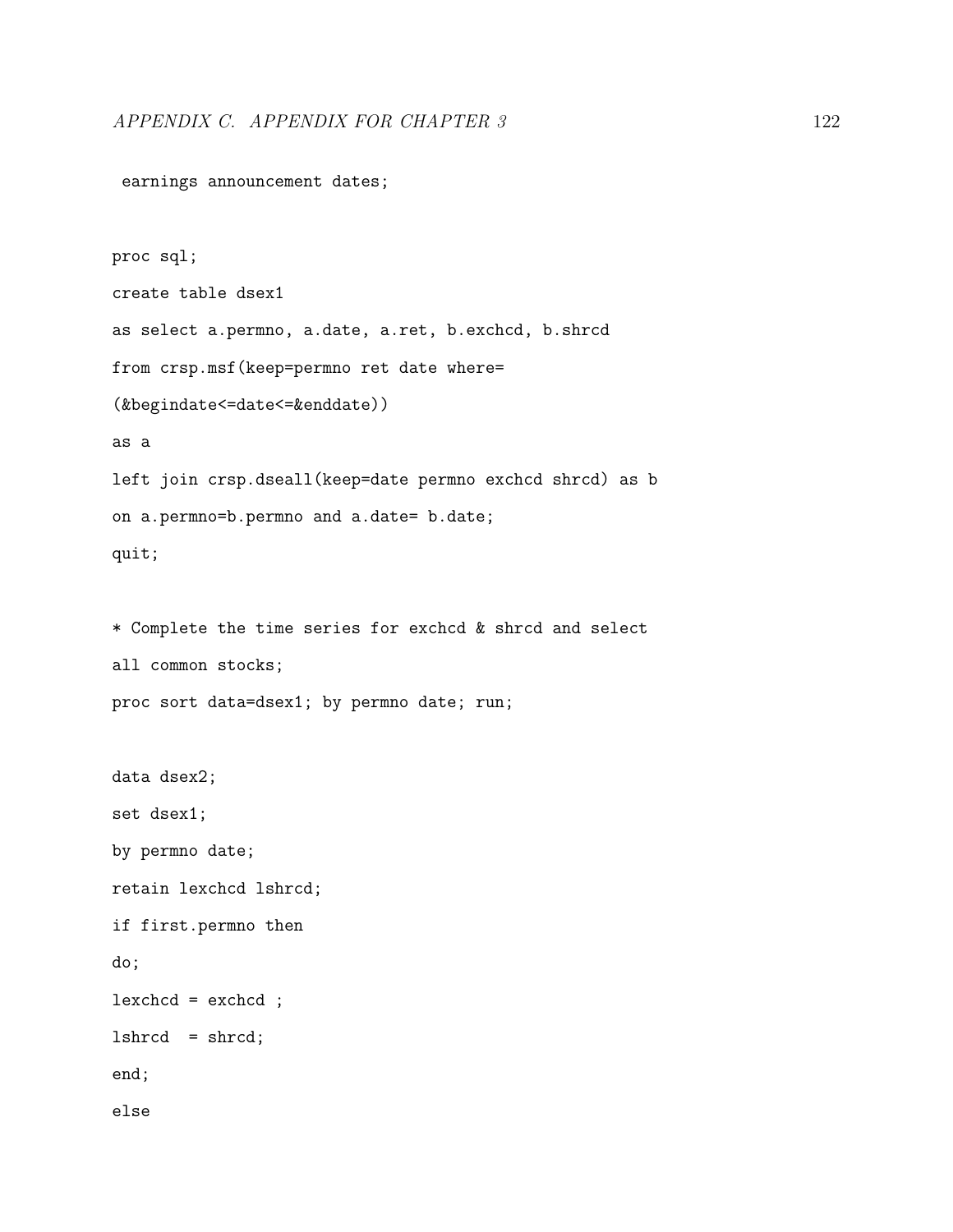earnings announcement dates;

```
proc sql;
create table dsex1
as select a.permno, a.date, a.ret, b.exchcd, b.shrcd
from crsp.msf(keep=permno ret date where=
(&begindate<=date<=&enddate))
as a
left join crsp.dseall(keep=date permno exchcd shrcd) as b
on a.permno=b.permno and a.date= b.date;
quit;
* Complete the time series for exchcd & shrcd and select
```

```
all common stocks;
proc sort data=dsex1; by permno date; run;
```

```
data dsex2;
set dsex1;
by permno date;
retain lexchcd lshrcd;
if first.permno then
do;
lexchcd = exchcd ;
lshrcd = shrcd;
end;
else
```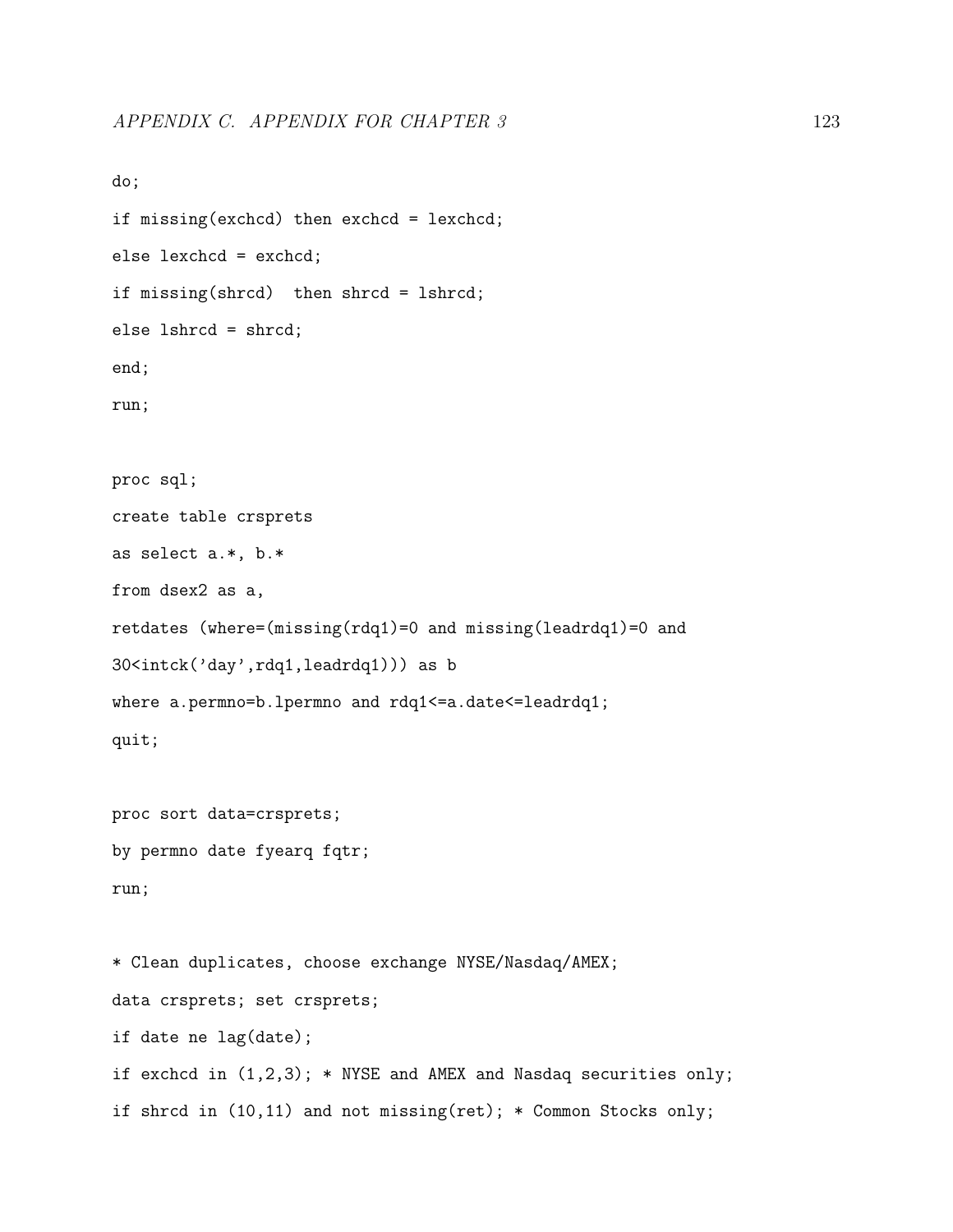```
do;
if missing(exchcd) then exchcd = lexchcd;
else lexchcd = exchcd;
if missing(shrcd) then shrcd = lshrcd;
else lshrcd = shrcd;
end;
run;
proc sql;
create table crsprets
as select a.*, b.*
from dsex2 as a,
retdates (where=(missing(rdq1)=0 and missing(leadrdq1)=0 and
30<intck('day',rdq1,leadrdq1))) as b
where a.permno=b.lpermno and rdq1<=a.date<=leadrdq1;
quit;
proc sort data=crsprets;
by permno date fyearq fqtr;
run;
* Clean duplicates, choose exchange NYSE/Nasdaq/AMEX;
data crsprets; set crsprets;
if date ne lag(date);
if exchcd in (1,2,3); * NYSE and AMEX and Nasdaq securities only;
if shrcd in (10,11) and not missing(ret); * Common Stocks only;
```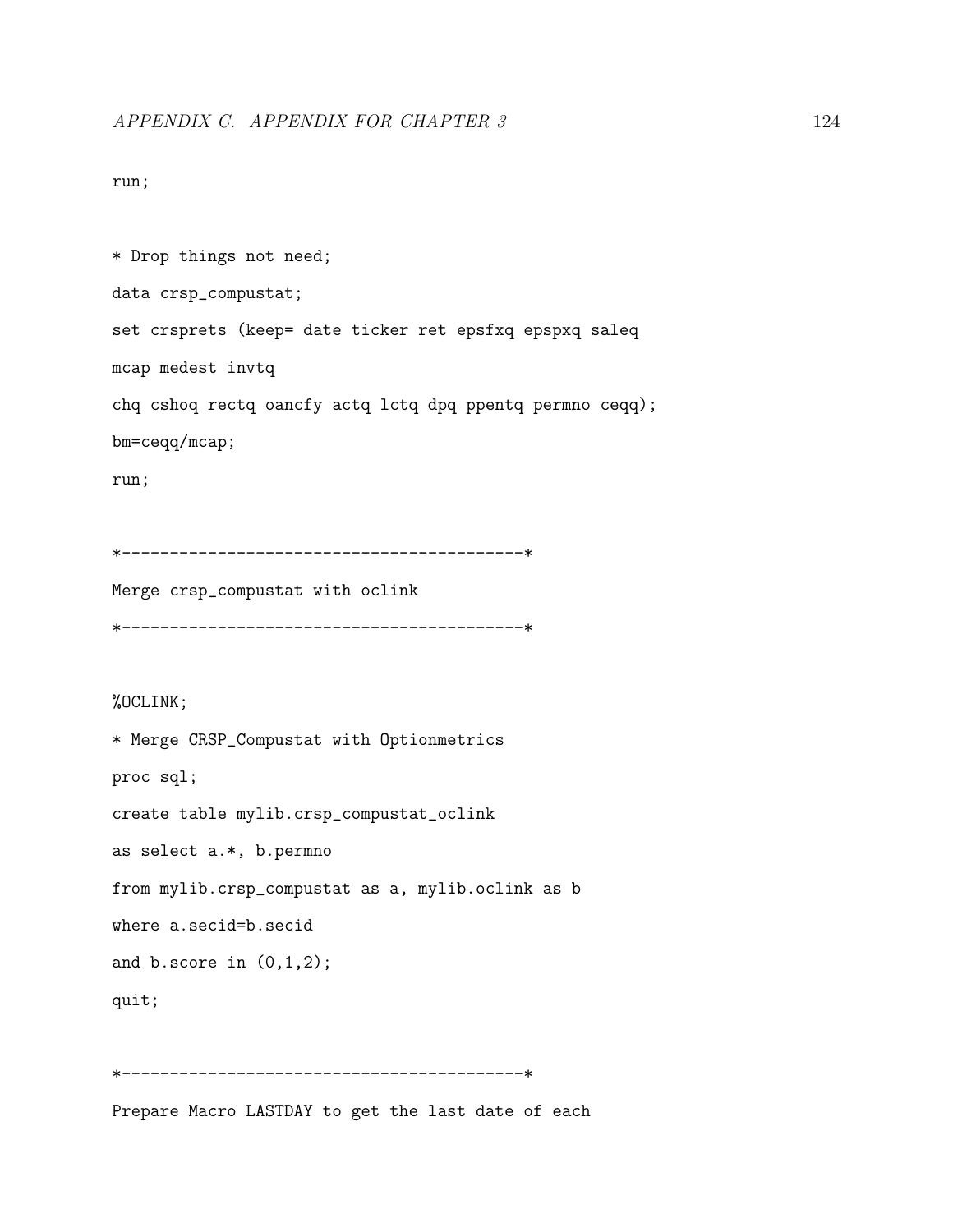#### run;

```
* Drop things not need;
data crsp_compustat;
set crsprets (keep= date ticker ret epsfxq epspxq saleq
mcap medest invtq
chq cshoq rectq oancfy actq lctq dpq ppentq permno ceqq);
bm=ceqq/mcap;
```
run;

```
*------------------------------------------*
```
Merge crsp\_compustat with oclink \*------------------------------------------\*

#### %OCLINK;

```
* Merge CRSP_Compustat with Optionmetrics
proc sql;
create table mylib.crsp_compustat_oclink
as select a.*, b.permno
from mylib.crsp_compustat as a, mylib.oclink as b
where a.secid=b.secid
and b.score in (0,1,2);
quit;
```

```
*------------------------------------------*
```
Prepare Macro LASTDAY to get the last date of each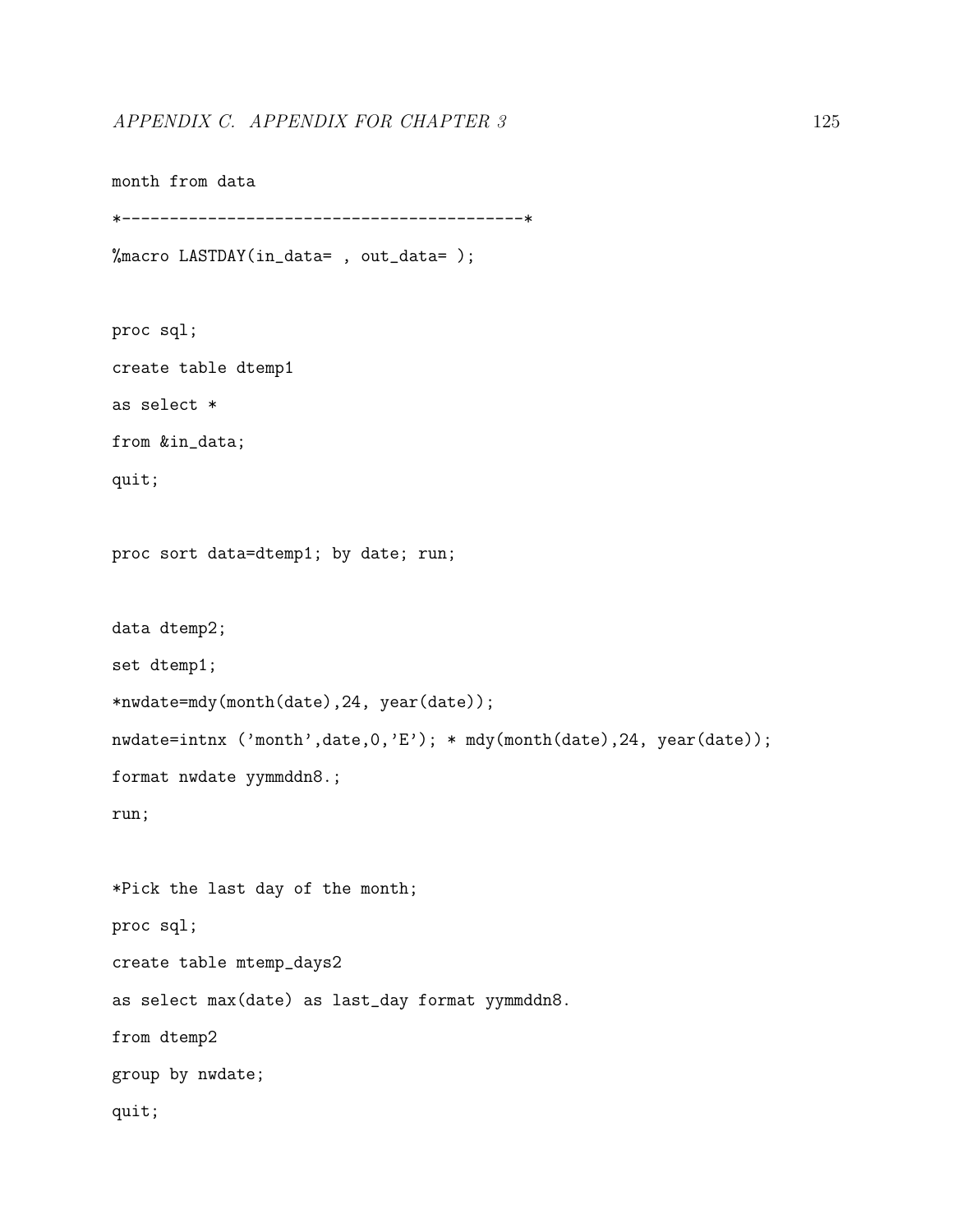```
month from data
*------------------------------------------*
%macro LASTDAY(in_data= , out_data= );
proc sql;
create table dtemp1
as select *
from &in_data;
quit;
proc sort data=dtemp1; by date; run;
data dtemp2;
set dtemp1;
*nwdate=mdy(month(date),24, year(date));
nwdate=intnx ('month',date,0,'E'); * mdy(month(date),24, year(date));
format nwdate yymmddn8.;
run;
*Pick the last day of the month;
proc sql;
create table mtemp_days2
as select max(date) as last_day format yymmddn8.
from dtemp2
group by nwdate;
quit;
```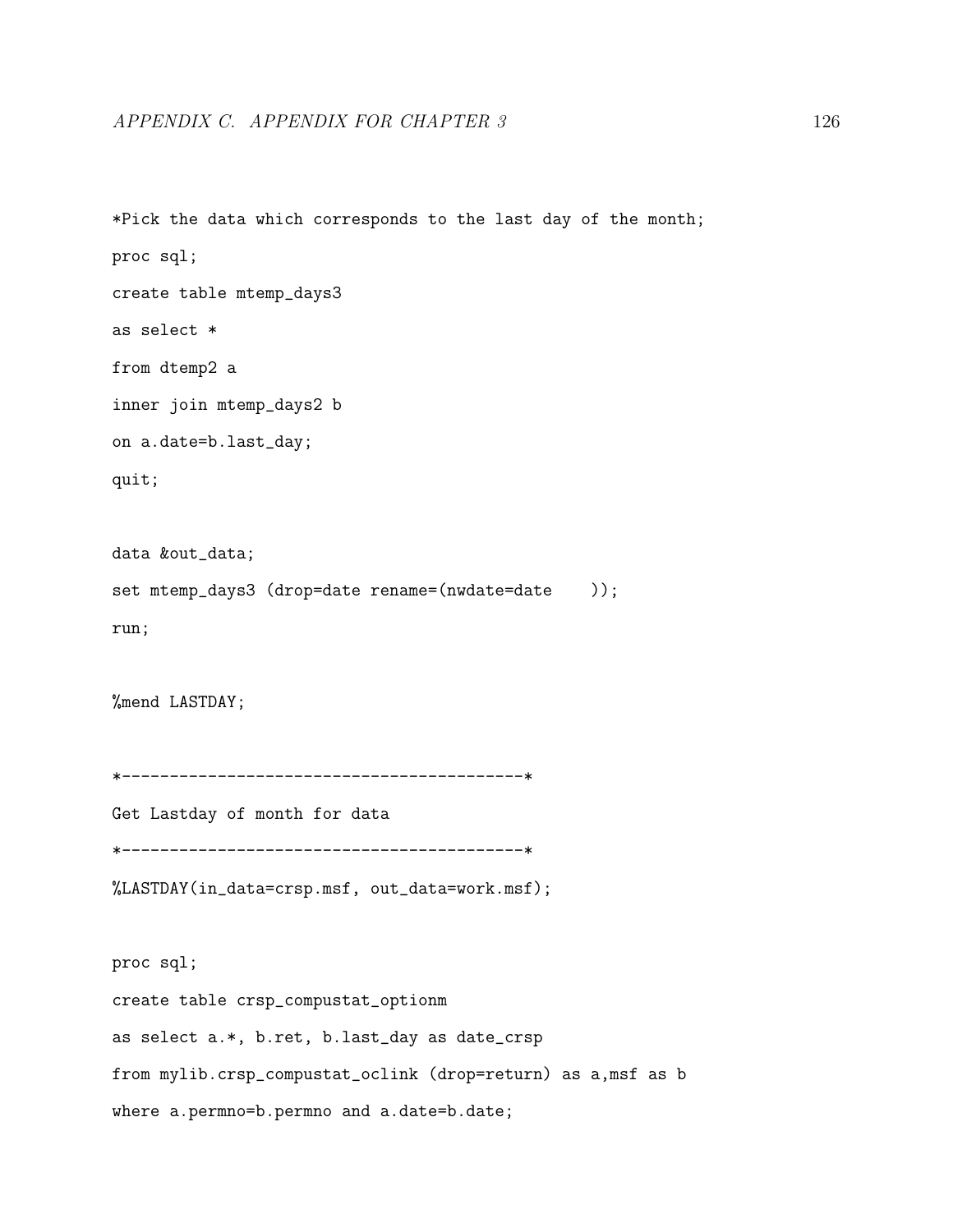\*Pick the data which corresponds to the last day of the month; proc sql; create table mtemp\_days3 as select \* from dtemp2 a inner join mtemp\_days2 b on a.date=b.last\_day; quit; data &out\_data; set mtemp\_days3 (drop=date rename=(nwdate=date )); run; %mend LASTDAY; \*------------------------------------------\* Get Lastday of month for data \*------------------------------------------\* %LASTDAY(in\_data=crsp.msf, out\_data=work.msf); proc sql; create table crsp\_compustat\_optionm as select a.\*, b.ret, b.last\_day as date\_crsp from mylib.crsp\_compustat\_oclink (drop=return) as a,msf as b

where a.permno=b.permno and a.date=b.date;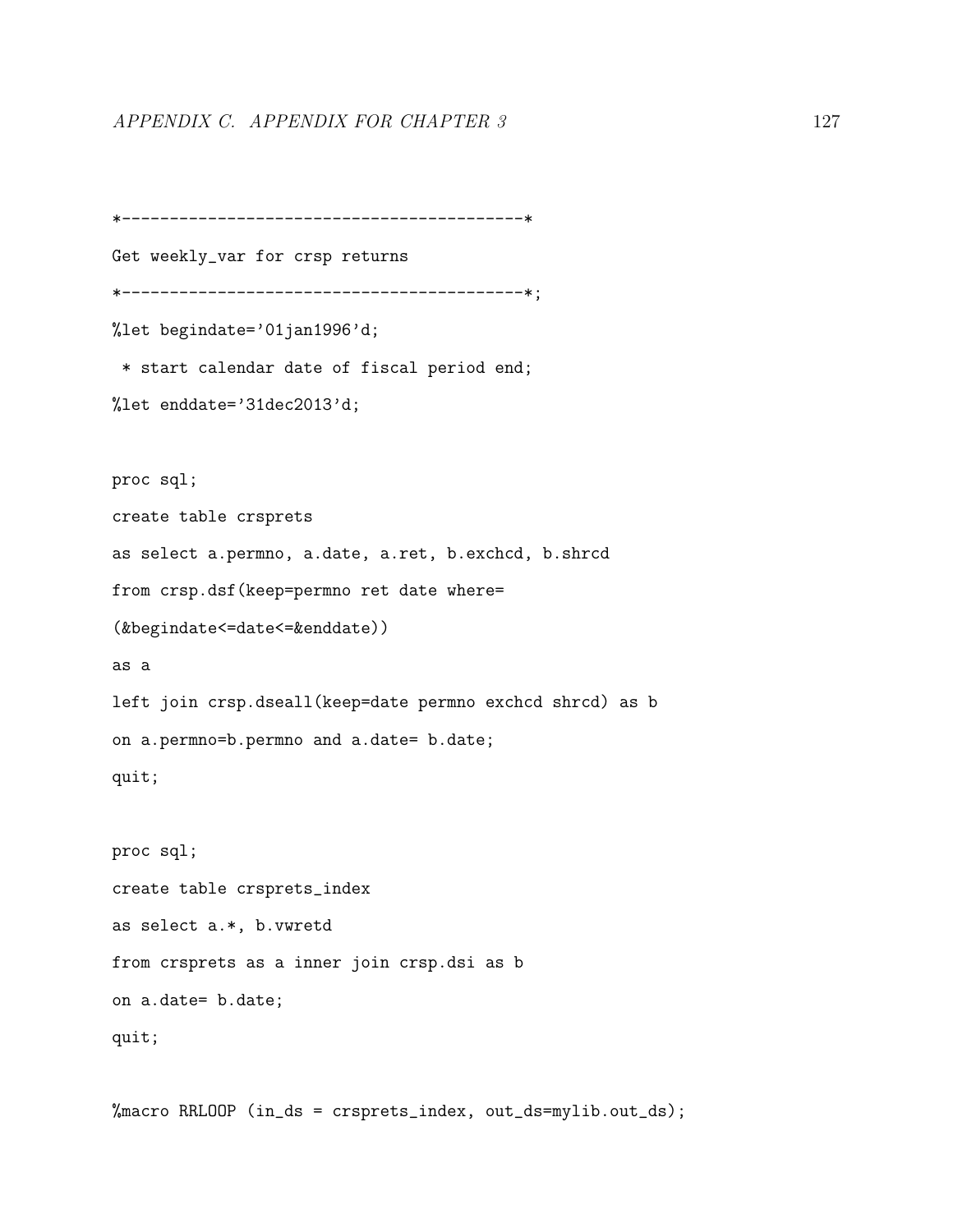```
*------------------------------------------*
Get weekly_var for crsp returns
*------------------------------------------*;
%let begindate='01jan1996'd;
 * start calendar date of fiscal period end;
%let enddate='31dec2013'd;
proc sql;
create table crsprets
as select a.permno, a.date, a.ret, b.exchcd, b.shrcd
from crsp.dsf(keep=permno ret date where=
(&begindate<=date<=&enddate))
as a
left join crsp.dseall(keep=date permno exchcd shrcd) as b
on a.permno=b.permno and a.date= b.date;
quit;
proc sql;
create table crsprets_index
as select a.*, b.vwretd
from crsprets as a inner join crsp.dsi as b
on a.date= b.date;
quit;
```
%macro RRLOOP (in\_ds = crsprets\_index, out\_ds=mylib.out\_ds);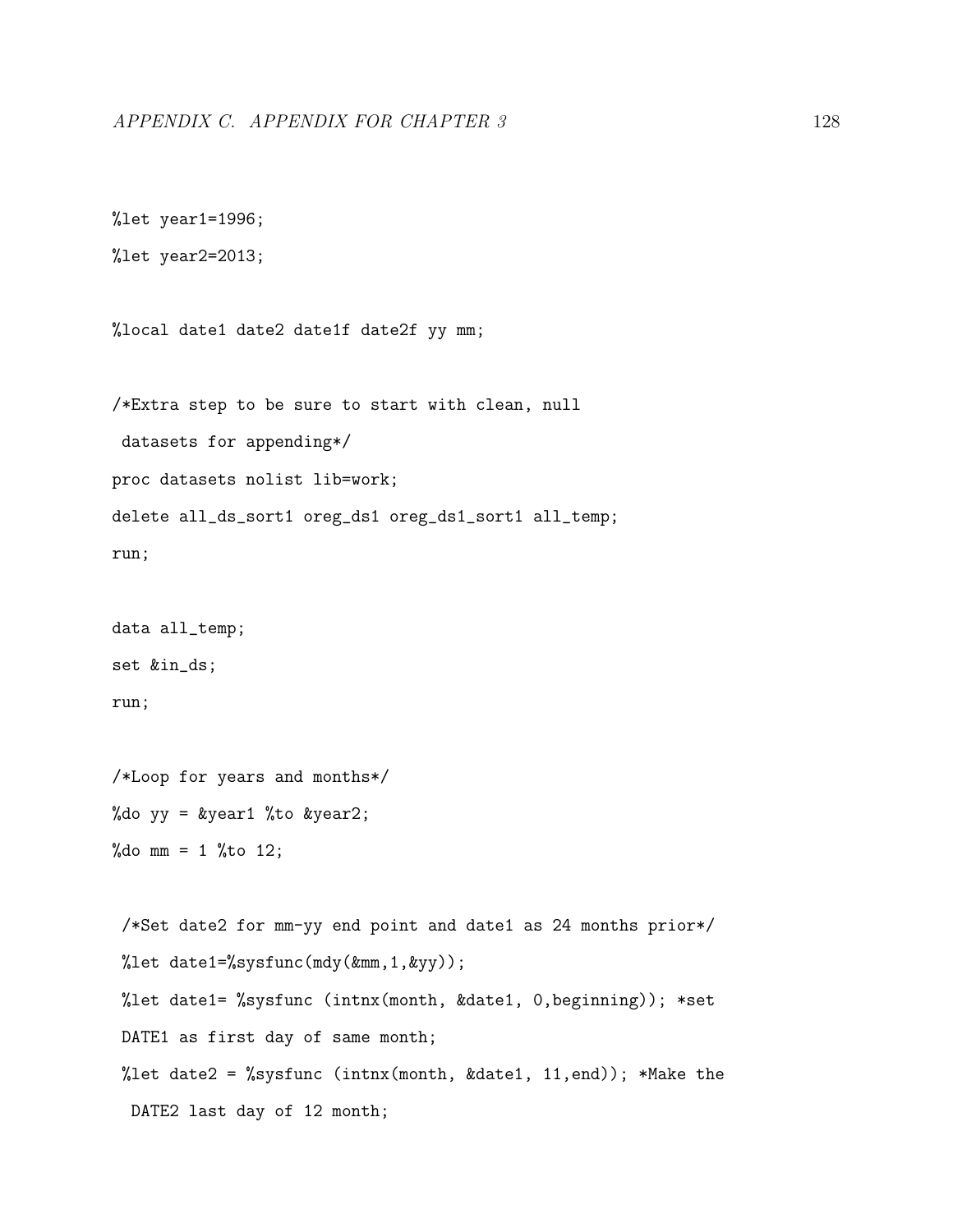```
%let year1=1996;
```
%let year2=2013;

%local date1 date2 date1f date2f yy mm;

/\*Extra step to be sure to start with clean, null datasets for appending\*/ proc datasets nolist lib=work; delete all\_ds\_sort1 oreg\_ds1 oreg\_ds1\_sort1 all\_temp; run;

data all\_temp; set &in\_ds; run;

/\*Loop for years and months\*/ %do  $yy = kyear1$  %to  $kyear2$ ; %do mm =  $1$  %to 12;

/\*Set date2 for mm-yy end point and date1 as 24 months prior\*/ %let date1=%sysfunc(mdy(&mm,1,&yy)); %let date1= %sysfunc (intnx(month, &date1, 0,beginning)); \*set DATE1 as first day of same month; %let date2 = %sysfunc (intnx(month, &date1, 11, end)); \*Make the DATE2 last day of 12 month;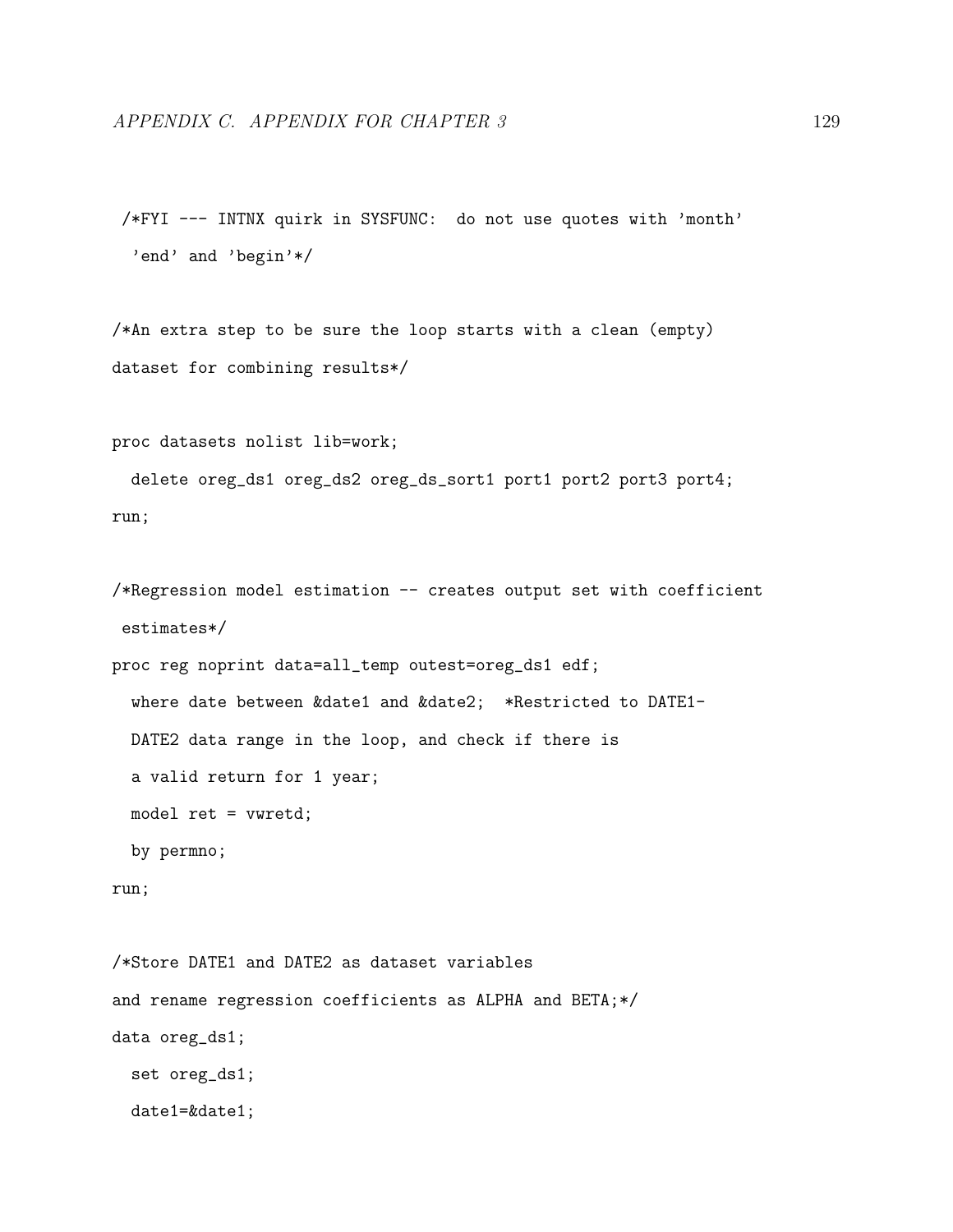/\*FYI --- INTNX quirk in SYSFUNC: do not use quotes with 'month' 'end' and 'begin'\*/

/\*An extra step to be sure the loop starts with a clean (empty) dataset for combining results\*/

proc datasets nolist lib=work;

delete oreg\_ds1 oreg\_ds2 oreg\_ds\_sort1 port1 port2 port3 port4; run;

```
/*Regression model estimation -- creates output set with coefficient
estimates*/
```
proc reg noprint data=all\_temp outest=oreg\_ds1 edf; where date between &date1 and &date2; \*Restricted to DATE1- DATE2 data range in the loop, and check if there is a valid return for 1 year; model ret = vwretd; by permno;

```
run;
```
/\*Store DATE1 and DATE2 as dataset variables and rename regression coefficients as ALPHA and BETA;\*/ data oreg\_ds1; set oreg\_ds1; date1=&date1;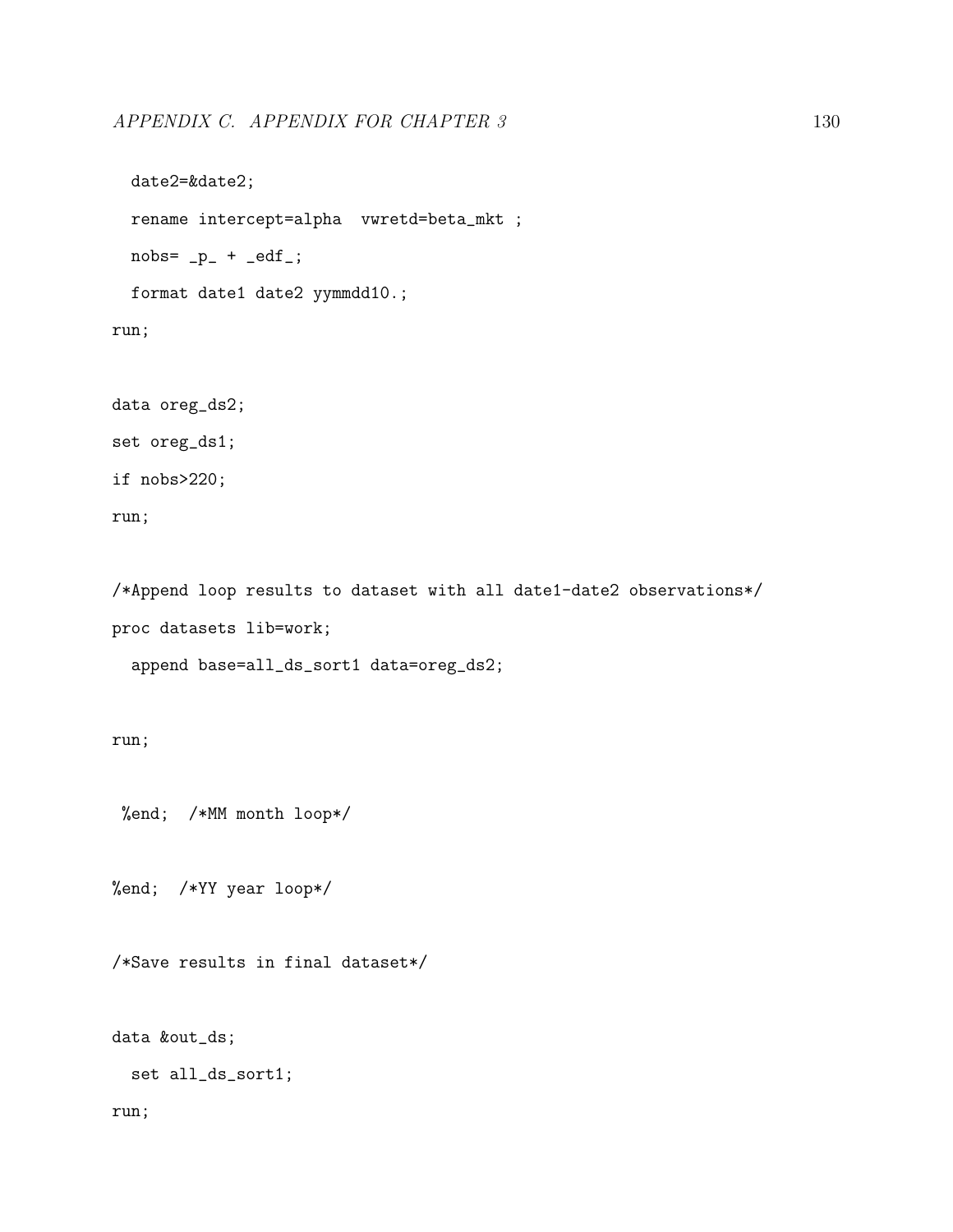```
date2=&date2;
  rename intercept=alpha vwretd=beta_mkt ;
  nobs = p_ + -edf_;
  format date1 date2 yymmdd10.;
run;
```

```
data oreg_ds2;
set oreg_ds1;
if nobs>220;
run;
```
/\*Append loop results to dataset with all date1-date2 observations\*/ proc datasets lib=work;

append base=all\_ds\_sort1 data=oreg\_ds2;

run;

%end; /\*MM month loop\*/

%end; /\*YY year loop\*/

/\*Save results in final dataset\*/

data &out\_ds;

set all\_ds\_sort1;

run;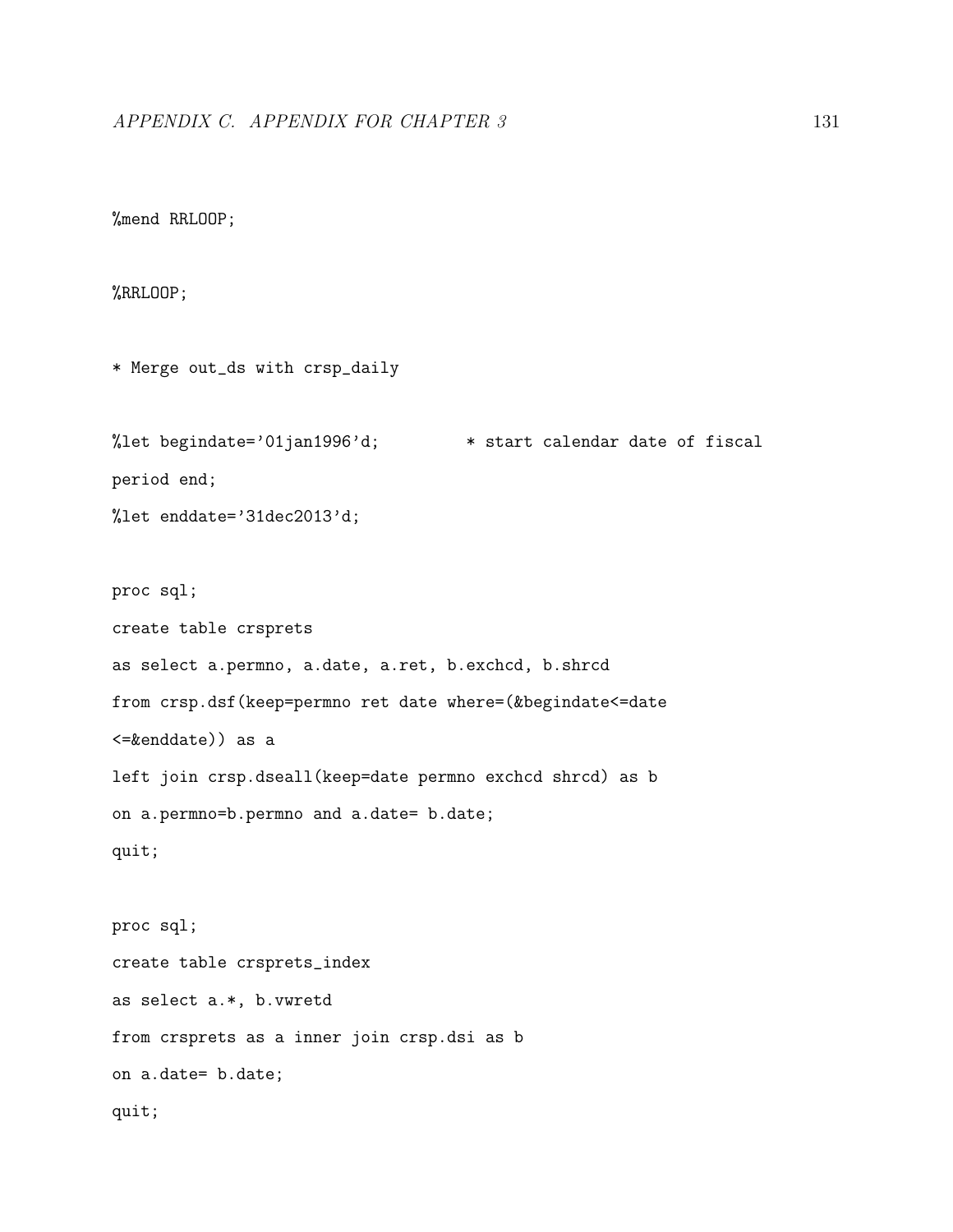```
%mend RRLOOP;
```
#### %RRLOOP;

```
* Merge out_ds with crsp_daily
%let begindate='01jan1996'd; * start calendar date of fiscal
period end;
%let enddate='31dec2013'd;
proc sql;
create table crsprets
as select a.permno, a.date, a.ret, b.exchcd, b.shrcd
from crsp.dsf(keep=permno ret date where=(&begindate<=date
<=&enddate)) as a
left join crsp.dseall(keep=date permno exchcd shrcd) as b
on a.permno=b.permno and a.date= b.date;
quit;
```

```
proc sql;
create table crsprets_index
as select a.*, b.vwretd
from crsprets as a inner join crsp.dsi as b
on a.date= b.date;
quit;
```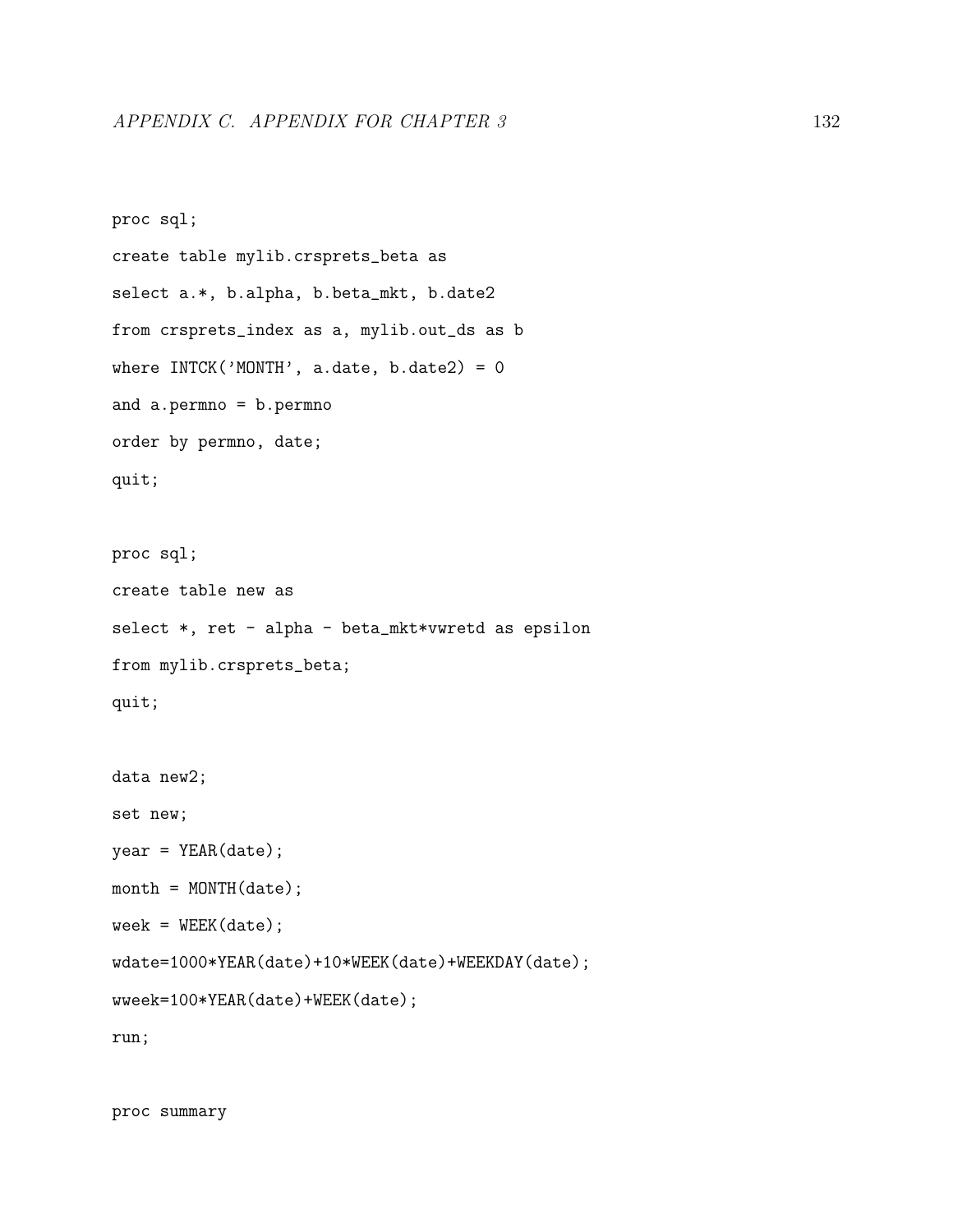```
proc sql;
create table mylib.crsprets_beta as
select a.*, b.alpha, b.beta_mkt, b.date2
from crsprets_index as a, mylib.out_ds as b
where INTCK('MONTH', a.data, b.data2) = 0and a.permno = b.permno
order by permno, date;
quit;
proc sql;
create table new as
select *, ret - alpha - beta_mkt*vwretd as epsilon
from mylib.crsprets_beta;
quit;
```

```
data new2;
```
set new;

```
year = YEAR(date);
```

```
month = MOMTH(data);
```

```
week = WEEK(data);
```

```
wdate=1000*YEAR(date)+10*WEEK(date)+WEEKDAY(date);
```

```
wweek=100*YEAR(date)+WEEK(date);
```
run;

proc summary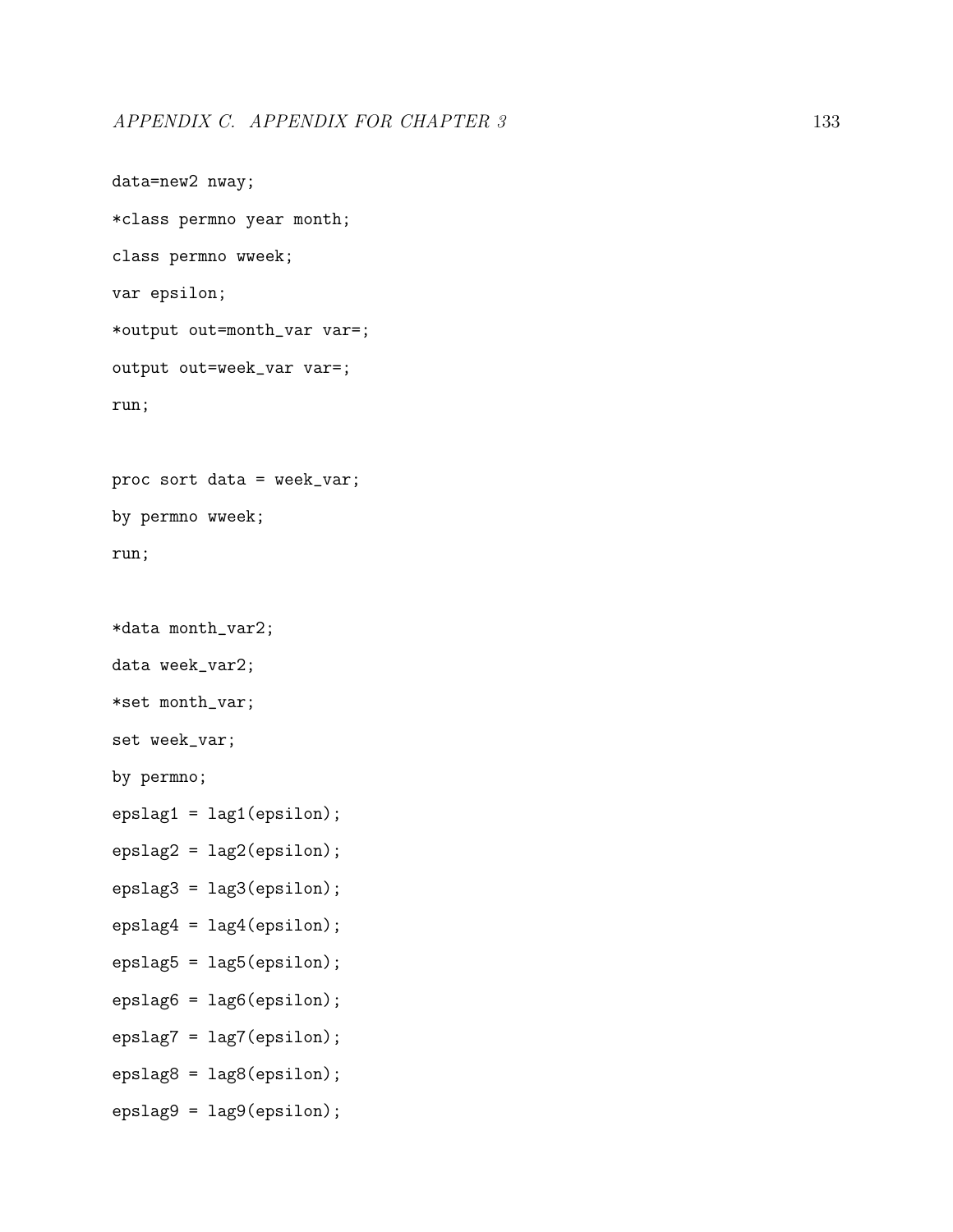```
data=new2 nway;
*class permno year month;
class permno wweek;
var epsilon;
*output out=month_var var=;
output out=week_var var=;
run;
proc sort data = week_var;
by permno wweek;
run;
*data month_var2;
data week_var2;
*set month_var;
set week_var;
by permno;
epslag1 = lag1(epsilon);
epslag2 = lag2(epsilon);
epslag3 = lag3(epsilon);
epslag4 = lag4(epsilon);
epslag5 = lag5(epsilon);
epslag6 = lag6(epsilon);
epslag7 = lag7(epsilon);
epslag8 = lag8(epsilon);
```
epslag9 = lag9(epsilon);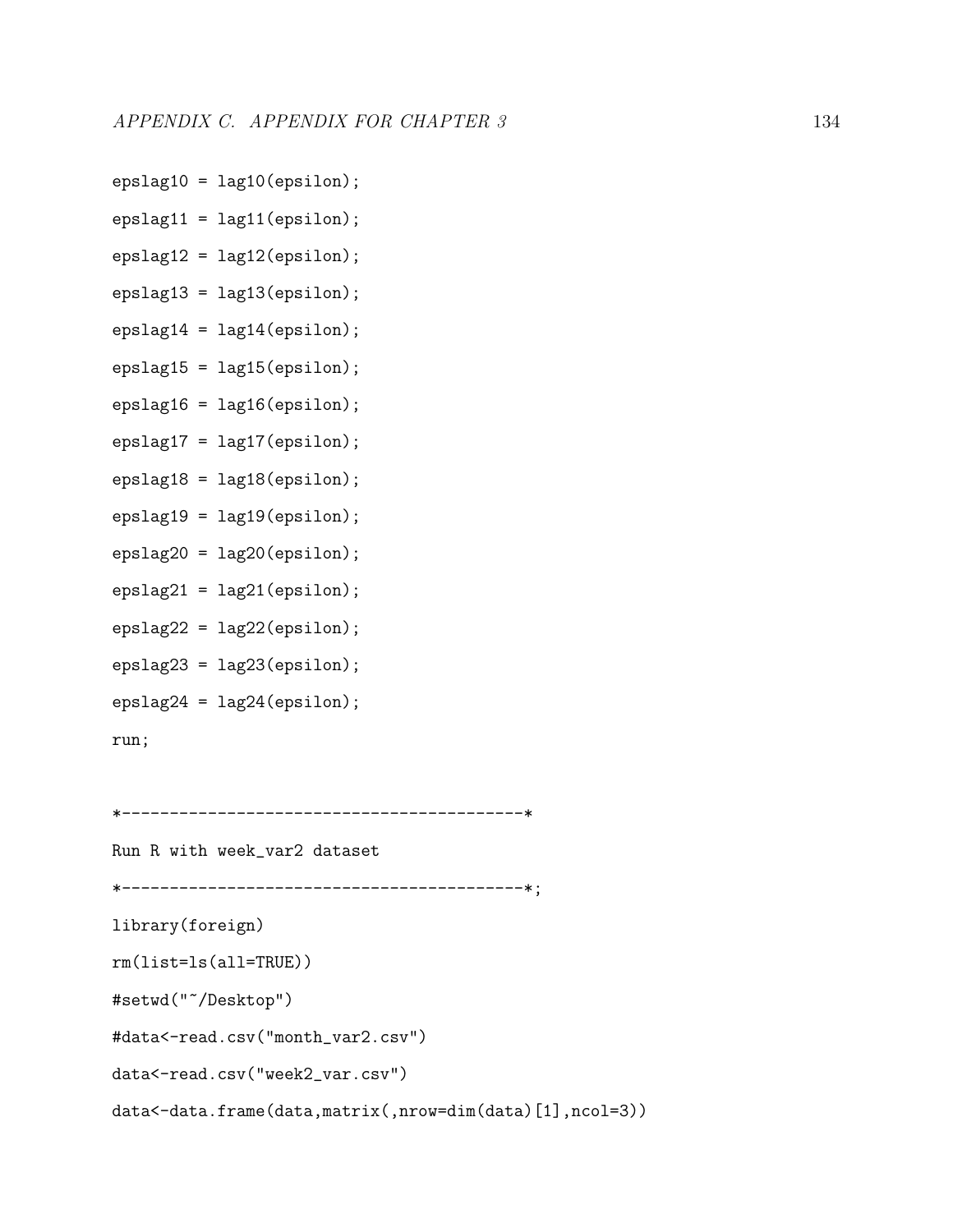- $epslag10 = lag10(epsilon)$ ;
- $epslag11 = lag11(epsilon)$ ;
- epslag12 = lag12(epsilon);
- epslag13 = lag13(epsilon);
- $epslag14 = lag14(epsilon)$ ;
- $epslag15 = lag15(epsilon)$ ;
- epslag16 = lag16(epsilon);
- epslag17 = lag17(epsilon);
- epslag18 = lag18(epsilon);
- $epslag19 = lag19(epsilon1on);$
- epslag20 = lag20(epsilon);
- $epslag21 = lag21(epsilon)$ ;
- epslag22 = lag22(epsilon);
- epslag23 = lag23(epsilon);
- epslag24 = lag24(epsilon);

run;

```
*------------------------------------------*
```
Run R with week\_var2 dataset \*------------------------------------------\*; library(foreign) rm(list=ls(all=TRUE)) #setwd("~/Desktop") #data<-read.csv("month\_var2.csv") data<-read.csv("week2\_var.csv") data<-data.frame(data,matrix(,nrow=dim(data)[1],ncol=3))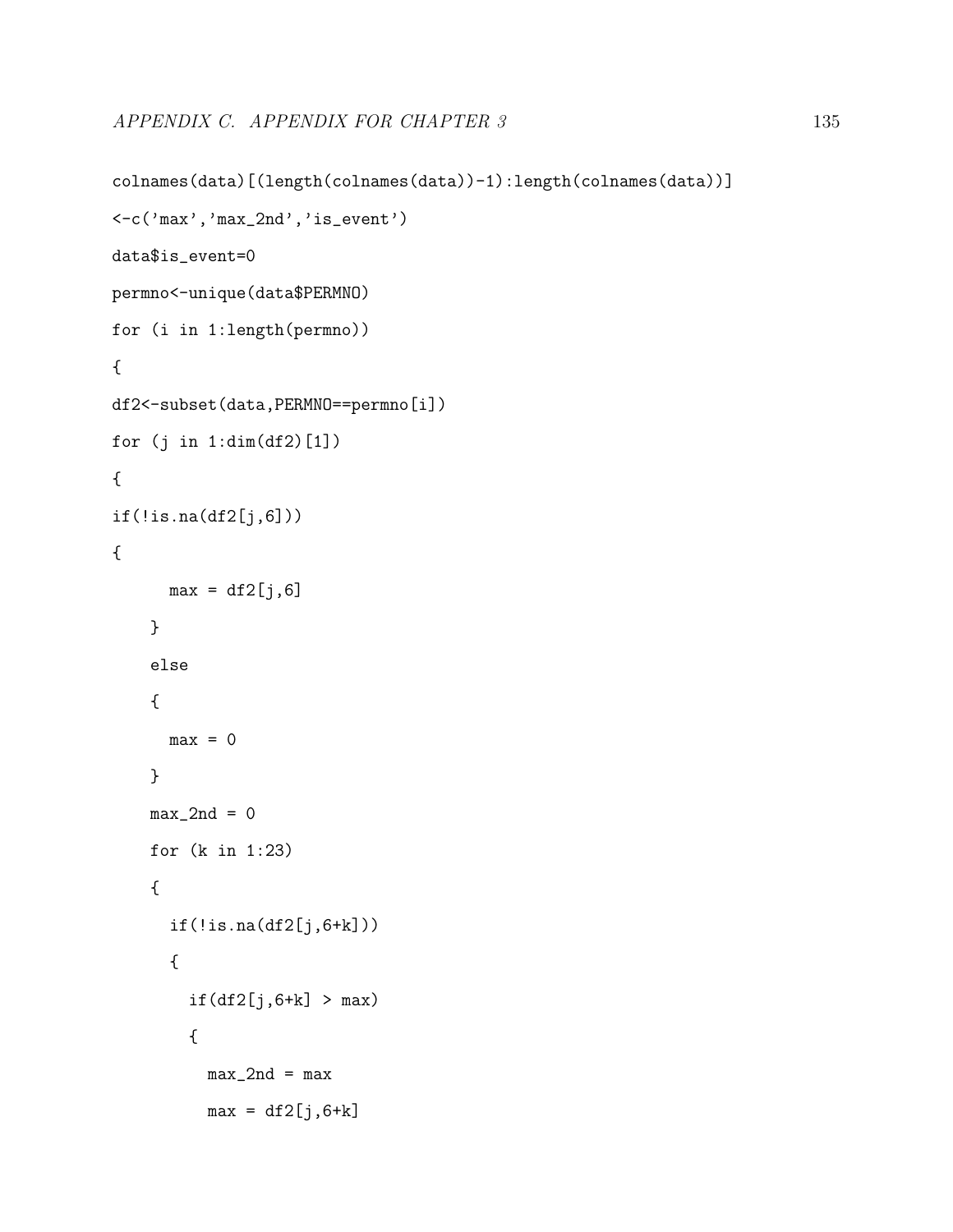```
colnames(data)[(length(colnames(data))-1):length(colnames(data))]
<-c('max','max_2nd','is_event')
data$is_event=0
permno<-unique(data$PERMNO)
for (i in 1:length(permno))
{
df2<-subset(data,PERMNO==permno[i])
for (j in 1:dim(df2)[1])
{
if(!is.na(df2[j,6])){
     max = df2[j, 6]}
    else
    {
     max = 0}
    max_2nd = 0for (k in 1:23)
    {
      if(!is.na(df2[j,6+k])){
        if(df2[j,6+k] > max){
          max_2nd = maxmax = df2[j, 6+k]
```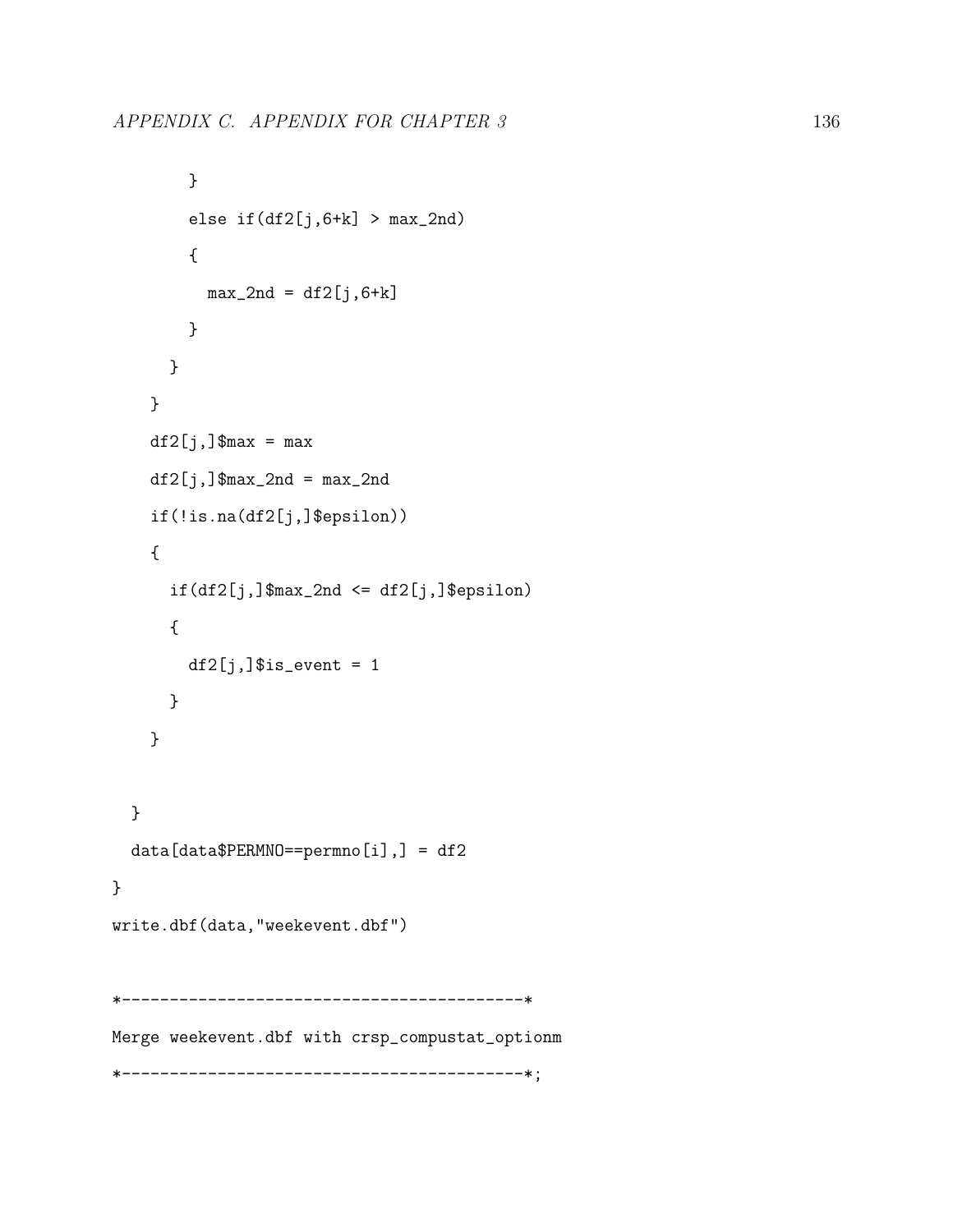```
}
        else if(df2[j,6+k] > max_2nd){
          max_2nd = df2[j, 6+k]}
      }
    }
   df2[j,]\ max = maxdf2[j,]\max_2nd = max_2ndif(!is.na(df2[j,]$epsilon))
    {
      if(df2[j,]\max_2nd \leq df2[j,]\epsilon){
        df2[j,]\$is_event = 1
      }
    }
  }
 data[data$PERMNO==permno[i],] = df2
}
write.dbf(data,"weekevent.dbf")
*------------------------------------------*
Merge weekevent.dbf with crsp_compustat_optionm
*------------------------------------------*;
```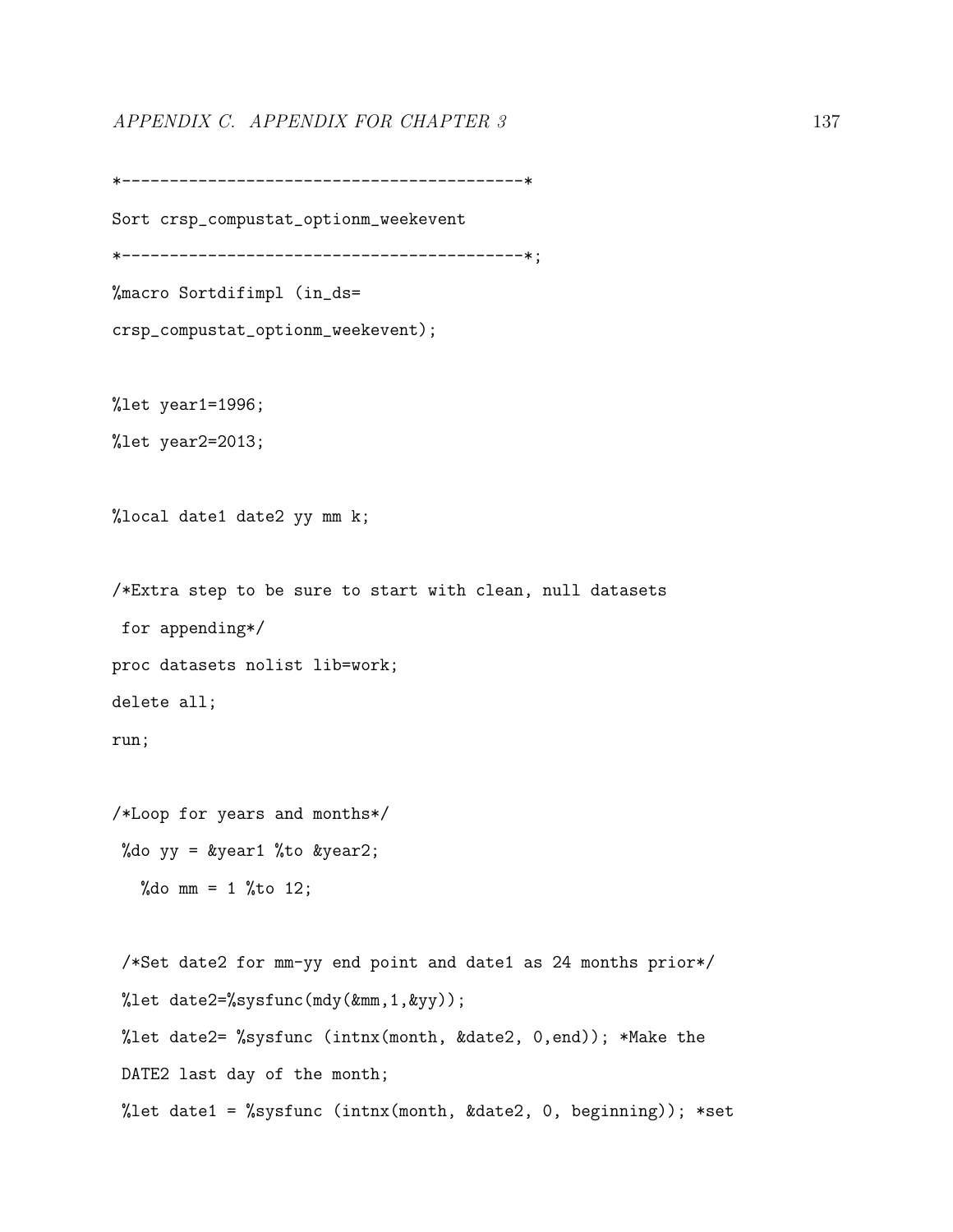## APPENDIX C. APPENDIX FOR CHAPTER 3 137

\*------------------------------------------\*

```
Sort crsp_compustat_optionm_weekevent
*------------------------------------------*;
%macro Sortdifimpl (in_ds=
crsp_compustat_optionm_weekevent);
%let year1=1996;
%let year2=2013;
%local date1 date2 yy mm k;
/*Extra step to be sure to start with clean, null datasets
for appending*/
proc datasets nolist lib=work;
delete all;
run;
/*Loop for years and months*/
%do yy = &year1 %to &year2;
  %do mm = 1 %to 12;
/*Set date2 for mm-yy end point and date1 as 24 months prior*/
%let date2=%sysfunc(mdy(&mm,1,&yy));
%let date2= %sysfunc (intnx(month, &date2, 0,end)); *Make the
DATE2 last day of the month;
%let date1 = %sysfunc (intnx(month, &date2, 0, beginning)); *set
```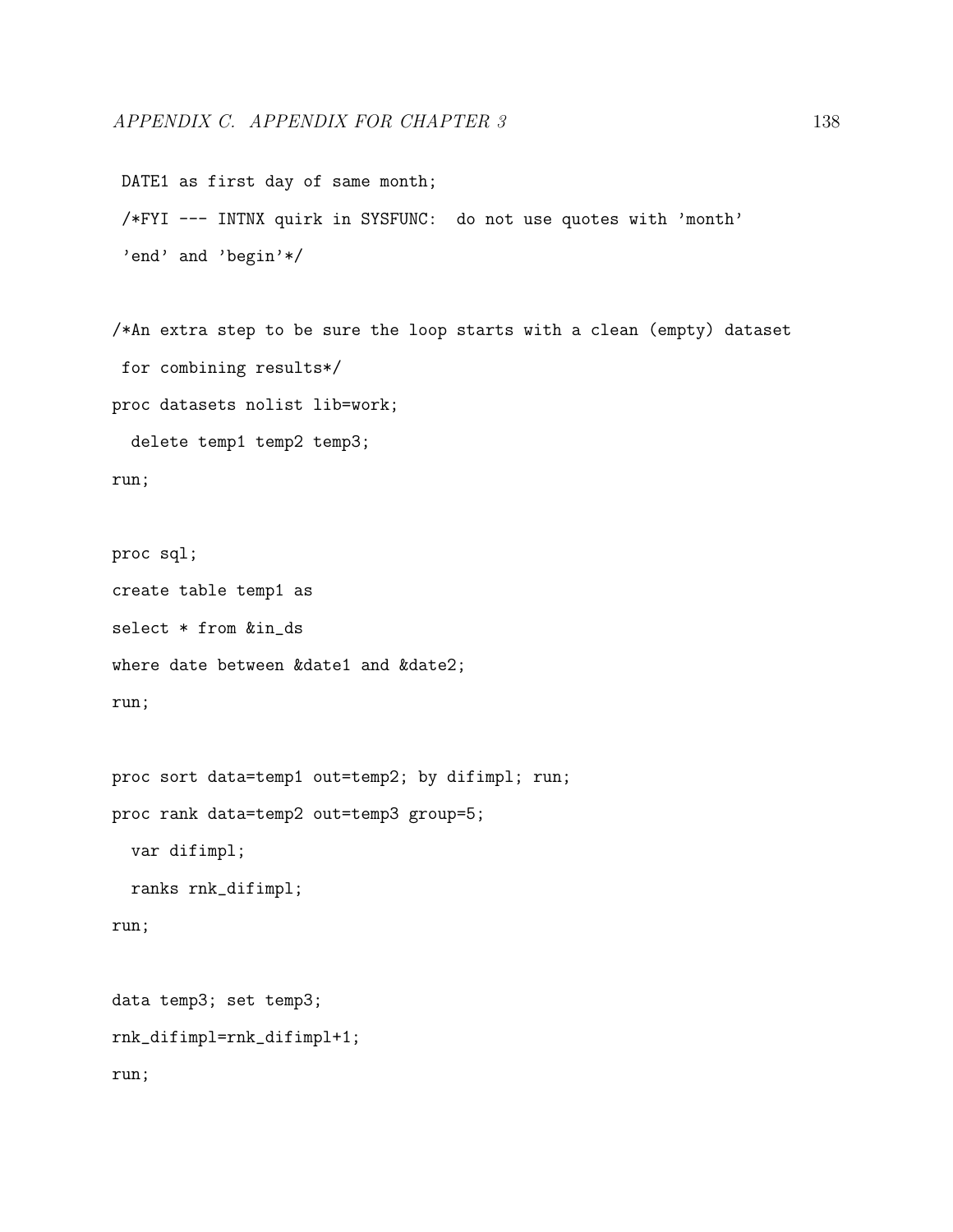```
DATE1 as first day of same month;
/*FYI --- INTNX quirk in SYSFUNC: do not use quotes with 'month'
'end' and 'begin'*/
```
/\*An extra step to be sure the loop starts with a clean (empty) dataset for combining results\*/ proc datasets nolist lib=work; delete temp1 temp2 temp3;

```
run;
```

```
proc sql;
create table temp1 as
select * from &in_ds
where date between &date1 and &date2;
run;
```

```
proc sort data=temp1 out=temp2; by difimpl; run;
proc rank data=temp2 out=temp3 group=5;
  var difimpl;
  ranks rnk_difimpl;
run;
```

```
data temp3; set temp3;
rnk_difimpl=rnk_difimpl+1;
run;
```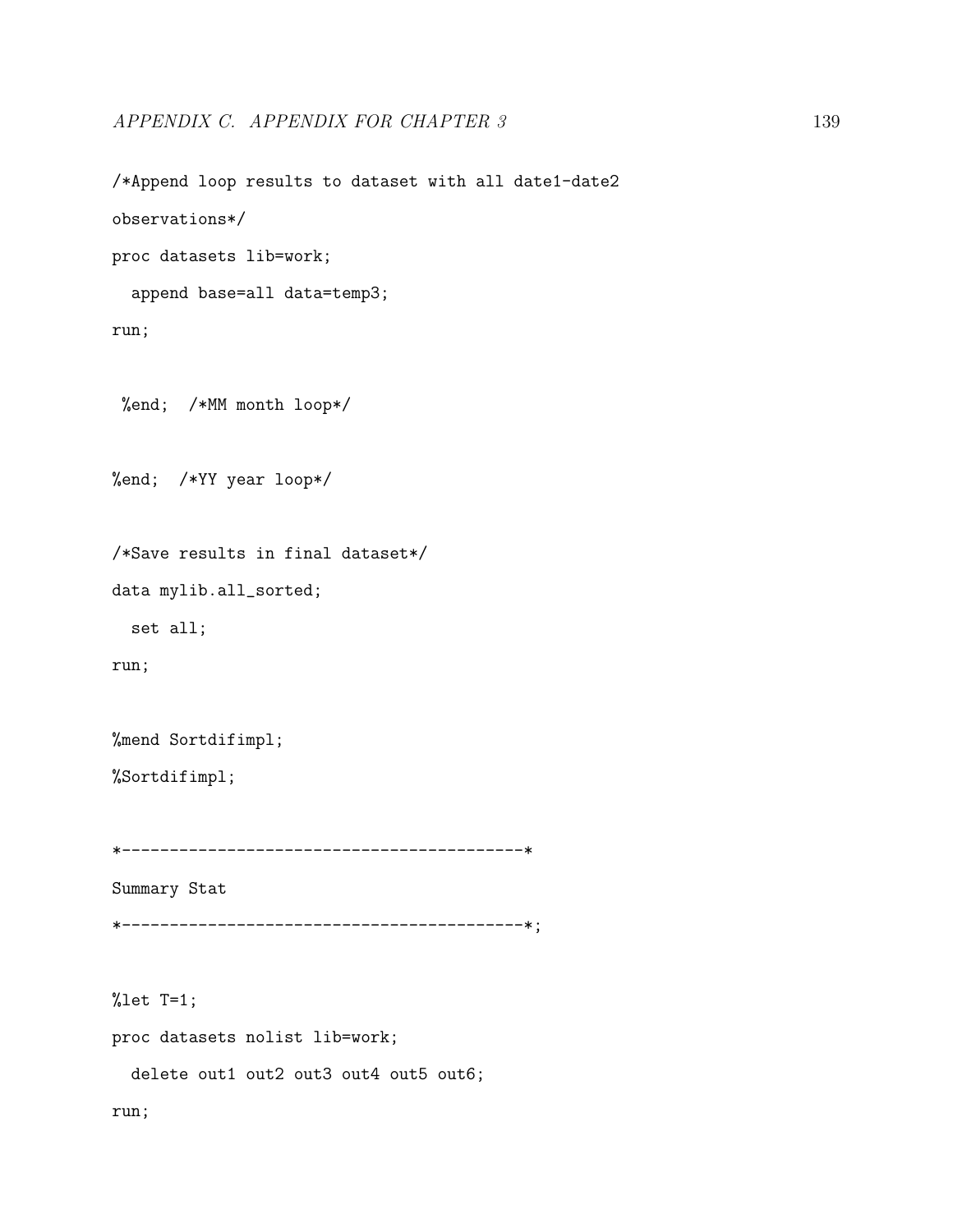/\*Append loop results to dataset with all date1-date2 observations\*/ proc datasets lib=work; append base=all data=temp3; run; %end; /\*MM month loop\*/ %end; /\*YY year loop\*/ /\*Save results in final dataset\*/ data mylib.all\_sorted;

set all;

run;

%mend Sortdifimpl;

%Sortdifimpl;

\*------------------------------------------\*

Summary Stat

\*------------------------------------------\*;

%let T=1;

proc datasets nolist lib=work;

delete out1 out2 out3 out4 out5 out6;

run;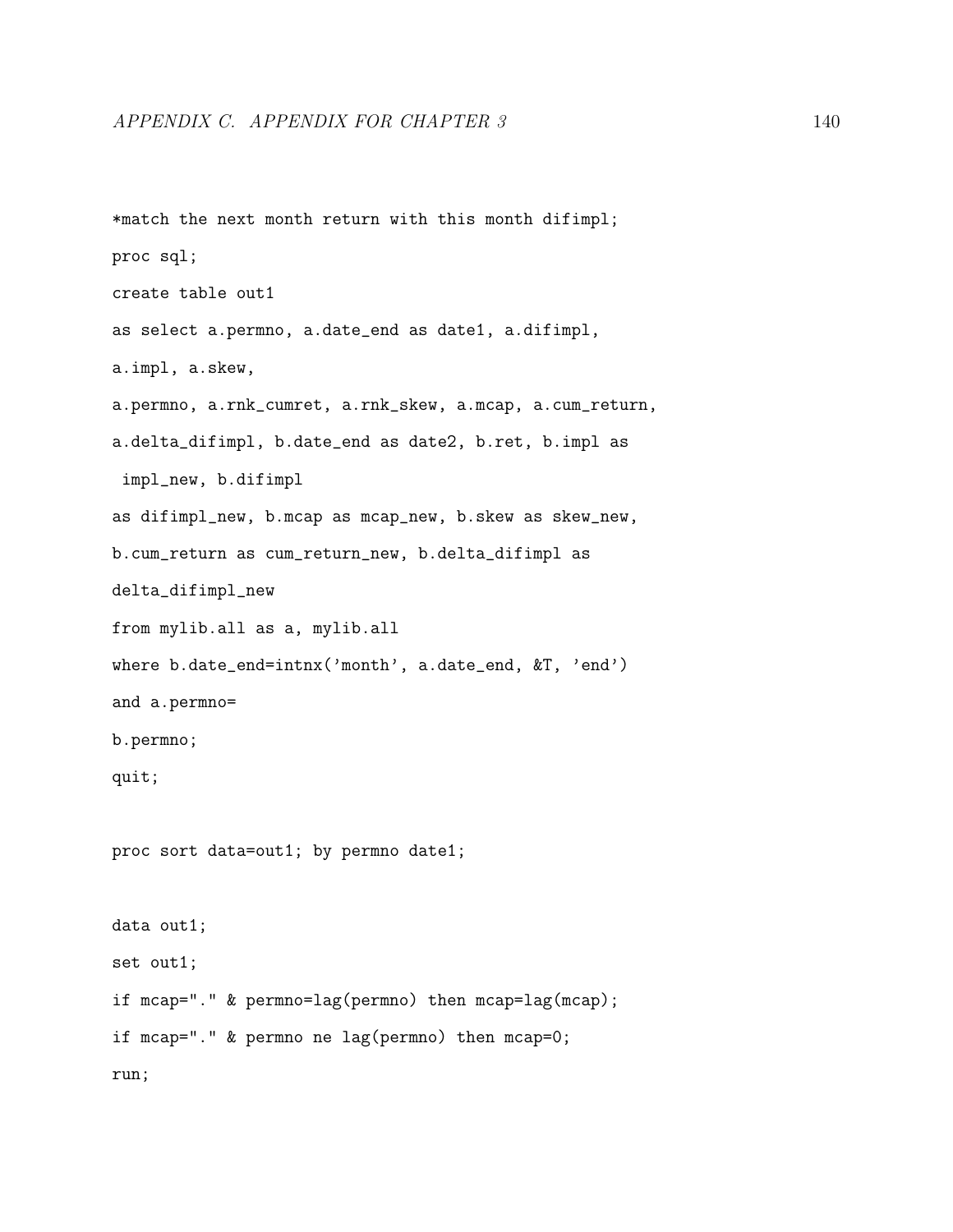```
*match the next month return with this month difimpl;
proc sql;
create table out1
as select a.permno, a.date_end as date1, a.difimpl,
a.impl, a.skew,
a.permno, a.rnk_cumret, a.rnk_skew, a.mcap, a.cum_return,
a.delta_difimpl, b.date_end as date2, b.ret, b.impl as
impl_new, b.difimpl
as difimpl_new, b.mcap as mcap_new, b.skew as skew_new,
b.cum_return as cum_return_new, b.delta_difimpl as
delta_difimpl_new
from mylib.all as a, mylib.all
where b.date_end=intnx('month', a.date_end, &T, 'end')
and a.permno=
b.permno;
quit;
proc sort data=out1; by permno date1;
data out1;
set out1;
if mcap="." & permno=lag(permno) then mcap=lag(mcap);
if mcap="." & permno ne lag(permno) then mcap=0;
run;
```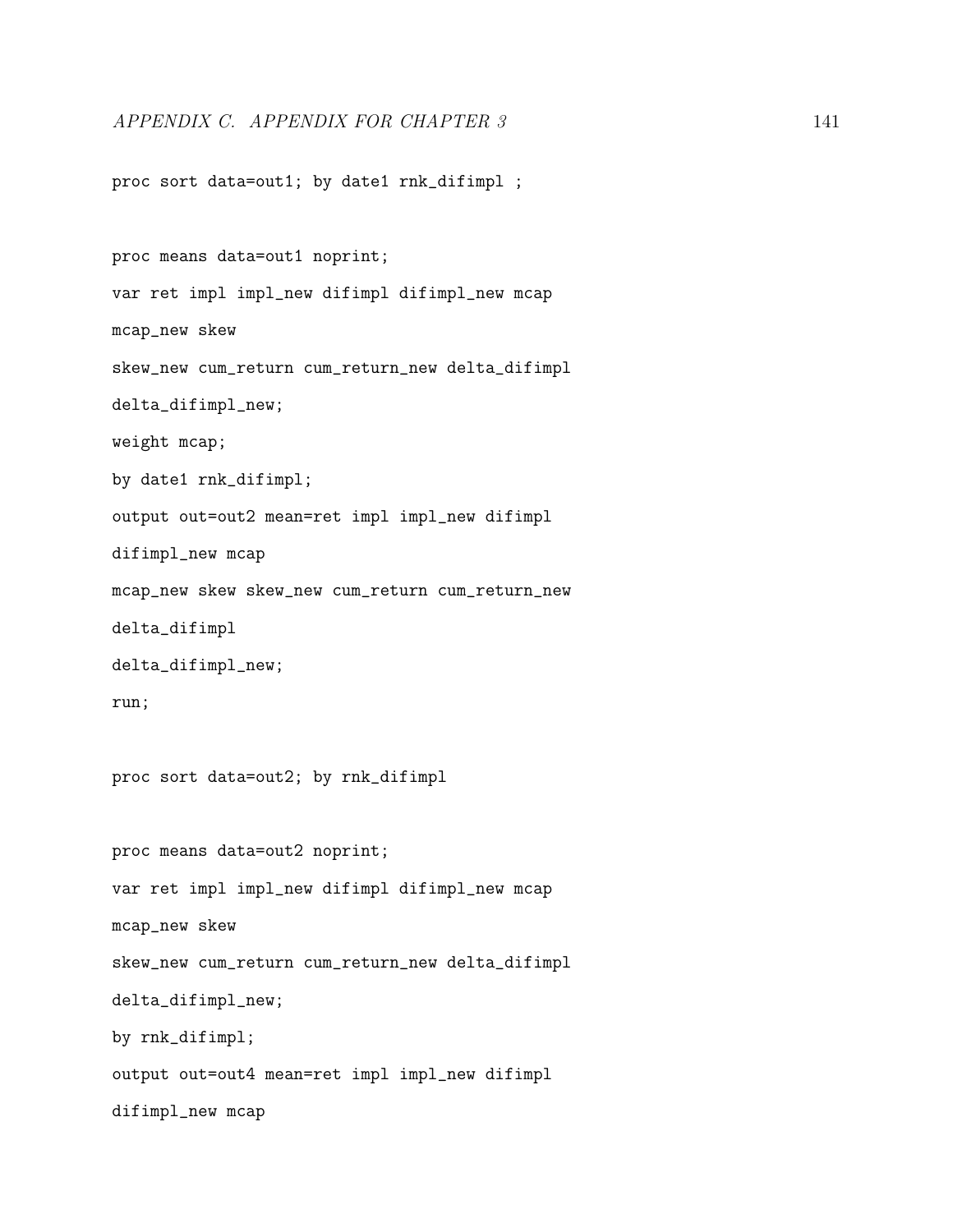proc sort data=out1; by date1 rnk\_difimpl ;

proc means data=out1 noprint; var ret impl impl\_new difimpl difimpl\_new mcap mcap\_new skew skew\_new cum\_return cum\_return\_new delta\_difimpl delta\_difimpl\_new; weight mcap; by date1 rnk\_difimpl; output out=out2 mean=ret impl impl\_new difimpl difimpl\_new mcap mcap\_new skew skew\_new cum\_return cum\_return\_new delta\_difimpl delta\_difimpl\_new; run; proc sort data=out2; by rnk\_difimpl proc means data=out2 noprint; var ret impl impl\_new difimpl difimpl\_new mcap mcap\_new skew skew\_new cum\_return cum\_return\_new delta\_difimpl delta\_difimpl\_new; by rnk\_difimpl; output out=out4 mean=ret impl impl\_new difimpl difimpl\_new mcap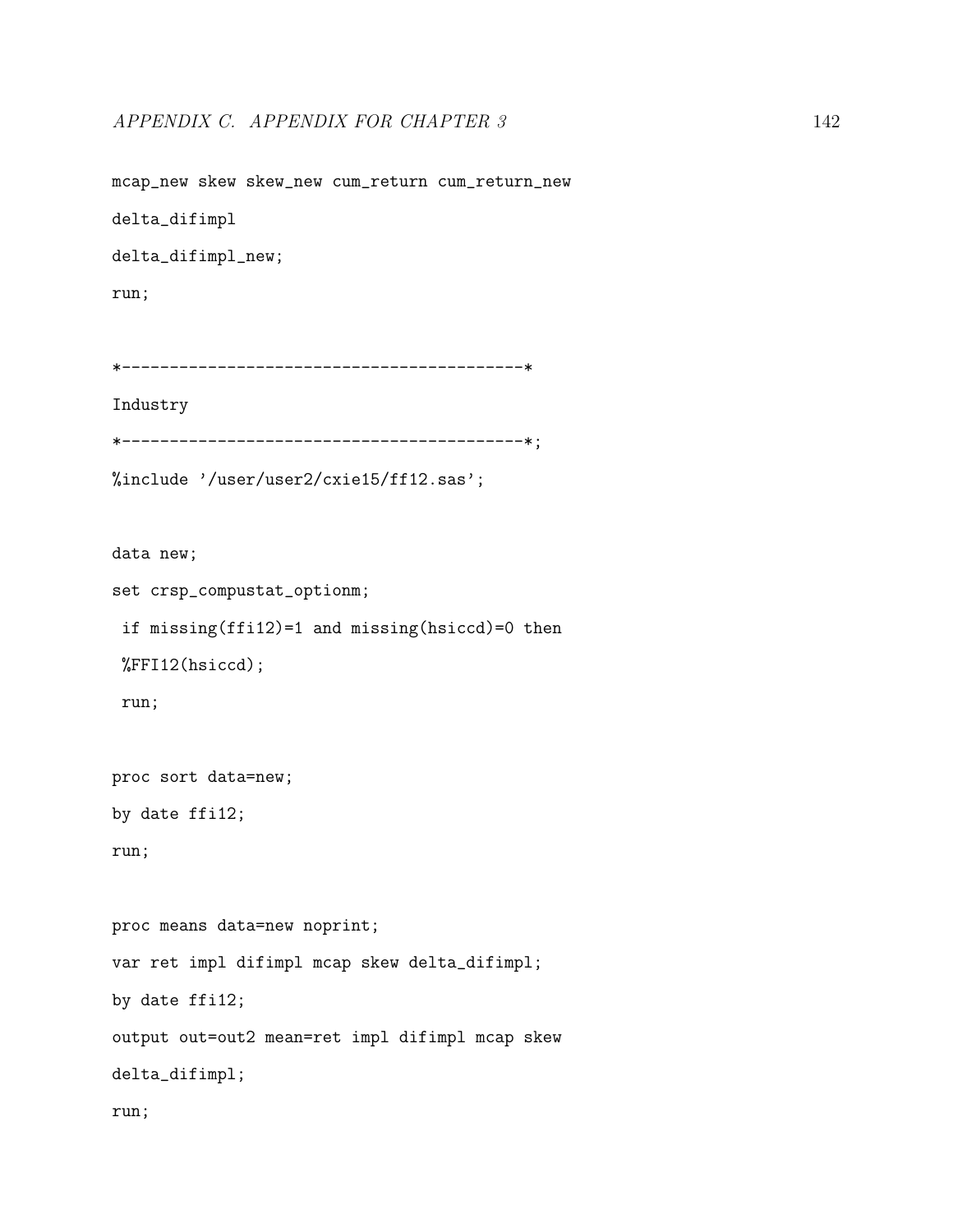mcap\_new skew skew\_new cum\_return cum\_return\_new delta\_difimpl delta\_difimpl\_new; run; \*------------------------------------------\* Industry \*------------------------------------------\*;

%include '/user/user2/cxie15/ff12.sas';

data new;

set crsp\_compustat\_optionm;

if missing(ffi12)=1 and missing(hsiccd)=0 then

%FFI12(hsiccd);

run;

proc sort data=new;

by date ffi12;

run;

proc means data=new noprint; var ret impl difimpl mcap skew delta\_difimpl; by date ffi12; output out=out2 mean=ret impl difimpl mcap skew delta\_difimpl; run;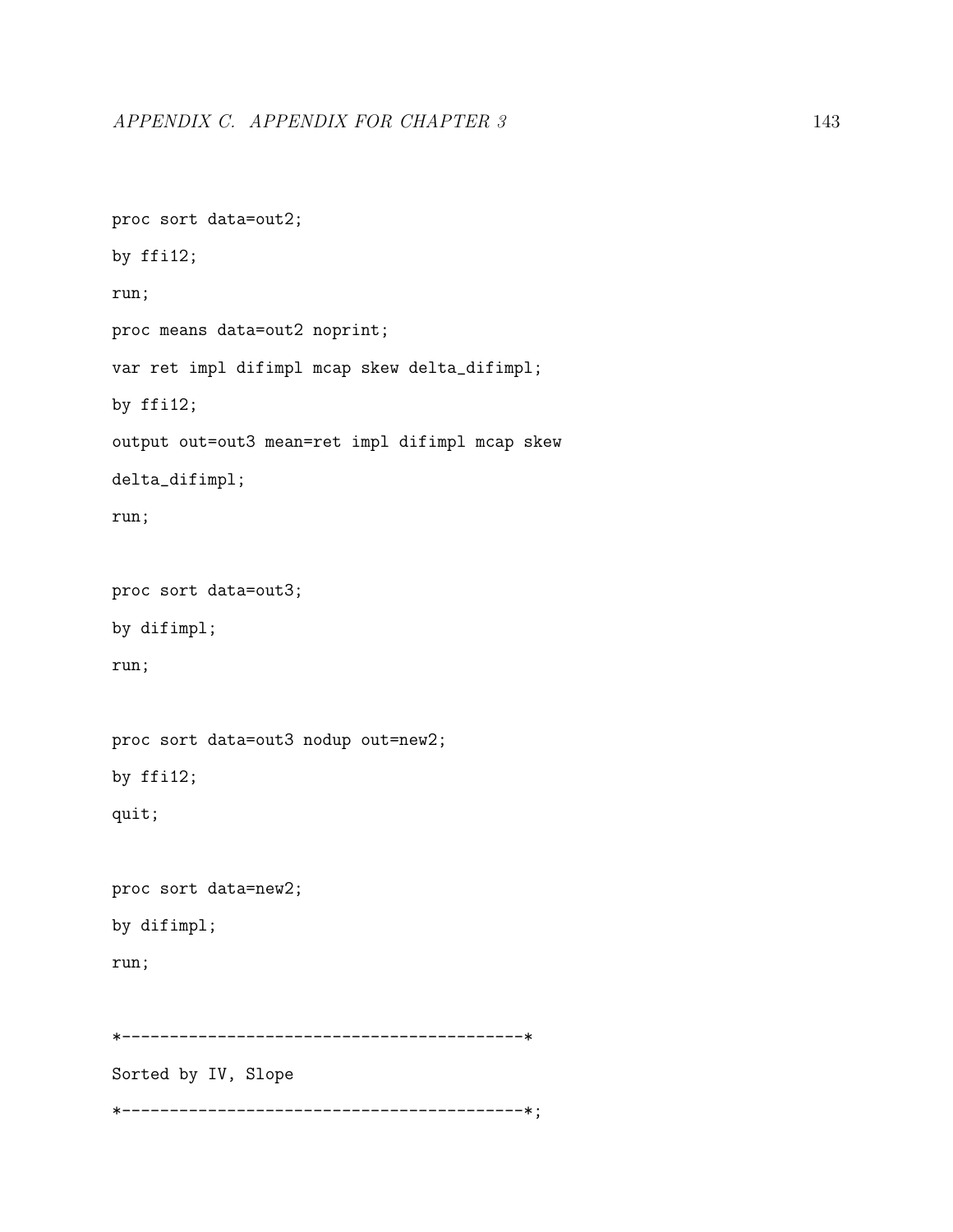```
proc sort data=out2;
by ffi12;
run;
proc means data=out2 noprint;
var ret impl difimpl mcap skew delta_difimpl;
by ffi12;
output out=out3 mean=ret impl difimpl mcap skew
delta_difimpl;
run;
proc sort data=out3;
by difimpl;
run;
proc sort data=out3 nodup out=new2;
by ffi12;
quit;
proc sort data=new2;
by difimpl;
run;
*------------------------------------------*
Sorted by IV, Slope
*------------------------------------------*;
```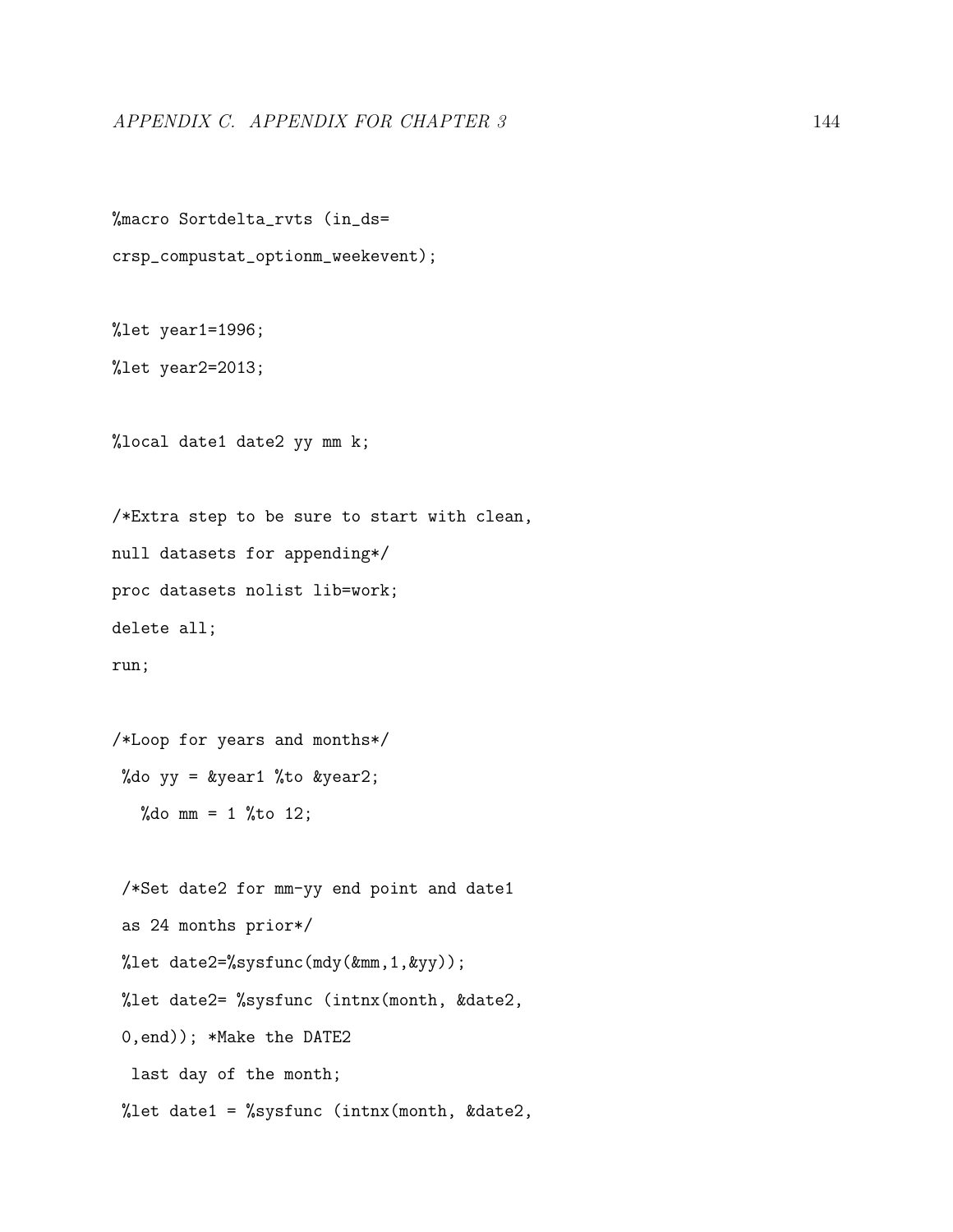```
%macro Sortdelta_rvts (in_ds=
crsp_compustat_optionm_weekevent);
```

```
%let year1=1996;
```
%let year2=2013;

%local date1 date2 yy mm k;

/\*Extra step to be sure to start with clean, null datasets for appending\*/ proc datasets nolist lib=work; delete all; run;

```
/*Loop for years and months*/
 %do yy = &year1 %to &year2;
   %do mm = 1 %to 12;
```
/\*Set date2 for mm-yy end point and date1 as 24 months prior\*/ %let date2=%sysfunc(mdy(&mm,1,&yy)); %let date2= %sysfunc (intnx(month, &date2, 0,end)); \*Make the DATE2 last day of the month; %let date1 = %sysfunc (intnx(month, &date2,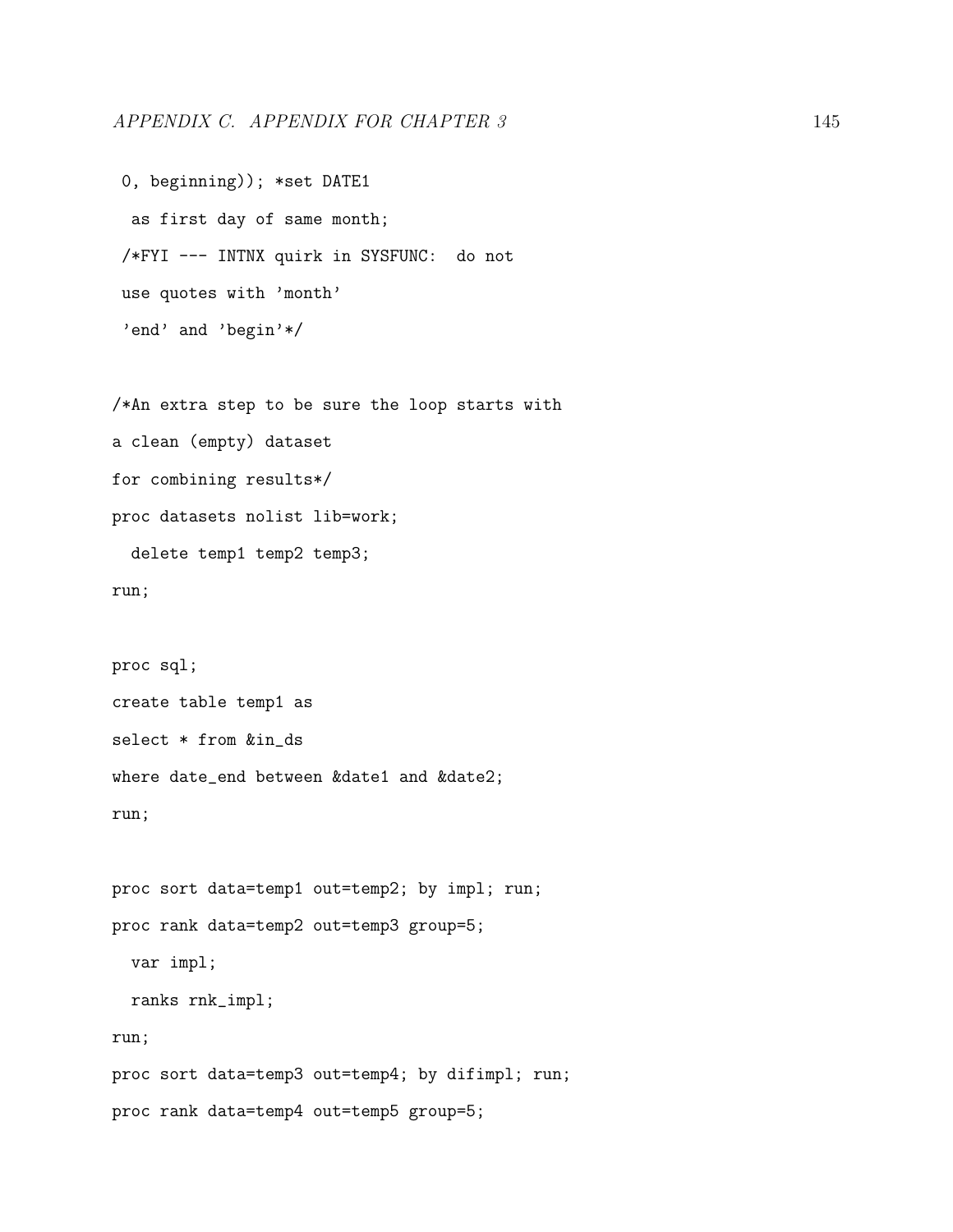```
0, beginning)); *set DATE1
 as first day of same month;
/*FYI --- INTNX quirk in SYSFUNC: do not
use quotes with 'month'
'end' and 'begin'*/
```
/\*An extra step to be sure the loop starts with a clean (empty) dataset for combining results\*/ proc datasets nolist lib=work; delete temp1 temp2 temp3;

run;

```
proc sql;
create table temp1 as
select * from &in_ds
where date_end between &date1 and &date2;
run;
```
proc sort data=temp1 out=temp2; by impl; run; proc rank data=temp2 out=temp3 group=5; var impl; ranks rnk\_impl; run; proc sort data=temp3 out=temp4; by difimpl; run; proc rank data=temp4 out=temp5 group=5;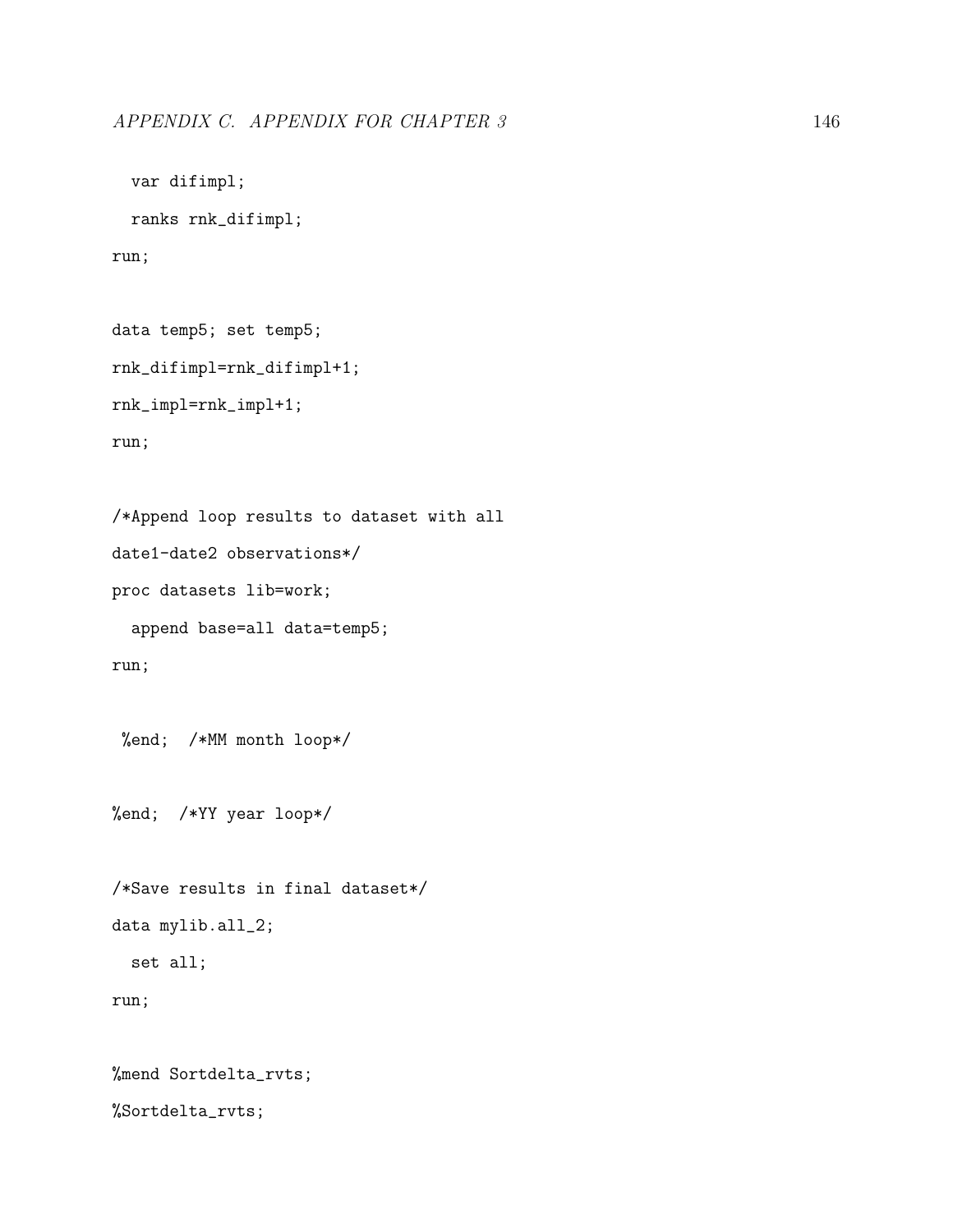```
var difimpl;
```
ranks rnk\_difimpl;

run;

```
data temp5; set temp5;
rnk_difimpl=rnk_difimpl+1;
rnk_impl=rnk_impl+1;
run;
```

```
/*Append loop results to dataset with all
date1-date2 observations*/
proc datasets lib=work;
  append base=all data=temp5;
```
run;

%end; /\*MM month loop\*/

%end; /\*YY year loop\*/

```
/*Save results in final dataset*/
data mylib.all_2;
  set all;
run;
```
%mend Sortdelta\_rvts; %Sortdelta\_rvts;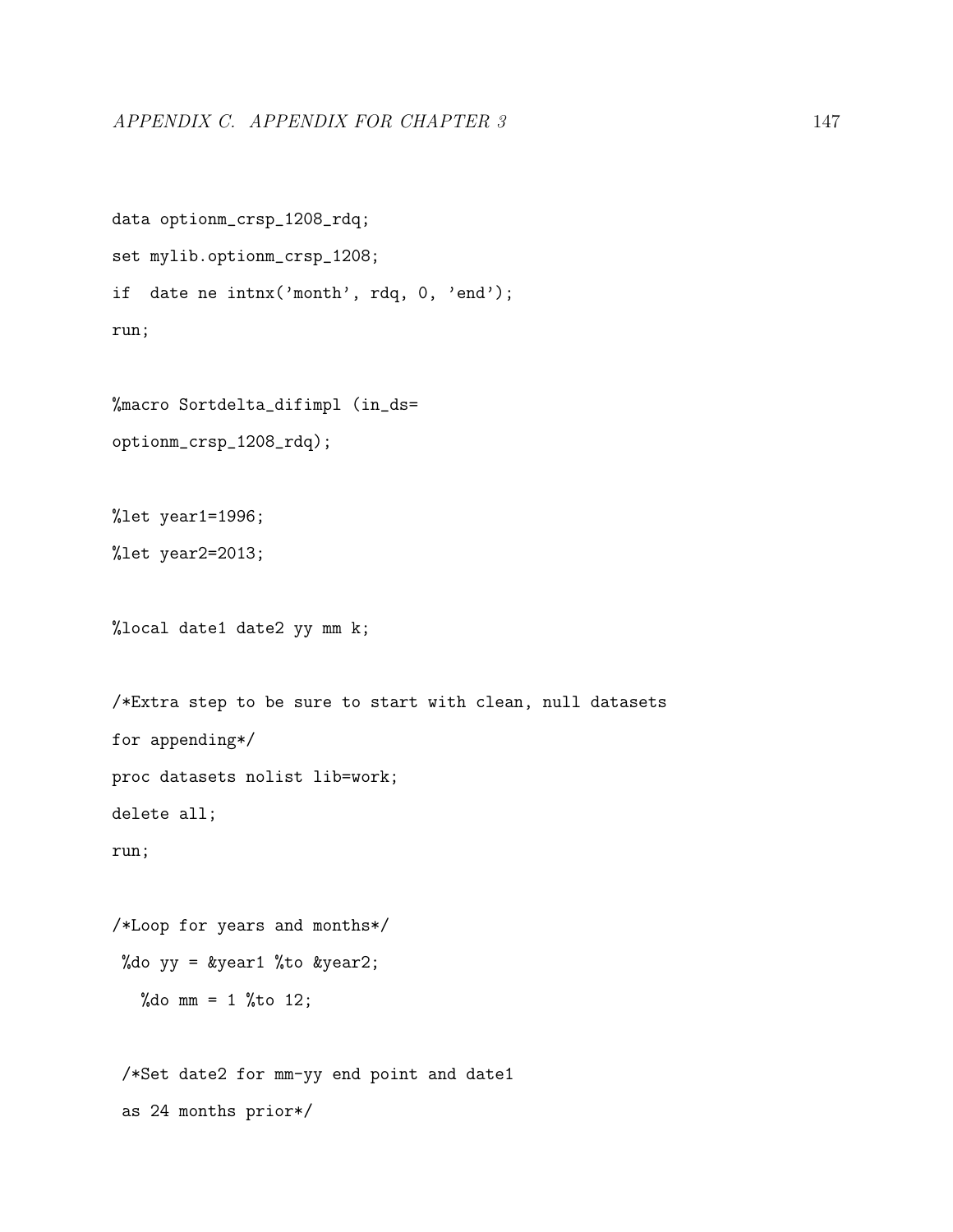```
data optionm_crsp_1208_rdq;
set mylib.optionm_crsp_1208;
if date ne intnx('month', rdq, 0, 'end');
run;
```
%macro Sortdelta\_difimpl (in\_ds= optionm\_crsp\_1208\_rdq);

%let year1=1996;

%let year2=2013;

%local date1 date2 yy mm k;

```
/*Extra step to be sure to start with clean, null datasets
for appending*/
proc datasets nolist lib=work;
delete all;
run;
```

```
/*Loop for years and months*/
%do yy = &year1 %to &year2;
  %do mm = 1 %to 12;
```
/\*Set date2 for mm-yy end point and date1 as 24 months prior\*/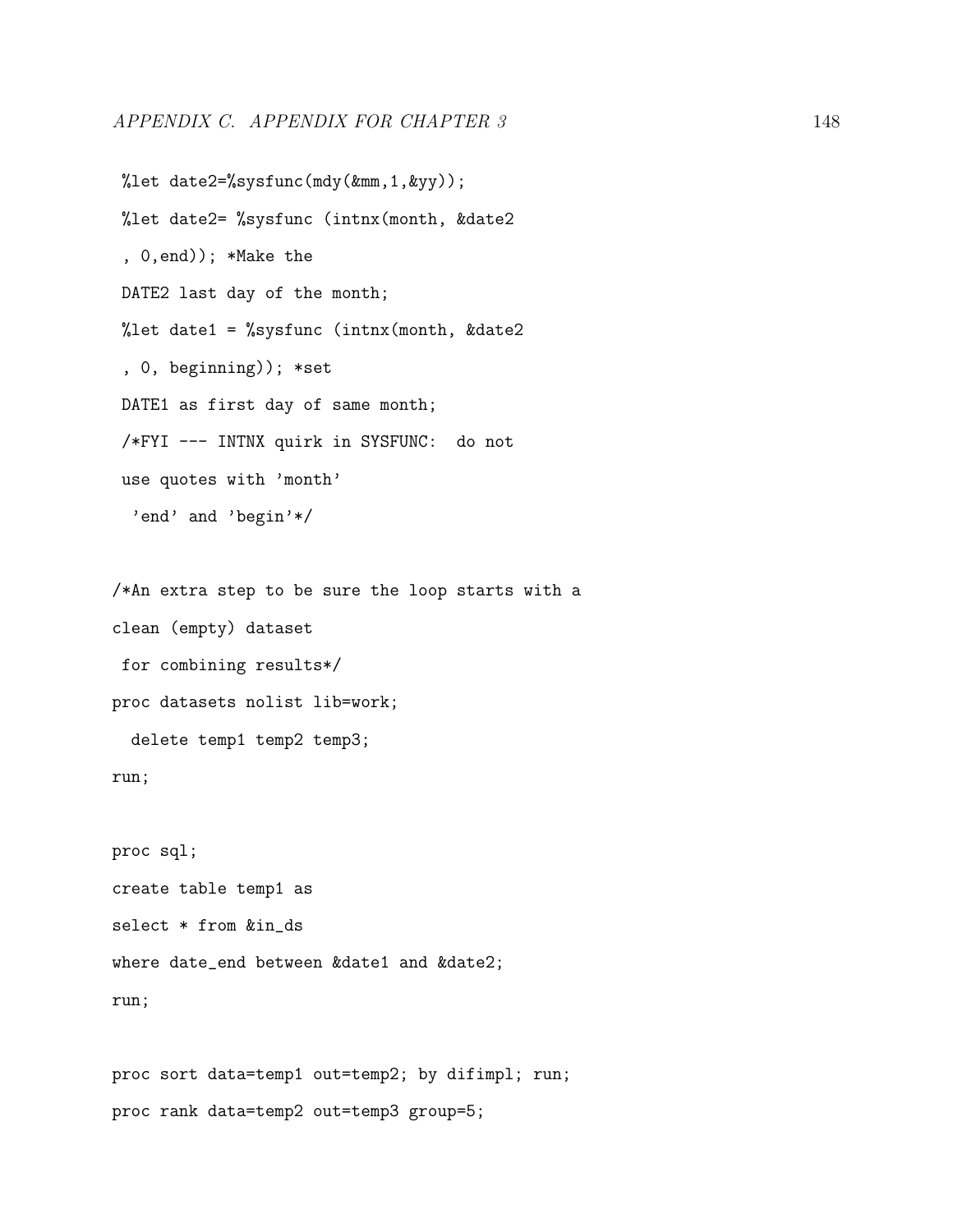%let date2=%sysfunc(mdy(&mm,1,&yy)); %let date2= %sysfunc (intnx(month, &date2 , 0,end)); \*Make the DATE2 last day of the month; %let date1 = %sysfunc (intnx(month, &date2) , 0, beginning)); \*set DATE1 as first day of same month; /\*FYI --- INTNX quirk in SYSFUNC: do not use quotes with 'month' 'end' and 'begin'\*/

/\*An extra step to be sure the loop starts with a clean (empty) dataset for combining results\*/ proc datasets nolist lib=work;

delete temp1 temp2 temp3;

run;

proc sql; create table temp1 as select \* from &in\_ds where date\_end between &date1 and &date2; run;

proc sort data=temp1 out=temp2; by difimpl; run; proc rank data=temp2 out=temp3 group=5;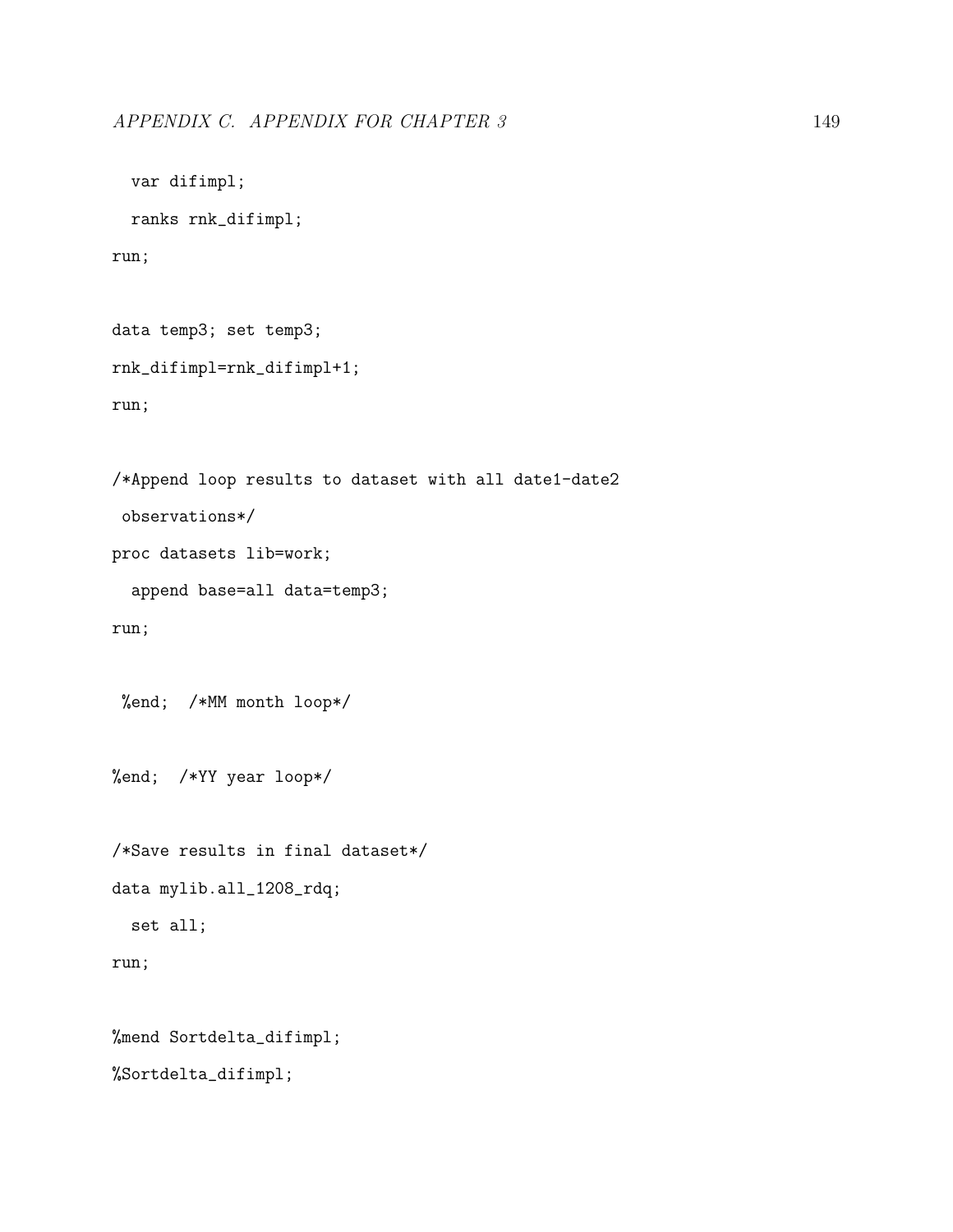var difimpl;

```
ranks rnk_difimpl;
run;
data temp3; set temp3;
rnk_difimpl=rnk_difimpl+1;
run;
/*Append loop results to dataset with all date1-date2
 observations*/
proc datasets lib=work;
```

```
append base=all data=temp3;
```
run;

```
%end; /*MM month loop*/
```
%end; /\*YY year loop\*/

```
/*Save results in final dataset*/
data mylib.all_1208_rdq;
  set all;
run;
```

```
%mend Sortdelta_difimpl;
%Sortdelta_difimpl;
```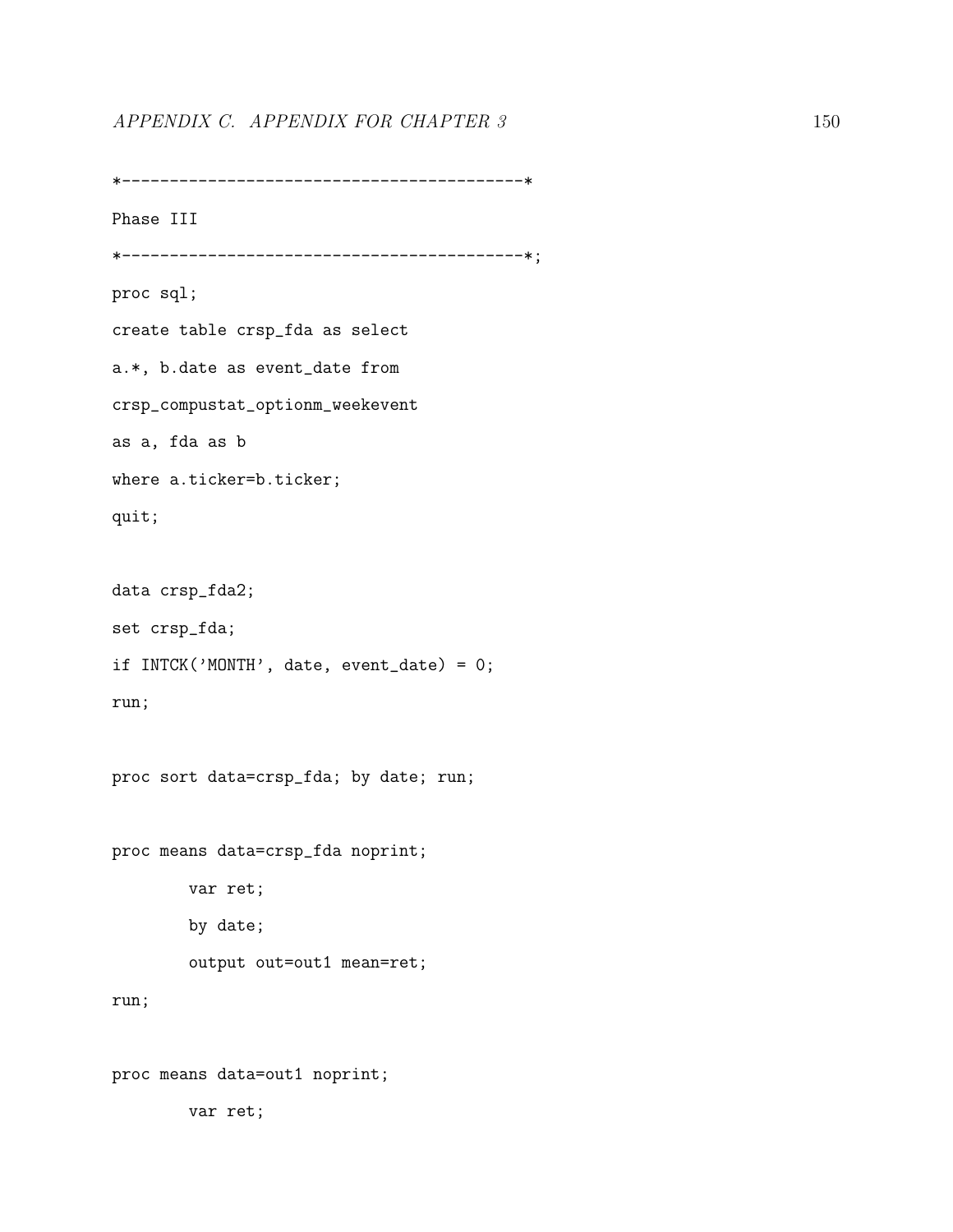# APPENDIX C. APPENDIX FOR CHAPTER 3 150

```
*------------------------------------------*
Phase III
*------------------------------------------*;
proc sql;
create table crsp_fda as select
a.*, b.date as event_date from
crsp_compustat_optionm_weekevent
as a, fda as b
where a.ticker=b.ticker;
quit;
data crsp_fda2;
set crsp_fda;
if INTCK('MONTH', date, event_date) = 0;
run;
proc sort data=crsp_fda; by date; run;
proc means data=crsp_fda noprint;
       var ret;
        by date;
        output out=out1 mean=ret;
run;
proc means data=out1 noprint;
        var ret;
```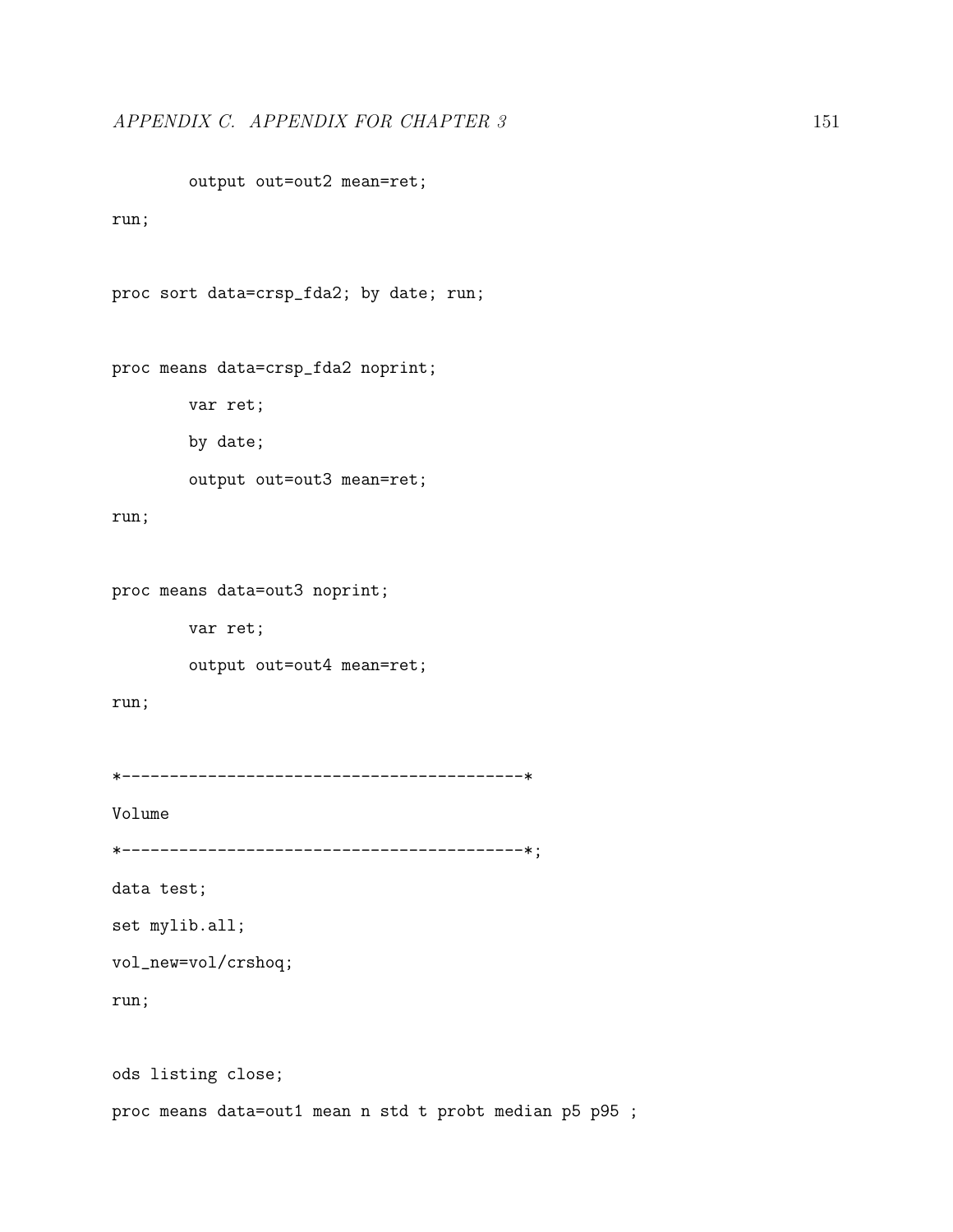output out=out2 mean=ret;

#### run;

```
proc sort data=crsp_fda2; by date; run;
```

```
proc means data=crsp_fda2 noprint;
```
var ret;

by date;

output out=out3 mean=ret;

#### run;

proc means data=out3 noprint;

var ret;

output out=out4 mean=ret;

### run;

```
*------------------------------------------*
```
Volume

\*------------------------------------------\*;

data test;

set mylib.all;

vol\_new=vol/crshoq;

run;

ods listing close;

proc means data=out1 mean n std t probt median p5 p95 ;